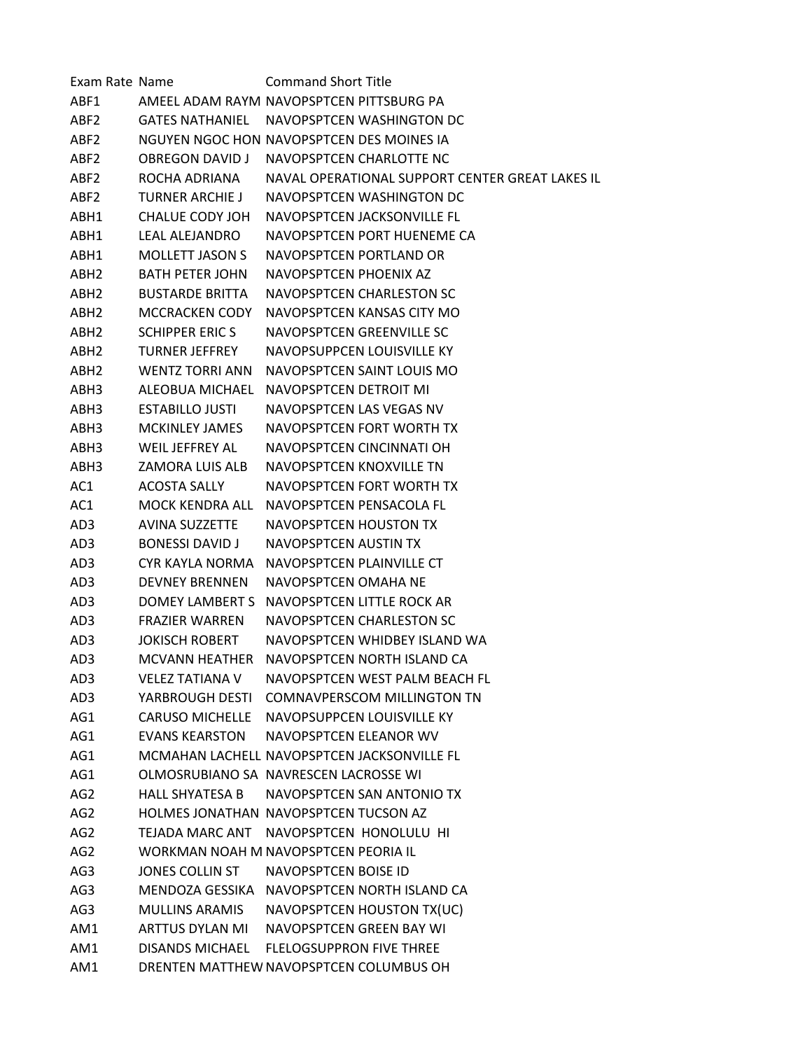| Exam Rate Name   |                        | <b>Command Short Title</b>                      |
|------------------|------------------------|-------------------------------------------------|
| ABF1             |                        | AMEEL ADAM RAYM NAVOPSPTCEN PITTSBURG PA        |
| ABF2             | GATES NATHANIFL        | NAVOPSPTCEN WASHINGTON DC                       |
| ABF2             |                        | NGUYEN NGOC HON NAVOPSPTCEN DES MOINES IA       |
| ABF <sub>2</sub> | <b>OBREGON DAVID J</b> | NAVOPSPTCEN CHARLOTTE NC                        |
| ABF <sub>2</sub> | ROCHA ADRIANA          | NAVAL OPERATIONAL SUPPORT CENTER GREAT LAKES IL |
| ABF2             | TURNER ARCHIE J        | NAVOPSPTCEN WASHINGTON DC                       |
| ABH1             | <b>CHALUE CODY JOH</b> | NAVOPSPTCFN JACKSONVILLF FL                     |
| ABH1             | <b>LEAL ALEJANDRO</b>  | NAVOPSPTCEN PORT HUENEME CA                     |
| ABH1             | <b>MOLLETT JASON S</b> | NAVOPSPTCEN PORTLAND OR                         |
| ABH2             | <b>BATH PETER JOHN</b> | NAVOPSPTCEN PHOENIX AZ                          |
| ABH2             | <b>BUSTARDE BRITTA</b> | NAVOPSPTCEN CHARLESTON SC                       |
| ABH <sub>2</sub> | <b>MCCRACKEN CODY</b>  | NAVOPSPTCEN KANSAS CITY MO                      |
| ABH <sub>2</sub> | <b>SCHIPPER ERIC S</b> | NAVOPSPTCEN GREENVILLE SC                       |
| ABH2             | <b>TURNER JEFFREY</b>  | NAVOPSUPPCEN LOUISVILLE KY                      |
| ABH2             | <b>WENTZ TORRI ANN</b> | NAVOPSPTCEN SAINT LOUIS MO                      |
| ABH3             | ALFOBUA MICHAFL        | NAVOPSPTCEN DETROIT MI                          |
| ABH3             | <b>ESTABILLO JUSTI</b> | NAVOPSPTCEN LAS VEGAS NV                        |
| ABH3             | <b>MCKINLEY JAMES</b>  | NAVOPSPTCEN FORT WORTH TX                       |
| ABH3             | WEIL JEFFREY AL        | NAVOPSPTCEN CINCINNATI OH                       |
| ABH3             | ZAMORA LUIS ALB        | NAVOPSPTCEN KNOXVILLE TN                        |
| AC1              | <b>ACOSTA SALLY</b>    | NAVOPSPTCEN FORT WORTH TX                       |
| AC1              | MOCK KENDRA ALL        | NAVOPSPTCEN PENSACOLA FL                        |
| AD3              | <b>AVINA SUZZETTE</b>  | <b>NAVOPSPTCEN HOUSTON TX</b>                   |
| AD3              | <b>BONESSI DAVID J</b> | NAVOPSPTCEN AUSTIN TX                           |
| AD3              | CYR KAYLA NORMA        | NAVOPSPTCEN PLAINVILLE CT                       |
| AD3              | <b>DEVNEY BRENNEN</b>  | NAVOPSPTCEN OMAHA NE                            |
| AD3              | DOMEY LAMBERT S        | NAVOPSPTCEN LITTLE ROCK AR                      |
| AD3              | <b>FRAZIER WARREN</b>  | NAVOPSPTCEN CHARLESTON SC                       |
| AD3              | JOKISCH ROBERT         | NAVOPSPTCEN WHIDBEY ISLAND WA                   |
| AD3              | MCVANN HEATHER         | NAVOPSPTCEN NORTH ISLAND CA                     |
| AD3              | <b>VELEZ TATIANA V</b> | NAVOPSPTCEN WEST PALM BEACH FL                  |
| AD3              | YARBROUGH DESTI        | <b>COMNAVPERSCOM MILLINGTON TN</b>              |
| AG1              |                        | CARUSO MICHELLE NAVOPSUPPCEN LOUISVILLE KY      |
| AG1              | EVANS KEARSTON         | NAVOPSPTCEN ELEANOR WV                          |
| AG1              |                        | MCMAHAN LACHELL NAVOPSPTCEN JACKSONVILLE FL     |
| AG1              |                        | OLMOSRUBIANO SA NAVRESCEN LACROSSE WI           |
| AG <sub>2</sub>  | HALL SHYATESA B        | NAVOPSPTCEN SAN ANTONIO TX                      |
| AG2              |                        | HOLMES JONATHAN NAVOPSPTCEN TUCSON AZ           |
| AG2              |                        | TEJADA MARC ANT NAVOPSPTCEN HONOLULU HI         |
| AG2              |                        | WORKMAN NOAH M NAVOPSPTCEN PEORIA IL            |
| AG3              | JONES COLLIN ST        | NAVOPSPTCEN BOISE ID                            |
| AG3              |                        | MENDOZA GESSIKA NAVOPSPTCEN NORTH ISLAND CA     |
| AG3              | MULLINS ARAMIS         | NAVOPSPTCEN HOUSTON TX(UC)                      |
| AM1              | ARTTUS DYLAN MI        | NAVOPSPTCEN GREEN BAY WI                        |
| AM1              | <b>DISANDS MICHAEL</b> | <b>FLELOGSUPPRON FIVE THREE</b>                 |
| AM1              |                        | DRENTEN MATTHEW NAVOPSPTCEN COLUMBUS OH         |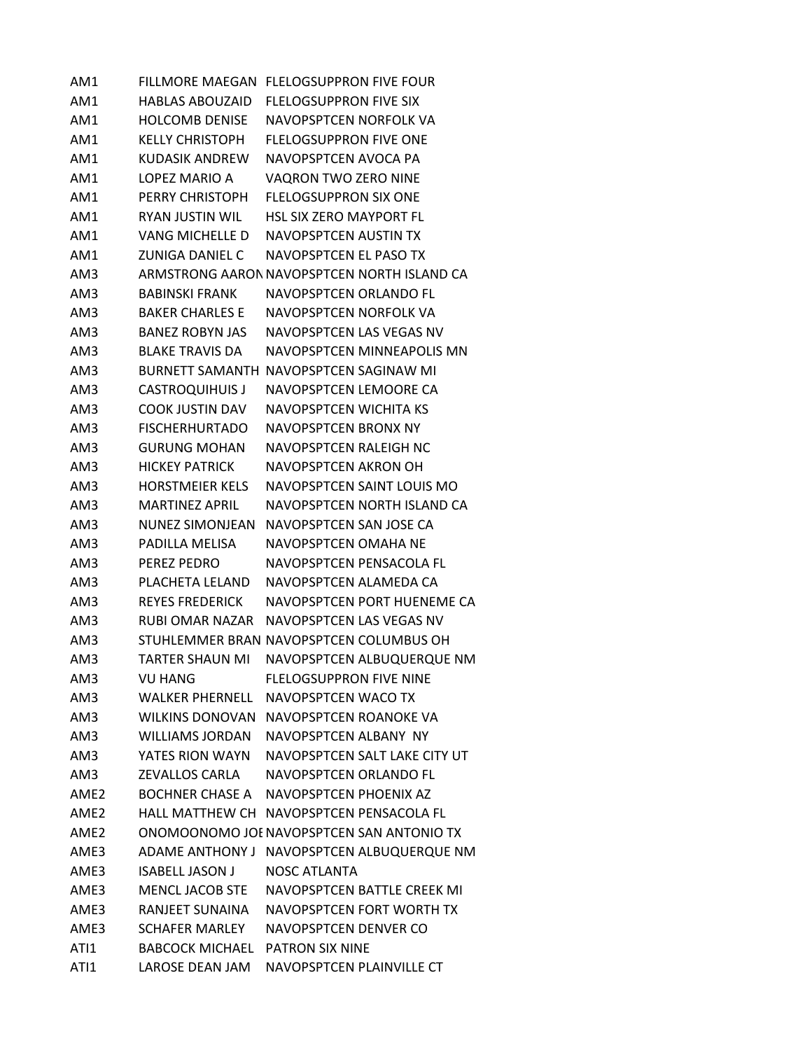| AM1              |                        | FILLMORE MAEGAN FLELOGSUPPRON FIVE FOUR     |
|------------------|------------------------|---------------------------------------------|
| AM1              | <b>HABLAS ABOUZAID</b> | <b>FLELOGSUPPRON FIVE SIX</b>               |
| AM1              | <b>HOLCOMB DENISE</b>  | NAVOPSPTCEN NORFOLK VA                      |
| AM1              | <b>KELLY CHRISTOPH</b> | <b>FLELOGSUPPRON FIVE ONE</b>               |
| AM1              | <b>KUDASIK ANDREW</b>  | NAVOPSPTCEN AVOCA PA                        |
| AM1              | LOPEZ MARIO A          | VAQRON TWO ZERO NINE                        |
| AM1              | PERRY CHRISTOPH        | <b>FLELOGSUPPRON SIX ONE</b>                |
| AM1              | <b>RYAN JUSTIN WIL</b> | <b>HSL SIX ZERO MAYPORT FL</b>              |
| AM1              | VANG MICHELLE D        | NAVOPSPTCEN AUSTIN TX                       |
| AM1              | ZUNIGA DANIEL C        | NAVOPSPTCEN EL PASO TX                      |
| AM3              |                        | ARMSTRONG AARON NAVOPSPTCEN NORTH ISLAND CA |
| AM3              | BABINSKI FRANK         | NAVOPSPTCEN ORLANDO FL                      |
| AM3              | <b>BAKER CHARLES E</b> | NAVOPSPTCEN NORFOLK VA                      |
| AM3              | <b>BANEZ ROBYN JAS</b> | NAVOPSPTCEN LAS VEGAS NV                    |
| AM3              | <b>BLAKE TRAVIS DA</b> | NAVOPSPTCEN MINNEAPOLIS MN                  |
| AM3              |                        | BURNETT SAMANTH NAVOPSPTCEN SAGINAW MI      |
| AM3              | <b>CASTROQUIHUIS J</b> | NAVOPSPTCEN LEMOORE CA                      |
| AM3              | <b>COOK JUSTIN DAV</b> | NAVOPSPTCEN WICHITA KS                      |
| AM3              | <b>FISCHERHURTADO</b>  | NAVOPSPTCEN BRONX NY                        |
| AM3              | <b>GURUNG MOHAN</b>    | NAVOPSPTCEN RALEIGH NC                      |
| AM3              | <b>HICKEY PATRICK</b>  | NAVOPSPTCEN AKRON OH                        |
| AM3              | <b>HORSTMEIER KELS</b> | NAVOPSPTCEN SAINT LOUIS MO                  |
| AM3              | <b>MARTINEZ APRIL</b>  | NAVOPSPTCEN NORTH ISLAND CA                 |
| AM3              | <b>NUNEZ SIMONJEAN</b> | NAVOPSPTCEN SAN JOSE CA                     |
| AM3              | PADILLA MELISA         | NAVOPSPTCEN OMAHA NE                        |
| AM3              | PEREZ PEDRO            | NAVOPSPTCEN PENSACOLA FL                    |
| AM3              | PLACHETA LELAND        | NAVOPSPTCEN ALAMEDA CA                      |
| AM3              | REYES FREDERICK        | NAVOPSPTCEN PORT HUENEME CA                 |
| AM3              | RUBI OMAR NAZAR        | NAVOPSPTCEN LAS VEGAS NV                    |
| AM3              |                        | STUHLEMMER BRAN NAVOPSPTCEN COLUMBUS OH     |
| AM3              | <b>TARTER SHAUN MI</b> | NAVOPSPTCEN ALBUQUERQUE NM                  |
| AM3              | <b>VU HANG</b>         | <b>FLELOGSUPPRON FIVE NINE</b>              |
| AM3              | <b>WALKER PHERNELL</b> | NAVOPSPTCEN WACO TX                         |
| AM3              | <b>WILKINS DONOVAN</b> | NAVOPSPTCEN ROANOKE VA                      |
| AM3              | <b>WILLIAMS JORDAN</b> | NAVOPSPTCFN ALBANY NY                       |
| AM3              | YATES RION WAYN        | NAVOPSPTCEN SALT LAKE CITY UT               |
| AM3              | <b>ZEVALLOS CARLA</b>  | NAVOPSPTCEN ORLANDO FL                      |
| AME2             | <b>BOCHNER CHASE A</b> | NAVOPSPTCEN PHOENIX AZ                      |
| AMF <sub>2</sub> |                        | HALL MATTHEW CH NAVOPSPTCEN PENSACOLA FL    |
| AME <sub>2</sub> |                        | ONOMOONOMO JOE NAVOPSPTCEN SAN ANTONIO TX   |
| AME3             | ADAME ANTHONY J        | NAVOPSPTCEN ALBUQUERQUE NM                  |
| AME3             | <b>ISABELL JASON J</b> | <b>NOSC ATLANTA</b>                         |
| AME3             | <b>MENCL JACOB STE</b> | NAVOPSPTCEN BATTLE CREEK MI                 |
| AME3             | RANJEET SUNAINA        | NAVOPSPTCEN FORT WORTH TX                   |
| AME3             | <b>SCHAFER MARLEY</b>  | NAVOPSPTCEN DENVER CO                       |
| ATI1             | <b>BABCOCK MICHAEL</b> | <b>PATRON SIX NINE</b>                      |
| ATI1             | LAROSE DEAN JAM        | NAVOPSPTCEN PLAINVILLE CT                   |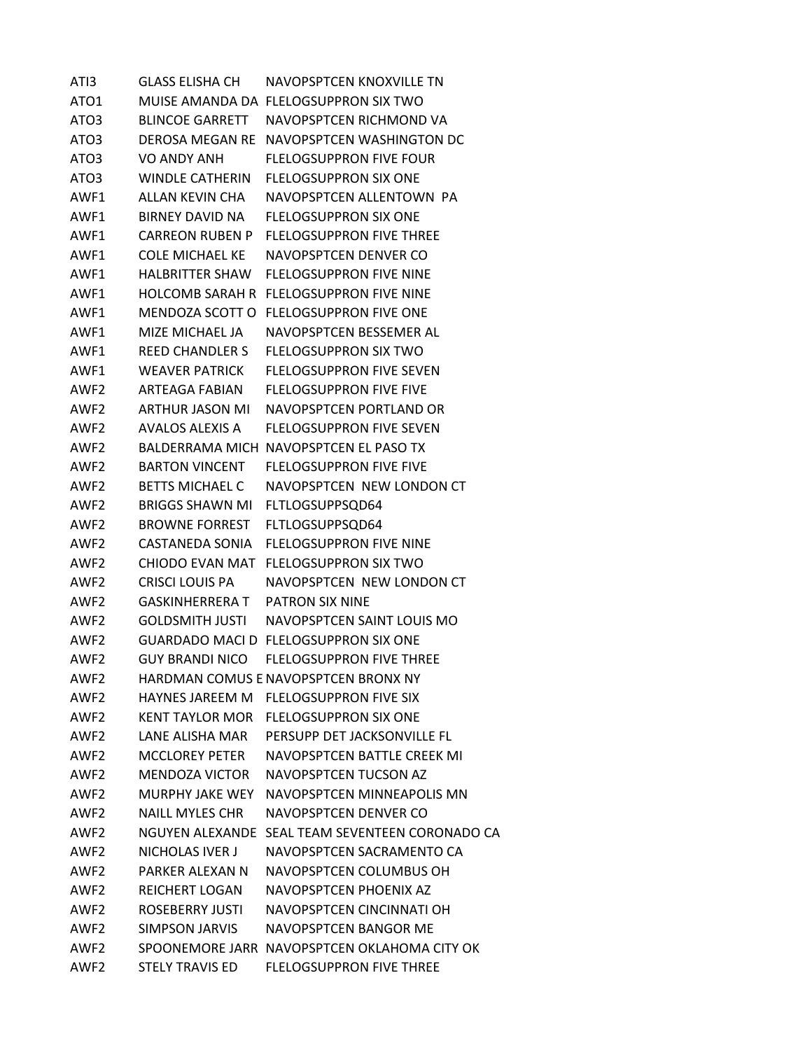ATI3 GLASS ELISHA CH NAVOPSPTCEN KNOXVILLE TN ATO1 MUISE AMANDA DA FLELOGSUPPRON SIX TWO ATO3 BLINCOE GARRETT NAVOPSPTCEN RICHMOND VA ATO3 DEROSA MEGAN RE NAVOPSPTCEN WASHINGTON DC ATO3 VO ANDY ANH FLELOGSUPPRON FIVE FOUR ATO3 WINDLE CATHERIN FLELOGSUPPRON SIX ONE AWF1 ALLAN KEVIN CHA NAVOPSPTCEN ALLENTOWN PA AWF1 BIRNEY DAVID NA FLELOGSUPPRON SIX ONE AWF1 CARREON RUBEN P FLELOGSUPPRON FIVE THREE AWF1 COLE MICHAEL KE NAVOPSPTCEN DENVER CO AWF1 HALBRITTER SHAW FLELOGSUPPRON FIVE NINE AWF1 HOLCOMB SARAH R FLELOGSUPPRON FIVE NINE AWF1 MENDOZA SCOTT O FLELOGSUPPRON FIVE ONE AWF1 MIZE MICHAEL JA NAVOPSPTCEN BESSEMER AL AWF1 REED CHANDLER S FLELOGSUPPRON SIX TWO AWF1 WEAVER PATRICK FLELOGSUPPRON FIVE SEVEN AWF2 ARTEAGA FABIAN FLELOGSUPPRON FIVE FIVE AWF2 ARTHUR JASON MI NAVOPSPTCEN PORTLAND OR AWF2 AVALOS ALEXIS A FLELOGSUPPRON FIVE SEVEN AWF2 BALDERRAMA MICH NAVOPSPTCEN EL PASO TX AWF2 BARTON VINCENT FLELOGSUPPRON FIVE FIVE AWF2 BETTS MICHAEL C NAVOPSPTCEN NEW LONDON CT AWF2 BRIGGS SHAWN MI FLTLOGSUPPSQD64 AWF2 BROWNE FORREST FLTLOGSUPPSQD64 AWF2 CASTANEDA SONIA FLELOGSUPPRON FIVE NINE AWF2 CHIODO EVAN MAT FLELOGSUPPRON SIX TWO AWF2 CRISCI LOUIS PA NAVOPSPTCEN NEW LONDON CT AWF2 GASKINHERRERA T PATRON SIX NINE AWF2 GOLDSMITH JUSTI NAVOPSPTCEN SAINT LOUIS MO AWF2 GUARDADO MACI D FLELOGSUPPRON SIX ONE AWF2 GUY BRANDI NICO FLELOGSUPPRON FIVE THREE AWF2 HARDMAN COMUS ENAVOPSPTCEN BRONX NY AWF2 HAYNES JAREEM M FLELOGSUPPRON FIVE SIX AWF2 KENT TAYLOR MOR FLELOGSUPPRON SIX ONE AWF2 LANE ALISHA MAR PERSUPP DET JACKSONVILLE FL AWF2 MCCLOREY PETER NAVOPSPTCEN BATTLE CREEK MI AWF2 MENDOZA VICTOR NAVOPSPTCEN TUCSON AZ AWF2 MURPHY JAKE WEY NAVOPSPTCEN MINNEAPOLIS MN AWF2 NAILL MYLES CHR NAVOPSPTCEN DENVER CO AWF2 NGUYEN ALEXANDE SEAL TEAM SEVENTEEN CORONADO CA AWF2 NICHOLAS IVER J NAVOPSPTCEN SACRAMENTO CA AWF2 PARKER ALEXAN N NAVOPSPTCEN COLUMBUS OH AWF2 REICHERT LOGAN NAVOPSPTCEN PHOENIX AZ AWF2 ROSEBERRY JUSTI NAVOPSPTCEN CINCINNATI OH AWF2 SIMPSON JARVIS NAVOPSPTCEN BANGOR ME AWF2 SPOONEMORE JARR NAVOPSPTCEN OKLAHOMA CITY OK AWF2 STELY TRAVIS ED FLELOGSUPPRON FIVE THREE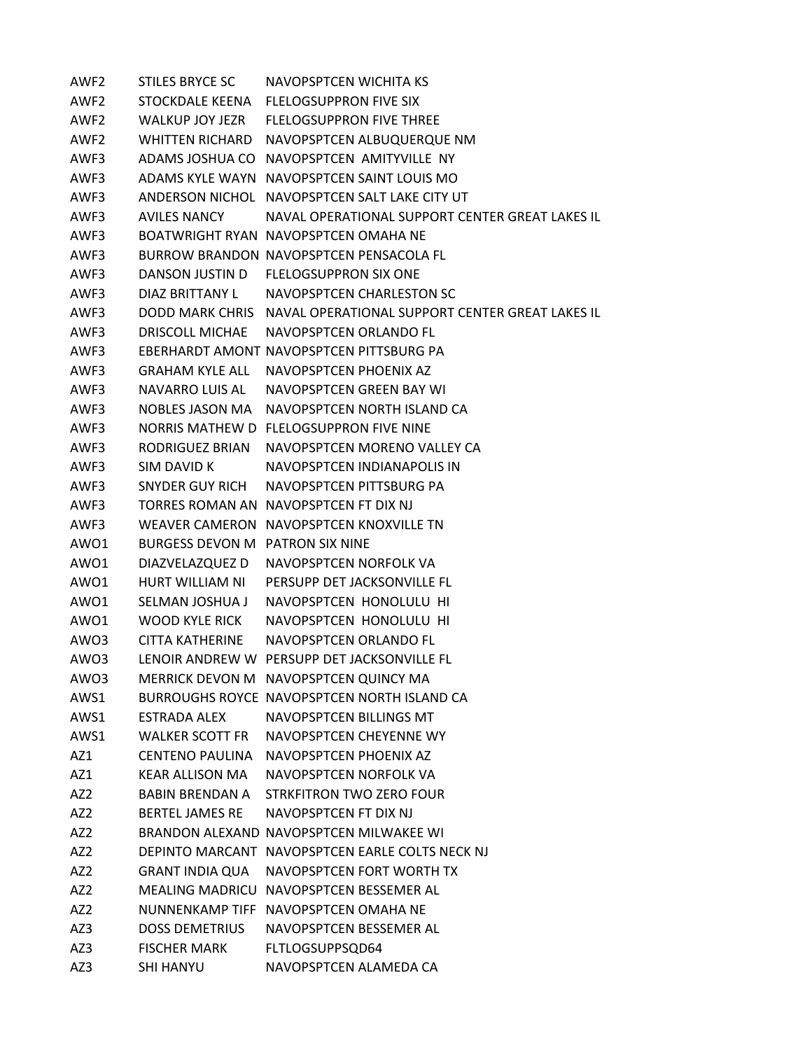AWF2 STILES BRYCE SC NAVOPSPTCEN WICHITA KS AWF2 STOCKDALE KEENA FLELOGSUPPRON FIVE SIX AWF2 WALKUP JOY JEZR FLELOGSUPPRON FIVE THREE AWF2 WHITTEN RICHARD NAVOPSPTCEN ALBUQUERQUE NM AWF3 ADAMS JOSHUA CO NAVOPSPTCEN AMITYVILLE NY AWF3 ADAMS KYLE WAYN NAVOPSPTCEN SAINT LOUIS MO AWF3 ANDERSON NICHOL NAVOPSPTCEN SALT LAKE CITY UT AWF3 AVILES NANCY NAVAL OPERATIONAL SUPPORT CENTER GREAT LAKES IL AWF3 BOATWRIGHT RYAN NAVOPSPTCEN OMAHA NE AWF3 BURROW BRANDON NAVOPSPTCEN PENSACOLA FL AWF3 DANSON JUSTIN D FLELOGSUPPRON SIX ONE AWF3 DIAZ BRITTANY L NAVOPSPTCEN CHARLESTON SC AWF3 DODD MARK CHRIS NAVAL OPERATIONAL SUPPORT CENTER GREAT LAKES IL AWF3 DRISCOLL MICHAE NAVOPSPTCEN ORLANDO FL AWF3 EBERHARDT AMONT NAVOPSPTCEN PITTSBURG PA AWF3 GRAHAM KYLE ALL NAVOPSPTCEN PHOENIX AZ AWF3 NAVARRO LUIS AL NAVOPSPTCEN GREEN BAY WI AWF3 NOBLES JASON MA NAVOPSPTCEN NORTH ISLAND CA AWF3 NORRIS MATHEW D FLELOGSUPPRON FIVE NINE AWF3 RODRIGUEZ BRIAN NAVOPSPTCEN MORENO VALLEY CA AWF3 SIM DAVID K NAVOPSPTCEN INDIANAPOLIS IN AWF3 SNYDER GUY RICH NAVOPSPTCEN PITTSBURG PA AWF3 TORRES ROMAN AN NAVOPSPTCEN FT DIX NJ AWF3 WEAVER CAMERON NAVOPSPTCEN KNOXVILLE TN AWO1 BURGESS DEVON M PATRON SIX NINE AWO1 DIAZVELAZQUEZ D NAVOPSPTCEN NORFOLK VA AWO1 HURT WILLIAM NI PERSUPP DET JACKSONVILLE FL AWO1 SELMAN JOSHUA J NAVOPSPTCEN HONOLULU HI AWO1 WOOD KYLE RICK NAVOPSPTCEN HONOLULU HI AWO3 CITTA KATHERINE NAVOPSPTCEN ORLANDO FL AWO3 LENOIR ANDREW W PERSUPP DET JACKSONVILLE FL AWO3 MERRICK DEVON M NAVOPSPTCEN QUINCY MA AWS1 BURROUGHS ROYCE NAVOPSPTCEN NORTH ISLAND CA AWS1 ESTRADA ALEX NAVOPSPTCEN BILLINGS MT AWS1 WALKER SCOTT FR NAVOPSPTCEN CHEYENNE WY AZ1 CENTENO PAULINA NAVOPSPTCEN PHOENIX AZ AZ1 KEAR ALLISON MA NAVOPSPTCEN NORFOLK VA AZ2 BABIN BRENDAN A STRKFITRON TWO ZERO FOUR AZ2 BERTEL JAMES RE NAVOPSPTCEN FT DIX NJ AZ2 BRANDON ALEXAND NAVOPSPTCEN MILWAKEE WI AZ2 DEPINTO MARCANT NAVOPSPTCEN EARLE COLTS NECK NJ AZ2 GRANT INDIA QUA NAVOPSPTCEN FORT WORTH TX AZ2 MEALING MADRICU NAVOPSPTCEN BESSEMER AL AZ2 NUNNENKAMP TIFF NAVOPSPTCEN OMAHA NE AZ3 DOSS DEMETRIUS NAVOPSPTCEN BESSEMER AL AZ3 FISCHER MARK FLTLOGSUPPSQD64 AZ3 SHI HANYU NAVOPSPTCEN ALAMEDA CA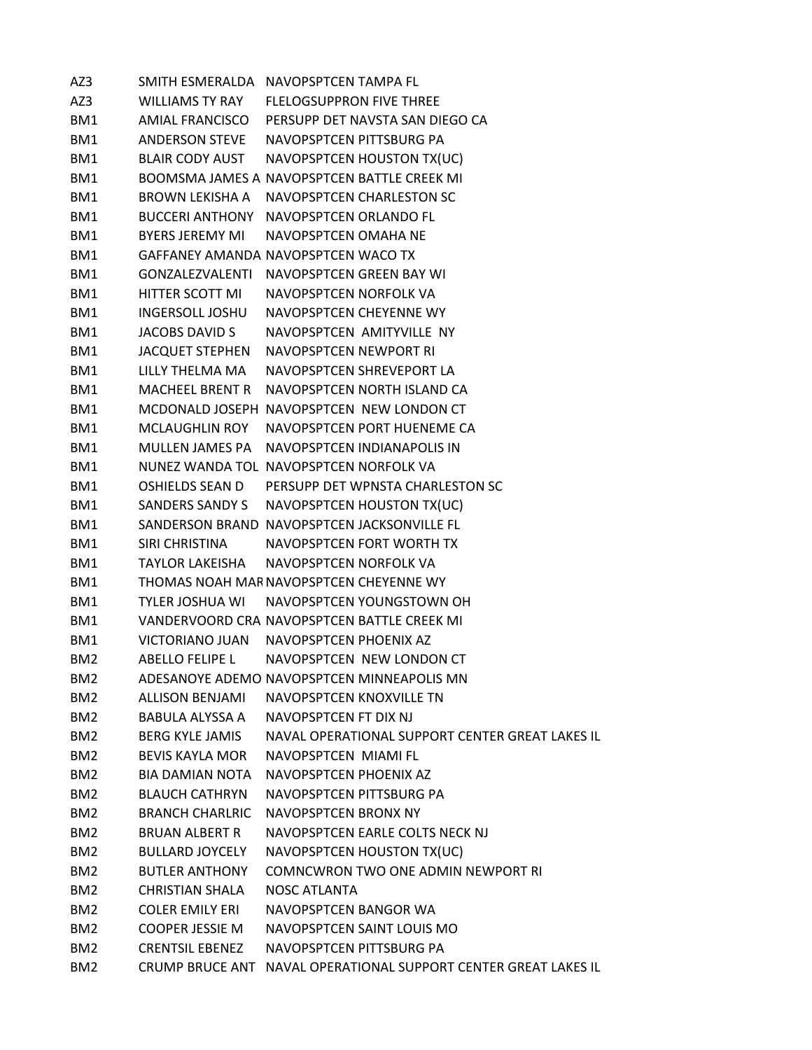AZ3 SMITH ESMERALDA NAVOPSPTCEN TAMPA FL AZ3 WILLIAMS TY RAY FLELOGSUPPRON FIVE THREE BM1 AMIAL FRANCISCO PERSUPP DET NAVSTA SAN DIEGO CA BM1 ANDERSON STEVE NAVOPSPTCEN PITTSBURG PA BM1 BLAIR CODY AUST NAVOPSPTCEN HOUSTON TX(UC) BM1 BOOMSMA JAMES A NAVOPSPTCEN BATTLE CREEK MI BM1 BROWN LEKISHA A NAVOPSPTCEN CHARLESTON SC BM1 BUCCERI ANTHONY NAVOPSPTCEN ORLANDO FL BM1 BYERS JEREMY MI NAVOPSPTCEN OMAHA NE BM1 GAFFANEY AMANDA NAVOPSPTCEN WACO TX BM1 GONZALEZVALENTI NAVOPSPTCEN GREEN BAY WI BM1 HITTER SCOTT MI NAVOPSPTCEN NORFOLK VA BM1 INGERSOLL JOSHU NAVOPSPTCEN CHEYENNE WY BM1 JACOBS DAVID S NAVOPSPTCEN AMITYVILLE NY BM1 JACQUET STEPHEN NAVOPSPTCEN NEWPORT RI BM1 LILLY THELMA MA NAVOPSPTCEN SHREVEPORT LA BM1 MACHEEL BRENT R NAVOPSPTCEN NORTH ISLAND CA BM1 MCDONALD JOSEPH NAVOPSPTCEN NEW LONDON CT BM1 MCLAUGHLIN ROY NAVOPSPTCEN PORT HUENEME CA BM1 MULLEN JAMES PA NAVOPSPTCEN INDIANAPOLIS IN BM1 NUNEZ WANDA TOL NAVOPSPTCEN NORFOLK VA BM1 OSHIELDS SEAN D PERSUPP DET WPNSTA CHARLESTON SC BM1 SANDERS SANDY S NAVOPSPTCEN HOUSTON TX(UC) BM1 SANDERSON BRAND NAVOPSPTCEN JACKSONVILLE FL BM1 SIRI CHRISTINA NAVOPSPTCEN FORT WORTH TX BM1 TAYLOR LAKEISHA NAVOPSPTCEN NORFOLK VA BM1 THOMAS NOAH MARNAVOPSPTCEN CHEYENNE WY BM1 TYLER JOSHUA WI NAVOPSPTCEN YOUNGSTOWN OH BM1 VANDERVOORD CRA NAVOPSPTCEN BATTLE CREEK MI BM1 VICTORIANO JUAN NAVOPSPTCEN PHOENIX AZ BM2 ABELLO FELIPE L NAVOPSPTCEN NEW LONDON CT BM2 ADESANOYE ADEMO NAVOPSPTCEN MINNEAPOLIS MN BM2 ALLISON BENJAMI NAVOPSPTCEN KNOXVILLE TN BM2 BABULA ALYSSA A NAVOPSPTCEN FT DIX NJ BM2 BERG KYLE JAMIS NAVAL OPERATIONAL SUPPORT CENTER GREAT LAKES IL BM2 BEVIS KAYLA MOR NAVOPSPTCEN MIAMI FL BM2 BIA DAMIAN NOTA NAVOPSPTCEN PHOENIX AZ BM2 BLAUCH CATHRYN NAVOPSPTCEN PITTSBURG PA BM2 BRANCH CHARLRIC NAVOPSPTCEN BRONX NY BM2 BRUAN ALBERT R NAVOPSPTCEN EARLE COLTS NECK NJ BM2 BULLARD JOYCELY NAVOPSPTCEN HOUSTON TX(UC) BM2 BUTLER ANTHONY COMNCWRON TWO ONE ADMIN NEWPORT RI BM2 CHRISTIAN SHALA NOSC ATLANTA BM2 COLER EMILY ERI NAVOPSPTCEN BANGOR WA BM2 COOPER JESSIE M NAVOPSPTCEN SAINT LOUIS MO BM2 CRENTSIL EBENEZ NAVOPSPTCEN PITTSBURG PA BM2 CRUMP BRUCE ANT NAVAL OPERATIONAL SUPPORT CENTER GREAT LAKES IL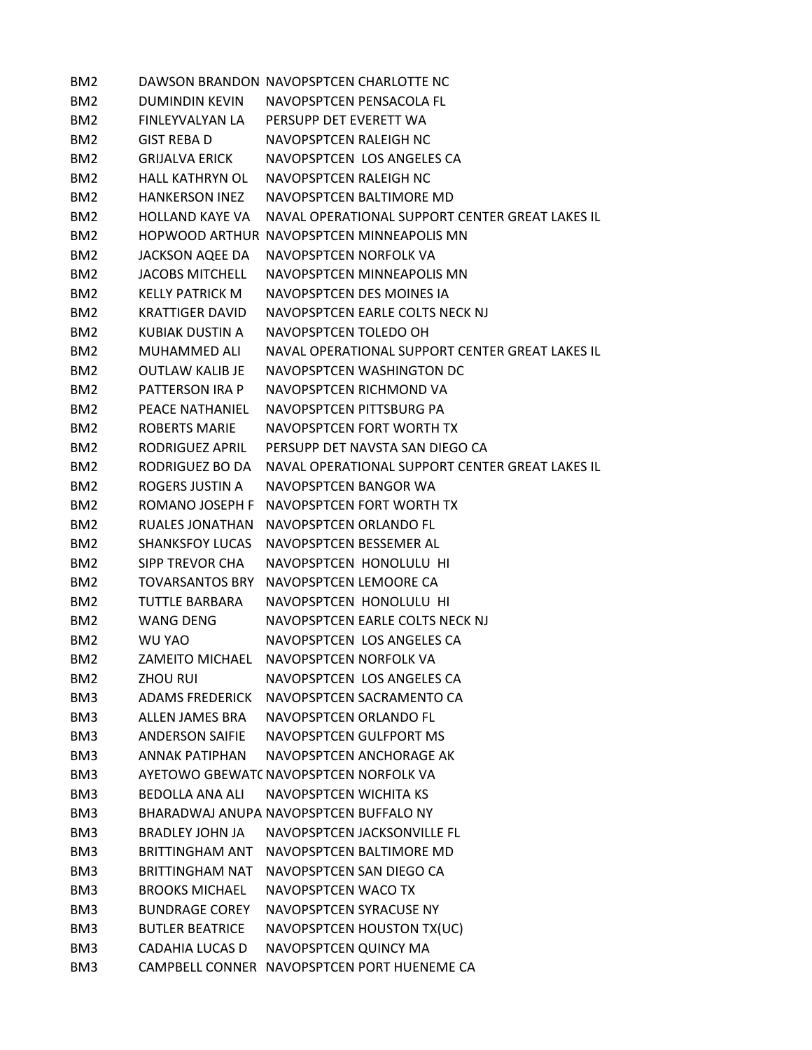| BM <sub>2</sub> |                        | DAWSON BRANDON NAVOPSPTCEN CHARLOTTE NC         |
|-----------------|------------------------|-------------------------------------------------|
| BM <sub>2</sub> | DUMINDIN KEVIN         | NAVOPSPTCFN PFNSACOLA FL                        |
| BM <sub>2</sub> | FINLEYVALYAN LA        | PERSUPP DET EVERETT WA                          |
| BM <sub>2</sub> | GIST REBA D            | NAVOPSPTCEN RALEIGH NC                          |
| BM <sub>2</sub> | <b>GRIJALVA ERICK</b>  | NAVOPSPTCEN LOS ANGELES CA                      |
| BM <sub>2</sub> | <b>HALL KATHRYN OL</b> | NAVOPSPTCEN RALEIGH NC                          |
| BM <sub>2</sub> | <b>HANKERSON INEZ</b>  | NAVOPSPTCEN BALTIMORE MD                        |
| BM <sub>2</sub> | <b>HOLLAND KAYF VA</b> | NAVAL OPERATIONAL SUPPORT CENTER GREAT LAKES IL |
| BM <sub>2</sub> |                        | HOPWOOD ARTHUR NAVOPSPTCEN MINNEAPOLIS MN       |
| BM <sub>2</sub> | JACKSON AQEE DA        | NAVOPSPTCEN NORFOLK VA                          |
| BM <sub>2</sub> | <b>JACOBS MITCHELL</b> | NAVOPSPTCEN MINNEAPOLIS MN                      |
| BM <sub>2</sub> | <b>KELLY PATRICK M</b> | NAVOPSPTCEN DES MOINES IA                       |
| BM <sub>2</sub> | KRATTIGER DAVID        | NAVOPSPTCEN EARLE COLTS NECK NJ                 |
| BM <sub>2</sub> | KUBIAK DUSTIN A        | NAVOPSPTCEN TOLEDO OH                           |
| BM <sub>2</sub> | MUHAMMED ALI           | NAVAL OPERATIONAL SUPPORT CENTER GREAT LAKES IL |
| BM <sub>2</sub> | OUTLAW KALIB JE        | NAVOPSPTCFN WASHINGTON DC                       |
| BM <sub>2</sub> | PATTERSON IRA P        | NAVOPSPTCEN RICHMOND VA                         |
| BM <sub>2</sub> | PEACE NATHANIEL        | NAVOPSPTCEN PITTSBURG PA                        |
| BM <sub>2</sub> | <b>ROBERTS MARIE</b>   | NAVOPSPTCEN FORT WORTH TX                       |
| BM <sub>2</sub> | RODRIGUEZ APRIL        | PERSUPP DET NAVSTA SAN DIEGO CA                 |
| BM <sub>2</sub> | RODRIGUEZ BO DA        | NAVAL OPERATIONAL SUPPORT CENTER GREAT LAKES IL |
| BM <sub>2</sub> | ROGERS JUSTIN A        | NAVOPSPTCEN BANGOR WA                           |
| BM <sub>2</sub> |                        | ROMANO JOSEPH F NAVOPSPTCEN FORT WORTH TX       |
| BM <sub>2</sub> | RUALES JONATHAN        | NAVOPSPTCEN ORLANDO FL                          |
| BM <sub>2</sub> | <b>SHANKSFOY LUCAS</b> | NAVOPSPTCEN BESSEMER AL                         |
| BM <sub>2</sub> | SIPP TREVOR CHA        | NAVOPSPTCEN HONOLULU HI                         |
| BM <sub>2</sub> | <b>TOVARSANTOS BRY</b> | NAVOPSPTCEN LEMOORE CA                          |
| BM <sub>2</sub> | TUTTLE BARBARA         | NAVOPSPTCEN HONOLULU HI                         |
| BM <sub>2</sub> | <b>WANG DENG</b>       | NAVOPSPTCEN EARLE COLTS NECK NJ                 |
| BM <sub>2</sub> | WU YAO                 | NAVOPSPTCEN LOS ANGELES CA                      |
| BM <sub>2</sub> |                        | ZAMEITO MICHAEL NAVOPSPTCEN NORFOLK VA          |
| BM <sub>2</sub> | <b>ZHOU RUI</b>        | NAVOPSPTCEN LOS ANGELES CA                      |
| BM3             | <b>ADAMS FREDERICK</b> | NAVOPSPTCEN SACRAMENTO CA                       |
| BM3             | ALLEN JAMES BRA        | NAVOPSPTCEN ORLANDO FL                          |
| BM3             | <b>ANDERSON SAIFIE</b> | NAVOPSPTCEN GULFPORT MS                         |
| BM3             | <b>ANNAK PATIPHAN</b>  | NAVOPSPTCEN ANCHORAGE AK                        |
| BM3             |                        | AYETOWO GBEWATC NAVOPSPTCEN NORFOLK VA          |
| BM3             | <b>BEDOLLA ANA ALI</b> | NAVOPSPTCEN WICHITA KS                          |
| BM3             |                        | BHARADWAJ ANUPA NAVOPSPTCEN BUFFALO NY          |
| BM3             | BRADLEY JOHN JA        | NAVOPSPTCEN JACKSONVILLE FL                     |
| BM3             | BRITTINGHAM ANT        | NAVOPSPTCEN BALTIMORE MD                        |
| BM3             | <b>BRITTINGHAM NAT</b> | NAVOPSPTCEN SAN DIEGO CA                        |
| BM3             | <b>BROOKS MICHAEL</b>  | NAVOPSPTCEN WACO TX                             |
| BM3             | <b>BUNDRAGE COREY</b>  | NAVOPSPTCEN SYRACUSE NY                         |
| BM3             | <b>BUTLER BEATRICE</b> | NAVOPSPTCEN HOUSTON TX(UC)                      |
| BM3             | <b>CADAHIA LUCAS D</b> | NAVOPSPTCEN QUINCY MA                           |
| BM3             |                        | CAMPBELL CONNER NAVOPSPTCEN PORT HUENEME CA     |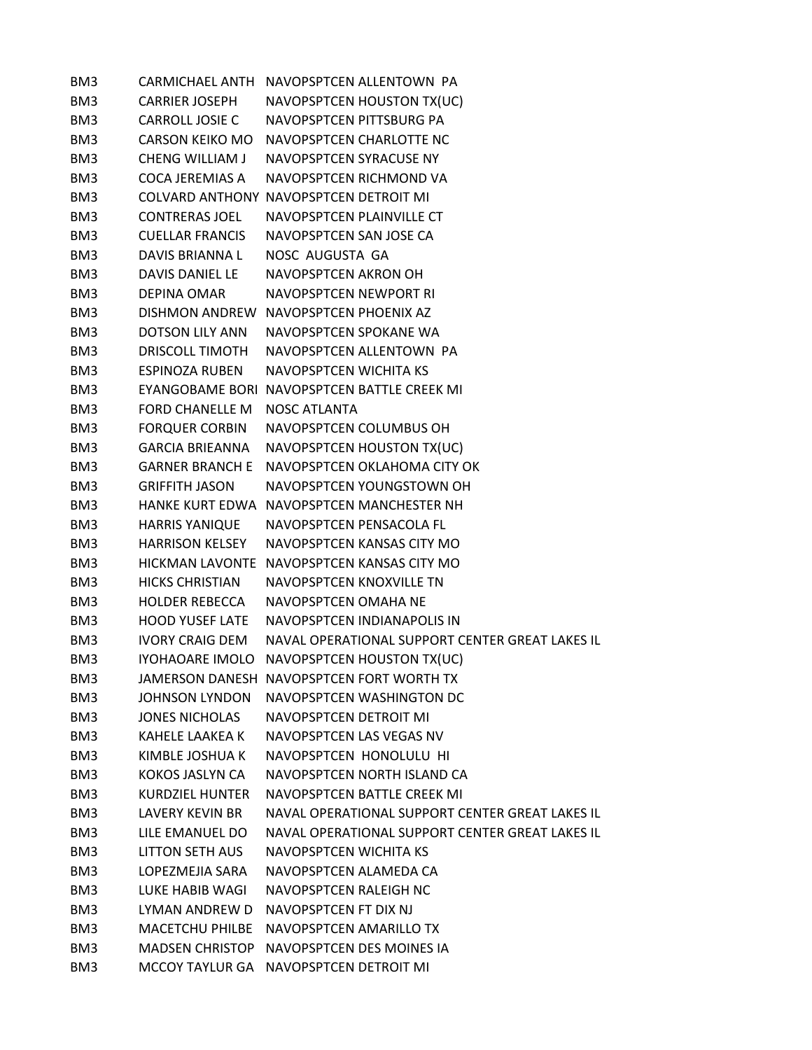| BM3 |                        | CARMICHAEL ANTH NAVOPSPTCEN ALLENTOWN PA        |
|-----|------------------------|-------------------------------------------------|
| BM3 | <b>CARRIER JOSEPH</b>  | NAVOPSPTCEN HOUSTON TX(UC)                      |
| BM3 | <b>CARROLL JOSIE C</b> | NAVOPSPTCEN PITTSBURG PA                        |
| BM3 | <b>CARSON KEIKO MO</b> | NAVOPSPTCEN CHARLOTTE NC                        |
| BM3 | <b>CHENG WILLIAM J</b> | NAVOPSPTCEN SYRACUSE NY                         |
| BM3 | COCA JEREMIAS A        | NAVOPSPTCEN RICHMOND VA                         |
| BM3 |                        | <b>COLVARD ANTHONY NAVOPSPTCEN DETROIT MI</b>   |
| BM3 | <b>CONTRERAS JOEL</b>  | NAVOPSPTCEN PLAINVILLE CT                       |
| BM3 | <b>CUELLAR FRANCIS</b> | NAVOPSPTCEN SAN JOSE CA                         |
| BM3 | DAVIS BRIANNA L        | NOSC AUGUSTA GA                                 |
| BM3 | DAVIS DANIEL LE        | NAVOPSPTCEN AKRON OH                            |
| BM3 | <b>DEPINA OMAR</b>     | NAVOPSPTCEN NEWPORT RI                          |
| BM3 |                        | DISHMON ANDREW NAVOPSPTCEN PHOENIX AZ           |
| BM3 | <b>DOTSON LILY ANN</b> | NAVOPSPTCEN SPOKANE WA                          |
| BM3 | <b>DRISCOLL TIMOTH</b> | NAVOPSPTCEN ALLENTOWN PA                        |
| BM3 | <b>ESPINOZA RUBEN</b>  | NAVOPSPTCEN WICHITA KS                          |
| BM3 |                        | EYANGOBAME BORI NAVOPSPTCEN BATTLE CREEK MI     |
| BM3 | FORD CHANELLE M        | <b>NOSC ATLANTA</b>                             |
| BM3 | <b>FORQUER CORBIN</b>  | NAVOPSPTCEN COLUMBUS OH                         |
| BM3 | <b>GARCIA BRIEANNA</b> | NAVOPSPTCEN HOUSTON TX(UC)                      |
| BM3 | <b>GARNER BRANCH E</b> | NAVOPSPTCEN OKLAHOMA CITY OK                    |
| BM3 | <b>GRIFFITH JASON</b>  | NAVOPSPTCEN YOUNGSTOWN OH                       |
| BM3 |                        | HANKE KURT EDWA NAVOPSPTCEN MANCHESTER NH       |
| BM3 | <b>HARRIS YANIQUE</b>  | NAVOPSPTCEN PENSACOLA FL                        |
| BM3 | <b>HARRISON KELSEY</b> | NAVOPSPTCEN KANSAS CITY MO                      |
| BM3 |                        | HICKMAN LAVONTE NAVOPSPTCEN KANSAS CITY MO      |
| BM3 | <b>HICKS CHRISTIAN</b> | NAVOPSPTCEN KNOXVILLE TN                        |
| BM3 | <b>HOLDER REBECCA</b>  | NAVOPSPTCEN OMAHA NE                            |
| BM3 | <b>HOOD YUSEF LATE</b> | NAVOPSPTCEN INDIANAPOLIS IN                     |
| BM3 | <b>IVORY CRAIG DEM</b> | NAVAL OPERATIONAL SUPPORT CENTER GREAT LAKES IL |
| BM3 |                        | IYOHAOARE IMOLO NAVOPSPTCEN HOUSTON TX(UC)      |
| BM3 |                        | JAMERSON DANESH NAVOPSPTCEN FORT WORTH TX       |
| BM3 | JOHNSON LYNDON         | NAVOPSPTCEN WASHINGTON DC                       |
| BM3 | JONES NICHOLAS         | NAVOPSPTCEN DETROIT MI                          |
| BM3 | <b>KAHELE LAAKEA K</b> | NAVOPSPTCEN LAS VEGAS NV                        |
| BM3 | KIMBLE JOSHUA K        | NAVOPSPTCEN HONOLULU HI                         |
| BM3 | KOKOS JASLYN CA        | NAVOPSPTCEN NORTH ISLAND CA                     |
| BM3 | <b>KURDZIEL HUNTER</b> | NAVOPSPTCFN BATTLF CRFFK MI                     |
| BM3 | <b>LAVERY KEVIN BR</b> | NAVAL OPERATIONAL SUPPORT CENTER GREAT LAKES IL |
| BM3 | LILE EMANUEL DO        | NAVAL OPERATIONAL SUPPORT CENTER GREAT LAKES IL |
| BM3 | LITTON SETH AUS        | NAVOPSPTCEN WICHITA KS                          |
| BM3 | LOPEZMEJIA SARA        | NAVOPSPTCEN ALAMEDA CA                          |
| BM3 | LUKE HABIB WAGI        | NAVOPSPTCEN RALEIGH NC                          |
| BM3 | LYMAN ANDREW D         | NAVOPSPTCEN FT DIX NJ                           |
| BM3 | <b>MACETCHU PHILBE</b> | NAVOPSPTCEN AMARILLO TX                         |
| BM3 | <b>MADSEN CHRISTOP</b> | NAVOPSPTCEN DES MOINES IA                       |
| BM3 |                        | MCCOY TAYLUR GA NAVOPSPTCEN DETROIT MI          |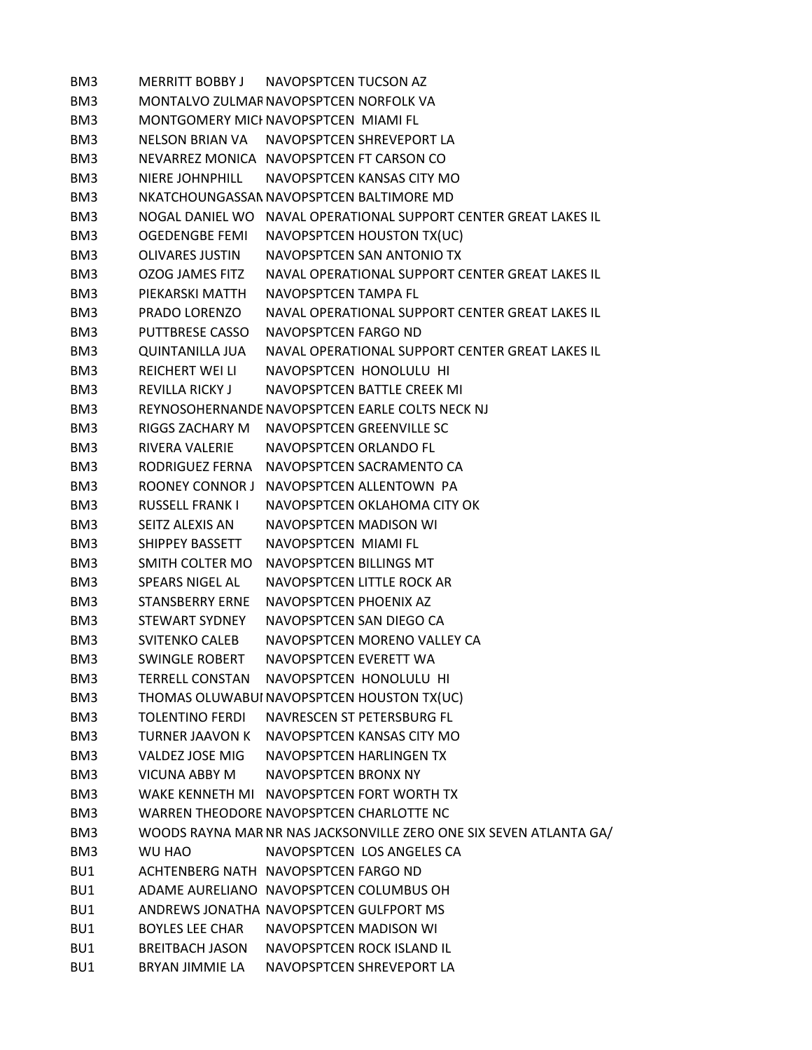BM3 MERRITT BOBBY J NAVOPSPTCEN TUCSON AZ BM3 MONTALVO ZULMARNAVOPSPTCEN NORFOLK VA BM3 MONTGOMERY MICHNAVOPSPTCEN MIAMI FL BM3 NELSON BRIAN VA NAVOPSPTCEN SHREVEPORT LA BM3 NEVARREZ MONICA NAVOPSPTCEN FT CARSON CO BM3 NIERE JOHNPHILL NAVOPSPTCEN KANSAS CITY MO BM3 NKATCHOUNGASSAMNAVOPSPTCEN BALTIMORE MD BM3 NOGAL DANIEL WO NAVAL OPERATIONAL SUPPORT CENTER GREAT LAKES IL BM3 OGEDENGBE FEMI NAVOPSPTCEN HOUSTON TX(UC) BM3 OLIVARES JUSTIN NAVOPSPTCEN SAN ANTONIO TX BM3 OZOG JAMES FITZ NAVAL OPERATIONAL SUPPORT CENTER GREAT LAKES IL BM3 PIEKARSKI MATTH NAVOPSPTCEN TAMPA FL BM3 PRADO LORENZO NAVAL OPERATIONAL SUPPORT CENTER GREAT LAKES IL BM3 PUTTBRESE CASSO NAVOPSPTCEN FARGO ND BM3 QUINTANILLA JUA NAVAL OPERATIONAL SUPPORT CENTER GREAT LAKES IL BM3 REICHERT WEI LI NAVOPSPTCEN HONOLULU HI BM3 REVILLA RICKY J NAVOPSPTCEN BATTLE CREEK MI BM3 REYNOSOHERNANDENAVOPSPTCEN EARLE COLTS NECK NJ BM3 RIGGS ZACHARY M NAVOPSPTCEN GREENVILLE SC BM3 RIVERA VALERIE NAVOPSPTCEN ORLANDO FL BM3 RODRIGUEZ FERNA NAVOPSPTCEN SACRAMENTO CA BM3 ROONEY CONNOR J NAVOPSPTCEN ALLENTOWN PA BM3 RUSSELL FRANK I NAVOPSPTCEN OKLAHOMA CITY OK BM3 SEITZ ALEXIS AN NAVOPSPTCEN MADISON WI BM3 SHIPPEY BASSETT NAVOPSPTCEN MIAMI FL BM3 SMITH COLTER MO NAVOPSPTCEN BILLINGS MT BM3 SPEARS NIGEL AL NAVOPSPTCEN LITTLE ROCK AR BM3 STANSBERRY ERNE NAVOPSPTCEN PHOENIX AZ BM3 STEWART SYDNEY NAVOPSPTCEN SAN DIEGO CA BM3 SVITENKO CALEB NAVOPSPTCEN MORENO VALLEY CA BM3 SWINGLE ROBERT NAVOPSPTCEN EVERETT WA BM3 TERRELL CONSTAN NAVOPSPTCEN HONOLULU HI BM3 THOMAS OLUWABUI NAVOPSPTCEN HOUSTON TX(UC) BM3 TOLENTINO FERDI NAVRESCEN ST PETERSBURG FL BM3 TURNER JAAVON K NAVOPSPTCEN KANSAS CITY MO BM3 VALDEZ JOSE MIG NAVOPSPTCEN HARLINGEN TX BM3 VICUNA ABBY M NAVOPSPTCEN BRONX NY BM3 WAKE KENNETH MI NAVOPSPTCEN FORT WORTH TX BM3 WARREN THEODORE NAVOPSPTCEN CHARLOTTE NC BM3 WOODS RAYNA MARNR NAS JACKSONVILLE ZERO ONE SIX SEVEN ATLANTA GA/ BM3 WU HAO NAVOPSPTCEN LOS ANGELES CA BU1 ACHTENBERG NATH NAVOPSPTCEN FARGO ND BU1 ADAME AURELIANO NAVOPSPTCEN COLUMBUS OH BU1 ANDREWS JONATHA NAVOPSPTCEN GULFPORT MS BU1 BOYLES LEE CHAR NAVOPSPTCEN MADISON WI BU1 BREITBACH JASON NAVOPSPTCEN ROCK ISLAND IL BU1 BRYAN JIMMIE LA NAVOPSPTCEN SHREVEPORT LA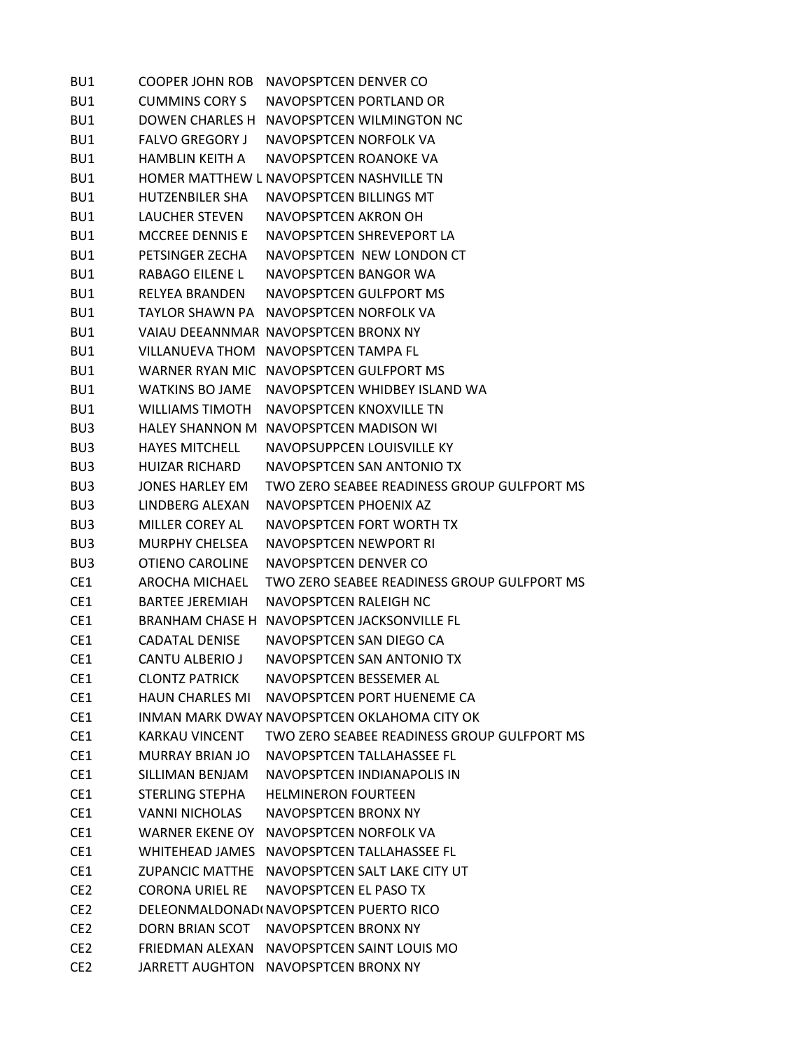| BU1             | <b>COOPER JOHN ROB</b> | NAVOPSPTCEN DENVER CO                         |
|-----------------|------------------------|-----------------------------------------------|
| BU1             | <b>CUMMINS CORY S</b>  | NAVOPSPTCEN PORTLAND OR                       |
| BU1             |                        | DOWEN CHARLES H NAVOPSPTCEN WILMINGTON NC     |
| BU1             | <b>FALVO GREGORY J</b> | NAVOPSPTCEN NORFOLK VA                        |
| BU1             | <b>HAMBLIN KEITH A</b> | NAVOPSPTCEN ROANOKE VA                        |
| BU1             |                        | HOMER MATTHEW L NAVOPSPTCEN NASHVILLE TN      |
| BU1             | HUTZENBILER SHA        | NAVOPSPTCEN BILLINGS MT                       |
| BU1             | <b>LAUCHER STEVEN</b>  | NAVOPSPTCEN AKRON OH                          |
| BU1             | <b>MCCREE DENNIS E</b> | NAVOPSPTCEN SHREVEPORT LA                     |
| BU1             | PETSINGER ZECHA        | NAVOPSPTCEN NEW LONDON CT                     |
| BU1             | RABAGO EILENE L        | NAVOPSPTCEN BANGOR WA                         |
| BU1             | <b>RELYEA BRANDEN</b>  | NAVOPSPTCEN GULFPORT MS                       |
| BU1             |                        | TAYLOR SHAWN PA NAVOPSPTCEN NORFOLK VA        |
| BU1             |                        | VAIAU DEEANNMAR NAVOPSPTCEN BRONX NY          |
| BU1             |                        | VILLANUEVA THOM NAVOPSPTCEN TAMPA FL          |
| BU1             |                        | WARNER RYAN MIC NAVOPSPTCEN GULFPORT MS       |
| BU1             | WATKINS BO JAME        | NAVOPSPTCEN WHIDBEY ISLAND WA                 |
| BU1             | WILLIAMS TIMOTH        | NAVOPSPTCEN KNOXVILLE TN                      |
| BU <sub>3</sub> |                        | HALEY SHANNON M NAVOPSPTCEN MADISON WI        |
| BU <sub>3</sub> | <b>HAYES MITCHELL</b>  | NAVOPSUPPCEN LOUISVILLE KY                    |
| BU <sub>3</sub> | HUIZAR RICHARD         | NAVOPSPTCEN SAN ANTONIO TX                    |
| BU <sub>3</sub> | <b>JONES HARLEY EM</b> | TWO ZERO SEABEE READINESS GROUP GULFPORT MS   |
| BU <sub>3</sub> | LINDBERG ALEXAN        | NAVOPSPTCEN PHOENIX AZ                        |
| BU <sub>3</sub> | <b>MILLER COREY AL</b> | NAVOPSPTCEN FORT WORTH TX                     |
| BU <sub>3</sub> | <b>MURPHY CHELSEA</b>  | NAVOPSPTCEN NEWPORT RI                        |
| BU <sub>3</sub> | <b>OTIENO CAROLINE</b> | NAVOPSPTCEN DENVER CO                         |
| CE1             | AROCHA MICHAEL         | TWO ZERO SEABEE READINESS GROUP GULFPORT MS   |
| CE <sub>1</sub> | <b>BARTEE JEREMIAH</b> | NAVOPSPTCEN RALEIGH NC                        |
| CE1             |                        | BRANHAM CHASE H NAVOPSPTCEN JACKSONVILLE FL   |
| CE <sub>1</sub> | CADATAL DENISE         | NAVOPSPTCEN SAN DIEGO CA                      |
| CE <sub>1</sub> | CANTU ALBERIO J        | NAVOPSPTCEN SAN ANTONIO TX                    |
| CE <sub>1</sub> | <b>CLONTZ PATRICK</b>  | NAVOPSPTCEN BESSEMER AL                       |
| CE1             | <b>HAUN CHARLES MI</b> | NAVOPSPTCEN PORT HUENEME CA                   |
| CE1             |                        | INMAN MARK DWAY NAVOPSPTCEN OKLAHOMA CITY OK  |
| CE1             | <b>KARKAU VINCENT</b>  | TWO ZERO SEABEE READINESS GROUP GULFPORT MS   |
| CE1             | MURRAY BRIAN JO        | NAVOPSPTCEN TALLAHASSEE FL                    |
| CE1             | SILLIMAN BENJAM        | NAVOPSPTCEN INDIANAPOLIS IN                   |
| CE1             | STERLING STEPHA        | <b>HELMINERON FOURTEEN</b>                    |
| CE1             | VANNI NICHOLAS         | NAVOPSPTCEN BRONX NY                          |
| CE1             | <b>WARNER EKENE OY</b> | NAVOPSPTCEN NORFOLK VA                        |
| CE1             |                        | WHITEHEAD JAMES NAVOPSPTCEN TALLAHASSEE FL    |
| CE1             |                        | ZUPANCIC MATTHE NAVOPSPTCEN SALT LAKE CITY UT |
| CE <sub>2</sub> | CORONA URIEL RE        | NAVOPSPTCEN EL PASO TX                        |
| CE <sub>2</sub> |                        | DELEONMALDONADI NAVOPSPTCEN PUERTO RICO       |
| CE <sub>2</sub> | <b>DORN BRIAN SCOT</b> | NAVOPSPTCEN BRONX NY                          |
| CE <sub>2</sub> |                        | FRIEDMAN ALEXAN NAVOPSPTCEN SAINT LOUIS MO    |
| CE <sub>2</sub> |                        | JARRETT AUGHTON NAVOPSPTCEN BRONX NY          |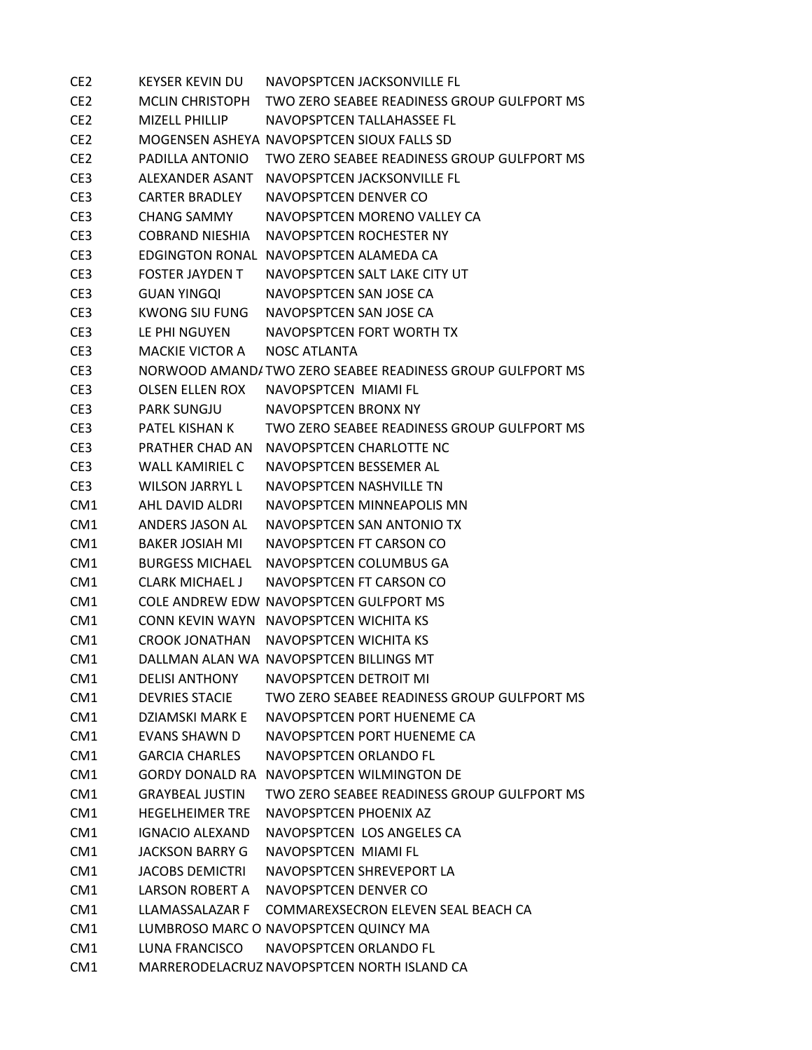| CE <sub>2</sub> | KEYSER KEVIN DU        | NAVOPSPTCEN JACKSONVILLE FL                               |
|-----------------|------------------------|-----------------------------------------------------------|
| CE <sub>2</sub> | MCLIN CHRISTOPH        | TWO ZERO SEABEE READINESS GROUP GULFPORT MS               |
| CE <sub>2</sub> | <b>MIZELL PHILLIP</b>  | NAVOPSPTCFN TALLAHASSFF FL                                |
| CE <sub>2</sub> |                        | MOGENSEN ASHEYA NAVOPSPTCEN SIOUX FALLS SD                |
| CE <sub>2</sub> | PADILLA ANTONIO        | TWO ZERO SEABEE READINESS GROUP GULFPORT MS               |
| CE3             | ALEXANDER ASANT        | NAVOPSPTCEN JACKSONVILLE FL                               |
| CE <sub>3</sub> | <b>CARTER BRADLEY</b>  | NAVOPSPTCEN DENVER CO                                     |
| CE <sub>3</sub> | CHANG SAMMY            | NAVOPSPTCFN MORFNO VALLFY CA                              |
| CE <sub>3</sub> | COBRAND NIESHIA        | NAVOPSPTCEN ROCHESTER NY                                  |
| CE <sub>3</sub> |                        | EDGINGTON RONAL NAVOPSPTCEN ALAMEDA CA                    |
| CE3             | <b>FOSTER JAYDEN T</b> | NAVOPSPTCEN SALT LAKE CITY UT                             |
| CE <sub>3</sub> | <b>GUAN YINGQI</b>     | NAVOPSPTCEN SAN JOSE CA                                   |
| CE <sub>3</sub> | KWONG SIU FUNG         | NAVOPSPTCEN SAN JOSE CA                                   |
| CE <sub>3</sub> | LE PHI NGUYEN          | NAVOPSPTCEN FORT WORTH TX                                 |
| CE <sub>3</sub> | <b>MACKIF VICTOR A</b> | <b>NOSC ATLANTA</b>                                       |
| CE <sub>3</sub> |                        | NORWOOD AMAND/TWO ZERO SEABEE READINESS GROUP GULFPORT MS |
| CE <sub>3</sub> | OLSEN ELLEN ROX        | NAVOPSPTCEN MIAMI FL                                      |
| CE <sub>3</sub> | <b>PARK SUNGJU</b>     | NAVOPSPTCEN BRONX NY                                      |
| CE <sub>3</sub> | <b>PATFL KISHAN K</b>  | TWO ZERO SEABEE READINESS GROUP GULFPORT MS               |
| CE <sub>3</sub> | PRATHER CHAD AN        | NAVOPSPTCEN CHARLOTTE NC                                  |
| CE <sub>3</sub> | WALL KAMIRIEL C        | NAVOPSPTCEN BESSEMER AL                                   |
| CE <sub>3</sub> | <b>WILSON JARRYL L</b> | NAVOPSPTCEN NASHVILLE TN                                  |
| CM <sub>1</sub> | AHL DAVID ALDRI        | NAVOPSPTCEN MINNEAPOLIS MN                                |
| CM <sub>1</sub> | ANDERS JASON AL        | NAVOPSPTCEN SAN ANTONIO TX                                |
| CM1             | <b>BAKER JOSIAH MI</b> | NAVOPSPTCEN FT CARSON CO                                  |
| CM <sub>1</sub> | BURGESS MICHAEL        | NAVOPSPTCEN COLUMBUS GA                                   |
| CM <sub>1</sub> | CLARK MICHAEL J        | NAVOPSPTCEN FT CARSON CO                                  |
| CM <sub>1</sub> |                        | COLE ANDREW EDW NAVOPSPTCEN GULFPORT MS                   |
| CM <sub>1</sub> |                        | CONN KEVIN WAYN NAVOPSPTCEN WICHITA KS                    |
| CM <sub>1</sub> |                        | CROOK JONATHAN NAVOPSPTCEN WICHITA KS                     |
| CM <sub>1</sub> |                        | DALLMAN ALAN WA NAVOPSPTCEN BILLINGS MT                   |
| CM1             | <b>DELISI ANTHONY</b>  | <b>NAVOPSPTCEN DETROIT MI</b>                             |
| CM <sub>1</sub> | <b>DEVRIES STACIE</b>  | TWO ZERO SEABEE READINESS GROUP GULFPORT MS               |
| CM1             | DZIAMSKI MARK F        | NAVOPSPTCEN PORT HUENEME CA                               |
| CM1             | <b>EVANS SHAWN D</b>   | NAVOPSPTCEN PORT HUENEME CA                               |
| CM1             | <b>GARCIA CHARLES</b>  | NAVOPSPTCEN ORLANDO FL                                    |
| CM1             |                        | <b>GORDY DONALD RA NAVOPSPTCEN WILMINGTON DE</b>          |
| CM <sub>1</sub> | <b>GRAYBEAL JUSTIN</b> | TWO ZERO SEABEE READINESS GROUP GULFPORT MS               |
| CM1             | <b>HEGELHEIMER TRE</b> | NAVOPSPTCEN PHOENIX AZ                                    |
| CM1             | <b>IGNACIO ALEXAND</b> | NAVOPSPTCEN LOS ANGELES CA                                |
| CM1             | <b>JACKSON BARRY G</b> | NAVOPSPTCEN MIAMI FL                                      |
| CM1             | <b>JACOBS DEMICTRI</b> | NAVOPSPTCEN SHREVEPORT LA                                 |
| CM <sub>1</sub> | LARSON ROBERT A        | NAVOPSPTCEN DENVER CO                                     |
| CM1             | LLAMASSALAZAR F        | COMMAREXSECRON ELEVEN SEAL BEACH CA                       |
| CM <sub>1</sub> |                        | LUMBROSO MARC O NAVOPSPTCEN QUINCY MA                     |
| CM1             | LUNA FRANCISCO         | NAVOPSPTCEN ORLANDO FL                                    |
| CM <sub>1</sub> |                        | MARRERODELACRUZ NAVOPSPTCEN NORTH ISLAND CA               |
|                 |                        |                                                           |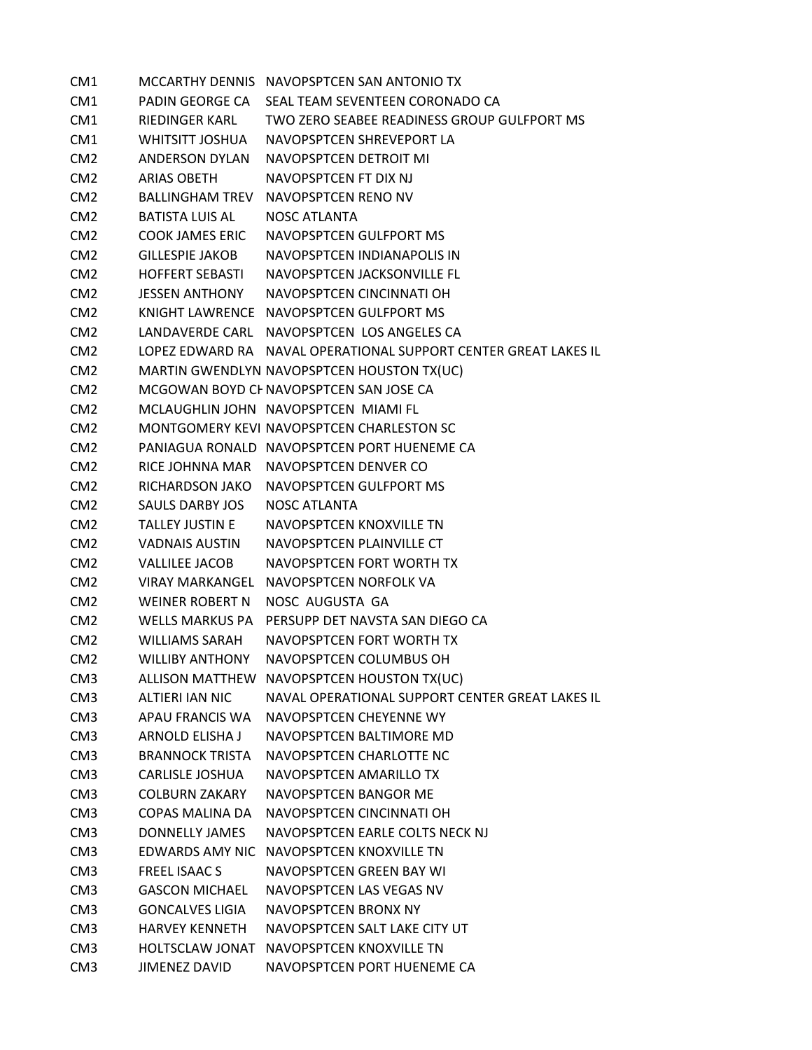| CM1             |                        | MCCARTHY DENNIS NAVOPSPTCEN SAN ANTONIO TX                      |
|-----------------|------------------------|-----------------------------------------------------------------|
| CM <sub>1</sub> |                        | PADIN GEORGE CA SEAL TEAM SEVENTEEN CORONADO CA                 |
| CM1             | RIEDINGER KARL         | TWO ZERO SEABEE READINESS GROUP GULFPORT MS                     |
| CM1             |                        | WHITSITT JOSHUA NAVOPSPTCEN SHREVEPORT LA                       |
| CM <sub>2</sub> | ANDERSON DYLAN         | NAVOPSPTCEN DETROIT MI                                          |
| CM <sub>2</sub> | ARIAS OBETH            | NAVOPSPTCEN FT DIX NJ                                           |
| CM <sub>2</sub> |                        | BALLINGHAM TREV NAVOPSPTCEN RENO NV                             |
| CM <sub>2</sub> | BATISTA LUIS AL        | NOSC ATLANTA                                                    |
| CM <sub>2</sub> | <b>COOK JAMES ERIC</b> | NAVOPSPTCEN GULFPORT MS                                         |
| CM <sub>2</sub> | GILLESPIE JAKOB        | NAVOPSPTCEN INDIANAPOLIS IN                                     |
| CM <sub>2</sub> | HOFFERT SEBASTI        | NAVOPSPTCEN JACKSONVILLE FL                                     |
| CM <sub>2</sub> | <b>JESSEN ANTHONY</b>  | NAVOPSPTCEN CINCINNATI OH                                       |
| CM <sub>2</sub> |                        | KNIGHT LAWRENCE NAVOPSPTCEN GULFPORT MS                         |
| CM <sub>2</sub> |                        | LANDAVERDE CARL NAVOPSPTCEN LOS ANGELES CA                      |
| CM <sub>2</sub> |                        | LOPEZ EDWARD RA NAVAL OPERATIONAL SUPPORT CENTER GREAT LAKES IL |
| CM <sub>2</sub> |                        | MARTIN GWENDLYN NAVOPSPTCEN HOUSTON TX(UC)                      |
| CM <sub>2</sub> |                        | MCGOWAN BOYD CHNAVOPSPTCEN SAN JOSE CA                          |
| CM <sub>2</sub> |                        | MCLAUGHLIN JOHN NAVOPSPTCEN MIAMI FL                            |
| CM <sub>2</sub> |                        | MONTGOMERY KEVI NAVOPSPTCEN CHARLESTON SC                       |
| CM <sub>2</sub> |                        | PANIAGUA RONALD NAVOPSPTCEN PORT HUENEME CA                     |
| CM <sub>2</sub> |                        | RICE JOHNNA MAR NAVOPSPTCEN DENVER CO                           |
| CM <sub>2</sub> |                        | RICHARDSON JAKO NAVOPSPTCEN GULFPORT MS                         |
| CM <sub>2</sub> | SAULS DARBY JOS        | <b>NOSC ATLANTA</b>                                             |
| CM <sub>2</sub> | TALLEY JUSTIN E        | NAVOPSPTCEN KNOXVILLE TN                                        |
| CM <sub>2</sub> | VADNAIS AUSTIN         | NAVOPSPTCEN PLAINVILLE CT                                       |
| CM <sub>2</sub> | <b>VALLILEE JACOB</b>  | NAVOPSPTCEN FORT WORTH TX                                       |
| CM <sub>2</sub> |                        | VIRAY MARKANGEL NAVOPSPTCEN NORFOLK VA                          |
| CM <sub>2</sub> | <b>WEINER ROBERT N</b> | NOSC AUGUSTA GA                                                 |
| CM <sub>2</sub> |                        | WELLS MARKUS PA PERSUPP DET NAVSTA SAN DIEGO CA                 |
| CM <sub>2</sub> | WILLIAMS SARAH         | NAVOPSPTCEN FORT WORTH TX                                       |
| CM <sub>2</sub> | WILLIBY ANTHONY        | NAVOPSPTCEN COLUMBUS OH                                         |
| CM <sub>3</sub> |                        | ALLISON MATTHEW NAVOPSPTCEN HOUSTON TX(UC)                      |
| CM <sub>3</sub> | ALTIERI IAN NIC        | NAVAL OPERATIONAL SUPPORT CENTER GREAT LAKES IL                 |
| CM <sub>3</sub> |                        | APAU FRANCIS WA NAVOPSPTCEN CHEYENNE WY                         |
| CM <sub>3</sub> | ARNOLD ELISHA J        | NAVOPSPTCEN BALTIMORE MD                                        |
| CM <sub>3</sub> | <b>BRANNOCK TRISTA</b> | NAVOPSPTCEN CHARLOTTE NC                                        |
| CM <sub>3</sub> | CARLISLE JOSHUA        | NAVOPSPTCEN AMARILLO TX                                         |
| CM <sub>3</sub> | <b>COLBURN ZAKARY</b>  | NAVOPSPTCEN BANGOR ME                                           |
| CM <sub>3</sub> | COPAS MALINA DA        | NAVOPSPTCEN CINCINNATI OH                                       |
| CM <sub>3</sub> | DONNELLY JAMES         | NAVOPSPTCEN EARLE COLTS NECK NJ                                 |
| CM <sub>3</sub> |                        | EDWARDS AMY NIC NAVOPSPTCEN KNOXVILLE TN                        |
| CM <sub>3</sub> | <b>FREEL ISAAC S</b>   | NAVOPSPTCEN GREEN BAY WI                                        |
| CM <sub>3</sub> | <b>GASCON MICHAEL</b>  | NAVOPSPTCEN LAS VEGAS NV                                        |
| CM <sub>3</sub> | <b>GONCALVES LIGIA</b> | NAVOPSPTCEN BRONX NY                                            |
| CM <sub>3</sub> | <b>HARVEY KENNETH</b>  | NAVOPSPTCEN SALT LAKE CITY UT                                   |
| CM <sub>3</sub> |                        | HOLTSCLAW JONAT NAVOPSPTCEN KNOXVILLE TN                        |
| CM <sub>3</sub> | <b>JIMENEZ DAVID</b>   | NAVOPSPTCEN PORT HUENEME CA                                     |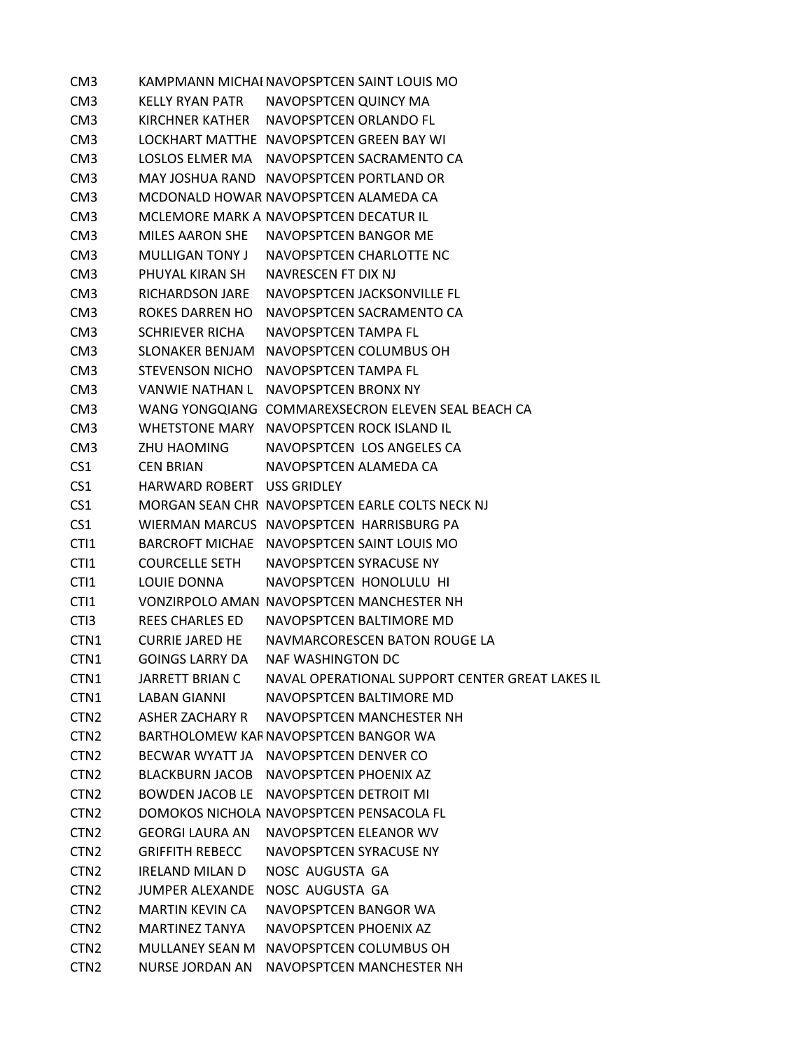CM3 KAMPMANN MICHAENAVOPSPTCEN SAINT LOUIS MO CM3 KELLY RYAN PATR NAVOPSPTCEN QUINCY MA CM3 KIRCHNER KATHER NAVOPSPTCEN ORLANDO FL CM3 LOCKHART MATTHE NAVOPSPTCEN GREEN BAY WI CM3 LOSLOS ELMER MA NAVOPSPTCEN SACRAMENTO CA CM3 MAY JOSHUA RAND NAVOPSPTCEN PORTLAND OR CM3 MCDONALD HOWAR NAVOPSPTCEN ALAMEDA CA CM3 MCLEMORE MARK A NAVOPSPTCEN DECATUR IL CM3 MILES AARON SHE NAVOPSPTCEN BANGOR ME CM3 MULLIGAN TONY J NAVOPSPTCEN CHARLOTTE NC CM3 PHUYAL KIRAN SH NAVRESCEN FT DIX NJ CM3 RICHARDSON JARE NAVOPSPTCEN JACKSONVILLE FL CM3 ROKES DARREN HO NAVOPSPTCEN SACRAMENTO CA CM3 SCHRIEVER RICHA NAVOPSPTCEN TAMPA FL CM3 SLONAKER BENJAM NAVOPSPTCEN COLUMBUS OH CM3 STEVENSON NICHO NAVOPSPTCEN TAMPA FL CM3 VANWIE NATHAN L NAVOPSPTCEN BRONX NY CM3 WANG YONGQIANG COMMAREXSECRON ELEVEN SEAL BEACH CA CM3 WHETSTONE MARY NAVOPSPTCEN ROCK ISLAND IL CM3 ZHU HAOMING NAVOPSPTCEN LOS ANGELES CA CS1 CEN BRIAN NAVOPSPTCEN ALAMEDA CA CS1 HARWARD ROBERT USS GRIDLEY CS1 MORGAN SEAN CHR NAVOPSPTCEN EARLE COLTS NECK NJ CS1 WIERMAN MARCUS NAVOPSPTCEN HARRISBURG PA CTI1 BARCROFT MICHAE NAVOPSPTCEN SAINT LOUIS MO CTI1 COURCELLE SETH NAVOPSPTCEN SYRACUSE NY CTI1 LOUIE DONNA NAVOPSPTCEN HONOLULU HI CTI1 VONZIRPOLO AMAN NAVOPSPTCEN MANCHESTER NH CTI3 REES CHARLES ED NAVOPSPTCEN BALTIMORE MD CTN1 CURRIE JARED HE NAVMARCORESCEN BATON ROUGE LA CTN1 GOINGS LARRY DA NAF WASHINGTON DC CTN1 JARRETT BRIAN C NAVAL OPERATIONAL SUPPORT CENTER GREAT LAKES IL CTN1 LABAN GIANNI NAVOPSPTCEN BALTIMORE MD CTN2 ASHER ZACHARY R NAVOPSPTCEN MANCHESTER NH CTN2 BARTHOLOMEW KARNAVOPSPTCEN BANGOR WA CTN2 BECWAR WYATT JA NAVOPSPTCEN DENVER CO CTN2 BLACKBURN JACOB NAVOPSPTCEN PHOENIX AZ CTN2 BOWDEN JACOB LE NAVOPSPTCEN DETROIT MI CTN2 DOMOKOS NICHOLA NAVOPSPTCEN PENSACOLA FL CTN2 GEORGI LAURA AN NAVOPSPTCEN ELEANOR WV CTN2 GRIFFITH REBECC NAVOPSPTCEN SYRACUSE NY CTN2 IRELAND MILAN D NOSC AUGUSTA GA CTN2 JUMPER ALEXANDE NOSC AUGUSTA GA CTN2 MARTIN KEVIN CA NAVOPSPTCEN BANGOR WA CTN2 MARTINEZ TANYA NAVOPSPTCEN PHOENIX AZ CTN2 MULLANEY SEAN M NAVOPSPTCEN COLUMBUS OH CTN2 NURSE JORDAN AN NAVOPSPTCEN MANCHESTER NH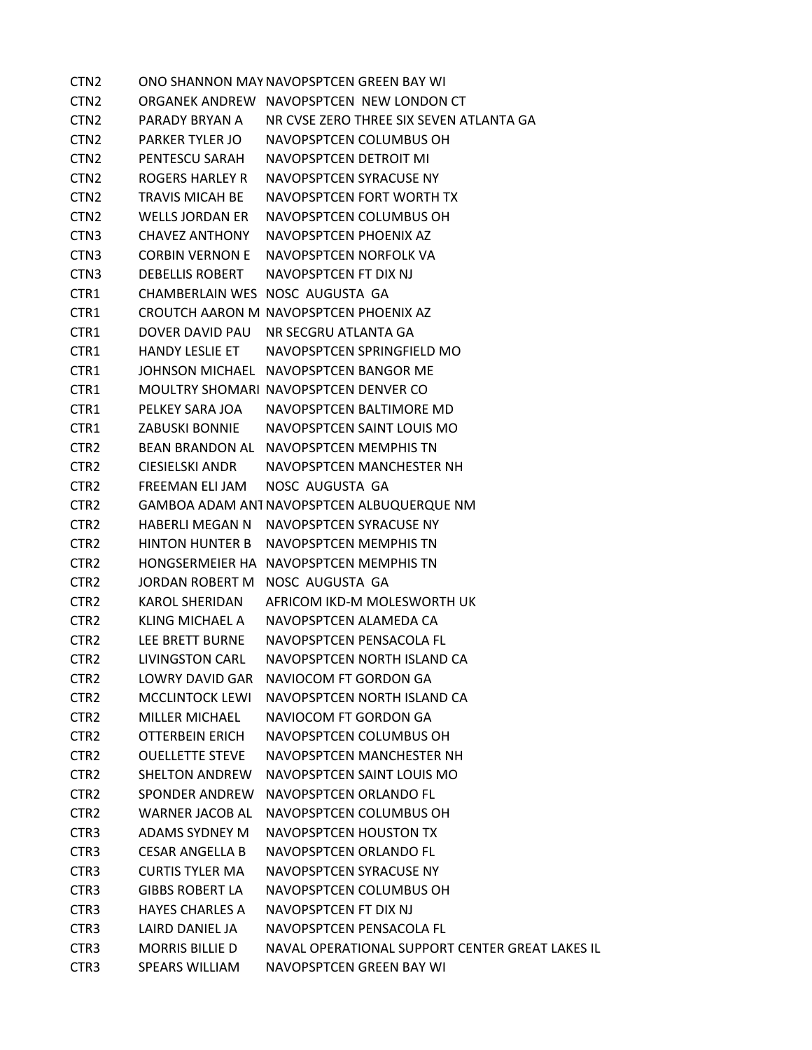CTN2 ONO SHANNON MAYNAVOPSPTCEN GREEN BAY WI CTN2 ORGANEK ANDREW NAVOPSPTCEN NEW LONDON CT CTN2 PARADY BRYAN A NR CVSE ZERO THREE SIX SEVEN ATLANTA GA CTN2 PARKER TYLER JO NAVOPSPTCEN COLUMBUS OH CTN2 PENTESCU SARAH NAVOPSPTCEN DETROIT MI CTN2 ROGERS HARLEY R NAVOPSPTCEN SYRACUSE NY CTN2 TRAVIS MICAH BE NAVOPSPTCEN FORT WORTH TX CTN2 WELLS JORDAN ER NAVOPSPTCEN COLUMBUS OH CTN3 CHAVEZ ANTHONY NAVOPSPTCEN PHOENIX AZ CTN3 CORBIN VERNON E NAVOPSPTCEN NORFOLK VA CTN3 DEBELLIS ROBERT NAVOPSPTCEN FT DIX NJ CTR1 CHAMBERLAIN WES NOSC AUGUSTA GA CTR1 CROUTCH AARON M NAVOPSPTCEN PHOENIX AZ CTR1 DOVER DAVID PAU NR SECGRU ATLANTA GA CTR1 HANDY LESLIE ET NAVOPSPTCEN SPRINGFIELD MO CTR1 JOHNSON MICHAEL NAVOPSPTCEN BANGOR ME CTR1 MOULTRY SHOMARI NAVOPSPTCEN DENVER CO CTR1 PELKEY SARA JOA NAVOPSPTCEN BALTIMORE MD CTR1 ZABUSKI BONNIE NAVOPSPTCEN SAINT LOUIS MO CTR2 BEAN BRANDON AL NAVOPSPTCEN MEMPHIS TN CTR2 CIESIELSKI ANDR NAVOPSPTCEN MANCHESTER NH CTR2 FREEMAN ELI JAM NOSC AUGUSTA GA CTR2 GAMBOA ADAM ANTNAVOPSPTCEN ALBUQUERQUE NM CTR2 HABERLI MEGAN N NAVOPSPTCEN SYRACUSE NY CTR2 HINTON HUNTER B NAVOPSPTCEN MEMPHIS TN CTR2 HONGSERMEIER HA NAVOPSPTCEN MEMPHIS TN CTR2 JORDAN ROBERT M NOSC AUGUSTA GA CTR2 KAROL SHERIDAN AFRICOM IKD-M MOLESWORTH UK CTR2 KLING MICHAEL A NAVOPSPTCEN ALAMEDA CA CTR2 LEE BRETT BURNE NAVOPSPTCEN PENSACOLA FL CTR2 LIVINGSTON CARL NAVOPSPTCEN NORTH ISLAND CA CTR2 LOWRY DAVID GAR NAVIOCOM FT GORDON GA CTR2 MCCLINTOCK LEWI NAVOPSPTCEN NORTH ISLAND CA CTR2 MILLER MICHAEL NAVIOCOM FT GORDON GA CTR2 OTTERBEIN ERICH NAVOPSPTCEN COLUMBUS OH CTR2 OUELLETTE STEVE NAVOPSPTCEN MANCHESTER NH CTR2 SHELTON ANDREW NAVOPSPTCEN SAINT LOUIS MO CTR2 SPONDER ANDREW NAVOPSPTCEN ORLANDO FL CTR2 WARNER JACOB AL NAVOPSPTCEN COLUMBUS OH CTR3 ADAMS SYDNEY M NAVOPSPTCEN HOUSTON TX CTR3 CESAR ANGELLA B NAVOPSPTCEN ORLANDO FL CTR3 CURTIS TYLER MA NAVOPSPTCEN SYRACUSE NY CTR3 GIBBS ROBERT LA NAVOPSPTCEN COLUMBUS OH CTR3 HAYES CHARLES A NAVOPSPTCEN FT DIX NJ CTR3 LAIRD DANIEL JA NAVOPSPTCEN PENSACOLA FL CTR3 MORRIS BILLIE D NAVAL OPERATIONAL SUPPORT CENTER GREAT LAKES IL CTR3 SPEARS WILLIAM NAVOPSPTCEN GREEN BAY WI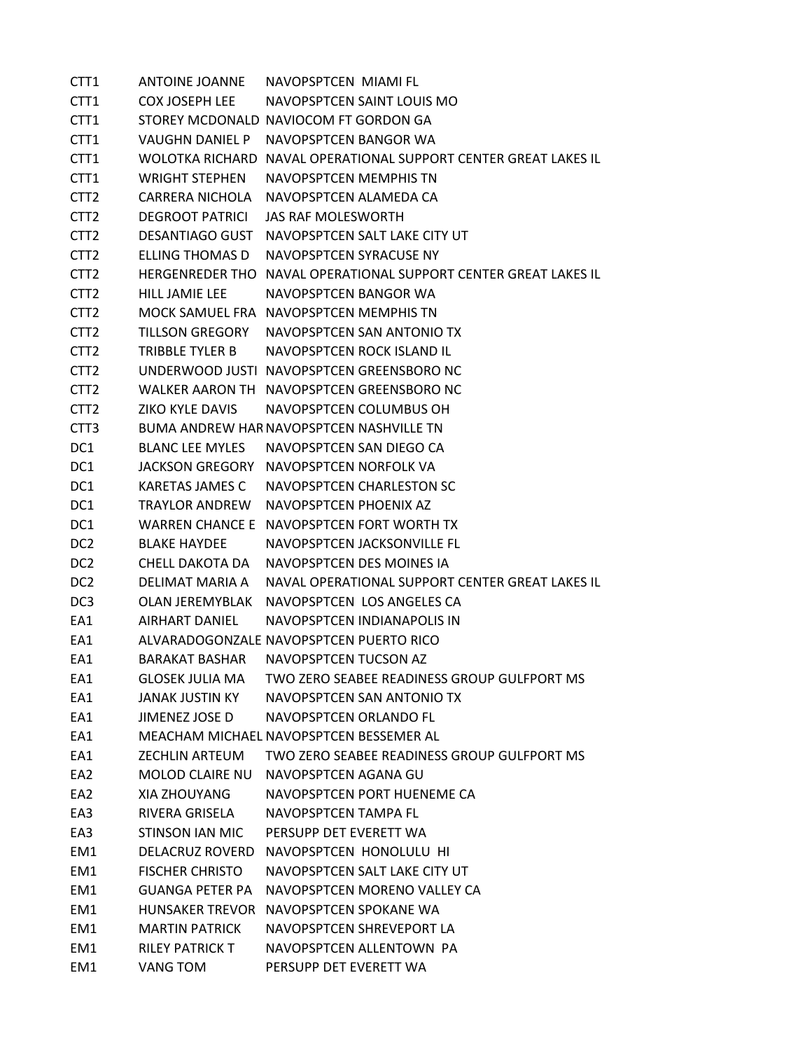CTT1 ANTOINE JOANNE NAVOPSPTCEN MIAMI FL CTT1 COX JOSEPH LEE NAVOPSPTCEN SAINT LOUIS MO CTT1 STOREY MCDONALD NAVIOCOM FT GORDON GA CTT1 VAUGHN DANIEL P NAVOPSPTCEN BANGOR WA CTT1 WOLOTKA RICHARD NAVAL OPERATIONAL SUPPORT CENTER GREAT LAKES IL CTT1 WRIGHT STEPHEN NAVOPSPTCEN MEMPHIS TN CTT2 CARRERA NICHOLA NAVOPSPTCEN ALAMEDA CA CTT2 DEGROOT PATRICI JAS RAF MOLESWORTH CTT2 DESANTIAGO GUST NAVOPSPTCEN SALT LAKE CITY UT CTT2 ELLING THOMAS D NAVOPSPTCEN SYRACUSE NY CTT2 HERGENREDER THO NAVAL OPERATIONAL SUPPORT CENTER GREAT LAKES IL CTT2 HILL JAMIE LEE NAVOPSPTCEN BANGOR WA CTT2 MOCK SAMUEL FRA NAVOPSPTCEN MEMPHIS TN CTT2 TILLSON GREGORY NAVOPSPTCEN SAN ANTONIO TX CTT2 TRIBBLE TYLER B NAVOPSPTCEN ROCK ISLAND IL CTT2 UNDERWOOD JUSTI NAVOPSPTCEN GREENSBORO NC CTT2 WALKER AARON TH NAVOPSPTCEN GREENSBORO NC CTT2 ZIKO KYLE DAVIS NAVOPSPTCEN COLUMBUS OH CTT3 BUMA ANDREW HARNAVOPSPTCEN NASHVILLE TN DC1 BLANC LEE MYLES NAVOPSPTCEN SAN DIEGO CA DC1 JACKSON GREGORY NAVOPSPTCEN NORFOLK VA DC1 KARETAS JAMES C NAVOPSPTCEN CHARLESTON SC DC1 TRAYLOR ANDREW NAVOPSPTCEN PHOENIX AZ DC1 WARREN CHANCE E NAVOPSPTCEN FORT WORTH TX DC2 BLAKE HAYDEE NAVOPSPTCEN JACKSONVILLE FL DC2 CHELL DAKOTA DA NAVOPSPTCEN DES MOINES IA DC2 DELIMAT MARIA A NAVAL OPERATIONAL SUPPORT CENTER GREAT LAKES IL DC3 OLAN JEREMYBLAK NAVOPSPTCEN LOS ANGELES CA EA1 AIRHART DANIEL NAVOPSPTCEN INDIANAPOLIS IN EA1 ALVARADOGONZALE NAVOPSPTCEN PUERTO RICO EA1 BARAKAT BASHAR NAVOPSPTCEN TUCSON AZ EA1 GLOSEK JULIA MA TWO ZERO SEABEE READINESS GROUP GULFPORT MS EA1 JANAK JUSTIN KY NAVOPSPTCEN SAN ANTONIO TX EA1 JIMENEZ JOSE D NAVOPSPTCEN ORLANDO FL EA1 MEACHAM MICHAEL NAVOPSPTCEN BESSEMER AL EA1 ZECHLIN ARTEUM TWO ZERO SEABEE READINESS GROUP GULFPORT MS EA2 MOLOD CLAIRE NU NAVOPSPTCEN AGANA GU EA2 XIA ZHOUYANG NAVOPSPTCEN PORT HUENEME CA EA3 RIVERA GRISELA NAVOPSPTCEN TAMPA FL EA3 STINSON IAN MIC PERSUPP DET EVERETT WA EM1 DELACRUZ ROVERD NAVOPSPTCEN HONOLULU HI EM1 FISCHER CHRISTO NAVOPSPTCEN SALT LAKE CITY UT EM1 GUANGA PETER PA NAVOPSPTCEN MORENO VALLEY CA EM1 HUNSAKER TREVOR NAVOPSPTCEN SPOKANE WA EM1 MARTIN PATRICK NAVOPSPTCEN SHREVEPORT LA EM1 RILEY PATRICK T NAVOPSPTCEN ALLENTOWN PA EM1 VANG TOM PERSUPP DET EVERETT WA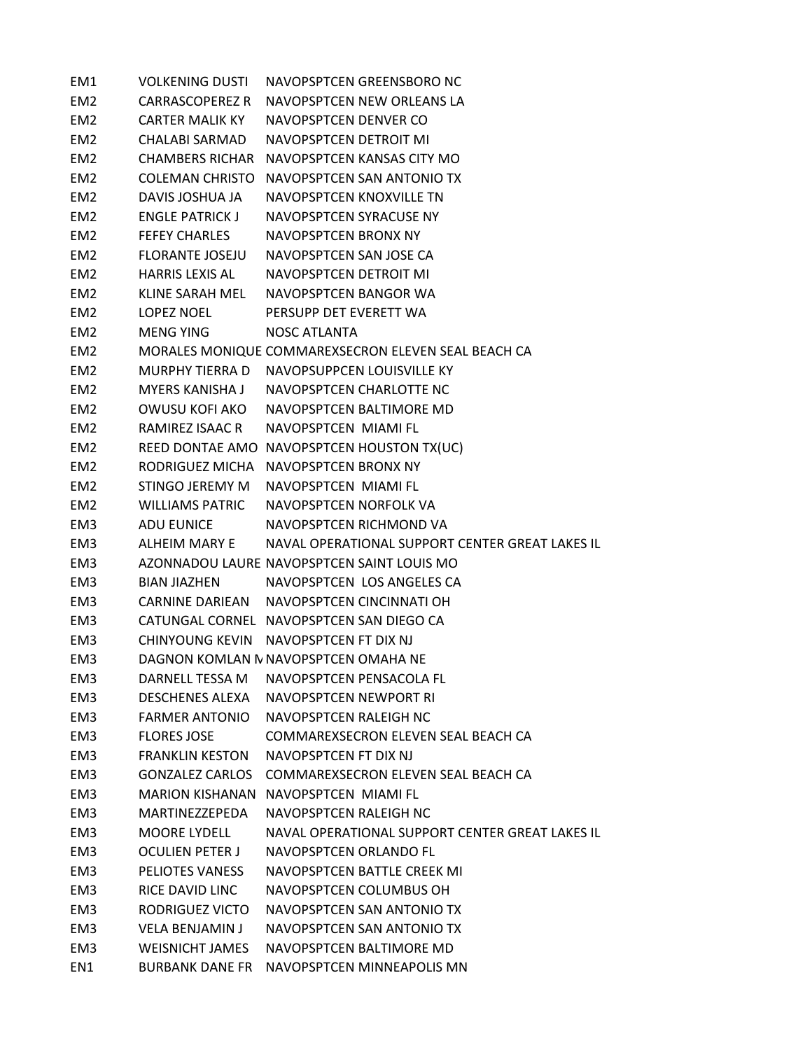| EM1             | <b>VOLKENING DUSTI</b> | NAVOPSPTCEN GREENSBORO NC                           |
|-----------------|------------------------|-----------------------------------------------------|
| EM <sub>2</sub> | <b>CARRASCOPEREZ R</b> | NAVOPSPTCEN NEW ORLEANS LA                          |
| EM <sub>2</sub> | <b>CARTER MALIK KY</b> | NAVOPSPTCEN DENVER CO                               |
| EM <sub>2</sub> | <b>CHALABI SARMAD</b>  | NAVOPSPTCEN DETROIT MI                              |
| EM <sub>2</sub> | <b>CHAMBERS RICHAR</b> | NAVOPSPTCEN KANSAS CITY MO                          |
| EM <sub>2</sub> | COLEMAN CHRISTO        | NAVOPSPTCEN SAN ANTONIO TX                          |
| EM <sub>2</sub> | DAVIS JOSHUA JA        | NAVOPSPTCEN KNOXVILLE TN                            |
| EM <sub>2</sub> | <b>ENGLE PATRICK J</b> | NAVOPSPTCEN SYRACUSE NY                             |
| EM <sub>2</sub> | <b>FEFEY CHARLES</b>   | NAVOPSPTCEN BRONX NY                                |
| EM <sub>2</sub> | <b>FLORANTE JOSEJU</b> | NAVOPSPTCEN SAN JOSE CA                             |
| EM <sub>2</sub> | HARRIS LEXIS AL        | NAVOPSPTCEN DETROIT MI                              |
| EM <sub>2</sub> | KLINE SARAH MEL        | NAVOPSPTCEN BANGOR WA                               |
| EM <sub>2</sub> | LOPEZ NOEL             | PERSUPP DET EVERETT WA                              |
| EM <sub>2</sub> | MENG YING              | <b>NOSC ATLANTA</b>                                 |
| EM <sub>2</sub> |                        | MORALES MONIQUE COMMAREXSECRON ELEVEN SEAL BEACH CA |
| EM <sub>2</sub> | MURPHY TIERRA D        | NAVOPSUPPCEN LOUISVILLE KY                          |
| EM <sub>2</sub> | MYERS KANISHA J        | NAVOPSPTCEN CHARLOTTE NC                            |
| EM <sub>2</sub> |                        | OWUSU KOFI AKO NAVOPSPTCEN BALTIMORE MD             |
| EM <sub>2</sub> | RAMIREZ ISAAC R        | NAVOPSPTCEN MIAMI FL                                |
| EM <sub>2</sub> |                        | REED DONTAE AMO NAVOPSPTCEN HOUSTON TX(UC)          |
| EM <sub>2</sub> | RODRIGUEZ MICHA        | NAVOPSPTCEN BRONX NY                                |
| EM <sub>2</sub> | STINGO JEREMY M        | NAVOPSPTCEN MIAMI FL                                |
| EM <sub>2</sub> | <b>WILLIAMS PATRIC</b> | NAVOPSPTCEN NORFOLK VA                              |
| EM3             | ADU EUNICE             | NAVOPSPTCEN RICHMOND VA                             |
| EM3             | ALHEIM MARY E          | NAVAL OPERATIONAL SUPPORT CENTER GREAT LAKES IL     |
| EM3             |                        | AZONNADOU LAURE NAVOPSPTCEN SAINT LOUIS MO          |
| EM3             | <b>BIAN JIAZHEN</b>    | NAVOPSPTCEN LOS ANGELES CA                          |
| EM3             |                        | CARNINE DARIEAN NAVOPSPTCEN CINCINNATI OH           |
| EM3             |                        | CATUNGAL CORNEL NAVOPSPTCEN SAN DIEGO CA            |
| EM3             |                        | CHINYOUNG KEVIN NAVOPSPTCEN FT DIX NJ               |
| EM3             |                        | DAGNON KOMLAN N NAVOPSPTCEN OMAHA NE                |
| EM <sub>3</sub> | DARNELL TESSA M        | NAVOPSPTCEN PENSACOLA FL                            |
| EM3             | <b>DESCHENES ALEXA</b> | NAVOPSPTCEN NEWPORT RI                              |
| EM3             | <b>FARMER ANTONIO</b>  | NAVOPSPTCEN RALEIGH NC                              |
| EM <sub>3</sub> | <b>FLORES JOSE</b>     | COMMAREXSECRON ELEVEN SEAL BEACH CA                 |
| EM3             | <b>FRANKLIN KESTON</b> | NAVOPSPTCEN FT DIX NJ                               |
| EM3             |                        | GONZALEZ CARLOS COMMAREXSECRON ELEVEN SEAL BEACH CA |
| EM3             |                        | MARION KISHANAN NAVOPSPTCEN MIAMI FL                |
| EM3             | MARTINFZZFPFDA         | NAVOPSPTCEN RALEIGH NC                              |
| EM3             | <b>MOORE LYDELL</b>    | NAVAL OPERATIONAL SUPPORT CENTER GREAT LAKES IL     |
| EM3             | <b>OCULIEN PETER J</b> | NAVOPSPTCEN ORLANDO FL                              |
| EM3             | <b>PELIOTES VANESS</b> | NAVOPSPTCEN BATTLE CREEK MI                         |
| EM3             | RICE DAVID LINC        | NAVOPSPTCEN COLUMBUS OH                             |
| EM3             | RODRIGUEZ VICTO        | NAVOPSPTCEN SAN ANTONIO TX                          |
| EM3             | <b>VELA BENJAMIN J</b> | NAVOPSPTCEN SAN ANTONIO TX                          |
| EM3             | <b>WEISNICHT JAMES</b> | NAVOPSPTCEN BALTIMORE MD                            |
| EN1             | BURBANK DANE FR        | NAVOPSPTCEN MINNEAPOLIS MN                          |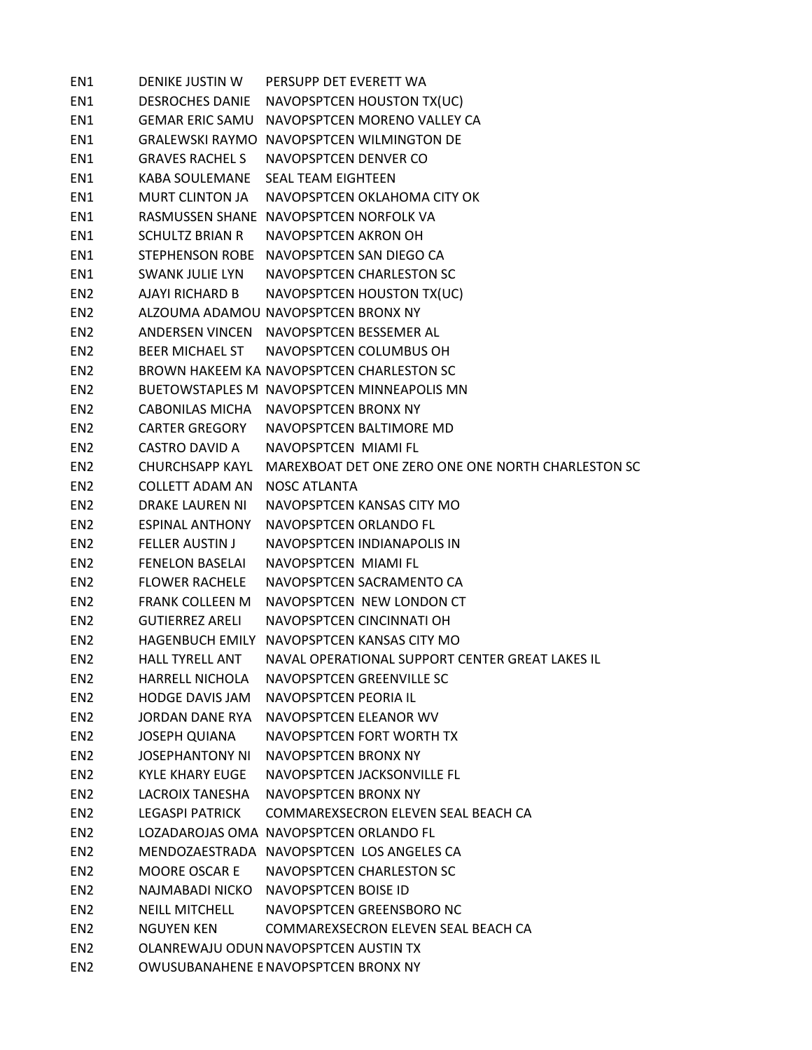| EN1             | DENIKE JUSTIN W        | PERSUPP DET EVERETT WA                             |
|-----------------|------------------------|----------------------------------------------------|
| EN1             | <b>DESROCHES DANIE</b> | NAVOPSPTCEN HOUSTON TX(UC)                         |
| EN1             | <b>GEMAR ERIC SAMU</b> | NAVOPSPTCEN MORENO VALLEY CA                       |
| EN1             |                        | <b>GRALEWSKI RAYMO NAVOPSPTCEN WILMINGTON DE</b>   |
| EN1             | <b>GRAVES RACHEL S</b> | NAVOPSPTCEN DENVER CO                              |
| EN1             | KABA SOULEMANE         | <b>SEAL TEAM EIGHTEEN</b>                          |
| EN1             | <b>MURT CLINTON JA</b> | NAVOPSPTCEN OKLAHOMA CITY OK                       |
| EN1             |                        | RASMUSSEN SHANE NAVOPSPTCEN NORFOLK VA             |
| EN1             | <b>SCHULTZ BRIAN R</b> | NAVOPSPTCEN AKRON OH                               |
| EN1             |                        | STEPHENSON ROBE NAVOPSPTCEN SAN DIEGO CA           |
| EN1             | SWANK JULIE LYN        | NAVOPSPTCEN CHARLESTON SC                          |
| EN <sub>2</sub> | AJAYI RICHARD B        | NAVOPSPTCEN HOUSTON TX(UC)                         |
| EN <sub>2</sub> |                        | ALZOUMA ADAMOU NAVOPSPTCEN BRONX NY                |
| EN <sub>2</sub> |                        | ANDERSEN VINCEN NAVOPSPTCEN BESSEMER AL            |
| EN <sub>2</sub> | BEER MICHAEL ST        | NAVOPSPTCEN COLUMBUS OH                            |
| EN <sub>2</sub> |                        | BROWN HAKEEM KA NAVOPSPTCEN CHARLESTON SC          |
| EN <sub>2</sub> |                        | BUETOWSTAPLES M NAVOPSPTCEN MINNEAPOLIS MN         |
| EN <sub>2</sub> |                        | CABONILAS MICHA NAVOPSPTCEN BRONX NY               |
| EN <sub>2</sub> | <b>CARTER GREGORY</b>  | NAVOPSPTCEN BALTIMORE MD                           |
| EN <sub>2</sub> | <b>CASTRO DAVID A</b>  | NAVOPSPTCEN MIAMI FL                               |
| EN <sub>2</sub> | <b>CHURCHSAPP KAYL</b> | MAREXBOAT DET ONE ZERO ONE ONE NORTH CHARLESTON SC |
| EN <sub>2</sub> | <b>COLLETT ADAM AN</b> | <b>NOSC ATLANTA</b>                                |
| EN <sub>2</sub> | <b>DRAKE LAUREN NI</b> | NAVOPSPTCEN KANSAS CITY MO                         |
| EN <sub>2</sub> | <b>ESPINAL ANTHONY</b> | NAVOPSPTCEN ORLANDO FL                             |
| EN <sub>2</sub> | <b>FELLER AUSTIN J</b> | NAVOPSPTCEN INDIANAPOLIS IN                        |
| EN <sub>2</sub> | <b>FENELON BASELAI</b> | NAVOPSPTCEN MIAMI FL                               |
| EN <sub>2</sub> | <b>FLOWER RACHELE</b>  | NAVOPSPTCEN SACRAMENTO CA                          |
| EN <sub>2</sub> | <b>FRANK COLLEEN M</b> | NAVOPSPTCEN NEW LONDON CT                          |
| EN <sub>2</sub> | <b>GUTIERREZ ARELI</b> | NAVOPSPTCEN CINCINNATI OH                          |
| EN <sub>2</sub> |                        | HAGENBUCH EMILY NAVOPSPTCEN KANSAS CITY MO         |
| EN <sub>2</sub> | <b>HALL TYRELL ANT</b> | NAVAL OPERATIONAL SUPPORT CENTER GREAT LAKES IL    |
| EN <sub>2</sub> | <b>HARRELL NICHOLA</b> | NAVOPSPTCEN GREENVILLE SC                          |
| EN <sub>2</sub> | <b>HODGE DAVIS JAM</b> | NAVOPSPTCEN PEORIA IL                              |
| EN <sub>2</sub> | JORDAN DANF RYA        | NAVOPSPTCEN ELEANOR WV                             |
| EN <sub>2</sub> | <b>JOSEPH QUIANA</b>   | NAVOPSPTCEN FORT WORTH TX                          |
| EN <sub>2</sub> | <b>JOSEPHANTONY NI</b> | NAVOPSPTCEN BRONX NY                               |
| EN <sub>2</sub> | <b>KYLE KHARY EUGE</b> | NAVOPSPTCEN JACKSONVILLE FL                        |
| EN <sub>2</sub> | <b>LACROIX TANFSHA</b> | NAVOPSPTCEN BRONX NY                               |
| EN <sub>2</sub> | <b>LEGASPI PATRICK</b> | COMMAREXSECRON ELEVEN SEAL BEACH CA                |
| EN <sub>2</sub> |                        | LOZADAROJAS OMA NAVOPSPTCEN ORLANDO FL             |
| EN <sub>2</sub> |                        | MENDOZAESTRADA NAVOPSPTCEN LOS ANGELES CA          |
| EN <sub>2</sub> | <b>MOORE OSCAR E</b>   | NAVOPSPTCEN CHARLESTON SC                          |
| EN <sub>2</sub> | NAJMABADI NICKO        | NAVOPSPTCEN BOISE ID                               |
| EN <sub>2</sub> | <b>NEILL MITCHELL</b>  | NAVOPSPTCEN GREENSBORO NC                          |
| EN <sub>2</sub> | <b>NGUYEN KEN</b>      | COMMAREXSECRON ELEVEN SEAL BEACH CA                |
| EN <sub>2</sub> |                        | OLANREWAJU ODUN NAVOPSPTCEN AUSTIN TX              |
| EN <sub>2</sub> |                        | OWUSUBANAHENE E NAVOPSPTCEN BRONX NY               |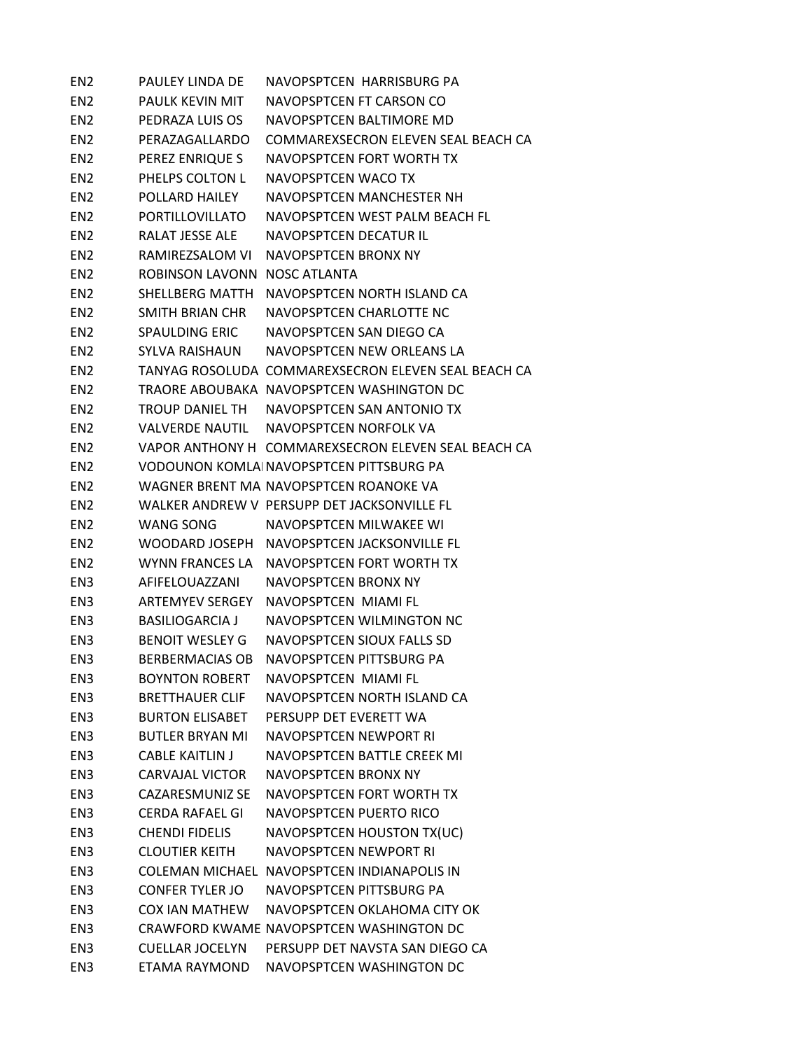| EN <sub>2</sub> | PAULEY LINDA DE              | NAVOPSPTCEN HARRISBURG PA                           |
|-----------------|------------------------------|-----------------------------------------------------|
| EN <sub>2</sub> | PAULK KEVIN MIT              | NAVOPSPTCEN FT CARSON CO                            |
| EN2             | PEDRAZA LUIS OS              | NAVOPSPTCEN BALTIMORE MD                            |
| EN2             | PERAZAGALLARDO               | COMMAREXSECRON ELEVEN SEAL BEACH CA                 |
| EN <sub>2</sub> | PEREZ ENRIQUE S              | NAVOPSPTCEN FORT WORTH TX                           |
| EN <sub>2</sub> | PHELPS COLTON L              | NAVOPSPTCEN WACO TX                                 |
| EN <sub>2</sub> | POLLARD HAILEY               | NAVOPSPTCEN MANCHESTER NH                           |
| EN2             | PORTILLOVILLATO              | NAVOPSPTCFN WEST PALM BEACH FL                      |
| EN2             |                              | RALAT JESSE ALE NAVOPSPTCEN DECATUR IL              |
| EN <sub>2</sub> |                              | RAMIREZSALOM VI NAVOPSPTCEN BRONX NY                |
| EN <sub>2</sub> | ROBINSON LAVONN NOSC ATLANTA |                                                     |
| EN <sub>2</sub> |                              | SHELLBERG MATTH NAVOPSPTCEN NORTH ISLAND CA         |
| EN2             |                              | SMITH BRIAN CHR NAVOPSPTCEN CHARLOTTE NC            |
| EN2             |                              | SPAULDING ERIC NAVOPSPTCEN SAN DIEGO CA             |
| EN <sub>2</sub> |                              | SYLVA RAISHAUN NAVOPSPTCFN NFW ORLFANS LA           |
| EN <sub>2</sub> |                              | TANYAG ROSOLUDA COMMAREXSECRON ELEVEN SEAL BEACH CA |
| EN <sub>2</sub> |                              | TRAORE ABOUBAKA NAVOPSPTCEN WASHINGTON DC           |
| EN <sub>2</sub> |                              | TROUP DANIEL TH NAVOPSPTCEN SAN ANTONIO TX          |
| EN <sub>2</sub> |                              | VALVERDE NAUTIL NAVOPSPTCEN NORFOLK VA              |
| EN <sub>2</sub> |                              | VAPOR ANTHONY H COMMAREXSECRON ELEVEN SEAL BEACH CA |
| EN <sub>2</sub> |                              | VODOUNON KOMLAI NAVOPSPTCEN PITTSBURG PA            |
| EN2             |                              | WAGNER BRENT MA NAVOPSPTCEN ROANOKE VA              |
| EN <sub>2</sub> |                              | WALKER ANDREW V PERSUPP DET JACKSONVILLE FL         |
| EN <sub>2</sub> | WANG SONG <b>WANG</b>        | NAVOPSPTCEN MILWAKEE WI                             |
| EN <sub>2</sub> |                              | WOODARD JOSEPH NAVOPSPTCEN JACKSONVILLE FL          |
| EN <sub>2</sub> |                              | WYNN FRANCES LA NAVOPSPTCEN FORT WORTH TX           |
| EN3             | AFIFELOUAZZANI               | NAVOPSPTCEN BRONX NY                                |
| EN3             |                              | ARTEMYEV SERGEY NAVOPSPTCEN MIAMI FL                |
| EN3             | BASILIOGARCIA J              | NAVOPSPTCEN WILMINGTON NC                           |
| EN3             |                              | BENOIT WESLEY G NAVOPSPTCEN SIOUX FALLS SD          |
| EN3             |                              | BERBERMACIAS OB NAVOPSPTCEN PITTSBURG PA            |
| EN <sub>3</sub> | <b>BOYNTON ROBERT</b>        | NAVOPSPTCEN MIAMI FL                                |
| EN3             | <b>BRETTHAUER CLIF</b>       | NAVOPSPTCEN NORTH ISLAND CA                         |
| EN <sub>3</sub> | <b>BURTON ELISABET</b>       | PERSUPP DET EVERETT WA                              |
| EN3             | <b>BUTLER BRYAN MI</b>       | NAVOPSPTCEN NEWPORT RI                              |
| EN <sub>3</sub> | <b>CABLE KAITLIN J</b>       | NAVOPSPTCEN BATTLE CREEK MI                         |
| EN <sub>3</sub> | <b>CARVAJAL VICTOR</b>       | NAVOPSPTCEN BRONX NY                                |
| EN3             | <b>CAZARESMUNIZ SE</b>       | NAVOPSPTCEN FORT WORTH TX                           |
| EN <sub>3</sub> | CERDA RAFAEL GI              | NAVOPSPTCEN PUERTO RICO                             |
| EN <sub>3</sub> | <b>CHENDI FIDELIS</b>        | NAVOPSPTCEN HOUSTON TX(UC)                          |
| EN <sub>3</sub> | <b>CLOUTIER KEITH</b>        | NAVOPSPTCEN NEWPORT RI                              |
| EN <sub>3</sub> |                              | COLEMAN MICHAEL NAVOPSPTCEN INDIANAPOLIS IN         |
| EN <sub>3</sub> | <b>CONFER TYLER JO</b>       | NAVOPSPTCEN PITTSBURG PA                            |
| EN <sub>3</sub> | <b>COX IAN MATHEW</b>        | NAVOPSPTCEN OKLAHOMA CITY OK                        |
| EN <sub>3</sub> |                              | CRAWFORD KWAME NAVOPSPTCEN WASHINGTON DC            |
| EN <sub>3</sub> | <b>CUELLAR JOCELYN</b>       | PERSUPP DET NAVSTA SAN DIEGO CA                     |
| EN3             | ETAMA RAYMOND                | NAVOPSPTCEN WASHINGTON DC                           |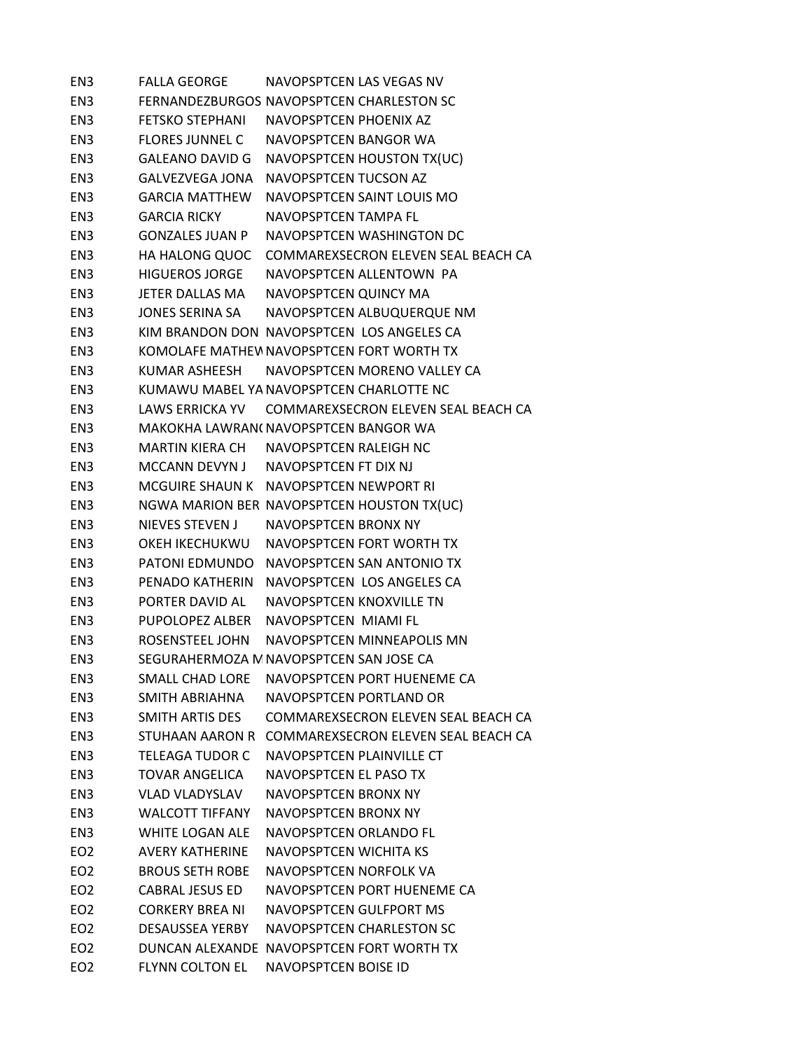EN3 FALLA GEORGE NAVOPSPTCEN LAS VEGAS NV EN3 FERNANDEZBURGOS NAVOPSPTCEN CHARLESTON SC EN3 FETSKO STEPHANI NAVOPSPTCEN PHOENIX AZ EN3 FLORES JUNNEL C NAVOPSPTCEN BANGOR WA EN3 GALEANO DAVID G NAVOPSPTCEN HOUSTON TX(UC) EN3 GALVEZVEGA JONA NAVOPSPTCEN TUCSON AZ EN3 GARCIA MATTHEW NAVOPSPTCEN SAINT LOUIS MO EN3 GARCIA RICKY NAVOPSPTCEN TAMPA FL EN3 GONZALES JUAN P NAVOPSPTCEN WASHINGTON DC EN3 HA HALONG QUOC COMMAREXSECRON ELEVEN SEAL BEACH CA EN3 HIGUEROS JORGE NAVOPSPTCEN ALLENTOWN PA EN3 JETER DALLAS MA NAVOPSPTCEN QUINCY MA EN3 JONES SERINA SA NAVOPSPTCEN ALBUQUERQUE NM EN3 KIM BRANDON DON NAVOPSPTCEN LOS ANGELES CA EN3 KOMOLAFE MATHEWNAVOPSPTCEN FORT WORTH TX EN3 KUMAR ASHEESH NAVOPSPTCEN MORENO VALLEY CA EN3 KUMAWU MABEL YANAVOPSPTCEN CHARLOTTE NC EN3 LAWS ERRICKA YV COMMAREXSECRON ELEVEN SEAL BEACH CA EN3 MAKOKHA LAWRAN(NAVOPSPTCEN BANGOR WA EN3 MARTIN KIERA CH NAVOPSPTCEN RALEIGH NC EN3 MCCANN DEVYN J NAVOPSPTCEN FT DIX NJ EN3 MCGUIRE SHAUN K NAVOPSPTCEN NEWPORT RI EN3 NGWA MARION BER NAVOPSPTCEN HOUSTON TX(UC) EN3 NIEVES STEVEN J NAVOPSPTCEN BRONX NY EN3 OKEH IKECHUKWU NAVOPSPTCEN FORT WORTH TX EN3 PATONI EDMUNDO NAVOPSPTCEN SAN ANTONIO TX EN3 PENADO KATHERIN NAVOPSPTCEN LOS ANGELES CA EN3 PORTER DAVID AL NAVOPSPTCEN KNOXVILLE TN EN3 PUPOLOPEZ ALBER NAVOPSPTCEN MIAMI FL EN3 ROSENSTEEL JOHN NAVOPSPTCEN MINNEAPOLIS MN EN3 SEGURAHERMOZA MNAVOPSPTCEN SAN JOSE CA EN3 SMALL CHAD LORE NAVOPSPTCEN PORT HUENEME CA EN3 SMITH ABRIAHNA NAVOPSPTCEN PORTLAND OR EN3 SMITH ARTIS DES COMMAREXSECRON ELEVEN SEAL BEACH CA EN3 STUHAAN AARON R COMMAREXSECRON ELEVEN SEAL BEACH CA EN3 TELEAGA TUDOR C NAVOPSPTCEN PLAINVILLE CT EN3 TOVAR ANGELICA NAVOPSPTCEN EL PASO TX EN3 VLAD VLADYSLAV NAVOPSPTCEN BRONX NY EN3 WALCOTT TIFFANY NAVOPSPTCEN BRONX NY EN3 WHITE LOGAN ALE NAVOPSPTCEN ORLANDO FL EO2 AVERY KATHERINE NAVOPSPTCEN WICHITA KS EO2 BROUS SETH ROBE NAVOPSPTCEN NORFOLK VA EO2 CABRAL JESUS ED NAVOPSPTCEN PORT HUENEME CA EO2 CORKERY BREA NI NAVOPSPTCEN GULFPORT MS EO2 DESAUSSEA YERBY NAVOPSPTCEN CHARLESTON SC EO2 DUNCAN ALEXANDE NAVOPSPTCEN FORT WORTH TX EO2 FLYNN COLTON EL NAVOPSPTCEN BOISE ID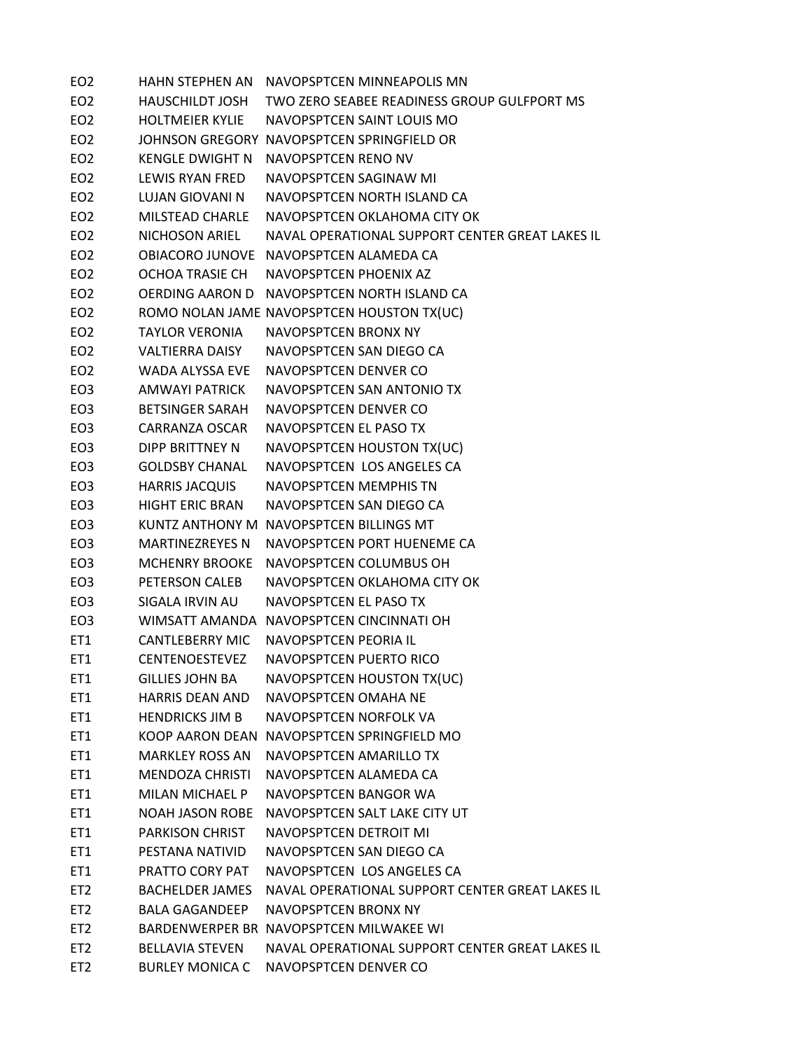| EO <sub>2</sub> | <b>HAHN STEPHEN AN</b> | NAVOPSPTCEN MINNEAPOLIS MN                      |
|-----------------|------------------------|-------------------------------------------------|
| EO <sub>2</sub> | HAUSCHILDT JOSH        | TWO ZERO SEABEE READINESS GROUP GULFPORT MS     |
| EO <sub>2</sub> | <b>HOLTMEIER KYLIE</b> | NAVOPSPTCEN SAINT LOUIS MO                      |
| EO <sub>2</sub> |                        | JOHNSON GREGORY NAVOPSPTCEN SPRINGFIELD OR      |
| EO <sub>2</sub> | <b>KENGLE DWIGHT N</b> | NAVOPSPTCEN RENO NV                             |
| EO <sub>2</sub> | LEWIS RYAN FRED        | NAVOPSPTCEN SAGINAW MI                          |
| EO <sub>2</sub> | LUJAN GIOVANI N        | NAVOPSPTCEN NORTH ISLAND CA                     |
| EO <sub>2</sub> | MILSTEAD CHARLE        | NAVOPSPTCEN OKLAHOMA CITY OK                    |
| EO <sub>2</sub> | NICHOSON ARIEL         | NAVAL OPERATIONAL SUPPORT CENTER GREAT LAKES IL |
| EO <sub>2</sub> |                        | OBIACORO JUNOVE NAVOPSPTCEN ALAMEDA CA          |
| EO <sub>2</sub> | OCHOA TRASIE CH        | NAVOPSPTCEN PHOENIX AZ                          |
| EO <sub>2</sub> |                        | OERDING AARON D NAVOPSPTCEN NORTH ISLAND CA     |
| EO <sub>2</sub> |                        | ROMO NOLAN JAME NAVOPSPTCEN HOUSTON TX(UC)      |
| EO <sub>2</sub> | <b>TAYLOR VERONIA</b>  | <b>NAVOPSPTCEN BRONX NY</b>                     |
| EO <sub>2</sub> | VALTIERRA DAISY        | NAVOPSPTCEN SAN DIEGO CA                        |
| EO <sub>2</sub> | WADA ALYSSA EVE        | NAVOPSPTCEN DENVER CO                           |
| EO <sub>3</sub> | AMWAYI PATRICK         | NAVOPSPTCEN SAN ANTONIO TX                      |
| EO <sub>3</sub> | <b>BETSINGER SARAH</b> | NAVOPSPTCEN DENVER CO                           |
| EO <sub>3</sub> | <b>CARRANZA OSCAR</b>  | NAVOPSPTCEN EL PASO TX                          |
| EO <sub>3</sub> | DIPP BRITTNEY N        | NAVOPSPTCEN HOUSTON TX(UC)                      |
| EO <sub>3</sub> | <b>GOLDSBY CHANAL</b>  | NAVOPSPTCEN LOS ANGELES CA                      |
| EO <sub>3</sub> | <b>HARRIS JACQUIS</b>  | NAVOPSPTCEN MEMPHIS TN                          |
| EO <sub>3</sub> | <b>HIGHT ERIC BRAN</b> | NAVOPSPTCEN SAN DIEGO CA                        |
| EO <sub>3</sub> |                        | KUNTZ ANTHONY M NAVOPSPTCEN BILLINGS MT         |
| EO <sub>3</sub> | <b>MARTINEZREYES N</b> | NAVOPSPTCEN PORT HUENEME CA                     |
| EO <sub>3</sub> | <b>MCHENRY BROOKE</b>  | NAVOPSPTCEN COLUMBUS OH                         |
| EO <sub>3</sub> | PETERSON CALEB         | NAVOPSPTCEN OKLAHOMA CITY OK                    |
| EO <sub>3</sub> | SIGALA IRVIN AU        | NAVOPSPTCEN EL PASO TX                          |
| EO <sub>3</sub> |                        | WIMSATT AMANDA NAVOPSPTCEN CINCINNATI OH        |
| ET1             |                        | CANTLEBERRY MIC NAVOPSPTCEN PEORIA IL           |
| ET1             | CENTENOESTEVEZ         | NAVOPSPTCEN PUERTO RICO                         |
| ET1             | <b>GILLIES JOHN BA</b> | NAVOPSPTCEN HOUSTON TX(UC)                      |
| ET1             | <b>HARRIS DEAN AND</b> | NAVOPSPTCEN OMAHA NE                            |
| ET1             | <b>HENDRICKS JIM B</b> | NAVOPSPTCEN NORFOLK VA                          |
| ET1             |                        | KOOP AARON DEAN NAVOPSPTCEN SPRINGFIELD MO      |
| ET1             | <b>MARKLEY ROSS AN</b> | NAVOPSPTCEN AMARILLO TX                         |
| ET1             | MENDOZA CHRISTI        | NAVOPSPTCEN ALAMEDA CA                          |
| ET1             | MILAN MICHAEL P        | NAVOPSPTCEN BANGOR WA                           |
| ET1             |                        | NOAH JASON ROBE NAVOPSPTCEN SALT LAKE CITY UT   |
| ET1             | <b>PARKISON CHRIST</b> | NAVOPSPTCEN DETROIT MI                          |
| ET1             | PESTANA NATIVID        | NAVOPSPTCEN SAN DIEGO CA                        |
| ET1             | PRATTO CORY PAT        | NAVOPSPTCEN LOS ANGELES CA                      |
| ET <sub>2</sub> | <b>BACHELDER JAMES</b> | NAVAL OPERATIONAL SUPPORT CENTER GREAT LAKES IL |
| ET <sub>2</sub> | <b>BALA GAGANDEEP</b>  | NAVOPSPTCEN BRONX NY                            |
| ET <sub>2</sub> |                        | BARDENWERPER BR NAVOPSPTCEN MILWAKEE WI         |
| ET <sub>2</sub> | <b>BELLAVIA STEVEN</b> | NAVAL OPERATIONAL SUPPORT CENTER GREAT LAKES IL |
| ET <sub>2</sub> | <b>BURLEY MONICA C</b> | NAVOPSPTCEN DENVER CO                           |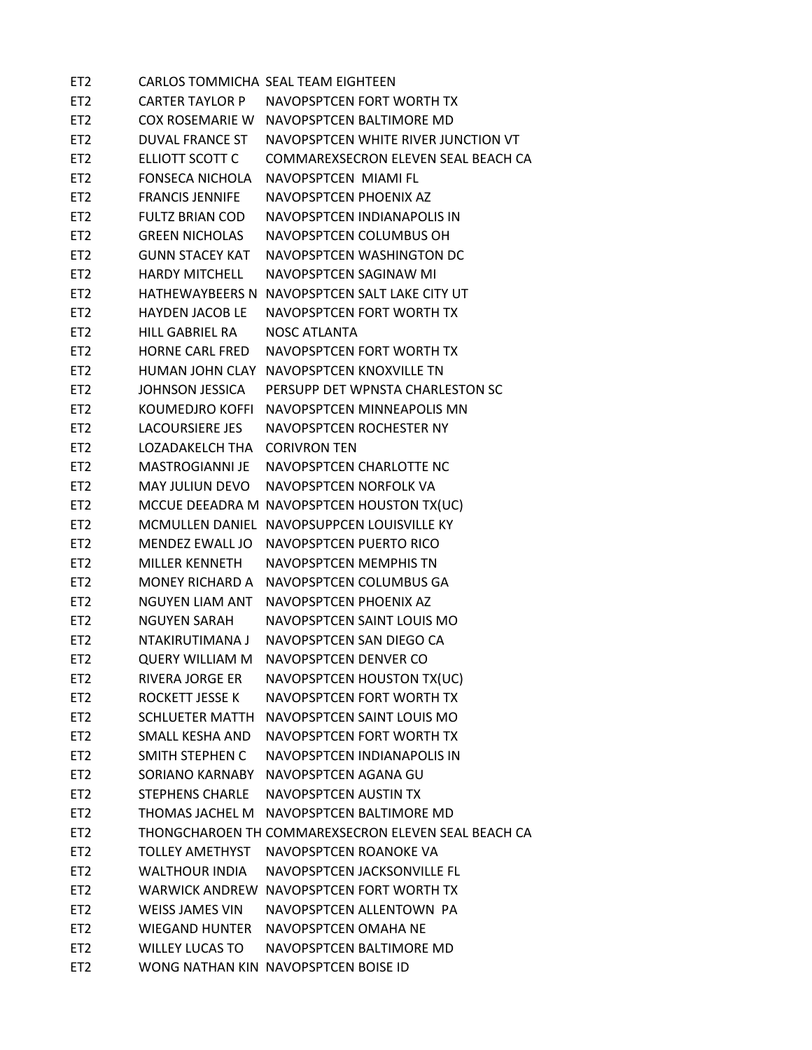| ET <sub>2</sub> |                        | CARLOS TOMMICHA SEAL TEAM EIGHTEEN                  |
|-----------------|------------------------|-----------------------------------------------------|
| ET <sub>2</sub> | CARTER TAYLOR P        | NAVOPSPTCEN FORT WORTH TX                           |
| ET <sub>2</sub> | COX ROSEMARIE W        | NAVOPSPTCFN BALTIMORF MD                            |
| ET <sub>2</sub> | DUVAL FRANCE ST        | NAVOPSPTCEN WHITE RIVER JUNCTION VT                 |
| ET <sub>2</sub> | ELLIOTT SCOTT C        | COMMAREXSECRON ELEVEN SEAL BEACH CA                 |
| ET <sub>2</sub> | <b>FONSECA NICHOLA</b> | NAVOPSPTCEN MIAMI FL                                |
| ET <sub>2</sub> | <b>FRANCIS JENNIFE</b> | NAVOPSPTCEN PHOENIX AZ                              |
| ET <sub>2</sub> | <b>FULTZ BRIAN COD</b> | NAVOPSPTCEN INDIANAPOLIS IN                         |
| ET <sub>2</sub> | <b>GREEN NICHOLAS</b>  | NAVOPSPTCEN COLUMBUS OH                             |
| ET <sub>2</sub> | <b>GUNN STACFY KAT</b> | NAVOPSPTCEN WASHINGTON DC                           |
| ET <sub>2</sub> | <b>HARDY MITCHELL</b>  | NAVOPSPTCEN SAGINAW MI                              |
| ET <sub>2</sub> | HATHEWAYBEERS N        | NAVOPSPTCEN SALT LAKE CITY UT                       |
| ET <sub>2</sub> | <b>HAYDEN JACOB LE</b> | NAVOPSPTCEN FORT WORTH TX                           |
| ET <sub>2</sub> | <b>HILL GABRIEL RA</b> | NOSC ATLANTA                                        |
| ET <sub>2</sub> | <b>HORNE CARL FRED</b> | NAVOPSPTCEN FORT WORTH TX                           |
| ET <sub>2</sub> | HUMAN JOHN CLAY        | NAVOPSPTCEN KNOXVILLE TN                            |
| ET <sub>2</sub> | JOHNSON JESSICA        | PERSUPP DET WPNSTA CHARLESTON SC                    |
| ET <sub>2</sub> | KOUMEDJRO KOFFI        | NAVOPSPTCEN MINNEAPOLIS MN                          |
| ET <sub>2</sub> | <b>LACOURSIERE JES</b> | NAVOPSPTCEN ROCHESTER NY                            |
| ET <sub>2</sub> | LOZADAKELCH THA        | <b>CORIVRON TEN</b>                                 |
| ET <sub>2</sub> | MASTROGIANNI JE        | NAVOPSPTCEN CHARLOTTE NC                            |
| ET <sub>2</sub> | MAY JULIUN DEVO        | NAVOPSPTCEN NORFOLK VA                              |
| ET <sub>2</sub> |                        | MCCUE DEEADRA M NAVOPSPTCEN HOUSTON TX(UC)          |
| ET <sub>2</sub> | <b>MCMULLEN DANIEL</b> | NAVOPSUPPCEN LOUISVILLE KY                          |
| ET <sub>2</sub> | MENDEZ EWALL JO        | NAVOPSPTCEN PUERTO RICO                             |
| ET <sub>2</sub> | <b>MILLER KENNETH</b>  | <b>NAVOPSPTCEN MEMPHIS TN</b>                       |
| ET <sub>2</sub> | <b>MONEY RICHARD A</b> | NAVOPSPTCEN COLUMBUS GA                             |
| ET <sub>2</sub> | <b>NGUYEN LIAM ANT</b> | NAVOPSPTCEN PHOENIX AZ                              |
| ET <sub>2</sub> | <b>NGUYEN SARAH</b>    | NAVOPSPTCEN SAINT LOUIS MO                          |
| ET <sub>2</sub> | NTAKIRUTIMANA J        | NAVOPSPTCEN SAN DIEGO CA                            |
| ET <sub>2</sub> | <b>QUERY WILLIAM M</b> | NAVOPSPTCEN DENVER CO                               |
| ET <sub>2</sub> | <b>RIVERA JORGE ER</b> | NAVOPSPTCEN HOUSTON TX(UC)                          |
| ET <sub>2</sub> | ROCKETT JESSE K        | NAVOPSPTCEN FORT WORTH TX                           |
| ET <sub>2</sub> | <b>SCHLUETER MATTH</b> | NAVOPSPTCEN SAINT LOUIS MO                          |
| ET <sub>2</sub> | SMALL KESHA AND        | NAVOPSPTCEN FORT WORTH TX                           |
| ET <sub>2</sub> | SMITH STEPHEN C        | NAVOPSPTCEN INDIANAPOLIS IN                         |
| ET <sub>2</sub> | SORIANO KARNABY        | NAVOPSPTCEN AGANA GU                                |
| ET <sub>2</sub> | <b>STEPHENS CHARLE</b> | <b>NAVOPSPTCEN AUSTIN TX</b>                        |
| ET <sub>2</sub> | THOMAS JACHEL M        | NAVOPSPTCEN BALTIMORE MD                            |
| ET <sub>2</sub> |                        | THONGCHAROEN TH COMMAREXSECRON ELEVEN SEAL BEACH CA |
| ET <sub>2</sub> | <b>TOLLEY AMETHYST</b> | NAVOPSPTCEN ROANOKE VA                              |
| ET <sub>2</sub> | <b>WALTHOUR INDIA</b>  | NAVOPSPTCEN JACKSONVILLE FL                         |
| ET <sub>2</sub> | WARWICK ANDREW         | NAVOPSPTCEN FORT WORTH TX                           |
| ET <sub>2</sub> | <b>WEISS JAMES VIN</b> | NAVOPSPTCEN ALLENTOWN PA                            |
| ET <sub>2</sub> | <b>WIEGAND HUNTER</b>  | NAVOPSPTCEN OMAHA NE                                |
| ET <sub>2</sub> | <b>WILLEY LUCAS TO</b> | NAVOPSPTCEN BALTIMORE MD                            |
| ET <sub>2</sub> |                        | WONG NATHAN KIN NAVOPSPTCEN BOISE ID                |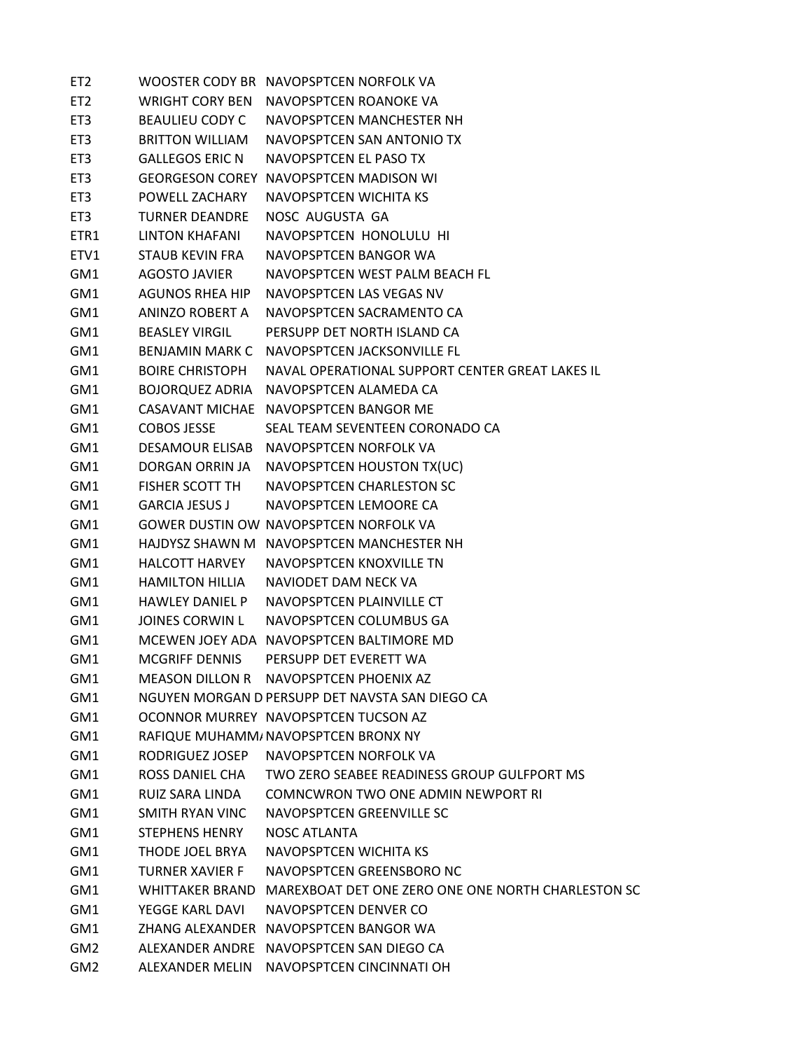| ET <sub>2</sub> |                        | WOOSTER CODY BR NAVOPSPTCEN NORFOLK VA             |
|-----------------|------------------------|----------------------------------------------------|
| ET <sub>2</sub> | WRIGHT CORY BEN        | NAVOPSPTCEN ROANOKE VA                             |
| ET <sub>3</sub> | <b>BEAULIEU CODY C</b> | NAVOPSPTCEN MANCHESTER NH                          |
| ET3             | <b>BRITTON WILLIAM</b> | NAVOPSPTCEN SAN ANTONIO TX                         |
| ET3             | <b>GALLEGOS ERIC N</b> | NAVOPSPTCEN EL PASO TX                             |
| ET <sub>3</sub> |                        | <b>GEORGESON COREY NAVOPSPTCEN MADISON WI</b>      |
| ET3             | POWELL ZACHARY         | <b>NAVOPSPTCEN WICHITA KS</b>                      |
| ET3             | <b>TURNER DEANDRE</b>  | NOSC AUGUSTA GA                                    |
| ETR1            | LINTON KHAFANI         | NAVOPSPTCEN HONOLULU HI                            |
| ETV1            | <b>STAUB KEVIN FRA</b> | NAVOPSPTCEN BANGOR WA                              |
| GM1             | AGOSTO JAVIER          | NAVOPSPTCEN WEST PALM BEACH FL                     |
| GM1             | <b>AGUNOS RHEA HIP</b> | NAVOPSPTCEN LAS VEGAS NV                           |
| GM1             | ANINZO ROBERT A        | NAVOPSPTCEN SACRAMENTO CA                          |
| GM1             | <b>BEASLEY VIRGIL</b>  | PERSUPP DET NORTH ISLAND CA                        |
| GM1             | <b>BENJAMIN MARK C</b> | NAVOPSPTCEN JACKSONVILLE FL                        |
| GM1             | <b>BOIRE CHRISTOPH</b> | NAVAL OPERATIONAL SUPPORT CENTER GREAT LAKES IL    |
| GM1             | BOJORQUEZ ADRIA        | NAVOPSPTCEN ALAMEDA CA                             |
| GM1             |                        | CASAVANT MICHAE NAVOPSPTCEN BANGOR ME              |
| GM1             | <b>COBOS JESSE</b>     | SEAL TEAM SEVENTEEN CORONADO CA                    |
| GM1             |                        | DESAMOUR ELISAB NAVOPSPTCEN NORFOLK VA             |
| GM1             | DORGAN ORRIN JA        | NAVOPSPTCEN HOUSTON TX(UC)                         |
| GM1             | <b>FISHER SCOTT TH</b> | NAVOPSPTCEN CHARLESTON SC                          |
| GM1             | <b>GARCIA JESUS J</b>  | NAVOPSPTCEN LEMOORE CA                             |
| GM1             |                        | GOWER DUSTIN OW NAVOPSPTCEN NORFOLK VA             |
| GM1             |                        | HAJDYSZ SHAWN M NAVOPSPTCEN MANCHESTER NH          |
| GM1             | <b>HALCOTT HARVEY</b>  | NAVOPSPTCEN KNOXVILLE TN                           |
| GM1             | <b>HAMILTON HILLIA</b> | NAVIODET DAM NECK VA                               |
| GM1             | <b>HAWLEY DANIEL P</b> | NAVOPSPTCEN PLAINVILLE CT                          |
| GM1             | <b>JOINES CORWIN L</b> | NAVOPSPTCEN COLUMBUS GA                            |
| GM1             |                        | MCEWEN JOEY ADA NAVOPSPTCEN BALTIMORE MD           |
| GM1             | <b>MCGRIFF DENNIS</b>  | PERSUPP DET EVERETT WA                             |
| GM1             |                        | MEASON DILLON R NAVOPSPTCEN PHOENIX AZ             |
| GM1             |                        | NGUYEN MORGAN D PERSUPP DET NAVSTA SAN DIEGO CA    |
| GM1             |                        | OCONNOR MURREY NAVOPSPTCEN TUCSON AZ               |
| GM1             |                        | RAFIQUE MUHAMM/ NAVOPSPTCEN BRONX NY               |
| GM1             | RODRIGUEZ JOSEP        | NAVOPSPTCEN NORFOLK VA                             |
| GM1             | ROSS DANIEL CHA        | TWO ZERO SEABEE READINESS GROUP GULFPORT MS        |
| GM1             | RUIZ SARA LINDA        | COMNCWRON TWO ONE ADMIN NEWPORT RI                 |
| GM1             | SMITH RYAN VINC        | NAVOPSPTCEN GREENVILLE SC                          |
| GM1             | STEPHENS HENRY         | <b>NOSC ATLANTA</b>                                |
| GM1             | THODE JOEL BRYA        | <b>NAVOPSPTCEN WICHITA KS</b>                      |
| GM1             | <b>TURNER XAVIER F</b> | NAVOPSPTCEN GREENSBORO NC                          |
| GM1             | WHITTAKER BRAND        | MAREXBOAT DET ONE ZERO ONE ONE NORTH CHARLESTON SC |
| GM1             | YEGGE KARL DAVI        | NAVOPSPTCEN DENVER CO                              |
| GM1             |                        | ZHANG ALEXANDER NAVOPSPTCEN BANGOR WA              |
| GM <sub>2</sub> |                        | ALEXANDER ANDRE NAVOPSPTCEN SAN DIEGO CA           |
| GM <sub>2</sub> | ALEXANDER MELIN        | NAVOPSPTCEN CINCINNATI OH                          |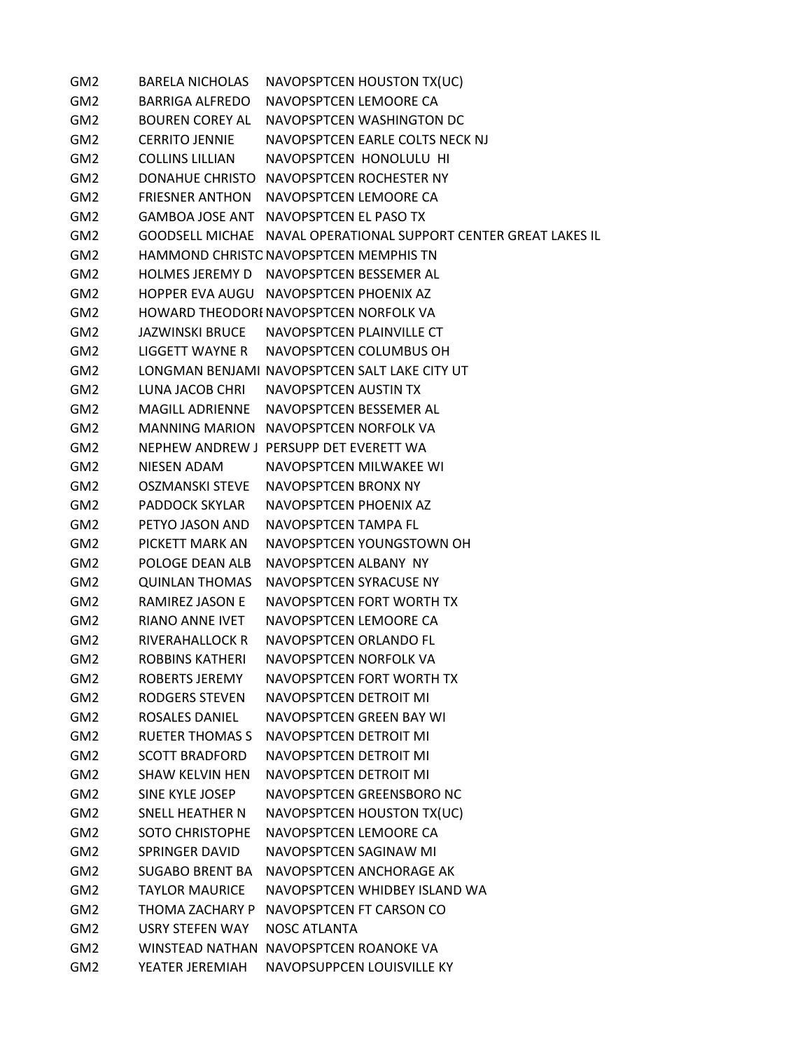GM2 BARELA NICHOLAS NAVOPSPTCEN HOUSTON TX(UC) GM2 BARRIGA ALFREDO NAVOPSPTCEN LEMOORE CA GM2 BOUREN COREY AL NAVOPSPTCEN WASHINGTON DC GM2 CERRITO JENNIE NAVOPSPTCEN EARLE COLTS NECK NJ GM2 COLLINS LILLIAN NAVOPSPTCEN HONOLULU HI GM2 DONAHUE CHRISTO NAVOPSPTCEN ROCHESTER NY GM2 FRIESNER ANTHON NAVOPSPTCEN LEMOORE CA GM2 GAMBOA JOSE ANT NAVOPSPTCEN EL PASO TX GM2 GOODSELL MICHAE NAVAL OPERATIONAL SUPPORT CENTER GREAT LAKES IL GM2 HAMMOND CHRISTONAVOPSPTCEN MEMPHIS TN GM2 HOLMES JEREMY D NAVOPSPTCEN BESSEMER AL GM2 HOPPER EVA AUGU NAVOPSPTCEN PHOENIX AZ GM2 HOWARD THEODORENAVOPSPTCEN NORFOLK VA GM2 JAZWINSKI BRUCE NAVOPSPTCEN PLAINVILLE CT GM2 LIGGETT WAYNE R NAVOPSPTCEN COLUMBUS OH GM2 LONGMAN BENJAMI NAVOPSPTCEN SALT LAKE CITY UT GM2 LUNA JACOB CHRI NAVOPSPTCEN AUSTIN TX GM2 MAGILL ADRIENNE NAVOPSPTCEN BESSEMER AL GM2 MANNING MARION NAVOPSPTCEN NORFOLK VA GM2 NEPHEW ANDREW J PERSUPP DET EVERETT WA GM2 NIESEN ADAM NAVOPSPTCEN MILWAKEE WI GM2 OSZMANSKI STEVE NAVOPSPTCEN BRONX NY GM2 PADDOCK SKYLAR NAVOPSPTCEN PHOENIX AZ GM2 PETYO JASON AND NAVOPSPTCEN TAMPA FL GM2 PICKETT MARK AN NAVOPSPTCEN YOUNGSTOWN OH GM2 POLOGE DEAN ALB NAVOPSPTCEN ALBANY NY GM2 QUINLAN THOMAS NAVOPSPTCEN SYRACUSE NY GM2 RAMIREZ JASON E NAVOPSPTCEN FORT WORTH TX GM2 RIANO ANNE IVET NAVOPSPTCEN LEMOORE CA GM2 RIVERAHALLOCK R NAVOPSPTCEN ORLANDO FL GM2 ROBBINS KATHERI NAVOPSPTCEN NORFOLK VA GM2 ROBERTS JEREMY NAVOPSPTCEN FORT WORTH TX GM2 RODGERS STEVEN NAVOPSPTCEN DETROIT MI GM2 ROSALES DANIEL NAVOPSPTCEN GREEN BAY WI GM2 RUETER THOMAS S NAVOPSPTCEN DETROIT MI GM2 SCOTT BRADFORD NAVOPSPTCEN DETROIT MI GM2 SHAW KELVIN HEN NAVOPSPTCEN DETROIT MI GM2 SINE KYLE JOSEP NAVOPSPTCEN GREENSBORO NC GM2 SNELL HEATHER N NAVOPSPTCEN HOUSTON TX(UC) GM2 SOTO CHRISTOPHE NAVOPSPTCEN LEMOORE CA GM2 SPRINGER DAVID NAVOPSPTCEN SAGINAW MI GM2 SUGABO BRENT BA NAVOPSPTCEN ANCHORAGE AK GM2 TAYLOR MAURICE NAVOPSPTCEN WHIDBEY ISLAND WA GM2 THOMA ZACHARY P NAVOPSPTCEN FT CARSON CO GM2 USRY STEFEN WAY NOSC ATLANTA GM2 WINSTEAD NATHAN NAVOPSPTCEN ROANOKE VA GM2 YEATER JEREMIAH NAVOPSUPPCEN LOUISVILLE KY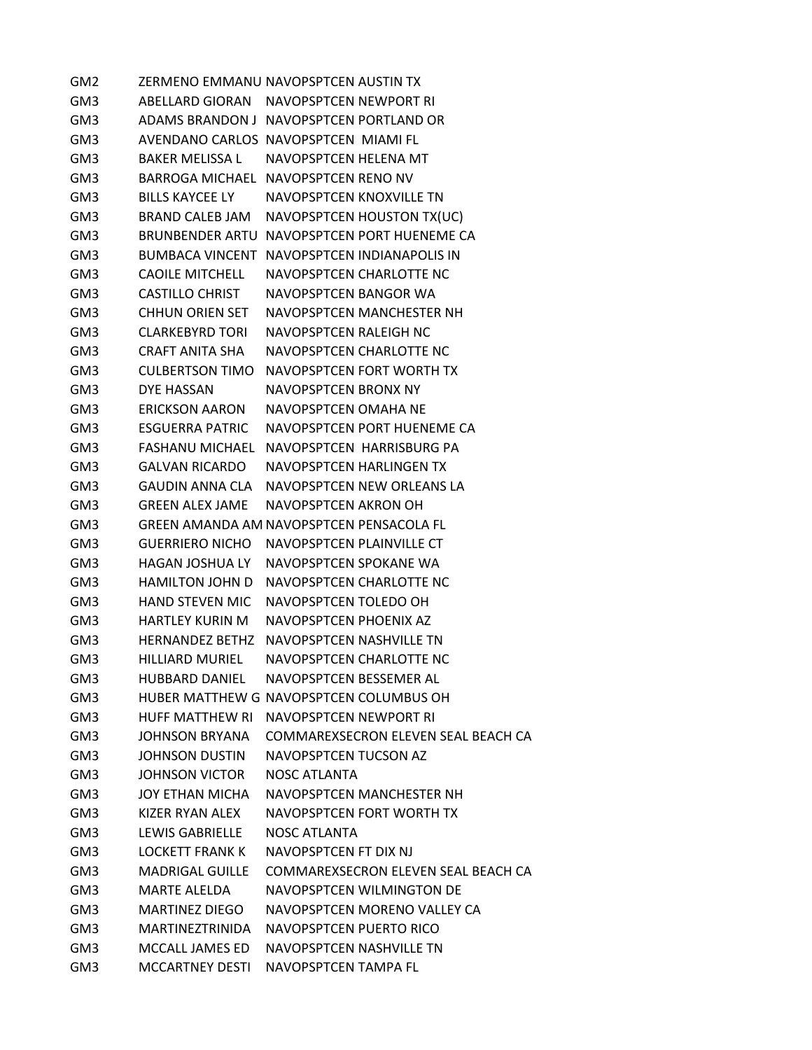GM2 ZERMENO EMMANU NAVOPSPTCEN AUSTIN TX GM3 ABELLARD GIORAN NAVOPSPTCEN NEWPORT RI GM3 ADAMS BRANDON J NAVOPSPTCEN PORTLAND OR GM3 AVENDANO CARLOS NAVOPSPTCEN MIAMI FL GM3 BAKER MELISSA L NAVOPSPTCEN HELENA MT GM3 BARROGA MICHAEL NAVOPSPTCEN RENO NV GM3 BILLS KAYCEE LY NAVOPSPTCEN KNOXVILLE TN GM3 BRAND CALEB JAM NAVOPSPTCEN HOUSTON TX(UC) GM3 BRUNBENDER ARTU NAVOPSPTCEN PORT HUENEME CA GM3 BUMBACA VINCENT NAVOPSPTCEN INDIANAPOLIS IN GM3 CAOILE MITCHELL NAVOPSPTCEN CHARLOTTE NC GM3 CASTILLO CHRIST NAVOPSPTCEN BANGOR WA GM3 CHHUN ORIEN SET NAVOPSPTCEN MANCHESTER NH GM3 CLARKEBYRD TORI NAVOPSPTCEN RALEIGH NC GM3 CRAFT ANITA SHA NAVOPSPTCEN CHARLOTTE NC GM3 CULBERTSON TIMO NAVOPSPTCEN FORT WORTH TX GM3 DYE HASSAN NAVOPSPTCEN BRONX NY GM3 ERICKSON AARON NAVOPSPTCEN OMAHA NE GM3 ESGUERRA PATRIC NAVOPSPTCEN PORT HUENEME CA GM3 FASHANU MICHAEL NAVOPSPTCEN HARRISBURG PA GM3 GALVAN RICARDO NAVOPSPTCEN HARLINGEN TX GM3 GAUDIN ANNA CLA NAVOPSPTCEN NEW ORLEANS LA GM3 GREEN ALEX JAME NAVOPSPTCEN AKRON OH GM3 GREEN AMANDA AM NAVOPSPTCEN PENSACOLA FL GM3 GUERRIERO NICHO NAVOPSPTCEN PLAINVILLE CT GM3 HAGAN JOSHUA LY NAVOPSPTCEN SPOKANE WA GM3 HAMILTON JOHN D NAVOPSPTCEN CHARLOTTE NC GM3 HAND STEVEN MIC NAVOPSPTCEN TOLEDO OH GM3 HARTLEY KURIN M NAVOPSPTCEN PHOENIX AZ GM3 HERNANDEZ BETHZ NAVOPSPTCEN NASHVILLE TN GM3 HILLIARD MURIEL NAVOPSPTCEN CHARLOTTE NC GM3 HUBBARD DANIEL NAVOPSPTCEN BESSEMER AL GM3 HUBER MATTHEW G NAVOPSPTCEN COLUMBUS OH GM3 HUFF MATTHEW RI NAVOPSPTCEN NEWPORT RI GM3 JOHNSON BRYANA COMMAREXSECRON ELEVEN SEAL BEACH CA GM3 JOHNSON DUSTIN NAVOPSPTCEN TUCSON AZ GM3 JOHNSON VICTOR NOSC ATLANTA GM3 JOY ETHAN MICHA NAVOPSPTCEN MANCHESTER NH GM3 KIZER RYAN ALEX NAVOPSPTCEN FORT WORTH TX GM3 LEWIS GABRIELLE NOSC ATLANTA GM3 LOCKETT FRANK K NAVOPSPTCEN FT DIX NJ GM3 MADRIGAL GUILLE COMMAREXSECRON ELEVEN SEAL BEACH CA GM3 MARTE ALELDA NAVOPSPTCEN WILMINGTON DE GM3 MARTINEZ DIEGO NAVOPSPTCEN MORENO VALLEY CA GM3 MARTINEZTRINIDA NAVOPSPTCEN PUERTO RICO GM3 MCCALL JAMES ED NAVOPSPTCEN NASHVILLE TN GM3 MCCARTNEY DESTI NAVOPSPTCEN TAMPA FL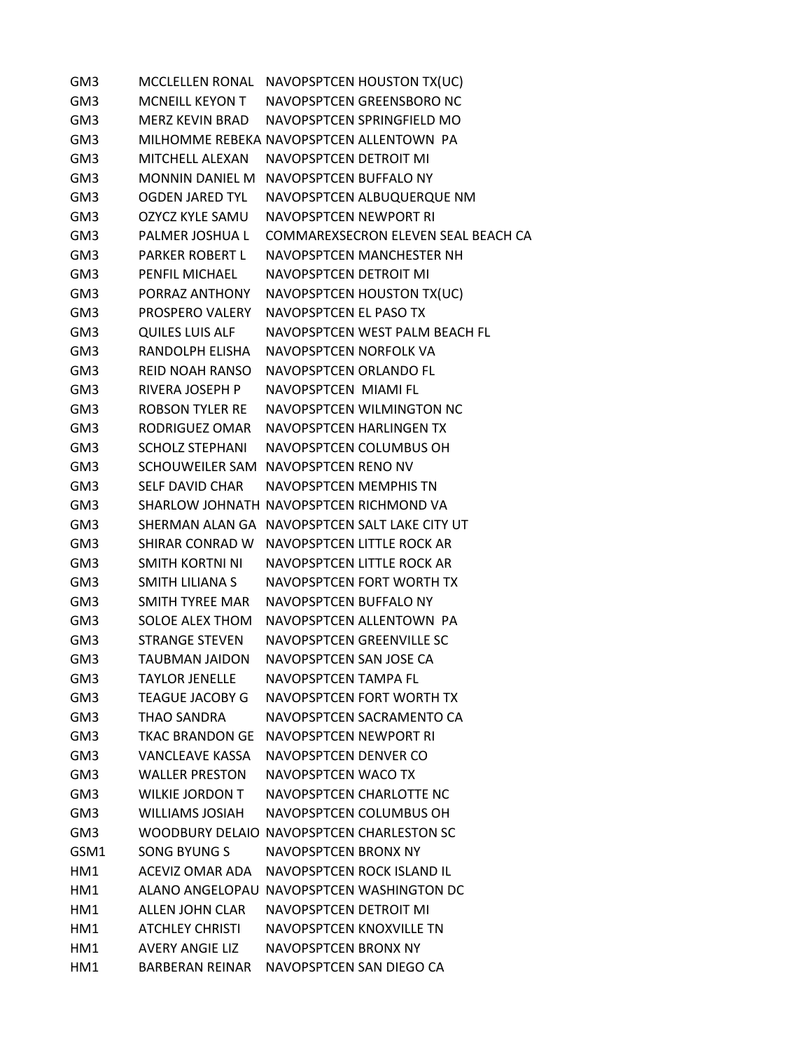| GM3             |                        | MCCLELLEN RONAL NAVOPSPTCEN HOUSTON TX(UC)    |
|-----------------|------------------------|-----------------------------------------------|
| GM3             | MCNEILL KEYON T        | NAVOPSPTCEN GREENSBORO NC                     |
| GM3             | MERZ KEVIN BRAD        | NAVOPSPTCEN SPRINGFIELD MO                    |
| GM3             |                        | MILHOMME REBEKA NAVOPSPTCEN ALLENTOWN PA      |
| GM3             | <b>MITCHELL ALEXAN</b> | NAVOPSPTCEN DETROIT MI                        |
| GM3             | MONNIN DANIEL M        | NAVOPSPTCEN BUFFALO NY                        |
| GM3             | <b>OGDEN JARED TYL</b> | NAVOPSPTCEN ALBUQUERQUE NM                    |
| GM3             | OZYCZ KYLE SAMU        | NAVOPSPTCEN NEWPORT RI                        |
| GM3             | PALMER JOSHUA L        | <b>COMMAREXSECRON ELEVEN SEAL BEACH CA</b>    |
| GM3             | <b>PARKER ROBERT L</b> | NAVOPSPTCEN MANCHESTER NH                     |
| GM3             | PENFIL MICHAEL         | NAVOPSPTCEN DETROIT MI                        |
| GM3             | PORRAZ ANTHONY         | NAVOPSPTCEN HOUSTON TX(UC)                    |
| GM3             | PROSPERO VALERY        | NAVOPSPTCEN EL PASO TX                        |
| GM3             | <b>QUILES LUIS ALF</b> | NAVOPSPTCEN WEST PALM BEACH FL                |
| GM3             | RANDOLPH ELISHA        | NAVOPSPTCEN NORFOLK VA                        |
| GM3             | <b>REID NOAH RANSO</b> | NAVOPSPTCEN ORLANDO FL                        |
| GM3             | RIVERA JOSEPH P        | NAVOPSPTCEN MIAMI FL                          |
| GM3             | ROBSON TYLER RE        | NAVOPSPTCEN WILMINGTON NC                     |
| GM3             | RODRIGUEZ OMAR         | NAVOPSPTCEN HARLINGEN TX                      |
| GM3             | <b>SCHOLZ STEPHANI</b> | NAVOPSPTCEN COLUMBUS OH                       |
| GM3             |                        | SCHOUWEILER SAM NAVOPSPTCEN RENO NV           |
| GM3             | <b>SELF DAVID CHAR</b> | NAVOPSPTCEN MEMPHIS TN                        |
| GM3             |                        | SHARLOW JOHNATH NAVOPSPTCEN RICHMOND VA       |
| GM3             |                        | SHERMAN ALAN GA NAVOPSPTCEN SALT LAKE CITY UT |
| GM3             | SHIRAR CONRAD W        | NAVOPSPTCEN LITTLE ROCK AR                    |
| GM3             | SMITH KORTNI NI        | NAVOPSPTCEN LITTLE ROCK AR                    |
| GM3             | SMITH LILIANA S        | NAVOPSPTCEN FORT WORTH TX                     |
| GM3             | SMITH TYREE MAR        | NAVOPSPTCEN BUFFALO NY                        |
| GM3             | SOLOE ALEX THOM        | NAVOPSPTCEN ALLENTOWN PA                      |
| GM3             | <b>STRANGE STEVEN</b>  | NAVOPSPTCEN GREENVILLE SC                     |
| GM3             | <b>TAUBMAN JAIDON</b>  | NAVOPSPTCEN SAN JOSE CA                       |
| GM3             | <b>TAYLOR JENELLE</b>  | NAVOPSPTCEN TAMPA FL                          |
| GM3             | <b>TEAGUE JACOBY G</b> | NAVOPSPTCEN FORT WORTH TX                     |
| GM3             | THAO SANDRA            | NAVOPSPTCEN SACRAMENTO CA                     |
| GM3             | <b>TKAC BRANDON GE</b> | NAVOPSPTCEN NEWPORT RI                        |
| GM3             | <b>VANCLEAVE KASSA</b> | NAVOPSPTCEN DENVER CO                         |
| GM <sub>3</sub> | <b>WALLER PRESTON</b>  | NAVOPSPTCEN WACO TX                           |
| GM3             | <b>WILKIF JORDON T</b> | NAVOPSPTCFN CHARLOTTF NC                      |
| GM3             | <b>WILLIAMS JOSIAH</b> | NAVOPSPTCEN COLUMBUS OH                       |
| GM3             |                        | WOODBURY DELAIO NAVOPSPTCEN CHARLESTON SC     |
| GSM1            | <b>SONG BYUNG S</b>    | NAVOPSPTCEN BRONX NY                          |
| HM1             | ACEVIZ OMAR ADA        | NAVOPSPTCEN ROCK ISLAND IL                    |
| HM1             |                        | ALANO ANGELOPAU NAVOPSPTCEN WASHINGTON DC     |
| HM1             | ALLEN JOHN CLAR        | NAVOPSPTCEN DETROIT MI                        |
| HM1             | <b>ATCHLEY CHRISTI</b> | NAVOPSPTCEN KNOXVILLE TN                      |
| HM1             | <b>AVERY ANGIE LIZ</b> | NAVOPSPTCEN BRONX NY                          |
| HM1             | BARBERAN REINAR        | NAVOPSPTCEN SAN DIEGO CA                      |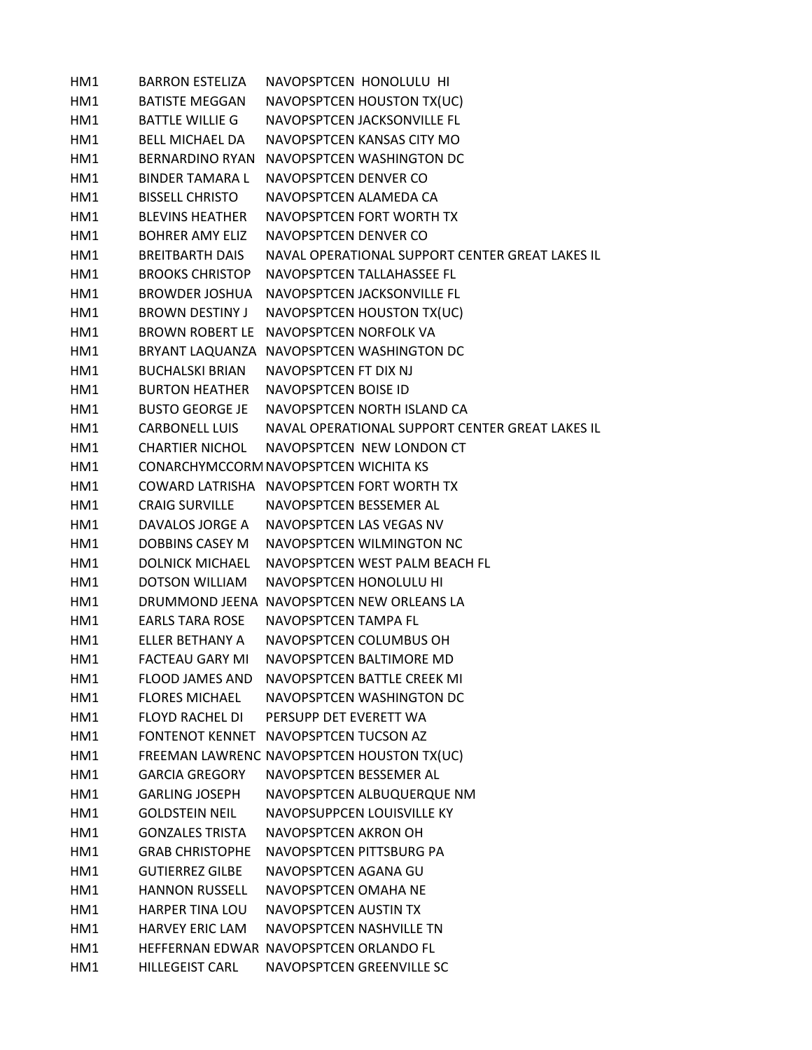| HM1 | <b>BARRON ESTELIZA</b> | NAVOPSPTCEN HONOLULU HI                         |
|-----|------------------------|-------------------------------------------------|
| HM1 | <b>BATISTE MEGGAN</b>  | NAVOPSPTCEN HOUSTON TX(UC)                      |
| HM1 | <b>BATTLE WILLIE G</b> | NAVOPSPTCEN JACKSONVILLE FL                     |
| HM1 | <b>BELL MICHAEL DA</b> | NAVOPSPTCEN KANSAS CITY MO                      |
| HM1 | BERNARDINO RYAN        | NAVOPSPTCEN WASHINGTON DC                       |
| HM1 | <b>BINDER TAMARA L</b> | NAVOPSPTCEN DENVER CO                           |
| HM1 | <b>BISSELL CHRISTO</b> | NAVOPSPTCEN ALAMEDA CA                          |
| HM1 | <b>BLEVINS HEATHER</b> | NAVOPSPTCEN FORT WORTH TX                       |
| HM1 | <b>BOHRER AMY ELIZ</b> | NAVOPSPTCEN DENVER CO                           |
| HM1 | <b>BREITBARTH DAIS</b> | NAVAL OPERATIONAL SUPPORT CENTER GREAT LAKES IL |
| HM1 | <b>BROOKS CHRISTOP</b> | NAVOPSPTCEN TALLAHASSEE FL                      |
| HM1 | BROWDER JOSHUA         | NAVOPSPTCEN JACKSONVILLE FL                     |
| HM1 | <b>BROWN DESTINY J</b> | NAVOPSPTCEN HOUSTON TX(UC)                      |
| HM1 | BROWN ROBERT LE        | NAVOPSPTCEN NORFOLK VA                          |
| HM1 |                        | BRYANT LAQUANZA NAVOPSPTCEN WASHINGTON DC       |
| HM1 | <b>BUCHALSKI BRIAN</b> | NAVOPSPTCEN FT DIX NJ                           |
| HM1 | <b>BURTON HEATHER</b>  | NAVOPSPTCEN BOISE ID                            |
| HM1 | <b>BUSTO GEORGE JE</b> | NAVOPSPTCEN NORTH ISLAND CA                     |
| HM1 | <b>CARBONELL LUIS</b>  | NAVAL OPERATIONAL SUPPORT CENTER GREAT LAKES IL |
| HM1 | <b>CHARTIER NICHOL</b> | NAVOPSPTCEN NEW LONDON CT                       |
| HM1 |                        | CONARCHYMCCORM NAVOPSPTCEN WICHITA KS           |
| HM1 |                        | COWARD LATRISHA NAVOPSPTCEN FORT WORTH TX       |
| HM1 | <b>CRAIG SURVILLE</b>  | NAVOPSPTCEN BESSEMER AL                         |
| HM1 | DAVALOS JORGE A        | NAVOPSPTCEN LAS VEGAS NV                        |
| HM1 | <b>DOBBINS CASEY M</b> | NAVOPSPTCEN WILMINGTON NC                       |
| HM1 | <b>DOLNICK MICHAEL</b> | NAVOPSPTCEN WEST PALM BEACH FL                  |
| HM1 | <b>DOTSON WILLIAM</b>  | <b>NAVOPSPTCEN HONOLULU HI</b>                  |
| HM1 |                        | DRUMMOND JEENA NAVOPSPTCEN NEW ORLEANS LA       |
| HM1 | <b>EARLS TARA ROSE</b> | NAVOPSPTCEN TAMPA FL                            |
| HM1 | ELLER BETHANY A        | NAVOPSPTCEN COLUMBUS OH                         |
| HM1 | <b>FACTEAU GARY MI</b> | NAVOPSPTCEN BALTIMORE MD                        |
| HM1 | <b>FLOOD JAMES AND</b> | NAVOPSPTCEN BATTLE CREEK MI                     |
| HM1 | <b>FLORES MICHAEL</b>  | NAVOPSPTCEN WASHINGTON DC                       |
| HM1 | <b>FLOYD RACHEL DI</b> | PERSUPP DET EVERETT WA                          |
| HM1 |                        | FONTENOT KENNET NAVOPSPTCEN TUCSON AZ           |
| HM1 |                        | FREEMAN LAWRENC NAVOPSPTCEN HOUSTON TX(UC)      |
| HM1 | <b>GARCIA GREGORY</b>  | NAVOPSPTCEN BESSEMER AL                         |
| HM1 | <b>GARLING JOSEPH</b>  | NAVOPSPTCEN ALBUQUERQUE NM                      |
| HM1 | <b>GOLDSTEIN NEIL</b>  | NAVOPSUPPCEN LOUISVILLE KY                      |
| HM1 | <b>GONZALES TRISTA</b> | NAVOPSPTCEN AKRON OH                            |
| HM1 | <b>GRAB CHRISTOPHE</b> | NAVOPSPTCEN PITTSBURG PA                        |
| HM1 | <b>GUTIERREZ GILBE</b> | NAVOPSPTCEN AGANA GU                            |
| HM1 | <b>HANNON RUSSELL</b>  | NAVOPSPTCEN OMAHA NE                            |
| HM1 | HARPER TINA LOU        | NAVOPSPTCEN AUSTIN TX                           |
| HM1 | <b>HARVEY ERIC LAM</b> | NAVOPSPTCEN NASHVILLE TN                        |
| HM1 |                        | HEFFERNAN EDWAR NAVOPSPTCEN ORLANDO FL          |
| HM1 | HILLEGEIST CARL        | NAVOPSPTCEN GREENVILLE SC                       |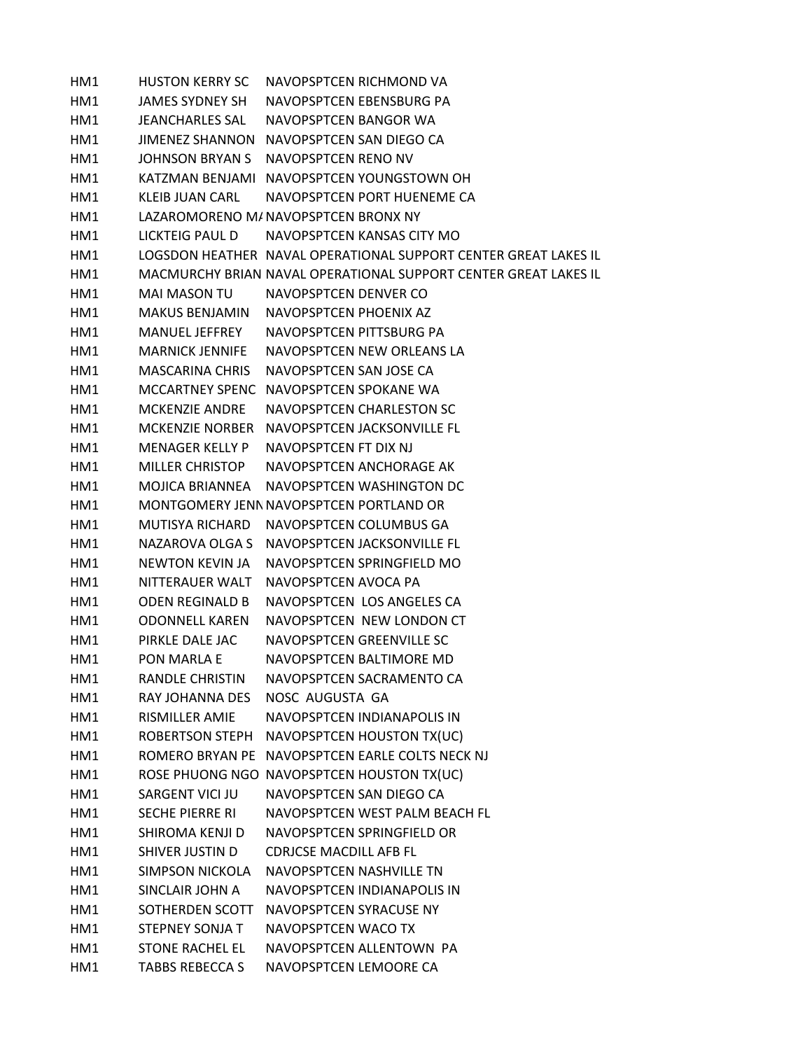HM1 HUSTON KERRY SC NAVOPSPTCEN RICHMOND VA HM1 JAMES SYDNEY SH NAVOPSPTCEN EBENSBURG PA HM1 JEANCHARLES SAL NAVOPSPTCEN BANGOR WA HM1 JIMENEZ SHANNON NAVOPSPTCEN SAN DIEGO CA HM1 JOHNSON BRYAN S NAVOPSPTCEN RENO NV HM1 KATZMAN BENJAMI NAVOPSPTCEN YOUNGSTOWN OH HM1 KLEIB JUAN CARL NAVOPSPTCEN PORT HUENEME CA HM1 LAZAROMORENO M/NAVOPSPTCEN BRONX NY HM1 LICKTEIG PAUL D NAVOPSPTCEN KANSAS CITY MO HM1 LOGSDON HEATHER NAVAL OPERATIONAL SUPPORT CENTER GREAT LAKES IL HM1 MACMURCHY BRIAN NAVAL OPERATIONAL SUPPORT CENTER GREAT LAKES IL HM1 MAI MASON TU NAVOPSPTCEN DENVER CO HM1 MAKUS BENJAMIN NAVOPSPTCEN PHOENIX AZ HM1 MANUEL JEFFREY NAVOPSPTCEN PITTSBURG PA HM1 MARNICK JENNIFE NAVOPSPTCEN NEW ORLEANS LA HM1 MASCARINA CHRIS NAVOPSPTCEN SAN JOSE CA HM1 MCCARTNEY SPENC NAVOPSPTCEN SPOKANE WA HM1 MCKENZIE ANDRE NAVOPSPTCEN CHARLESTON SC HM1 MCKENZIE NORBER NAVOPSPTCEN JACKSONVILLE FL HM1 MENAGER KELLY P NAVOPSPTCEN FT DIX NJ HM1 MILLER CHRISTOP NAVOPSPTCEN ANCHORAGE AK HM1 MOJICA BRIANNEA NAVOPSPTCEN WASHINGTON DC HM1 MONTGOMERY JENNNAVOPSPTCEN PORTLAND OR HM1 MUTISYA RICHARD NAVOPSPTCEN COLUMBUS GA HM1 NAZAROVA OLGA S NAVOPSPTCEN JACKSONVILLE FL HM1 NEWTON KEVIN JA NAVOPSPTCEN SPRINGFIELD MO HM1 NITTERAUER WALT NAVOPSPTCEN AVOCA PA HM1 ODEN REGINALD B NAVOPSPTCEN LOS ANGELES CA HM1 ODONNELL KAREN NAVOPSPTCEN NEW LONDON CT HM1 PIRKLE DALE JAC NAVOPSPTCEN GREENVILLE SC HM1 PON MARLA E NAVOPSPTCEN BALTIMORE MD HM1 RANDLE CHRISTIN NAVOPSPTCEN SACRAMENTO CA HM1 RAY JOHANNA DES NOSC AUGUSTA GA HM1 RISMILLER AMIE NAVOPSPTCEN INDIANAPOLIS IN HM1 ROBERTSON STEPH NAVOPSPTCEN HOUSTON TX(UC) HM1 ROMERO BRYAN PE NAVOPSPTCEN EARLE COLTS NECK NJ HM1 ROSE PHUONG NGO NAVOPSPTCEN HOUSTON TX(UC) HM1 SARGENT VICI JU NAVOPSPTCEN SAN DIEGO CA HM1 SECHE PIERRE RI NAVOPSPTCEN WEST PALM BEACH FL HM1 SHIROMA KENJI D NAVOPSPTCEN SPRINGFIELD OR HM1 SHIVER JUSTIN D CDRJCSE MACDILL AFB FL HM1 SIMPSON NICKOLA NAVOPSPTCEN NASHVILLE TN HM1 SINCLAIR JOHN A NAVOPSPTCEN INDIANAPOLIS IN HM1 SOTHERDEN SCOTT NAVOPSPTCEN SYRACUSE NY HM1 STEPNEY SONJA T NAVOPSPTCEN WACO TX HM1 STONE RACHEL EL NAVOPSPTCEN ALLENTOWN PA HM1 TABBS REBECCA S NAVOPSPTCEN LEMOORE CA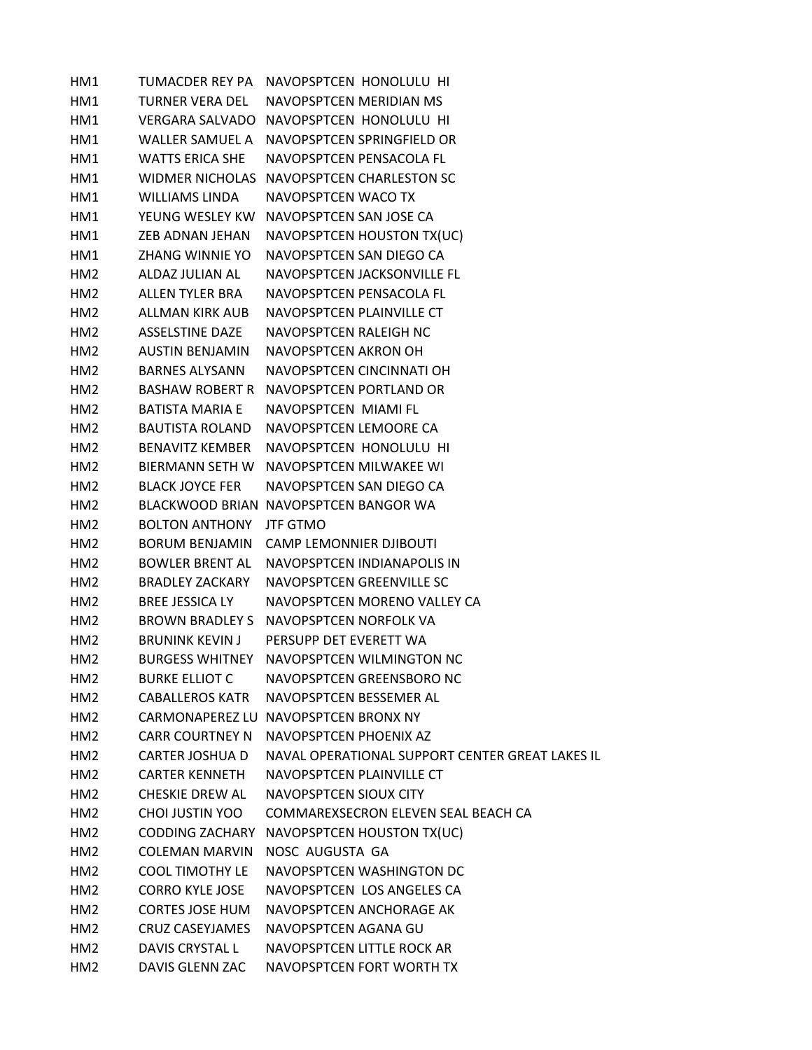| HM1             | TUMACDER REY PA        | NAVOPSPTCEN HONOLULU HI                         |
|-----------------|------------------------|-------------------------------------------------|
| HM1             | <b>TURNER VERA DEL</b> | NAVOPSPTCEN MERIDIAN MS                         |
| HM1             |                        | VERGARA SALVADO NAVOPSPTCEN HONOLULU HI         |
| HM1             | WALLER SAMUEL A        | NAVOPSPTCEN SPRINGFIELD OR                      |
| HM1             | <b>WATTS ERICA SHE</b> | NAVOPSPTCEN PENSACOLA FL                        |
| HM1             | WIDMER NICHOLAS        | NAVOPSPTCEN CHARLESTON SC                       |
| HM1             | <b>WILLIAMS LINDA</b>  | NAVOPSPTCEN WACO TX                             |
| HM1             | YEUNG WESLEY KW        | NAVOPSPTCEN SAN JOSE CA                         |
| HM1             | ZEB ADNAN JEHAN        | NAVOPSPTCEN HOUSTON TX(UC)                      |
| HM1             | ZHANG WINNIE YO        | NAVOPSPTCEN SAN DIEGO CA                        |
| HM <sub>2</sub> | ALDAZ JULIAN AL        | NAVOPSPTCEN JACKSONVILLE FL                     |
| HM <sub>2</sub> | <b>ALLEN TYLER BRA</b> | NAVOPSPTCEN PENSACOLA FL                        |
| HM <sub>2</sub> | ALLMAN KIRK AUB        | NAVOPSPTCEN PLAINVILLE CT                       |
| HM <sub>2</sub> | <b>ASSELSTINE DAZE</b> | NAVOPSPTCEN RALEIGH NC                          |
| HM <sub>2</sub> | <b>AUSTIN BENJAMIN</b> | NAVOPSPTCEN AKRON OH                            |
| HM <sub>2</sub> | <b>BARNES ALYSANN</b>  | NAVOPSPTCEN CINCINNATI OH                       |
| HM <sub>2</sub> | BASHAW ROBERT R        | NAVOPSPTCEN PORTLAND OR                         |
| HM <sub>2</sub> | <b>BATISTA MARIA E</b> | NAVOPSPTCEN MIAMI FL                            |
| HM <sub>2</sub> | <b>BAUTISTA ROLAND</b> | NAVOPSPTCEN LEMOORE CA                          |
| HM2             | <b>BENAVITZ KEMBER</b> | NAVOPSPTCEN HONOLULU HI                         |
| HM <sub>2</sub> | BIERMANN SETH W        | NAVOPSPTCEN MILWAKEE WI                         |
| HM2             | <b>BLACK JOYCE FER</b> | NAVOPSPTCEN SAN DIEGO CA                        |
| HM <sub>2</sub> |                        | BLACKWOOD BRIAN NAVOPSPTCEN BANGOR WA           |
| HM <sub>2</sub> | <b>BOLTON ANTHONY</b>  | <b>JTF GTMO</b>                                 |
| HM <sub>2</sub> | <b>BORUM BENJAMIN</b>  | CAMP LEMONNIER DJIBOUTI                         |
| HM <sub>2</sub> | <b>BOWLER BRENT AL</b> | NAVOPSPTCEN INDIANAPOLIS IN                     |
| HM <sub>2</sub> | <b>BRADLEY ZACKARY</b> | NAVOPSPTCEN GREENVILLE SC                       |
| HM <sub>2</sub> | <b>BREE JESSICA LY</b> | NAVOPSPTCEN MORENO VALLEY CA                    |
| HM <sub>2</sub> | BROWN BRADLEY S        | NAVOPSPTCEN NORFOLK VA                          |
| HM <sub>2</sub> | <b>BRUNINK KEVIN J</b> | PERSUPP DET EVERETT WA                          |
| HM <sub>2</sub> | <b>BURGESS WHITNEY</b> | NAVOPSPTCEN WILMINGTON NC                       |
| HM <sub>2</sub> | <b>BURKE ELLIOT C</b>  | NAVOPSPTCEN GREENSBORO NC                       |
| HM <sub>2</sub> | <b>CABALLEROS KATR</b> | NAVOPSPTCEN BESSEMER AL                         |
| HM <sub>2</sub> |                        | CARMONAPEREZ LU NAVOPSPTCEN BRONX NY            |
| HM <sub>2</sub> | <b>CARR COURTNEY N</b> | NAVOPSPTCEN PHOENIX AZ                          |
| HM2             | <b>CARTER JOSHUA D</b> | NAVAL OPERATIONAL SUPPORT CENTER GREAT LAKES IL |
| HM2             | <b>CARTER KENNETH</b>  | NAVOPSPTCEN PLAINVILLE CT                       |
| HM <sub>2</sub> | CHESKIE DREW AL        | NAVOPSPTCEN SIOUX CITY                          |
| HM2             | <b>CHOI JUSTIN YOO</b> | COMMAREXSECRON ELEVEN SEAL BEACH CA             |
| HM <sub>2</sub> | <b>CODDING ZACHARY</b> | NAVOPSPTCEN HOUSTON TX(UC)                      |
| HM <sub>2</sub> | <b>COLEMAN MARVIN</b>  | NOSC AUGUSTA GA                                 |
| HM <sub>2</sub> | <b>COOL TIMOTHY LE</b> | NAVOPSPTCEN WASHINGTON DC                       |
| HM <sub>2</sub> | <b>CORRO KYLE JOSE</b> | NAVOPSPTCEN LOS ANGELES CA                      |
| HM <sub>2</sub> | <b>CORTES JOSE HUM</b> | NAVOPSPTCEN ANCHORAGE AK                        |
| HM2             | <b>CRUZ CASEYJAMES</b> | NAVOPSPTCEN AGANA GU                            |
| HM <sub>2</sub> | DAVIS CRYSTAL L        | NAVOPSPTCEN LITTLE ROCK AR                      |
| HM <sub>2</sub> | DAVIS GLENN ZAC        | NAVOPSPTCEN FORT WORTH TX                       |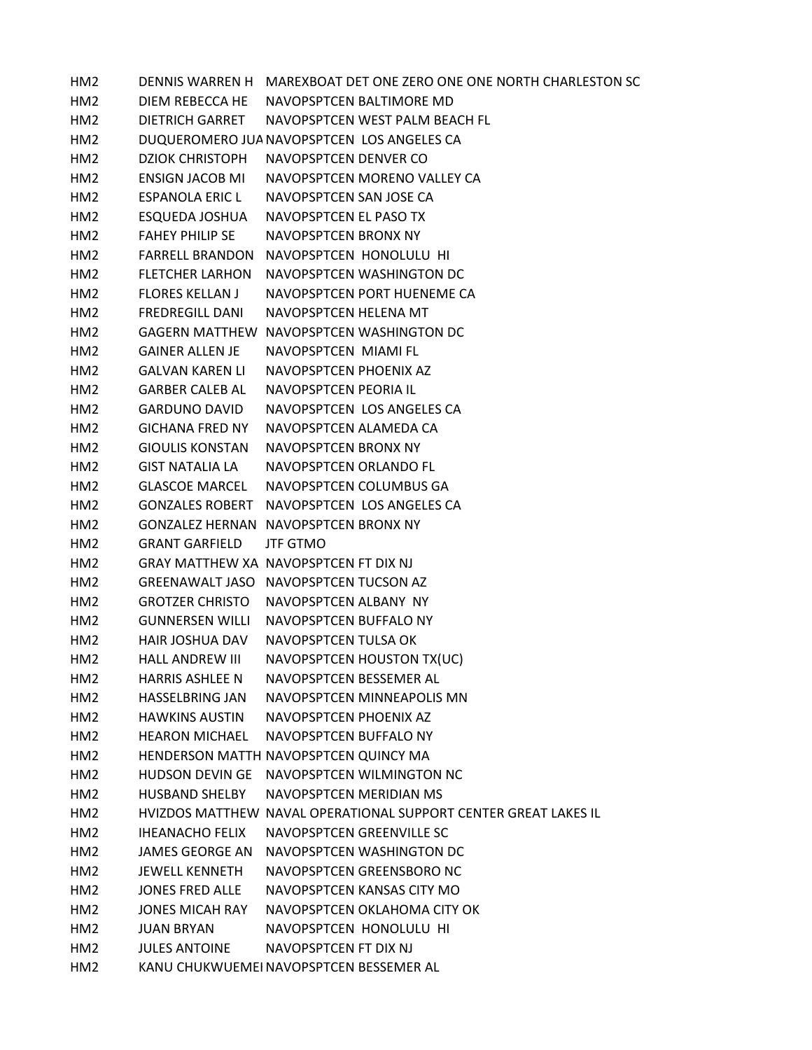HM2 DENNIS WARREN H MAREXBOAT DET ONE ZERO ONE ONE NORTH CHARLESTON SC HM2 DIEM REBECCA HE NAVOPSPTCEN BALTIMORE MD HM2 DIETRICH GARRET NAVOPSPTCEN WEST PALM BEACH FL HM2 DUQUEROMERO JUANAVOPSPTCEN LOS ANGELES CA HM2 DZIOK CHRISTOPH NAVOPSPTCEN DENVER CO HM2 ENSIGN JACOB MI NAVOPSPTCEN MORENO VALLEY CA HM2 ESPANOLA ERIC L NAVOPSPTCEN SAN JOSE CA HM2 ESQUEDA JOSHUA NAVOPSPTCEN EL PASO TX HM2 FAHEY PHILIP SE NAVOPSPTCEN BRONX NY HM2 FARRELL BRANDON NAVOPSPTCEN HONOLULU HI HM2 FLETCHER LARHON NAVOPSPTCEN WASHINGTON DC HM2 FLORES KELLAN J NAVOPSPTCEN PORT HUENEME CA HM2 FREDREGILL DANI NAVOPSPTCEN HELENA MT HM2 GAGERN MATTHEW NAVOPSPTCEN WASHINGTON DC HM2 GAINER ALLEN JE NAVOPSPTCEN MIAMI FL HM2 GALVAN KAREN LI NAVOPSPTCEN PHOENIX AZ HM2 GARBER CALEB AL NAVOPSPTCEN PEORIA IL HM2 GARDUNO DAVID NAVOPSPTCEN LOS ANGELES CA HM2 GICHANA FRED NY NAVOPSPTCEN ALAMEDA CA HM2 GIOULIS KONSTAN NAVOPSPTCEN BRONX NY HM2 GIST NATALIA LA NAVOPSPTCEN ORLANDO FL HM2 GLASCOE MARCEL NAVOPSPTCEN COLUMBUS GA HM2 GONZALES ROBERT NAVOPSPTCEN LOS ANGELES CA HM2 GONZALEZ HERNAN NAVOPSPTCEN BRONX NY HM2 GRANT GARFIELD JTF GTMO HM2 GRAY MATTHEW XA NAVOPSPTCEN FT DIX NJ HM2 GREENAWALT JASO NAVOPSPTCEN TUCSON AZ HM2 GROTZER CHRISTO NAVOPSPTCEN ALBANY NY HM2 GUNNERSEN WILLI NAVOPSPTCEN BUFFALO NY HM2 HAIR JOSHUA DAV NAVOPSPTCEN TULSA OK HM2 HALL ANDREW III NAVOPSPTCEN HOUSTON TX(UC) HM2 HARRIS ASHLEE N NAVOPSPTCEN BESSEMER AL HM2 HASSELBRING JAN NAVOPSPTCEN MINNEAPOLIS MN HM2 HAWKINS AUSTIN NAVOPSPTCEN PHOENIX AZ HM2 HEARON MICHAEL NAVOPSPTCEN BUFFALO NY HM2 HENDERSON MATTH NAVOPSPTCEN QUINCY MA HM2 HUDSON DEVIN GE NAVOPSPTCEN WILMINGTON NC HM2 HUSBAND SHELBY NAVOPSPTCEN MERIDIAN MS HM2 HVIZDOS MATTHEW NAVAL OPERATIONAL SUPPORT CENTER GREAT LAKES IL HM2 IHEANACHO FELIX NAVOPSPTCEN GREENVILLE SC HM2 JAMES GEORGE AN NAVOPSPTCEN WASHINGTON DC HM2 JEWELL KENNETH NAVOPSPTCEN GREENSBORO NC HM2 JONES FRED ALLE NAVOPSPTCEN KANSAS CITY MO HM2 JONES MICAH RAY NAVOPSPTCEN OKLAHOMA CITY OK HM2 JUAN BRYAN NAVOPSPTCEN HONOLULU HI HM2 JULES ANTOINE NAVOPSPTCEN FT DIX NJ HM2 KANU CHUKWUEMEI NAVOPSPTCEN BESSEMER AL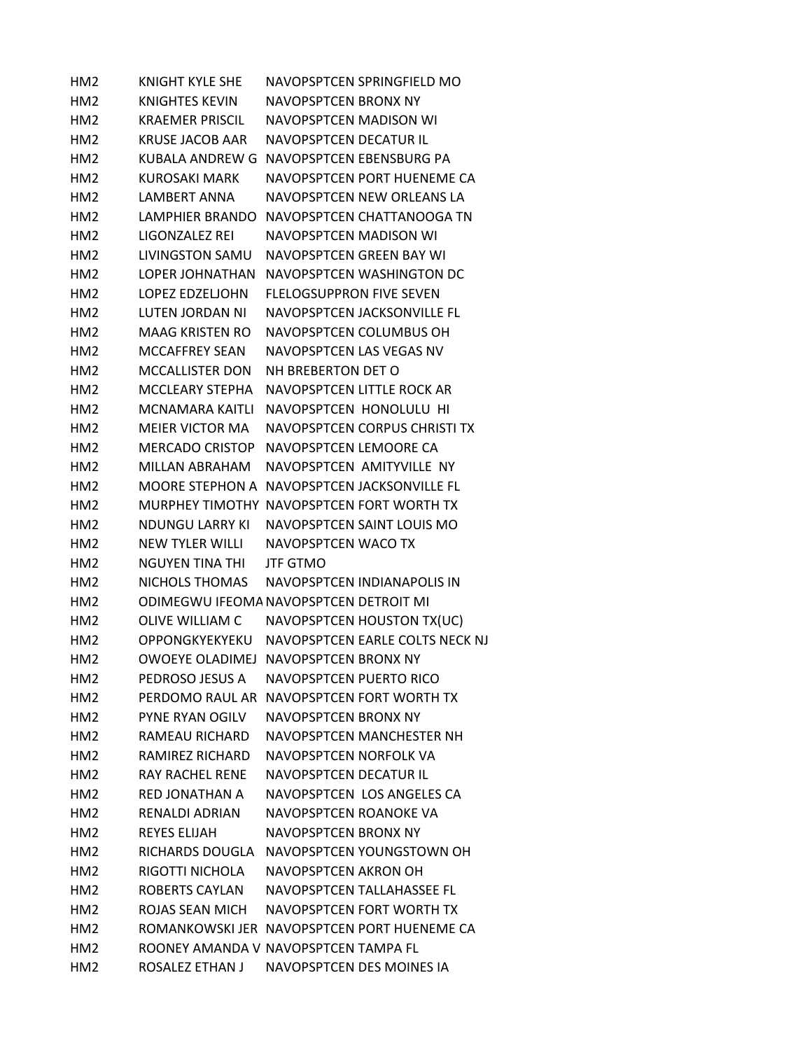| HM <sub>2</sub> | KNIGHT KYLE SHE        | NAVOPSPTCEN SPRINGFIELD MO                  |
|-----------------|------------------------|---------------------------------------------|
| HM <sub>2</sub> | KNIGHTES KEVIN         | NAVOPSPTCFN BRONX NY                        |
| HM <sub>2</sub> | KRAFMFR PRISCIL        | NAVOPSPTCFN MADISON WI                      |
| HM <sub>2</sub> | <b>KRUSE JACOB AAR</b> | NAVOPSPTCEN DECATUR IL                      |
| HM <sub>2</sub> | KUBALA ANDREW G        | NAVOPSPTCEN EBENSBURG PA                    |
| HM <sub>2</sub> | KUROSAKI MARK          | NAVOPSPTCEN PORT HUENEME CA                 |
| HM <sub>2</sub> | LAMBERT ANNA           | NAVOPSPTCEN NEW ORLEANS LA                  |
| HM <sub>2</sub> | <b>LAMPHIER BRANDO</b> | NAVOPSPTCEN CHATTANOOGA TN                  |
| HM <sub>2</sub> | LIGONZALEZ REI         | NAVOPSPTCEN MADISON WI                      |
| HM <sub>2</sub> | <b>LIVINGSTON SAMU</b> | NAVOPSPTCEN GREEN BAY WI                    |
| HM2             | <b>LOPER JOHNATHAN</b> | NAVOPSPTCEN WASHINGTON DC                   |
| HM <sub>2</sub> | LOPEZ EDZELJOHN        | <b>FLELOGSUPPRON FIVE SEVEN</b>             |
| HM <sub>2</sub> | LUTEN JORDAN NI        | NAVOPSPTCEN JACKSONVILLE FL                 |
| HM <sub>2</sub> | <b>MAAG KRISTEN RO</b> | NAVOPSPTCEN COLUMBUS OH                     |
| HM <sub>2</sub> | <b>MCCAFFREY SEAN</b>  | NAVOPSPTCEN LAS VEGAS NV                    |
| HM <sub>2</sub> | <b>MCCALLISTER DON</b> | NH BREBERTON DET O                          |
| HM <sub>2</sub> | <b>MCCLEARY STEPHA</b> | NAVOPSPTCEN LITTLE ROCK AR                  |
| HM <sub>2</sub> | MCNAMARA KAITLI        | NAVOPSPTCEN HONOLULU HI                     |
| HM <sub>2</sub> | <b>MEIER VICTOR MA</b> | NAVOPSPTCEN CORPUS CHRISTI TX               |
| HM <sub>2</sub> | <b>MERCADO CRISTOP</b> | NAVOPSPTCEN LEMOORE CA                      |
| HM <sub>2</sub> | MILLAN ABRAHAM         | NAVOPSPTCEN AMITYVILLE NY                   |
| HM <sub>2</sub> |                        | MOORE STEPHON A NAVOPSPTCEN JACKSONVILLE FL |
| HM <sub>2</sub> |                        | MURPHEY TIMOTHY NAVOPSPTCEN FORT WORTH TX   |
| HM <sub>2</sub> | NDUNGU LARRY KI        | NAVOPSPTCEN SAINT LOUIS MO                  |
| HM <sub>2</sub> | NEW TYLER WILLI        | NAVOPSPTCEN WACO TX                         |
| HM <sub>2</sub> | <b>NGUYEN TINA THI</b> | <b>JTF GTMO</b>                             |
| HM <sub>2</sub> | NICHOLS THOMAS         | NAVOPSPTCEN INDIANAPOLIS IN                 |
| HM <sub>2</sub> |                        | ODIMEGWU IFEOMA NAVOPSPTCEN DETROIT MI      |
| HM <sub>2</sub> | <b>OLIVE WILLIAM C</b> | NAVOPSPTCEN HOUSTON TX(UC)                  |
| HM <sub>2</sub> | OPPONGKYEKYEKU         | NAVOPSPTCEN EARLE COLTS NECK NJ             |
| HM <sub>2</sub> |                        | OWOEYE OLADIMEJ NAVOPSPTCEN BRONX NY        |
| HM <sub>2</sub> | PEDROSO JESUS A        | <b>NAVOPSPTCEN PUERTO RICO</b>              |
| HM <sub>2</sub> | PFRDOMO RAUL AR        | NAVOPSPTCEN FORT WORTH TX                   |
| HM <sub>2</sub> | PYNE RYAN OGILV        | NAVOPSPTCEN BRONX NY                        |
| HM2             | RAMFAU RICHARD         | NAVOPSPTCEN MANCHESTER NH                   |
| HM <sub>2</sub> | RAMIREZ RICHARD        | NAVOPSPTCEN NORFOLK VA                      |
| HM2             | <b>RAY RACHEL RENE</b> | NAVOPSPTCEN DECATUR IL                      |
| HM <sub>2</sub> | RED JONATHAN A         | NAVOPSPTCEN LOS ANGELES CA                  |
| HM <sub>2</sub> | RENALDI ADRIAN         | NAVOPSPTCEN ROANOKE VA                      |
| HM <sub>2</sub> | <b>REYES ELIJAH</b>    | NAVOPSPTCEN BRONX NY                        |
| HM <sub>2</sub> | RICHARDS DOUGLA        | NAVOPSPTCEN YOUNGSTOWN OH                   |
| HM2             | RIGOTTI NICHOLA        | NAVOPSPTCEN AKRON OH                        |
| HM <sub>2</sub> | <b>ROBERTS CAYLAN</b>  | NAVOPSPTCEN TALLAHASSEE FL                  |
| HM <sub>2</sub> | ROJAS SEAN MICH        | NAVOPSPTCEN FORT WORTH TX                   |
| HM <sub>2</sub> |                        | ROMANKOWSKI JER NAVOPSPTCEN PORT HUENEME CA |
| HM <sub>2</sub> |                        | ROONEY AMANDA V NAVOPSPTCEN TAMPA FL        |
| HM <sub>2</sub> | ROSALEZ ETHAN J        | NAVOPSPTCEN DES MOINES IA                   |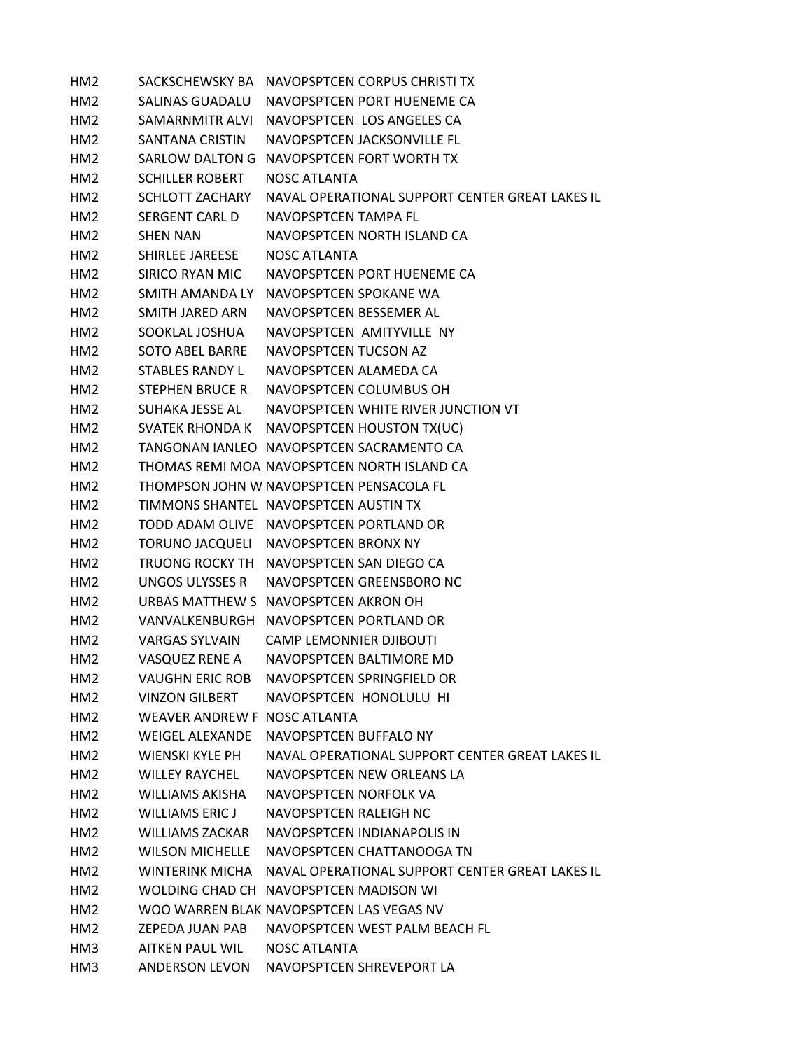| HM <sub>2</sub> |                              | SACKSCHEWSKY BA NAVOPSPTCEN CORPUS CHRISTI TX                   |
|-----------------|------------------------------|-----------------------------------------------------------------|
| HM2             |                              | SALINAS GUADALU NAVOPSPTCEN PORT HUENEME CA                     |
| HM2             |                              | SAMARNMITR ALVI NAVOPSPTCEN LOS ANGELES CA                      |
| HM2             | SANTANA CRISTIN              | NAVOPSPTCEN JACKSONVILLE FL                                     |
| HM <sub>2</sub> |                              | SARLOW DALTON G NAVOPSPTCEN FORT WORTH TX                       |
| HM <sub>2</sub> | <b>SCHILLER ROBERT</b>       | <b>NOSC ATLANTA</b>                                             |
| HM2             | SCHLOTT ZACHARY              | NAVAL OPERATIONAL SUPPORT CENTER GREAT LAKES IL                 |
| HM <sub>2</sub> | SERGENT CARL D               | NAVOPSPTCEN TAMPA FL                                            |
| HM2             | <b>SHEN NAN</b>              | NAVOPSPTCEN NORTH ISLAND CA                                     |
| HM <sub>2</sub> | SHIRLEE JAREESE              | <b>NOSC ATLANTA</b>                                             |
| HM <sub>2</sub> | SIRICO RYAN MIC              | NAVOPSPTCEN PORT HUENEME CA                                     |
| HM <sub>2</sub> |                              | SMITH AMANDA LY NAVOPSPTCEN SPOKANE WA                          |
| HM <sub>2</sub> | SMITH JARED ARN              | NAVOPSPTCEN BESSEMER AL                                         |
| HM <sub>2</sub> | SOOKLAL JOSHUA               | NAVOPSPTCEN AMITYVILLE NY                                       |
| HM <sub>2</sub> | <b>SOTO ABEL BARRE</b>       | NAVOPSPTCEN TUCSON AZ                                           |
| HM <sub>2</sub> | <b>STABLES RANDY L</b>       | NAVOPSPTCEN ALAMEDA CA                                          |
| HM2             |                              | STEPHEN BRUCE R NAVOPSPTCEN COLUMBUS OH                         |
| HM2             |                              | SUHAKA JESSE AL NAVOPSPTCEN WHITE RIVER JUNCTION VT             |
| HM <sub>2</sub> |                              | SVATEK RHONDA K NAVOPSPTCEN HOUSTON TX(UC)                      |
| HM <sub>2</sub> |                              | TANGONAN IANLEO NAVOPSPTCEN SACRAMENTO CA                       |
| HM2             |                              | THOMAS REMI MOA NAVOPSPTCEN NORTH ISLAND CA                     |
| HM <sub>2</sub> |                              | THOMPSON JOHN W NAVOPSPTCEN PENSACOLA FL                        |
| HM <sub>2</sub> |                              | TIMMONS SHANTEL NAVOPSPTCEN AUSTIN TX                           |
| HM <sub>2</sub> |                              | TODD ADAM OLIVE NAVOPSPTCEN PORTLAND OR                         |
| HM <sub>2</sub> |                              | TORUNO JACQUELI NAVOPSPTCEN BRONX NY                            |
| HM <sub>2</sub> |                              | TRUONG ROCKY TH NAVOPSPTCEN SAN DIEGO CA                        |
| HM <sub>2</sub> |                              | UNGOS ULYSSES R NAVOPSPTCEN GREENSBORO NC                       |
| HM2             |                              | URBAS MATTHEW S NAVOPSPTCEN AKRON OH                            |
| HM2             |                              | VANVALKENBURGH NAVOPSPTCEN PORTLAND OR                          |
| HM <sub>2</sub> | VARGAS SYLVAIN               | <b>CAMP LEMONNIER DJIBOUTI</b>                                  |
| HM <sub>2</sub> | VASQUEZ RENE A               | NAVOPSPTCEN BALTIMORE MD                                        |
| HM <sub>2</sub> | <b>VAUGHN ERIC ROB</b>       | NAVOPSPTCEN SPRINGFIELD OR                                      |
| HM2             | <b>VINZON GILBERT</b>        | NAVOPSPTCEN HONOLULU HI                                         |
| HM2             | WEAVER ANDREW F NOSC ATLANTA |                                                                 |
| HM2             | WEIGEL ALEXANDE              | NAVOPSPTCEN BUFFALO NY                                          |
| HM <sub>2</sub> | WIENSKI KYLE PH              | NAVAL OPERATIONAL SUPPORT CENTER GREAT LAKES IL                 |
| HM2             | <b>WILLEY RAYCHEL</b>        | NAVOPSPTCEN NEW ORLEANS LA                                      |
| HM2             | <b>WILLIAMS AKISHA</b>       | NAVOPSPTCEN NORFOLK VA                                          |
| HM <sub>2</sub> | <b>WILLIAMS ERIC J</b>       | NAVOPSPTCEN RALEIGH NC                                          |
| HM2             | <b>WILLIAMS ZACKAR</b>       | NAVOPSPTCEN INDIANAPOLIS IN                                     |
| HM <sub>2</sub> | <b>WILSON MICHELLE</b>       | NAVOPSPTCEN CHATTANOOGA TN                                      |
| HM2             |                              | WINTERINK MICHA NAVAL OPERATIONAL SUPPORT CENTER GREAT LAKES IL |
| HM2             |                              | WOLDING CHAD CH NAVOPSPTCEN MADISON WI                          |
| HM2             |                              | WOO WARREN BLAK NAVOPSPTCEN LAS VEGAS NV                        |
| HM <sub>2</sub> | ZEPEDA JUAN PAB              | NAVOPSPTCEN WEST PALM BEACH FL                                  |
| HM3             | AITKEN PAUL WIL              | <b>NOSC ATLANTA</b>                                             |
| HM <sub>3</sub> | ANDERSON LEVON               | NAVOPSPTCEN SHREVEPORT LA                                       |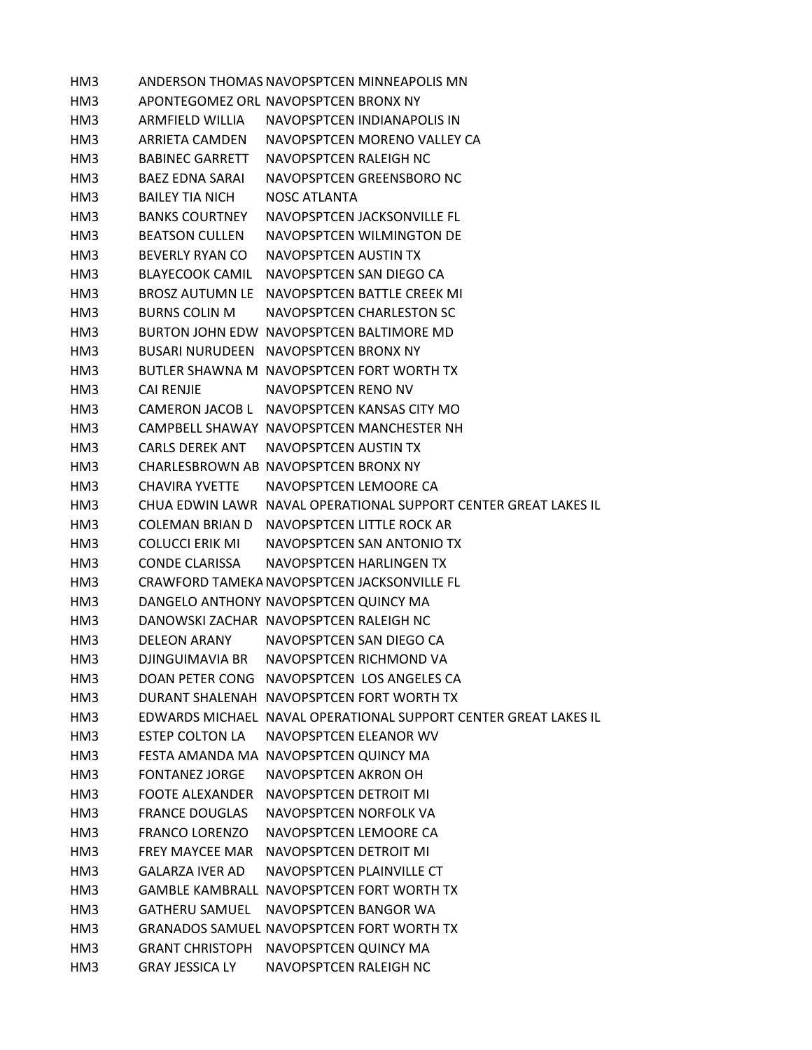HM3 ANDERSON THOMAS NAVOPSPTCEN MINNEAPOLIS MN HM3 APONTEGOMEZ ORL NAVOPSPTCEN BRONX NY HM3 ARMFIELD WILLIA NAVOPSPTCEN INDIANAPOLIS IN HM3 ARRIETA CAMDEN NAVOPSPTCEN MORENO VALLEY CA HM3 BABINEC GARRETT NAVOPSPTCEN RALEIGH NC HM3 BAEZ EDNA SARAI NAVOPSPTCEN GREENSBORO NC HM3 BAILEY TIA NICH NOSC ATLANTA HM3 BANKS COURTNEY NAVOPSPTCEN JACKSONVILLE FL HM3 BEATSON CULLEN NAVOPSPTCEN WILMINGTON DE HM3 BEVERLY RYAN CO NAVOPSPTCEN AUSTIN TX HM3 BLAYECOOK CAMIL NAVOPSPTCEN SAN DIEGO CA HM3 BROSZ AUTUMN LE NAVOPSPTCEN BATTLE CREEK MI HM3 BURNS COLIN M NAVOPSPTCEN CHARLESTON SC HM3 BURTON JOHN EDW NAVOPSPTCEN BALTIMORE MD HM3 BUSARI NURUDEEN NAVOPSPTCEN BRONX NY HM3 BUTLER SHAWNA M NAVOPSPTCEN FORT WORTH TX HM3 CAI RENJIE NAVOPSPTCEN RENO NV HM3 CAMERON JACOB L NAVOPSPTCEN KANSAS CITY MO HM3 CAMPBELL SHAWAY NAVOPSPTCEN MANCHESTER NH HM3 CARLS DEREK ANT NAVOPSPTCEN AUSTIN TX HM3 CHARLESBROWN AB NAVOPSPTCEN BRONX NY HM3 CHAVIRA YVETTE NAVOPSPTCEN LEMOORE CA HM3 CHUA EDWIN LAWR NAVAL OPERATIONAL SUPPORT CENTER GREAT LAKES IL HM3 COLEMAN BRIAN D NAVOPSPTCEN LITTLE ROCK AR HM3 COLUCCI ERIK MI NAVOPSPTCEN SAN ANTONIO TX HM3 CONDE CLARISSA NAVOPSPTCEN HARLINGEN TX HM3 CRAWFORD TAMEKA NAVOPSPTCEN JACKSONVILLE FL HM3 DANGELO ANTHONY NAVOPSPTCEN QUINCY MA HM3 DANOWSKI ZACHAR NAVOPSPTCEN RALEIGH NC HM3 DELEON ARANY NAVOPSPTCEN SAN DIEGO CA HM3 DJINGUIMAVIA BR NAVOPSPTCEN RICHMOND VA HM3 DOAN PETER CONG NAVOPSPTCEN LOS ANGELES CA HM3 DURANT SHALENAH NAVOPSPTCEN FORT WORTH TX HM3 EDWARDS MICHAEL NAVAL OPERATIONAL SUPPORT CENTER GREAT LAKES IL HM3 ESTEP COLTON LA NAVOPSPTCEN ELEANOR WV HM3 FESTA AMANDA MA NAVOPSPTCEN QUINCY MA HM3 FONTANEZ JORGE NAVOPSPTCEN AKRON OH HM3 FOOTE ALEXANDER NAVOPSPTCEN DETROIT MI HM3 FRANCE DOUGLAS NAVOPSPTCEN NORFOLK VA HM3 FRANCO LORENZO NAVOPSPTCEN LEMOORE CA HM3 FREY MAYCEE MAR NAVOPSPTCEN DETROIT MI HM3 GALARZA IVER AD NAVOPSPTCEN PLAINVILLE CT HM3 GAMBLE KAMBRALL NAVOPSPTCEN FORT WORTH TX HM3 GATHERU SAMUEL NAVOPSPTCEN BANGOR WA HM3 GRANADOS SAMUEL NAVOPSPTCEN FORT WORTH TX HM3 GRANT CHRISTOPH NAVOPSPTCEN QUINCY MA HM3 GRAY JESSICA LY NAVOPSPTCEN RALEIGH NC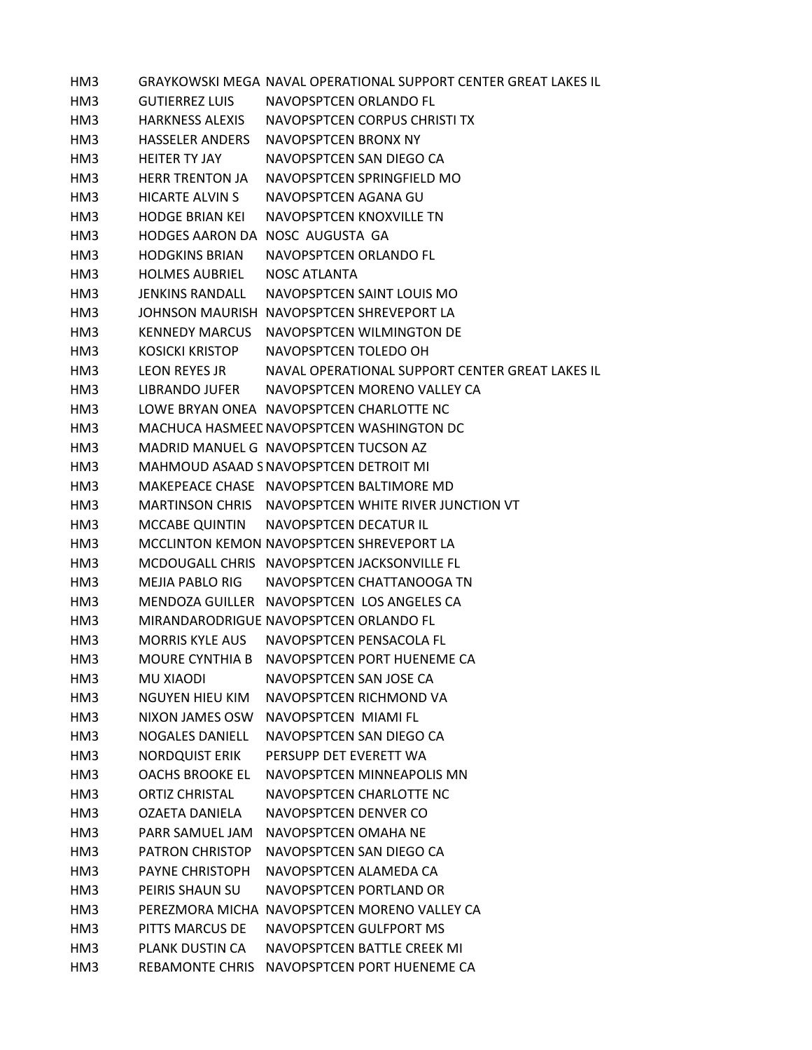HM3 GRAYKOWSKI MEGA NAVAL OPERATIONAL SUPPORT CENTER GREAT LAKES IL HM3 GUTIERREZ LUIS NAVOPSPTCEN ORLANDO FL HM3 HARKNESS ALEXIS NAVOPSPTCEN CORPUS CHRISTI TX HM3 HASSELER ANDERS NAVOPSPTCEN BRONX NY HM3 HEITER TY JAY NAVOPSPTCEN SAN DIEGO CA HM3 HERR TRENTON JA NAVOPSPTCEN SPRINGFIELD MO HM3 HICARTE ALVIN S NAVOPSPTCEN AGANA GU HM3 HODGE BRIAN KEI NAVOPSPTCEN KNOXVILLE TN HM3 HODGES AARON DA NOSC AUGUSTA GA HM3 HODGKINS BRIAN NAVOPSPTCEN ORLANDO FL HM3 HOLMES AUBRIEL NOSC ATLANTA HM3 JENKINS RANDALL NAVOPSPTCEN SAINT LOUIS MO HM3 JOHNSON MAURISH NAVOPSPTCEN SHREVEPORT LA HM3 KENNEDY MARCUS NAVOPSPTCEN WILMINGTON DE HM3 KOSICKI KRISTOP NAVOPSPTCEN TOLEDO OH HM3 LEON REYES JR NAVAL OPERATIONAL SUPPORT CENTER GREAT LAKES IL HM3 LIBRANDO JUFER NAVOPSPTCEN MORENO VALLEY CA HM3 LOWE BRYAN ONEA NAVOPSPTCEN CHARLOTTE NC HM3 MACHUCA HASMEEDNAVOPSPTCEN WASHINGTON DC HM3 MADRID MANUEL G NAVOPSPTCEN TUCSON AZ HM3 MAHMOUD ASAAD SNAVOPSPTCEN DETROIT MI HM3 MAKEPEACE CHASE NAVOPSPTCEN BALTIMORE MD HM3 MARTINSON CHRIS NAVOPSPTCEN WHITE RIVER JUNCTION VT HM3 MCCABE QUINTIN NAVOPSPTCEN DECATUR IL HM3 MCCLINTON KEMON NAVOPSPTCEN SHREVEPORT LA HM3 MCDOUGALL CHRIS NAVOPSPTCEN JACKSONVILLE FL HM3 MEJIA PABLO RIG NAVOPSPTCEN CHATTANOOGA TN HM3 MENDOZA GUILLER NAVOPSPTCEN LOS ANGELES CA HM3 MIRANDARODRIGUE NAVOPSPTCEN ORLANDO FL HM3 MORRIS KYLE AUS NAVOPSPTCEN PENSACOLA FL HM3 MOURE CYNTHIA B NAVOPSPTCEN PORT HUENEME CA HM3 MU XIAODI NAVOPSPTCEN SAN JOSE CA HM3 NGUYEN HIEU KIM NAVOPSPTCEN RICHMOND VA HM3 NIXON JAMES OSW NAVOPSPTCEN MIAMI FL HM3 NOGALES DANIELL NAVOPSPTCEN SAN DIEGO CA HM3 NORDQUIST ERIK PERSUPP DET EVERETT WA HM3 OACHS BROOKE EL NAVOPSPTCEN MINNEAPOLIS MN HM3 ORTIZ CHRISTAL NAVOPSPTCEN CHARLOTTE NC HM3 OZAETA DANIELA NAVOPSPTCEN DENVER CO HM3 PARR SAMUEL JAM NAVOPSPTCEN OMAHA NE HM3 PATRON CHRISTOP NAVOPSPTCEN SAN DIEGO CA HM3 PAYNE CHRISTOPH NAVOPSPTCEN ALAMEDA CA HM3 PEIRIS SHAUN SU NAVOPSPTCEN PORTLAND OR HM3 PEREZMORA MICHA NAVOPSPTCEN MORENO VALLEY CA HM3 PITTS MARCUS DE NAVOPSPTCEN GULFPORT MS HM3 PLANK DUSTIN CA NAVOPSPTCEN BATTLE CREEK MI HM3 REBAMONTE CHRIS NAVOPSPTCEN PORT HUENEME CA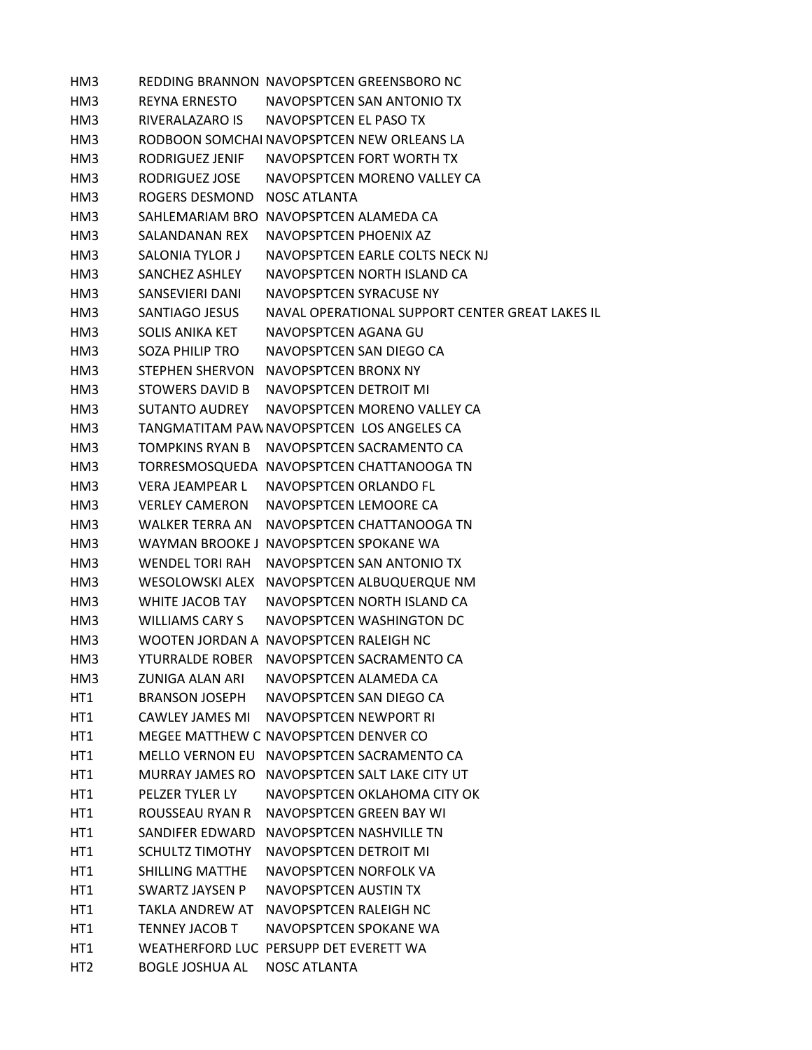HM3 REDDING BRANNON NAVOPSPTCEN GREENSBORO NC HM3 REYNA ERNESTO NAVOPSPTCEN SAN ANTONIO TX HM3 RIVERALAZARO IS NAVOPSPTCEN EL PASO TX HM3 RODBOON SOMCHAI NAVOPSPTCEN NEW ORLEANS LA HM3 RODRIGUEZ JENIF NAVOPSPTCEN FORT WORTH TX HM3 RODRIGUEZ JOSE NAVOPSPTCEN MORENO VALLEY CA HM3 ROGERS DESMOND NOSC ATLANTA HM3 SAHLEMARIAM BRO NAVOPSPTCEN ALAMEDA CA HM3 SALANDANAN REX NAVOPSPTCEN PHOENIX AZ HM3 SALONIA TYLOR J NAVOPSPTCEN EARLE COLTS NECK NJ HM3 SANCHEZ ASHLEY NAVOPSPTCEN NORTH ISLAND CA HM3 SANSEVIERI DANI NAVOPSPTCEN SYRACUSE NY HM3 SANTIAGO JESUS NAVAL OPERATIONAL SUPPORT CENTER GREAT LAKES IL HM3 SOLIS ANIKA KET NAVOPSPTCEN AGANA GU HM3 SOZA PHILIP TRO NAVOPSPTCEN SAN DIEGO CA HM3 STEPHEN SHERVON NAVOPSPTCEN BRONX NY HM3 STOWERS DAVID B NAVOPSPTCEN DETROIT MI HM3 SUTANTO AUDREY NAVOPSPTCEN MORENO VALLEY CA HM3 TANGMATITAM PAWNAVOPSPTCEN LOS ANGELES CA HM3 TOMPKINS RYAN B NAVOPSPTCEN SACRAMENTO CA HM3 TORRESMOSQUEDA NAVOPSPTCEN CHATTANOOGA TN HM3 VERA JEAMPEAR L NAVOPSPTCEN ORLANDO FL HM3 VERLEY CAMERON NAVOPSPTCEN LEMOORE CA HM3 WALKER TERRA AN NAVOPSPTCEN CHATTANOOGA TN HM3 WAYMAN BROOKE J NAVOPSPTCEN SPOKANE WA HM3 WENDEL TORI RAH NAVOPSPTCEN SAN ANTONIO TX HM3 WESOLOWSKI ALEX NAVOPSPTCEN ALBUQUERQUE NM HM3 WHITE JACOB TAY NAVOPSPTCEN NORTH ISLAND CA HM3 WILLIAMS CARY S NAVOPSPTCEN WASHINGTON DC HM3 WOOTEN JORDAN A NAVOPSPTCEN RALEIGH NC HM3 YTURRALDE ROBER NAVOPSPTCEN SACRAMENTO CA HM3 ZUNIGA ALAN ARI NAVOPSPTCEN ALAMEDA CA HT1 BRANSON JOSEPH NAVOPSPTCEN SAN DIEGO CA HT1 CAWLEY JAMES MI NAVOPSPTCEN NEWPORT RI HT1 MEGEE MATTHEW C NAVOPSPTCEN DENVER CO HT1 MELLO VERNON EU NAVOPSPTCEN SACRAMENTO CA HT1 MURRAY JAMES RO NAVOPSPTCEN SALT LAKE CITY UT HT1 PELZER TYLER LY NAVOPSPTCEN OKLAHOMA CITY OK HT1 ROUSSEAU RYAN R NAVOPSPTCEN GREEN BAY WI HT1 SANDIFER EDWARD NAVOPSPTCEN NASHVILLE TN HT1 SCHULTZ TIMOTHY NAVOPSPTCEN DETROIT MI HT1 SHILLING MATTHE NAVOPSPTCEN NORFOLK VA HT1 SWARTZ JAYSEN P NAVOPSPTCEN AUSTIN TX HT1 TAKLA ANDREW AT NAVOPSPTCEN RALEIGH NC HT1 TENNEY JACOB T NAVOPSPTCEN SPOKANE WA HT1 WEATHERFORD LUC PERSUPP DET EVERETT WA HT2 BOGLE JOSHUA AL NOSC ATLANTA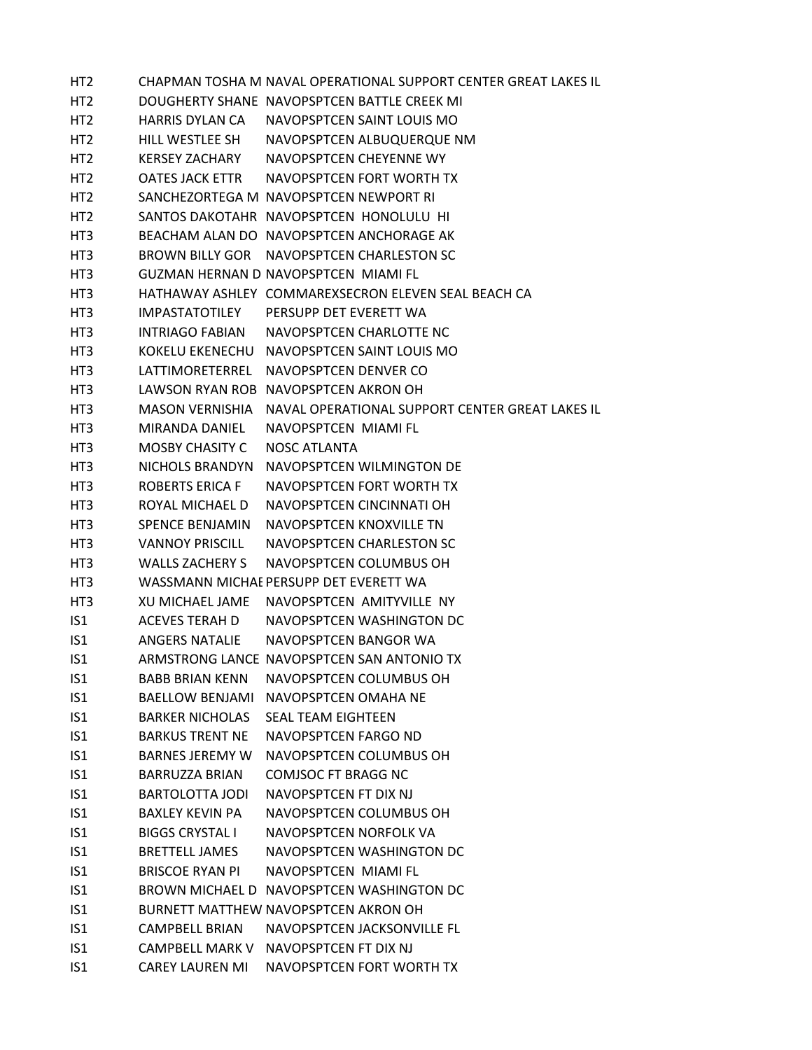HT2 CHAPMAN TOSHA M NAVAL OPERATIONAL SUPPORT CENTER GREAT LAKES IL HT2 DOUGHERTY SHANE NAVOPSPTCEN BATTLE CREEK MI HT2 HARRIS DYLAN CA NAVOPSPTCEN SAINT LOUIS MO HT2 HILL WESTLEE SH NAVOPSPTCEN ALBUQUERQUE NM HT2 KERSEY ZACHARY NAVOPSPTCEN CHEYENNE WY HT2 OATES JACK ETTR NAVOPSPTCEN FORT WORTH TX HT2 SANCHEZORTEGA M NAVOPSPTCEN NEWPORT RI HT2 SANTOS DAKOTAHR NAVOPSPTCEN HONOLULU HI HT3 BEACHAM ALAN DO NAVOPSPTCEN ANCHORAGE AK HT3 BROWN BILLY GOR NAVOPSPTCEN CHARLESTON SC HT3 GUZMAN HERNAN D NAVOPSPTCEN MIAMI FL HT3 HATHAWAY ASHLEY COMMAREXSECRON ELEVEN SEAL BEACH CA HT3 IMPASTATOTILEY PERSUPP DET EVERETT WA HT3 INTRIAGO FABIAN NAVOPSPTCEN CHARLOTTE NC HT3 KOKELU EKENECHU NAVOPSPTCEN SAINT LOUIS MO HT3 LATTIMORETERREL NAVOPSPTCEN DENVER CO HT3 LAWSON RYAN ROB NAVOPSPTCEN AKRON OH HT3 MASON VERNISHIA NAVAL OPERATIONAL SUPPORT CENTER GREAT LAKES IL HT3 MIRANDA DANIEL NAVOPSPTCEN MIAMI FL HT3 MOSBY CHASITY C NOSC ATLANTA HT3 NICHOLS BRANDYN NAVOPSPTCEN WILMINGTON DE HT3 ROBERTS ERICA F NAVOPSPTCEN FORT WORTH TX HT3 ROYAL MICHAEL D NAVOPSPTCEN CINCINNATI OH HT3 SPENCE BENJAMIN NAVOPSPTCEN KNOXVILLE TN HT3 VANNOY PRISCILL NAVOPSPTCEN CHARLESTON SC HT3 WALLS ZACHERY S NAVOPSPTCEN COLUMBUS OH HT3 WASSMANN MICHAEPERSUPP DET EVERETT WA HT3 XU MICHAEL JAME NAVOPSPTCEN AMITYVILLE NY IS1 ACEVES TERAH D NAVOPSPTCEN WASHINGTON DC IS1 ANGERS NATALIE NAVOPSPTCEN BANGOR WA IS1 ARMSTRONG LANCE NAVOPSPTCEN SAN ANTONIO TX IS1 BABB BRIAN KENN NAVOPSPTCEN COLUMBUS OH IS1 BAELLOW BENJAMI NAVOPSPTCEN OMAHA NE IS1 BARKER NICHOLAS SEAL TEAM EIGHTEEN IS1 BARKUS TRENT NE NAVOPSPTCEN FARGO ND IS1 BARNES JEREMY W NAVOPSPTCEN COLUMBUS OH IS1 BARRUZZA BRIAN COMJSOC FT BRAGG NC IS1 BARTOLOTTA JODI NAVOPSPTCEN FT DIX NJ IS1 BAXLEY KEVIN PA NAVOPSPTCEN COLUMBUS OH IS1 BIGGS CRYSTAL I NAVOPSPTCEN NORFOLK VA IS1 BRETTELL JAMES NAVOPSPTCEN WASHINGTON DC IS1 BRISCOE RYAN PI NAVOPSPTCEN MIAMI FL IS1 BROWN MICHAEL D NAVOPSPTCEN WASHINGTON DC IS1 BURNETT MATTHEW NAVOPSPTCEN AKRON OH IS1 CAMPBELL BRIAN NAVOPSPTCEN JACKSONVILLE FL IS1 CAMPBELL MARK V NAVOPSPTCEN FT DIX NJ IS1 CAREY LAUREN MI NAVOPSPTCEN FORT WORTH TX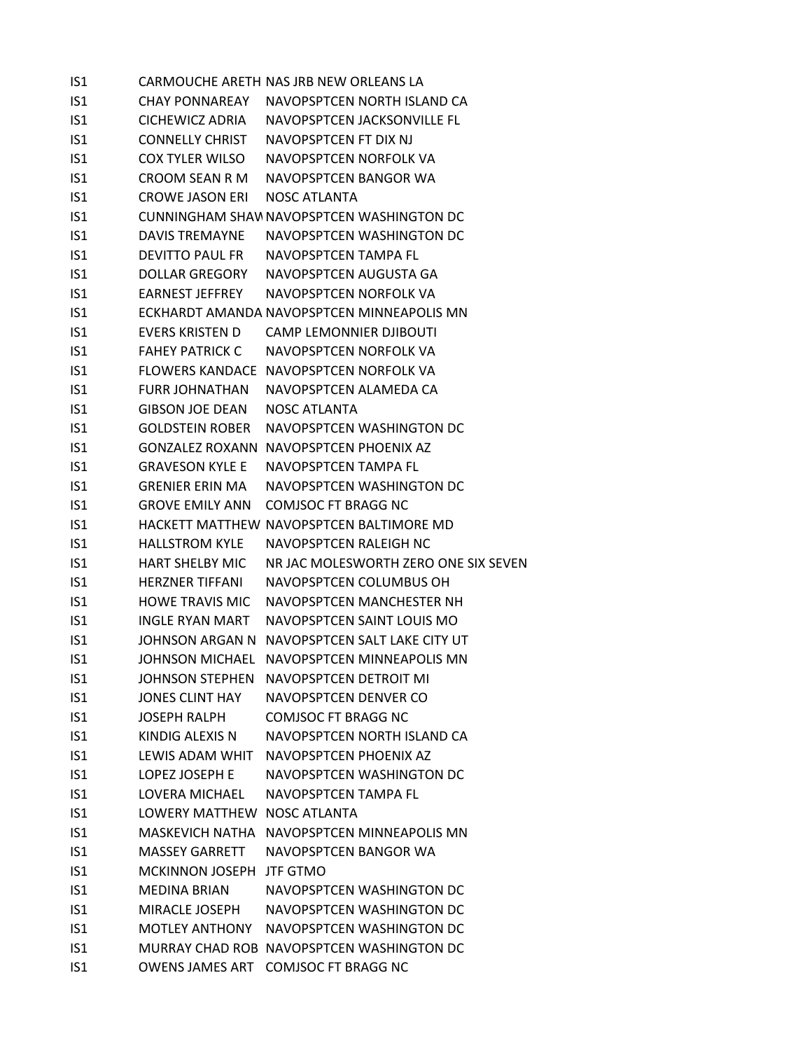| IS <sub>1</sub> |                             | CARMOUCHE ARETH NAS JRB NEW ORLEANS LA        |
|-----------------|-----------------------------|-----------------------------------------------|
| IS1             |                             | CHAY PONNAREAY NAVOPSPTCEN NORTH ISLAND CA    |
| IS <sub>1</sub> | CICHEWICZ ADRIA             | NAVOPSPTCEN JACKSONVILLE FL                   |
| IS1             | <b>CONNELLY CHRIST</b>      | NAVOPSPTCEN FT DIX NJ                         |
| IS1             | <b>COX TYLER WILSO</b>      | NAVOPSPTCEN NORFOLK VA                        |
| IS <sub>1</sub> | CROOM SEAN R M              | NAVOPSPTCEN BANGOR WA                         |
| IS1             | <b>CROWE JASON ERI</b>      | NOSC ATLANTA                                  |
| IS1             |                             | CUNNINGHAM SHAW NAVOPSPTCEN WASHINGTON DC     |
| IS1             | DAVIS TREMAYNE              | NAVOPSPTCEN WASHINGTON DC                     |
| IS1             | <b>DEVITTO PAUL FR</b>      | NAVOPSPTCEN TAMPA FL                          |
| IS1             | DOLLAR GREGORY              | NAVOPSPTCEN AUGUSTA GA                        |
| IS1             | EARNEST JEFFREY             | NAVOPSPTCEN NORFOLK VA                        |
| IS1             |                             | ECKHARDT AMANDA NAVOPSPTCEN MINNEAPOLIS MN    |
| IS1             | EVERS KRISTEN D             | <b>CAMP LEMONNIER DJIBOUTI</b>                |
| IS <sub>1</sub> | <b>FAHEY PATRICK C</b>      | NAVOPSPTCEN NORFOLK VA                        |
| IS1             |                             | FLOWERS KANDACE NAVOPSPTCEN NORFOLK VA        |
| IS1             | <b>FURR JOHNATHAN</b>       | NAVOPSPTCEN ALAMEDA CA                        |
| IS1             | <b>GIBSON JOE DEAN</b>      | <b>NOSC ATLANTA</b>                           |
| IS1             | <b>GOLDSTEIN ROBER</b>      | NAVOPSPTCEN WASHINGTON DC                     |
| IS1             |                             | <b>GONZALEZ ROXANN NAVOPSPTCEN PHOENIX AZ</b> |
| IS1             | <b>GRAVESON KYLE E</b>      | NAVOPSPTCEN TAMPA FL                          |
| IS1             | <b>GRENIER ERIN MA</b>      | NAVOPSPTCEN WASHINGTON DC                     |
| IS1             | <b>GROVE EMILY ANN</b>      | <b>COMJSOC FT BRAGG NC</b>                    |
| IS1             |                             | HACKETT MATTHEW NAVOPSPTCEN BALTIMORE MD      |
| IS1             | HALLSTROM KYLE              | NAVOPSPTCEN RALEIGH NC                        |
| IS1             | <b>HART SHELBY MIC</b>      | NR JAC MOLESWORTH ZERO ONE SIX SEVEN          |
| IS1             | <b>HERZNER TIFFANI</b>      | NAVOPSPTCEN COLUMBUS OH                       |
| IS1             | <b>HOWE TRAVIS MIC</b>      | NAVOPSPTCEN MANCHESTER NH                     |
| IS1             | INGLE RYAN MART             | NAVOPSPTCEN SAINT LOUIS MO                    |
| IS1             |                             | JOHNSON ARGAN N NAVOPSPTCEN SALT LAKE CITY UT |
| IS <sub>1</sub> |                             | JOHNSON MICHAEL NAVOPSPTCEN MINNEAPOLIS MN    |
| IS1             | <b>JOHNSON STEPHEN</b>      | NAVOPSPTCEN DETROIT MI                        |
| IS1             | <b>JONES CLINT HAY</b>      | NAVOPSPTCEN DENVER CO                         |
| IS1             | JOSEPH RALPH                | <b>COMJSOC FT BRAGG NC</b>                    |
| IS1             | KINDIG ALEXIS N             | NAVOPSPTCEN NORTH ISLAND CA                   |
| IS1             | LEWIS ADAM WHIT             | NAVOPSPTCEN PHOENIX AZ                        |
| IS1             | LOPEZ JOSEPH E              | NAVOPSPTCEN WASHINGTON DC                     |
| IS1             | <b>LOVERA MICHAEL</b>       | NAVOPSPTCEN TAMPA FL                          |
| IS <sub>1</sub> | LOWERY MATTHEW NOSC ATLANTA |                                               |
| IS1             |                             | MASKEVICH NATHA NAVOPSPTCEN MINNEAPOLIS MN    |
| IS1             | <b>MASSEY GARRETT</b>       | NAVOPSPTCEN BANGOR WA                         |
| IS1             | <b>MCKINNON JOSEPH</b>      | <b>JTF GTMO</b>                               |
| IS1             | MEDINA BRIAN                | NAVOPSPTCEN WASHINGTON DC                     |
| IS1             | MIRACLE JOSEPH              | NAVOPSPTCEN WASHINGTON DC                     |
| IS1             | MOTLEY ANTHONY              | NAVOPSPTCEN WASHINGTON DC                     |
| IS <sub>1</sub> |                             | MURRAY CHAD ROB NAVOPSPTCEN WASHINGTON DC     |
| IS1             |                             | OWENS JAMES ART COMJSOC FT BRAGG NC           |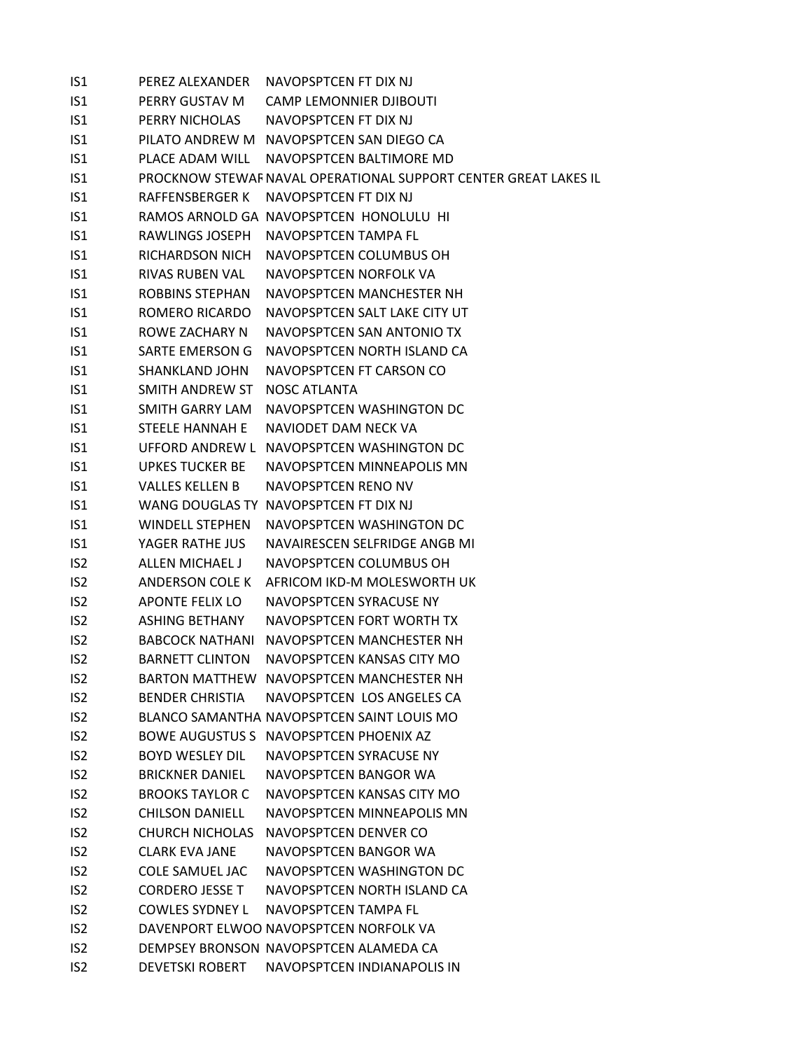| IS1             | PEREZ ALEXANDER        | NAVOPSPTCEN FT DIX NJ                                           |
|-----------------|------------------------|-----------------------------------------------------------------|
| IS <sub>1</sub> | PERRY GUSTAV M         | <b>CAMP LEMONNIER DJIBOUTI</b>                                  |
| IS1             | PERRY NICHOLAS         | NAVOPSPTCFN FT DIX NJ                                           |
| IS <sub>1</sub> |                        | PILATO ANDREW M NAVOPSPTCEN SAN DIEGO CA                        |
| IS1             | PLACE ADAM WILL        | NAVOPSPTCEN BALTIMORE MD                                        |
| IS1             |                        | PROCKNOW STEWAF NAVAL OPERATIONAL SUPPORT CENTER GREAT LAKES IL |
| IS1             | RAFFENSBERGER K        | NAVOPSPTCEN FT DIX NJ                                           |
| IS <sub>1</sub> |                        | RAMOS ARNOLD GA NAVOPSPTCEN HONOLULU HI                         |
| IS1             | RAWLINGS JOSEPH        | NAVOPSPTCEN TAMPA FL                                            |
| IS1             | RICHARDSON NICH        | NAVOPSPTCEN COLUMBUS OH                                         |
| IS <sub>1</sub> | RIVAS RUBEN VAL        | NAVOPSPTCEN NORFOLK VA                                          |
| IS1             | <b>ROBBINS STEPHAN</b> | NAVOPSPTCEN MANCHESTER NH                                       |
| IS <sub>1</sub> | ROMERO RICARDO         | NAVOPSPTCEN SALT LAKE CITY UT                                   |
| IS1             | ROWE ZACHARY N         | NAVOPSPTCEN SAN ANTONIO TX                                      |
| IS <sub>1</sub> | SARTE EMERSON G        | NAVOPSPTCEN NORTH ISLAND CA                                     |
| IS <sub>1</sub> | <b>SHANKLAND JOHN</b>  | NAVOPSPTCEN FT CARSON CO                                        |
| IS <sub>1</sub> | SMITH ANDREW ST        | NOSC ATLANTA                                                    |
| IS <sub>1</sub> | SMITH GARRY LAM        | NAVOPSPTCEN WASHINGTON DC                                       |
| IS <sub>1</sub> | <b>STEELE HANNAH E</b> | NAVIODET DAM NECK VA                                            |
| IS <sub>1</sub> |                        | UFFORD ANDREW L NAVOPSPTCEN WASHINGTON DC                       |
| IS <sub>1</sub> | <b>UPKES TUCKER BE</b> | NAVOPSPTCEN MINNEAPOLIS MN                                      |
| IS <sub>1</sub> | <b>VALLES KELLEN B</b> | NAVOPSPTCEN RENO NV                                             |
| IS1             |                        | WANG DOUGLAS TY NAVOPSPTCEN FT DIX NJ                           |
| IS1             | <b>WINDELL STEPHEN</b> | NAVOPSPTCEN WASHINGTON DC                                       |
| IS <sub>1</sub> | YAGER RATHE JUS        | NAVAIRESCEN SELFRIDGE ANGB MI                                   |
| IS <sub>2</sub> | ALLEN MICHAEL J        | NAVOPSPTCEN COLUMBUS OH                                         |
| IS <sub>2</sub> | ANDERSON COLE K        | AFRICOM IKD-M MOLESWORTH UK                                     |
| IS <sub>2</sub> | APONTE FELIX LO        | NAVOPSPTCEN SYRACUSE NY                                         |
| IS <sub>2</sub> | <b>ASHING BETHANY</b>  | NAVOPSPTCEN FORT WORTH TX                                       |
| IS <sub>2</sub> | <b>BABCOCK NATHANI</b> | NAVOPSPTCEN MANCHESTER NH                                       |
| IS <sub>2</sub> | <b>BARNETT CLINTON</b> | NAVOPSPTCEN KANSAS CITY MO                                      |
| IS <sub>2</sub> |                        | BARTON MATTHEW NAVOPSPTCEN MANCHESTER NH                        |
| IS <sub>2</sub> | <b>BENDER CHRISTIA</b> | NAVOPSPTCEN LOS ANGELES CA                                      |
| IS <sub>2</sub> |                        | BLANCO SAMANTHA NAVOPSPTCEN SAINT LOUIS MO                      |
| IS <sub>2</sub> |                        | BOWE AUGUSTUS S NAVOPSPTCEN PHOENIX AZ                          |
| IS <sub>2</sub> | <b>BOYD WESLEY DIL</b> | NAVOPSPTCEN SYRACUSE NY                                         |
| IS <sub>2</sub> | <b>BRICKNER DANIEL</b> | NAVOPSPTCEN BANGOR WA                                           |
| IS <sub>2</sub> | <b>BROOKS TAYLOR C</b> | NAVOPSPTCEN KANSAS CITY MO                                      |
| IS <sub>2</sub> | <b>CHILSON DANIELL</b> | NAVOPSPTCEN MINNEAPOLIS MN                                      |
| IS <sub>2</sub> | <b>CHURCH NICHOLAS</b> | NAVOPSPTCEN DENVER CO                                           |
| IS <sub>2</sub> | <b>CLARK EVA JANE</b>  | NAVOPSPTCEN BANGOR WA                                           |
| IS <sub>2</sub> | COLE SAMUEL JAC        | NAVOPSPTCEN WASHINGTON DC                                       |
| IS <sub>2</sub> | <b>CORDERO JESSE T</b> | NAVOPSPTCEN NORTH ISLAND CA                                     |
| IS <sub>2</sub> | <b>COWLES SYDNEY L</b> | NAVOPSPTCEN TAMPA FL                                            |
| IS <sub>2</sub> |                        | DAVENPORT ELWOO NAVOPSPTCEN NORFOLK VA                          |
| IS <sub>2</sub> |                        | DEMPSEY BRONSON NAVOPSPTCEN ALAMEDA CA                          |
| IS <sub>2</sub> | <b>DEVETSKI ROBERT</b> | NAVOPSPTCEN INDIANAPOLIS IN                                     |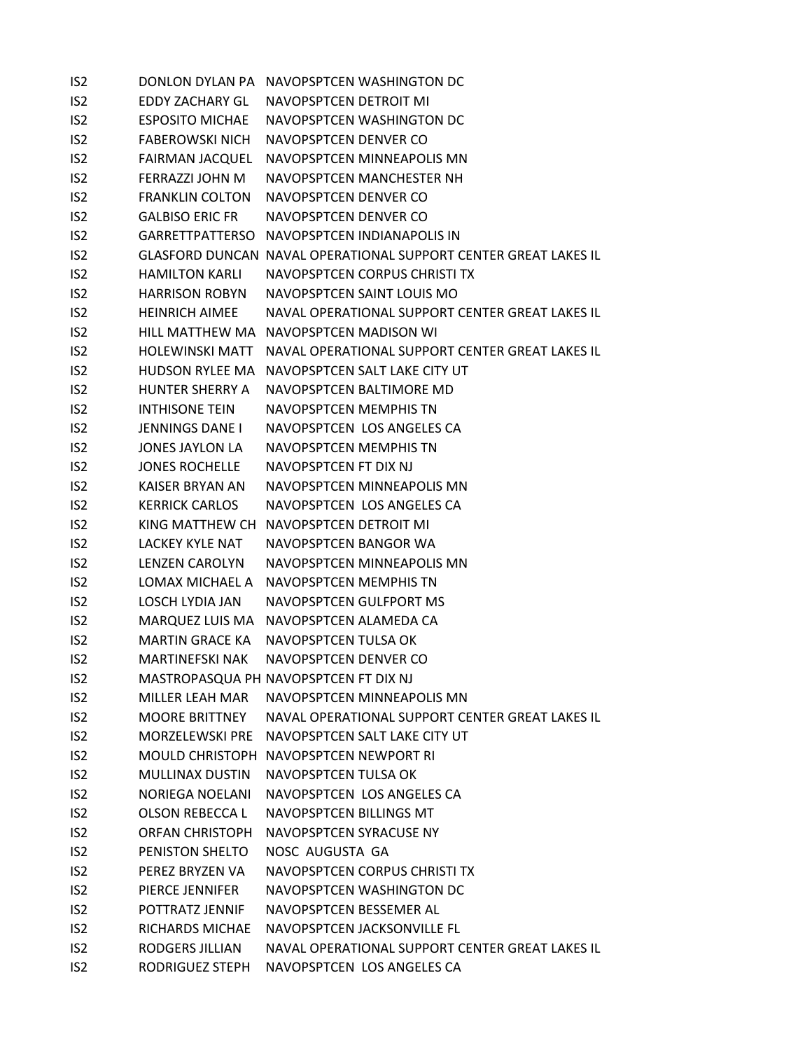| IS <sub>2</sub> |                        | DONLON DYLAN PA NAVOPSPTCEN WASHINGTON DC                       |
|-----------------|------------------------|-----------------------------------------------------------------|
| IS <sub>2</sub> | EDDY ZACHARY GL        | NAVOPSPTCEN DETROIT MI                                          |
| IS <sub>2</sub> | <b>ESPOSITO MICHAE</b> | NAVOPSPTCEN WASHINGTON DC                                       |
| IS <sub>2</sub> | <b>FABEROWSKI NICH</b> | NAVOPSPTCEN DENVER CO                                           |
| IS <sub>2</sub> | <b>FAIRMAN JACQUEL</b> | NAVOPSPTCEN MINNEAPOLIS MN                                      |
| IS <sub>2</sub> | FERRAZZI JOHN M        | NAVOPSPTCEN MANCHESTER NH                                       |
| IS <sub>2</sub> | <b>FRANKLIN COLTON</b> | NAVOPSPTCEN DENVER CO                                           |
| IS <sub>2</sub> | <b>GALBISO ERIC FR</b> | NAVOPSPTCEN DENVER CO                                           |
| IS <sub>2</sub> |                        | GARRETTPATTERSO NAVOPSPTCEN INDIANAPOLIS IN                     |
| IS <sub>2</sub> |                        | GLASFORD DUNCAN NAVAL OPERATIONAL SUPPORT CENTER GREAT LAKES IL |
| IS <sub>2</sub> | <b>HAMILTON KARLI</b>  | NAVOPSPTCEN CORPUS CHRISTI TX                                   |
| IS <sub>2</sub> | HARRISON ROBYN         | NAVOPSPTCEN SAINT LOUIS MO                                      |
| IS <sub>2</sub> | HEINRICH AIMEE         | NAVAL OPERATIONAL SUPPORT CENTER GREAT LAKES IL                 |
| IS <sub>2</sub> |                        | HILL MATTHEW MA NAVOPSPTCEN MADISON WI                          |
| IS <sub>2</sub> | <b>HOLEWINSKI MATT</b> | NAVAL OPERATIONAL SUPPORT CENTER GREAT LAKES IL                 |
| IS <sub>2</sub> |                        | HUDSON RYLEE MA NAVOPSPTCEN SALT LAKE CITY UT                   |
| IS <sub>2</sub> | <b>HUNTER SHERRY A</b> | NAVOPSPTCEN BALTIMORE MD                                        |
| IS <sub>2</sub> | INTHISONE TEIN         | NAVOPSPTCEN MEMPHIS TN                                          |
| IS <sub>2</sub> | <b>JENNINGS DANE I</b> | NAVOPSPTCEN LOS ANGELES CA                                      |
| IS <sub>2</sub> | JONES JAYLON LA        | <b>NAVOPSPTCEN MEMPHIS TN</b>                                   |
| IS <sub>2</sub> | <b>JONES ROCHELLE</b>  | NAVOPSPTCEN FT DIX NJ                                           |
| IS <sub>2</sub> | KAISER BRYAN AN        | NAVOPSPTCEN MINNEAPOLIS MN                                      |
| IS <sub>2</sub> | <b>KERRICK CARLOS</b>  | NAVOPSPTCEN LOS ANGELES CA                                      |
| IS <sub>2</sub> |                        | KING MATTHEW CH NAVOPSPTCEN DETROIT MI                          |
| IS <sub>2</sub> | LACKEY KYLE NAT        | NAVOPSPTCEN BANGOR WA                                           |
| IS <sub>2</sub> | <b>LENZEN CAROLYN</b>  | NAVOPSPTCEN MINNEAPOLIS MN                                      |
| IS <sub>2</sub> | LOMAX MICHAEL A        | NAVOPSPTCEN MEMPHIS TN                                          |
| IS <sub>2</sub> | LOSCH LYDIA JAN        | NAVOPSPTCEN GULFPORT MS                                         |
| IS <sub>2</sub> |                        | MARQUEZ LUIS MA NAVOPSPTCEN ALAMEDA CA                          |
| IS <sub>2</sub> | <b>MARTIN GRACE KA</b> | NAVOPSPTCEN TULSA OK                                            |
| IS <sub>2</sub> | <b>MARTINEFSKI NAK</b> | NAVOPSPTCEN DENVER CO                                           |
| IS <sub>2</sub> |                        | MASTROPASQUA PH NAVOPSPTCEN FT DIX NJ                           |
| IS <sub>2</sub> | MILLER LEAH MAR        | NAVOPSPTCEN MINNEAPOLIS MN                                      |
| IS <sub>2</sub> | <b>MOORE BRITTNEY</b>  | NAVAL OPERATIONAL SUPPORT CENTER GREAT LAKES IL                 |
| IS <sub>2</sub> |                        | MORZELEWSKI PRE NAVOPSPTCEN SALT LAKE CITY UT                   |
| IS <sub>2</sub> |                        | MOULD CHRISTOPH NAVOPSPTCEN NEWPORT RI                          |
| IS <sub>2</sub> | <b>MULLINAX DUSTIN</b> | NAVOPSPTCEN TULSA OK                                            |
| IS <sub>2</sub> | <b>NORIEGA NOELANI</b> | NAVOPSPTCEN LOS ANGELES CA                                      |
| IS <sub>2</sub> | OLSON REBECCA L        | NAVOPSPTCEN BILLINGS MT                                         |
| IS <sub>2</sub> | <b>ORFAN CHRISTOPH</b> | NAVOPSPTCEN SYRACUSE NY                                         |
| IS <sub>2</sub> | PENISTON SHELTO        | NOSC AUGUSTA GA                                                 |
| IS <sub>2</sub> | PEREZ BRYZEN VA        | NAVOPSPTCEN CORPUS CHRISTI TX                                   |
| IS <sub>2</sub> | PIERCE JENNIFER        | NAVOPSPTCEN WASHINGTON DC                                       |
| IS <sub>2</sub> | POTTRATZ JENNIF        | NAVOPSPTCEN BESSEMER AL                                         |
| IS <sub>2</sub> | RICHARDS MICHAE        | NAVOPSPTCEN JACKSONVILLE FL                                     |
| IS <sub>2</sub> | <b>RODGERS JILLIAN</b> | NAVAL OPERATIONAL SUPPORT CENTER GREAT LAKES IL                 |
| IS <sub>2</sub> | RODRIGUEZ STEPH        | NAVOPSPTCEN LOS ANGELES CA                                      |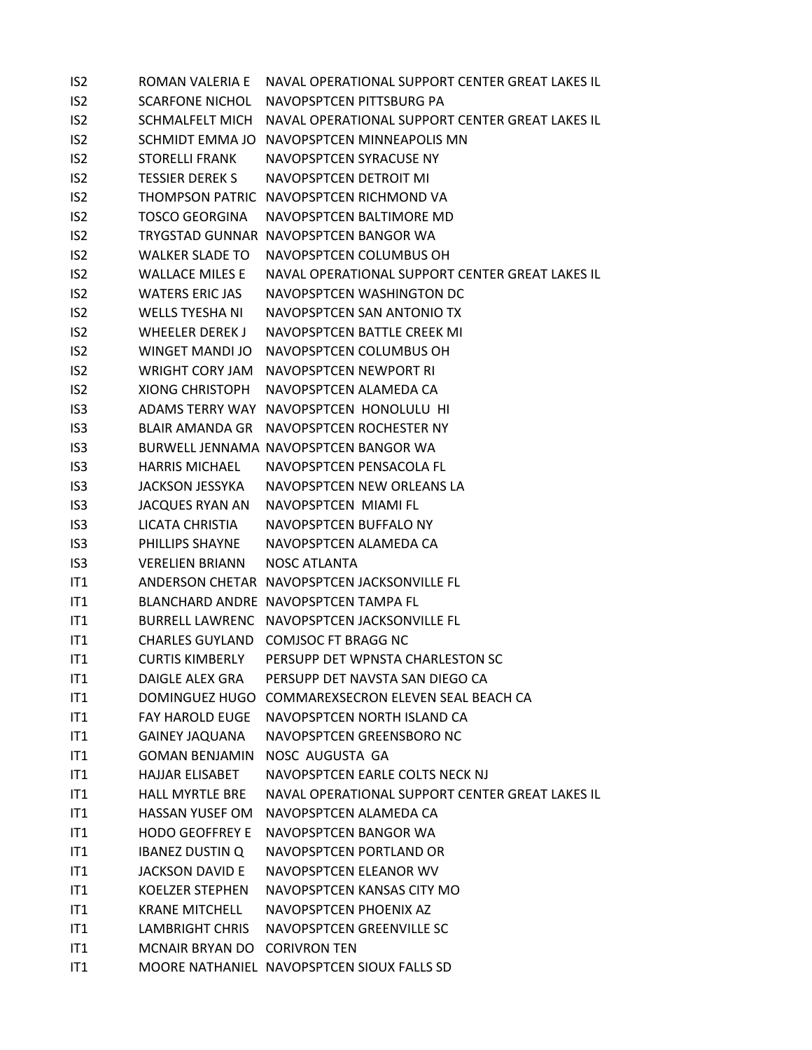| IS <sub>2</sub> | ROMAN VALERIA E              | NAVAL OPERATIONAL SUPPORT CENTER GREAT LAKES IL |
|-----------------|------------------------------|-------------------------------------------------|
| IS <sub>2</sub> | <b>SCARFONE NICHOL</b>       | NAVOPSPTCEN PITTSBURG PA                        |
| IS <sub>2</sub> | SCHMALFELT MICH              | NAVAL OPERATIONAL SUPPORT CENTER GREAT LAKES IL |
| IS <sub>2</sub> |                              | SCHMIDT EMMA JO NAVOPSPTCEN MINNEAPOLIS MN      |
| IS <sub>2</sub> | <b>STORELLI FRANK</b>        | NAVOPSPTCEN SYRACUSE NY                         |
| IS <sub>2</sub> | <b>TESSIER DEREK S</b>       | NAVOPSPTCEN DETROIT MI                          |
| IS <sub>2</sub> |                              | THOMPSON PATRIC NAVOPSPTCEN RICHMOND VA         |
| IS <sub>2</sub> | <b>TOSCO GEORGINA</b>        | NAVOPSPTCEN BALTIMORE MD                        |
| IS <sub>2</sub> |                              | TRYGSTAD GUNNAR NAVOPSPTCEN BANGOR WA           |
| IS <sub>2</sub> | <b>WALKER SLADE TO</b>       | NAVOPSPTCEN COLUMBUS OH                         |
| IS <sub>2</sub> | <b>WALLACE MILES E</b>       | NAVAL OPERATIONAL SUPPORT CENTER GREAT LAKES IL |
| IS <sub>2</sub> | <b>WATERS ERIC JAS</b>       | NAVOPSPTCEN WASHINGTON DC                       |
| IS <sub>2</sub> | WELLS TYESHA NI              | NAVOPSPTCEN SAN ANTONIO TX                      |
| IS <sub>2</sub> | WHEELER DEREK J              | NAVOPSPTCEN BATTLE CREEK MI                     |
| IS <sub>2</sub> | <b>WINGET MANDI JO</b>       | NAVOPSPTCEN COLUMBUS OH                         |
| IS <sub>2</sub> | WRIGHT CORY JAM              | NAVOPSPTCFN NEWPORT RI                          |
| IS <sub>2</sub> | <b>XIONG CHRISTOPH</b>       | NAVOPSPTCEN ALAMEDA CA                          |
| IS <sub>3</sub> |                              | ADAMS TERRY WAY NAVOPSPTCEN HONOLULU HI         |
| IS <sub>3</sub> | <b>BLAIR AMANDA GR</b>       | NAVOPSPTCEN ROCHESTER NY                        |
| IS <sub>3</sub> |                              | BURWELL JENNAMA NAVOPSPTCEN BANGOR WA           |
| IS <sub>3</sub> | <b>HARRIS MICHAEL</b>        | NAVOPSPTCEN PENSACOLA FL                        |
| IS <sub>3</sub> | JACKSON JESSYKA              | NAVOPSPTCEN NEW ORLEANS LA                      |
| IS <sub>3</sub> | <b>JACQUES RYAN AN</b>       | NAVOPSPTCEN MIAMI FL                            |
| IS <sub>3</sub> | LICATA CHRISTIA              | NAVOPSPTCEN BUFFALO NY                          |
| IS <sub>3</sub> | PHILLIPS SHAYNE              | NAVOPSPTCEN ALAMEDA CA                          |
| IS <sub>3</sub> | <b>VERELIEN BRIANN</b>       | <b>NOSC ATLANTA</b>                             |
| IT <sub>1</sub> |                              | ANDERSON CHETAR NAVOPSPTCEN JACKSONVILLE FL     |
| IT <sub>1</sub> |                              | BLANCHARD ANDRE NAVOPSPTCEN TAMPA FL            |
| IT1             |                              | BURRELL LAWRENC NAVOPSPTCEN JACKSONVILLE FL     |
| IT1             |                              | CHARLES GUYLAND COMJSOC FT BRAGG NC             |
| IT1             | <b>CURTIS KIMBERLY</b>       | PERSUPP DET WPNSTA CHARLESTON SC                |
| IT1             | DAIGLE ALEX GRA              | PERSUPP DET NAVSTA SAN DIEGO CA                 |
| IT1             | DOMINGUEZ HUGO               | COMMAREXSECRON ELEVEN SEAL BEACH CA             |
| IT1             | <b>FAY HAROLD EUGE</b>       | NAVOPSPTCEN NORTH ISLAND CA                     |
| IT1             | <b>GAINEY JAQUANA</b>        | NAVOPSPTCEN GREENSBORO NC                       |
| IT1             | <b>GOMAN BENJAMIN</b>        | NOSC AUGUSTA GA                                 |
| IT1             | <b>HAJJAR ELISABET</b>       | NAVOPSPTCEN EARLE COLTS NECK NJ                 |
| IT1             | <b>HALL MYRTLE BRE</b>       | NAVAL OPERATIONAL SUPPORT CENTER GREAT LAKES IL |
| IT1             | HASSAN YUSEF OM              | NAVOPSPTCEN ALAMEDA CA                          |
| IT <sub>1</sub> | <b>HODO GEOFFREY E</b>       | NAVOPSPTCEN BANGOR WA                           |
| IT1             | <b>IBANEZ DUSTIN Q</b>       | NAVOPSPTCEN PORTLAND OR                         |
| IT1             | <b>JACKSON DAVID E</b>       | NAVOPSPTCEN ELEANOR WV                          |
| IT1             | <b>KOELZER STEPHEN</b>       | NAVOPSPTCEN KANSAS CITY MO                      |
| IT1             | <b>KRANE MITCHELL</b>        | NAVOPSPTCEN PHOENIX AZ                          |
| IT1             | <b>LAMBRIGHT CHRIS</b>       | NAVOPSPTCEN GREENVILLE SC                       |
| IT1             | MCNAIR BRYAN DO CORIVRON TEN |                                                 |
| IT <sub>1</sub> |                              | MOORE NATHANIEL NAVOPSPTCEN SIOUX FALLS SD      |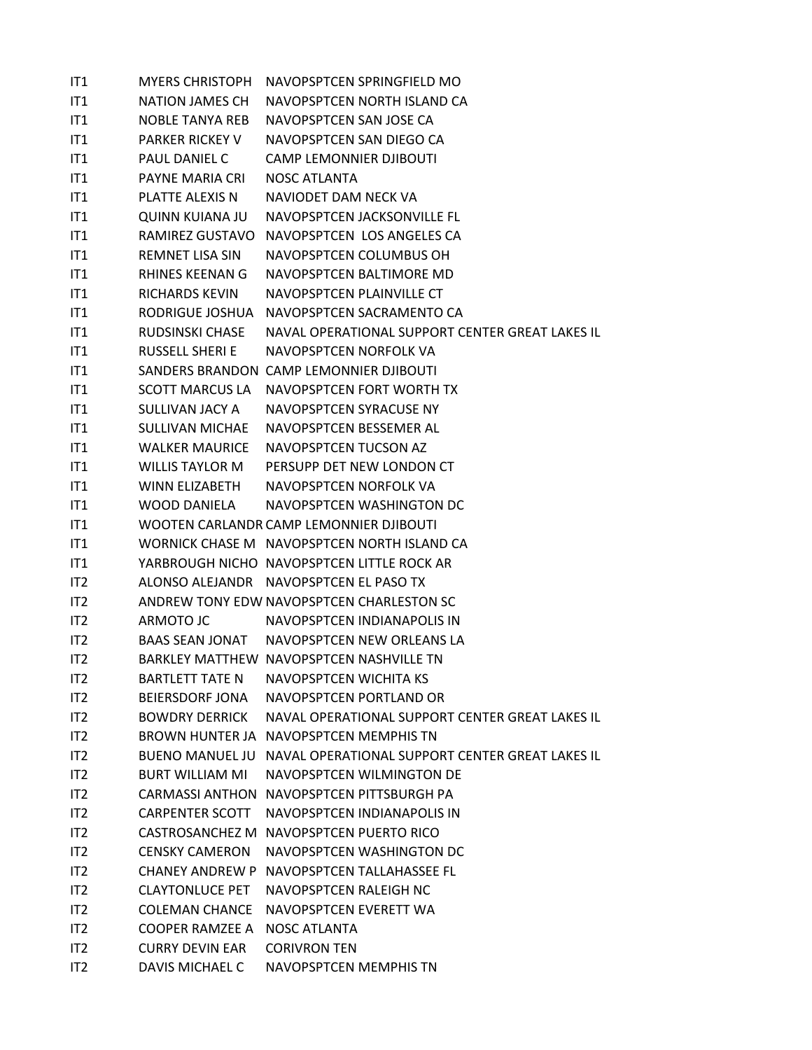| IT1             | <b>MYERS CHRISTOPH</b> | NAVOPSPTCEN SPRINGFIELD MO                                      |
|-----------------|------------------------|-----------------------------------------------------------------|
| IT1             | NATION JAMES CH        | NAVOPSPTCEN NORTH ISLAND CA                                     |
| IT1             |                        | NOBLE TANYA REB NAVOPSPTCEN SAN JOSE CA                         |
| IT <sub>1</sub> | PARKER RICKEY V        | NAVOPSPTCEN SAN DIEGO CA                                        |
| IT1             | PAUL DANIEL C          | <b>CAMP LEMONNIER DJIBOUTI</b>                                  |
| IT1             | PAYNE MARIA CRI        | NOSC ATLANTA                                                    |
| IT1             | <b>PLATTE ALEXIS N</b> | NAVIODET DAM NECK VA                                            |
| IT1             | QUINN KUIANA JU        | NAVOPSPTCEN JACKSONVILLE FL                                     |
| IT <sub>1</sub> |                        | RAMIREZ GUSTAVO NAVOPSPTCEN LOS ANGELES CA                      |
| IT1             | <b>REMNET LISA SIN</b> | NAVOPSPTCEN COLUMBUS OH                                         |
| IT <sub>1</sub> | RHINES KEENAN G        | NAVOPSPTCEN BALTIMORE MD                                        |
| IT1             | RICHARDS KEVIN         | NAVOPSPTCEN PLAINVILLE CT                                       |
| IT <sub>1</sub> |                        | RODRIGUE JOSHUA NAVOPSPTCEN SACRAMENTO CA                       |
| IT <sub>1</sub> | RUDSINSKI CHASE        | NAVAL OPERATIONAL SUPPORT CENTER GREAT LAKES IL                 |
| IT1             | RUSSELL SHERI E        | NAVOPSPTCEN NORFOLK VA                                          |
| IT1             |                        | SANDERS BRANDON CAMP LEMONNIER DJIBOUTI                         |
| IT <sub>1</sub> |                        | SCOTT MARCUS LA NAVOPSPTCEN FORT WORTH TX                       |
| IT <sub>1</sub> | SULLIVAN JACY A        | NAVOPSPTCEN SYRACUSE NY                                         |
| IT <sub>1</sub> | SULLIVAN MICHAE        | NAVOPSPTCEN BESSEMER AL                                         |
| IT1             | <b>WALKER MAURICE</b>  | NAVOPSPTCEN TUCSON AZ                                           |
| IT1             | WILLIS TAYLOR M        | PERSUPP DET NEW LONDON CT                                       |
| IT1             |                        | WINN ELIZABETH NAVOPSPTCEN NORFOLK VA                           |
| IT <sub>1</sub> |                        | WOOD DANIELA NAVOPSPTCEN WASHINGTON DC                          |
| IT <sub>1</sub> |                        | WOOTEN CARLANDR CAMP LEMONNIER DJIBOUTI                         |
| IT1             |                        | WORNICK CHASE M NAVOPSPTCEN NORTH ISLAND CA                     |
| IT1             |                        | YARBROUGH NICHO NAVOPSPTCEN LITTLE ROCK AR                      |
| IT <sub>2</sub> |                        | ALONSO ALEJANDR NAVOPSPTCEN EL PASO TX                          |
| IT <sub>2</sub> |                        | ANDREW TONY EDW NAVOPSPTCEN CHARLESTON SC                       |
| IT <sub>2</sub> | ARMOTO JC              | NAVOPSPTCEN INDIANAPOLIS IN                                     |
| IT <sub>2</sub> |                        | BAAS SEAN JONAT NAVOPSPTCEN NEW ORLEANS LA                      |
| IT <sub>2</sub> |                        | BARKLEY MATTHEW NAVOPSPTCEN NASHVILLE TN                        |
| IT <sub>2</sub> | <b>BARTLETT TATE N</b> | NAVOPSPTCEN WICHITA KS                                          |
| IT <sub>2</sub> | <b>BEIERSDORF JONA</b> | NAVOPSPTCEN PORTLAND OR                                         |
| IT <sub>2</sub> |                        | BOWDRY DERRICK NAVAL OPERATIONAL SUPPORT CENTER GREAT LAKES IL  |
| IT <sub>2</sub> |                        | BROWN HUNTER JA NAVOPSPTCEN MEMPHIS TN                          |
| IT <sub>2</sub> |                        | BUENO MANUEL JU NAVAL OPERATIONAL SUPPORT CENTER GREAT LAKES IL |
| IT <sub>2</sub> | <b>BURT WILLIAM MI</b> | NAVOPSPTCEN WILMINGTON DE                                       |
| IT <sub>2</sub> |                        | CARMASSI ANTHON NAVOPSPTCEN PITTSBURGH PA                       |
| IT <sub>2</sub> |                        | CARPENTER SCOTT NAVOPSPTCEN INDIANAPOLIS IN                     |
| IT <sub>2</sub> |                        | CASTROSANCHEZ M NAVOPSPTCEN PUERTO RICO                         |
| IT <sub>2</sub> | <b>CENSKY CAMERON</b>  | NAVOPSPTCEN WASHINGTON DC                                       |
| IT <sub>2</sub> |                        | CHANEY ANDREW P NAVOPSPTCEN TALLAHASSEE FL                      |
| IT <sub>2</sub> | <b>CLAYTONLUCE PET</b> | NAVOPSPTCEN RALEIGH NC                                          |
| IT <sub>2</sub> |                        | COLEMAN CHANCE NAVOPSPTCEN EVERETT WA                           |
| IT <sub>2</sub> | COOPER RAMZEE A        | <b>NOSC ATLANTA</b>                                             |
| IT <sub>2</sub> | <b>CURRY DEVIN EAR</b> | <b>CORIVRON TEN</b>                                             |
| IT <sub>2</sub> | DAVIS MICHAEL C        | NAVOPSPTCEN MEMPHIS TN                                          |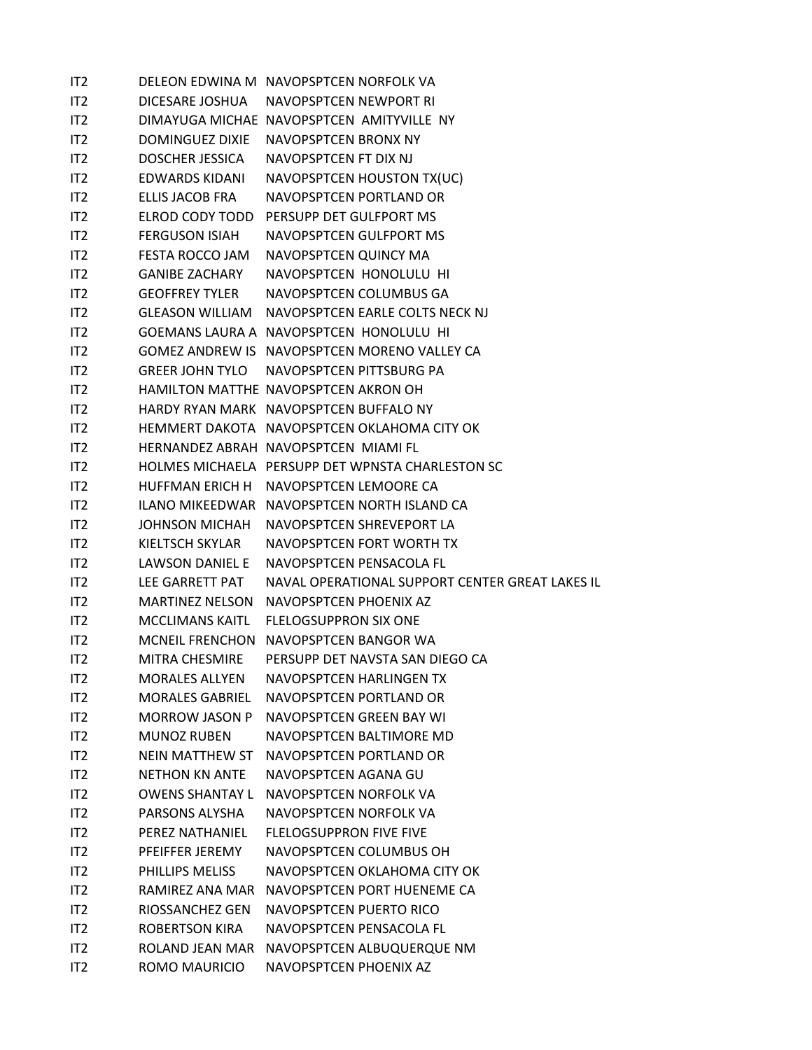| IT <sub>2</sub> |                        | DELEON EDWINA M NAVOPSPTCEN NORFOLK VA           |
|-----------------|------------------------|--------------------------------------------------|
| IT2             |                        | DICESARE JOSHUA NAVOPSPTCEN NEWPORT RI           |
| IT2             |                        | DIMAYUGA MICHAE NAVOPSPTCEN AMITYVILLE NY        |
| IT <sub>2</sub> |                        | DOMINGUEZ DIXIE NAVOPSPTCEN BRONX NY             |
| IT <sub>2</sub> |                        | DOSCHER JESSICA NAVOPSPTCEN FT DIX NJ            |
| IT <sub>2</sub> | EDWARDS KIDANI         | NAVOPSPTCEN HOUSTON TX(UC)                       |
| IT <sub>2</sub> | ELLIS JACOB FRA        | NAVOPSPTCEN PORTLAND OR                          |
| IT2             |                        | ELROD CODY TODD PERSUPP DET GULFPORT MS          |
| IT <sub>2</sub> | FERGUSON ISIAH         | NAVOPSPTCEN GULFPORT MS                          |
| IT2             |                        | FESTA ROCCO JAM NAVOPSPTCEN QUINCY MA            |
| IT2             | <b>GANIBE ZACHARY</b>  | NAVOPSPTCEN HONOLULU HI                          |
| IT2             |                        | GEOFFREY TYLER NAVOPSPTCEN COLUMBUS GA           |
| IT2             |                        | GLEASON WILLIAM NAVOPSPTCEN EARLE COLTS NECK NJ  |
| IT <sub>2</sub> |                        | GOEMANS LAURA A NAVOPSPTCEN HONOLULU HI          |
| IT2             |                        | GOMEZ ANDREW IS NAVOPSPTCEN MORENO VALLEY CA     |
| IT <sub>2</sub> |                        | GREER JOHN TYLO NAVOPSPTCEN PITTSBURG PA         |
| IT2             |                        | HAMILTON MATTHE NAVOPSPTCEN AKRON OH             |
| IT2             |                        | HARDY RYAN MARK NAVOPSPTCEN BUFFALO NY           |
| IT <sub>2</sub> |                        | HEMMERT DAKOTA NAVOPSPTCEN OKLAHOMA CITY OK      |
| IT <sub>2</sub> |                        | HERNANDEZ ABRAH NAVOPSPTCEN MIAMI FL             |
| IT <sub>2</sub> |                        | HOLMES MICHAELA PERSUPP DET WPNSTA CHARLESTON SC |
| IT2             |                        | HUFFMAN ERICH H NAVOPSPTCEN LEMOORE CA           |
| IT2             |                        | ILANO MIKEEDWAR NAVOPSPTCEN NORTH ISLAND CA      |
| IT <sub>2</sub> |                        | JOHNSON MICHAH NAVOPSPTCEN SHREVEPORT LA         |
| IT <sub>2</sub> | KIELTSCH SKYLAR        | NAVOPSPTCEN FORT WORTH TX                        |
| IT <sub>2</sub> | LAWSON DANIEL E        | NAVOPSPTCEN PENSACOLA FL                         |
| IT2             | LEE GARRETT PAT        | NAVAL OPERATIONAL SUPPORT CENTER GREAT LAKES IL  |
| IT <sub>2</sub> |                        | MARTINEZ NELSON NAVOPSPTCEN PHOENIX AZ           |
| IT <sub>2</sub> |                        | MCCLIMANS KAITL FLELOGSUPPRON SIX ONE            |
| IT <sub>2</sub> |                        | MCNEIL FRENCHON NAVOPSPTCEN BANGOR WA            |
| IT <sub>2</sub> | MITRA CHESMIRE         | PERSUPP DET NAVSTA SAN DIEGO CA                  |
| IT <sub>2</sub> | <b>MORALES ALLYEN</b>  | NAVOPSPTCEN HARLINGEN TX                         |
| IT <sub>2</sub> | <b>MORALES GABRIEL</b> | NAVOPSPTCEN PORTLAND OR                          |
| IT <sub>2</sub> | <b>MORROW JASON P</b>  | NAVOPSPTCEN GREEN BAY WI                         |
| IT <sub>2</sub> | MUNOZ RUBEN            | NAVOPSPTCEN BALTIMORE MD                         |
| IT <sub>2</sub> | NEIN MATTHEW ST        | NAVOPSPTCEN PORTLAND OR                          |
| IT <sub>2</sub> | <b>NETHON KN ANTE</b>  | NAVOPSPTCEN AGANA GU                             |
| IT <sub>2</sub> | <b>OWENS SHANTAY L</b> | NAVOPSPTCEN NORFOLK VA                           |
| IT <sub>2</sub> | PARSONS ALYSHA         | NAVOPSPTCEN NORFOLK VA                           |
| IT <sub>2</sub> | PEREZ NATHANIEL        | <b>FLELOGSUPPRON FIVE FIVE</b>                   |
| IT <sub>2</sub> | PFEIFFER JEREMY        | NAVOPSPTCEN COLUMBUS OH                          |
| IT <sub>2</sub> | PHILLIPS MELISS        | NAVOPSPTCEN OKLAHOMA CITY OK                     |
| IT <sub>2</sub> | RAMIREZ ANA MAR        | NAVOPSPTCEN PORT HUENEME CA                      |
| IT <sub>2</sub> | RIOSSANCHEZ GEN        | NAVOPSPTCEN PUERTO RICO                          |
| IT <sub>2</sub> | ROBERTSON KIRA         | NAVOPSPTCEN PENSACOLA FL                         |
| IT <sub>2</sub> | ROLAND JEAN MAR        | NAVOPSPTCEN ALBUQUERQUE NM                       |
| IT <sub>2</sub> | ROMO MAURICIO          | NAVOPSPTCEN PHOENIX AZ                           |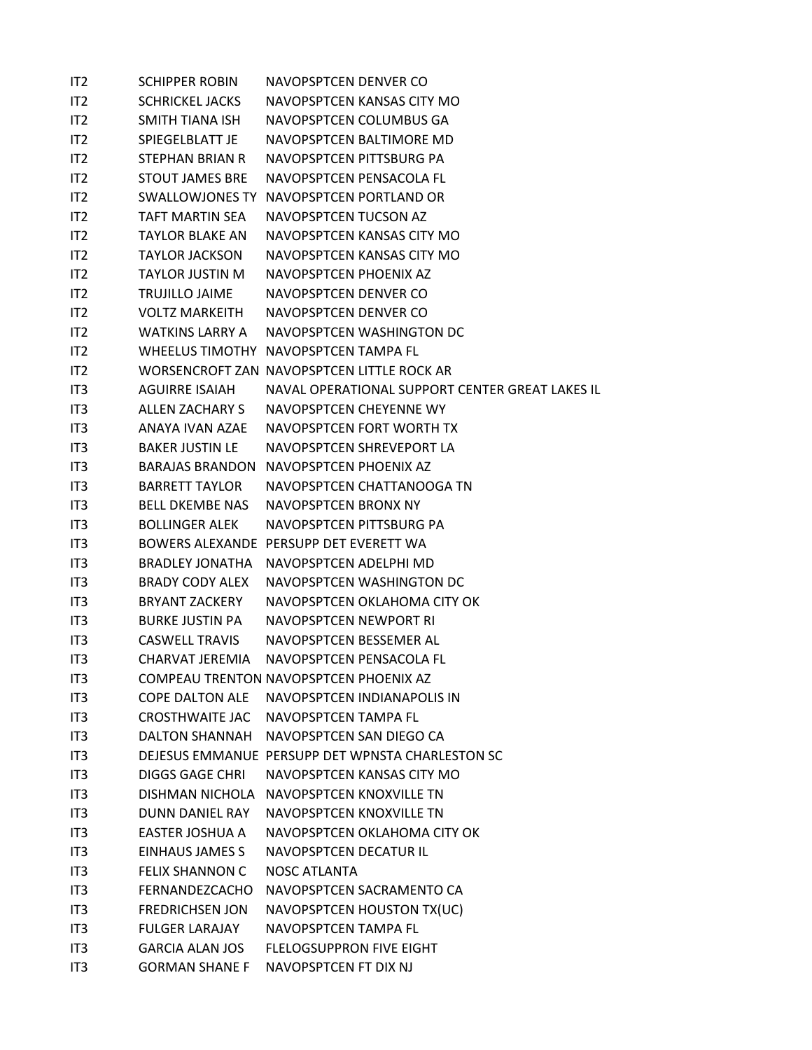| IT2             | <b>SCHIPPER ROBIN</b>  | NAVOPSPTCEN DENVER CO                            |
|-----------------|------------------------|--------------------------------------------------|
| IT <sub>2</sub> | <b>SCHRICKEL JACKS</b> | NAVOPSPTCEN KANSAS CITY MO                       |
| IT <sub>2</sub> | SMITH TIANA ISH        | NAVOPSPTCEN COLUMBUS GA                          |
| IT <sub>2</sub> | SPIEGELBLATT JE        | NAVOPSPTCEN BALTIMORE MD                         |
| IT <sub>2</sub> | <b>STEPHAN BRIAN R</b> | NAVOPSPTCEN PITTSBURG PA                         |
| IT <sub>2</sub> | <b>STOUT JAMES BRE</b> | NAVOPSPTCEN PENSACOLA FL                         |
| IT <sub>2</sub> | SWALLOWJONES TY        | NAVOPSPTCEN PORTLAND OR                          |
| IT <sub>2</sub> | <b>TAFT MARTIN SFA</b> | NAVOPSPTCEN TUCSON AZ                            |
| IT <sub>2</sub> | <b>TAYLOR BLAKE AN</b> | NAVOPSPTCEN KANSAS CITY MO                       |
| IT <sub>2</sub> | <b>TAYLOR JACKSON</b>  | NAVOPSPTCEN KANSAS CITY MO                       |
| IT <sub>2</sub> | <b>TAYLOR JUSTIN M</b> | NAVOPSPTCEN PHOENIX AZ                           |
| IT2             | <b>TRUJILLO JAIME</b>  | NAVOPSPTCEN DENVER CO                            |
| IT <sub>2</sub> | <b>VOLTZ MARKEITH</b>  | NAVOPSPTCEN DENVER CO                            |
| IT2             | <b>WATKINS LARRY A</b> | NAVOPSPTCEN WASHINGTON DC                        |
| IT <sub>2</sub> |                        | WHEELUS TIMOTHY NAVOPSPTCEN TAMPA FL             |
| IT <sub>2</sub> |                        | WORSENCROFT ZAN NAVOPSPTCEN LITTLE ROCK AR       |
| IT3             | <b>AGUIRRE ISAIAH</b>  | NAVAL OPERATIONAL SUPPORT CENTER GREAT LAKES IL  |
| IT <sub>3</sub> | ALLEN ZACHARY S        | NAVOPSPTCEN CHEYENNE WY                          |
| IT <sub>3</sub> | ANAYA IVAN AZAF        | NAVOPSPTCEN FORT WORTH TX                        |
| IT <sub>3</sub> | <b>BAKER JUSTIN LE</b> | NAVOPSPTCEN SHREVEPORT LA                        |
| IT <sub>3</sub> | BARAJAS BRANDON        | NAVOPSPTCEN PHOENIX AZ                           |
| IT <sub>3</sub> | <b>BARRETT TAYLOR</b>  | NAVOPSPTCEN CHATTANOOGA TN                       |
| IT3             | <b>BELL DKEMBE NAS</b> | NAVOPSPTCEN BRONX NY                             |
| IT <sub>3</sub> | <b>BOLLINGER ALEK</b>  | NAVOPSPTCEN PITTSBURG PA                         |
| IT <sub>3</sub> |                        | BOWERS ALEXANDE PERSUPP DET EVERETT WA           |
| IT3             | <b>BRADLEY JONATHA</b> | NAVOPSPTCEN ADELPHI MD                           |
| IT <sub>3</sub> | <b>BRADY CODY ALEX</b> | NAVOPSPTCEN WASHINGTON DC                        |
| IT <sub>3</sub> | <b>BRYANT ZACKERY</b>  | NAVOPSPTCEN OKLAHOMA CITY OK                     |
| IT3             | <b>BURKE JUSTIN PA</b> | NAVOPSPTCEN NEWPORT RI                           |
| IT <sub>3</sub> | <b>CASWELL TRAVIS</b>  | NAVOPSPTCEN BESSEMER AL                          |
| IT <sub>3</sub> | CHARVAT JEREMIA        | NAVOPSPTCEN PENSACOLA FL                         |
| IT3             |                        | COMPEAU TRENTON NAVOPSPTCEN PHOENIX AZ           |
| IT <sub>3</sub> | <b>COPE DALTON ALE</b> | NAVOPSPTCFN INDIANAPOLIS IN                      |
| IT <sub>3</sub> |                        | CROSTHWAITE JAC NAVOPSPTCEN TAMPA FL             |
| IT3             | DALTON SHANNAH         | NAVOPSPTCEN SAN DIEGO CA                         |
| IT3             |                        | DEJESUS EMMANUE PERSUPP DET WPNSTA CHARLESTON SC |
| IT3             | <b>DIGGS GAGE CHRI</b> | NAVOPSPTCEN KANSAS CITY MO                       |
| IT3             | DISHMAN NICHOLA        | NAVOPSPTCFN KNOXVILLF TN                         |
| IT <sub>3</sub> | <b>DUNN DANIEL RAY</b> | NAVOPSPTCEN KNOXVILLE TN                         |
| IT3             | <b>EASTER JOSHUA A</b> | NAVOPSPTCEN OKLAHOMA CITY OK                     |
| IT <sub>3</sub> | EINHAUS JAMES S        | NAVOPSPTCEN DECATUR IL                           |
| IT3             | <b>FELIX SHANNON C</b> | <b>NOSC ATLANTA</b>                              |
| IT3             | FERNANDEZCACHO         | NAVOPSPTCEN SACRAMENTO CA                        |
| IT3             | <b>FREDRICHSEN JON</b> | NAVOPSPTCEN HOUSTON TX(UC)                       |
| IT <sub>3</sub> | <b>FULGER LARAJAY</b>  | NAVOPSPTCEN TAMPA FL                             |
| IT <sub>3</sub> | <b>GARCIA ALAN JOS</b> | FLELOGSUPPRON FIVE EIGHT                         |
| IT <sub>3</sub> | <b>GORMAN SHANE F</b>  | NAVOPSPTCEN FT DIX NJ                            |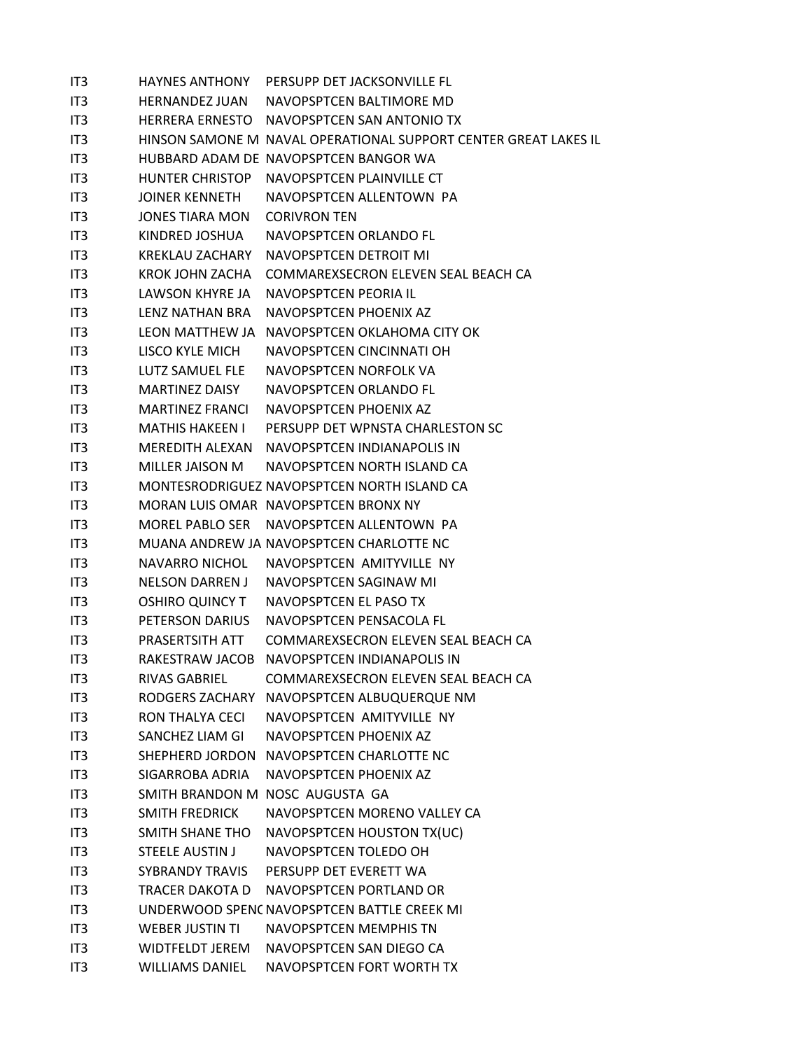| IT3             | HAYNES ANTHONY         | PERSUPP DET JACKSONVILLE FL                                     |
|-----------------|------------------------|-----------------------------------------------------------------|
| IT <sub>3</sub> | HERNANDEZ JUAN         | NAVOPSPTCEN BALTIMORE MD                                        |
| IT3             |                        | HERRERA ERNESTO NAVOPSPTCEN SAN ANTONIO TX                      |
| IT3             |                        | HINSON SAMONE M NAVAL OPERATIONAL SUPPORT CENTER GREAT LAKES IL |
| IT3             |                        | HUBBARD ADAM DE NAVOPSPTCEN BANGOR WA                           |
| IT3             |                        | HUNTER CHRISTOP NAVOPSPTCEN PLAINVILLE CT                       |
| IT3             | JOINER KENNETH         | NAVOPSPTCEN ALLENTOWN PA                                        |
| IT3             | JONES TIARA MON        | <b>CORIVRON TEN</b>                                             |
| IT3             | KINDRED JOSHUA         | NAVOPSPTCEN ORLANDO FL                                          |
| IT3             | KREKLAU ZACHARY        | NAVOPSPTCEN DETROIT MI                                          |
| IT3             | KROK JOHN ZACHA        | COMMAREXSECRON ELEVEN SEAL BEACH CA                             |
| IT3             | LAWSON KHYRE JA        | NAVOPSPTCEN PEORIA IL                                           |
| IT3             | LENZ NATHAN BRA        | NAVOPSPTCEN PHOENIX AZ                                          |
| IT3             |                        | LEON MATTHEW JA NAVOPSPTCEN OKLAHOMA CITY OK                    |
| IT3             | LISCO KYLE MICH        | NAVOPSPTCEN CINCINNATI OH                                       |
| IT3             | LUTZ SAMUEL FLE        | NAVOPSPTCEN NORFOLK VA                                          |
| IT3             | <b>MARTINEZ DAISY</b>  | NAVOPSPTCEN ORLANDO FL                                          |
| IT3             | MARTINEZ FRANCI        | NAVOPSPTCEN PHOENIX AZ                                          |
| IT3             | <b>MATHIS HAKEEN I</b> | PERSUPP DET WPNSTA CHARLESTON SC                                |
| IT3             |                        | MEREDITH ALEXAN NAVOPSPTCEN INDIANAPOLIS IN                     |
| IT3             | MILLER JAISON M        | NAVOPSPTCEN NORTH ISLAND CA                                     |
| IT3             |                        | MONTESRODRIGUEZ NAVOPSPTCEN NORTH ISLAND CA                     |
| IT3             |                        | MORAN LUIS OMAR NAVOPSPTCEN BRONX NY                            |
| IT3             |                        | MOREL PABLO SER NAVOPSPTCEN ALLENTOWN PA                        |
| IT3             |                        | MUANA ANDREW JA NAVOPSPTCEN CHARLOTTE NC                        |
| IT3             | NAVARRO NICHOL         | NAVOPSPTCEN AMITYVILLE NY                                       |
| IT3             | NELSON DARREN J        | NAVOPSPTCEN SAGINAW MI                                          |
| IT3             | <b>OSHIRO QUINCY T</b> | NAVOPSPTCEN EL PASO TX                                          |
| IT3             | PETERSON DARIUS        | NAVOPSPTCEN PENSACOLA FL                                        |
| IT <sub>3</sub> | PRASERTSITH ATT        | COMMAREXSECRON ELEVEN SEAL BEACH CA                             |
| IT <sub>3</sub> |                        | RAKESTRAW JACOB NAVOPSPTCEN INDIANAPOLIS IN                     |
| IT3             | <b>RIVAS GABRIEL</b>   | COMMAREXSECRON ELEVEN SEAL BEACH CA                             |
| IT3             |                        | RODGERS ZACHARY NAVOPSPTCEN ALBUQUERQUE NM                      |
| IT3             | RON THALYA CECI        | NAVOPSPTCEN AMITYVILLE NY                                       |
| IT3             | SANCHEZ LIAM GI        | NAVOPSPTCEN PHOENIX AZ                                          |
| IT3             |                        | SHEPHERD JORDON NAVOPSPTCEN CHARLOTTE NC                        |
| IT <sub>3</sub> | SIGARROBA ADRIA        | NAVOPSPTCEN PHOENIX AZ                                          |
| IT3             |                        | SMITH BRANDON M NOSC AUGUSTA GA                                 |
| IT3             | <b>SMITH FREDRICK</b>  | NAVOPSPTCEN MORENO VALLEY CA                                    |
| IT3             | SMITH SHANE THO        | NAVOPSPTCEN HOUSTON TX(UC)                                      |
| IT3             | <b>STEELE AUSTIN J</b> | NAVOPSPTCEN TOLEDO OH                                           |
| IT3             | <b>SYBRANDY TRAVIS</b> | PERSUPP DET EVERETT WA                                          |
| IT3             | TRACER DAKOTA D        | NAVOPSPTCEN PORTLAND OR                                         |
| IT <sub>3</sub> |                        | UNDERWOOD SPENC NAVOPSPTCEN BATTLE CREEK MI                     |
| IT3             | <b>WEBER JUSTIN TI</b> | NAVOPSPTCEN MEMPHIS TN                                          |
| IT3             | <b>WIDTFELDT JEREM</b> | NAVOPSPTCEN SAN DIEGO CA                                        |
| IT3             | <b>WILLIAMS DANIEL</b> | NAVOPSPTCEN FORT WORTH TX                                       |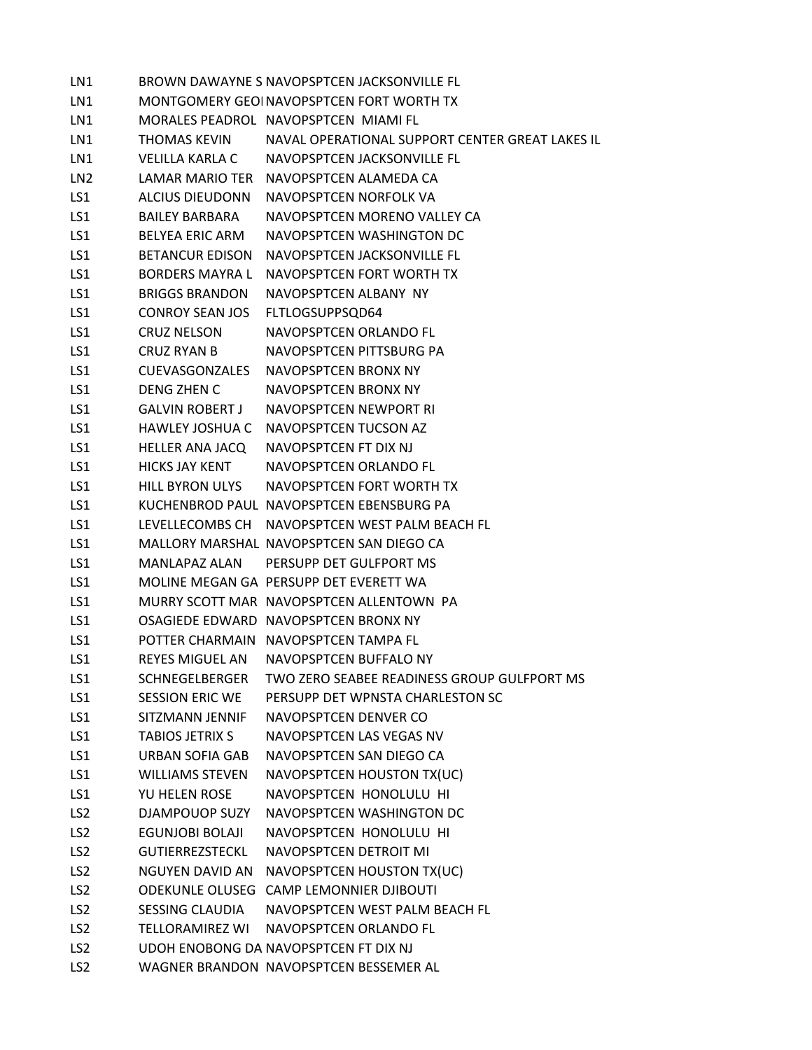LN1 BROWN DAWAYNE S NAVOPSPTCEN JACKSONVILLE FL LN1 MONTGOMERY GEOINAVOPSPTCEN FORT WORTH TX LN1 MORALES PEADROL NAVOPSPTCEN MIAMI FL LN1 THOMAS KEVIN NAVAL OPERATIONAL SUPPORT CENTER GREAT LAKES IL LN1 VELILLA KARLA C NAVOPSPTCEN JACKSONVILLE FL LN2 LAMAR MARIO TER NAVOPSPTCEN ALAMEDA CA LS1 ALCIUS DIEUDONN NAVOPSPTCEN NORFOLK VA LS1 BAILEY BARBARA NAVOPSPTCEN MORENO VALLEY CA LS1 BELYEA ERIC ARM NAVOPSPTCEN WASHINGTON DC LS1 BETANCUR EDISON NAVOPSPTCEN JACKSONVILLE FL LS1 BORDERS MAYRA L NAVOPSPTCEN FORT WORTH TX LS1 BRIGGS BRANDON NAVOPSPTCEN ALBANY NY LS1 CONROY SEAN JOS FLTLOGSUPPSQD64 LS1 CRUZ NELSON NAVOPSPTCEN ORLANDO FL LS1 CRUZ RYAN B NAVOPSPTCEN PITTSBURG PA LS1 CUEVASGONZALES NAVOPSPTCEN BRONX NY LS1 DENG ZHEN C NAVOPSPTCEN BRONX NY LS1 GALVIN ROBERT J NAVOPSPTCEN NEWPORT RI LS1 HAWLEY JOSHUA C NAVOPSPTCEN TUCSON AZ LS1 HELLER ANA JACQ NAVOPSPTCEN FT DIX NJ LS1 HICKS JAY KENT NAVOPSPTCEN ORLANDO FL LS1 HILL BYRON ULYS NAVOPSPTCEN FORT WORTH TX LS1 KUCHENBROD PAUL NAVOPSPTCEN EBENSBURG PA LS1 LEVELLECOMBS CH NAVOPSPTCEN WEST PALM BEACH FL LS1 MALLORY MARSHAL NAVOPSPTCEN SAN DIEGO CA LS1 MANLAPAZ ALAN PERSUPP DET GULFPORT MS LS1 MOLINE MEGAN GA PERSUPP DET EVERETT WA LS1 MURRY SCOTT MAR NAVOPSPTCEN ALLENTOWN PA LS1 OSAGIEDE EDWARD NAVOPSPTCEN BRONX NY LS1 POTTER CHARMAIN NAVOPSPTCEN TAMPA FL LS1 REYES MIGUEL AN NAVOPSPTCEN BUFFALO NY LS1 SCHNEGELBERGER TWO ZERO SEABEE READINESS GROUP GULFPORT MS LS1 SESSION ERIC WE PERSUPP DET WPNSTA CHARLESTON SC LS1 SITZMANN JENNIF NAVOPSPTCEN DENVER CO LS1 TABIOS JETRIX S NAVOPSPTCEN LAS VEGAS NV LS1 URBAN SOFIA GAB NAVOPSPTCEN SAN DIEGO CA LS1 WILLIAMS STEVEN NAVOPSPTCEN HOUSTON TX(UC) LS1 YU HELEN ROSE NAVOPSPTCEN HONOLULU HI LS2 DJAMPOUOP SUZY NAVOPSPTCEN WASHINGTON DC LS2 EGUNJOBI BOLAJI NAVOPSPTCEN HONOLULU HI LS2 GUTIERREZSTECKL NAVOPSPTCEN DETROIT MI LS2 NGUYEN DAVID AN NAVOPSPTCEN HOUSTON TX(UC) LS2 ODEKUNLE OLUSEG CAMP LEMONNIER DJIBOUTI LS2 SESSING CLAUDIA NAVOPSPTCEN WEST PALM BEACH FL LS2 TELLORAMIREZ WI NAVOPSPTCEN ORLANDO FL LS2 UDOH ENOBONG DA NAVOPSPTCEN FT DIX NJ LS2 WAGNER BRANDON NAVOPSPTCEN BESSEMER AL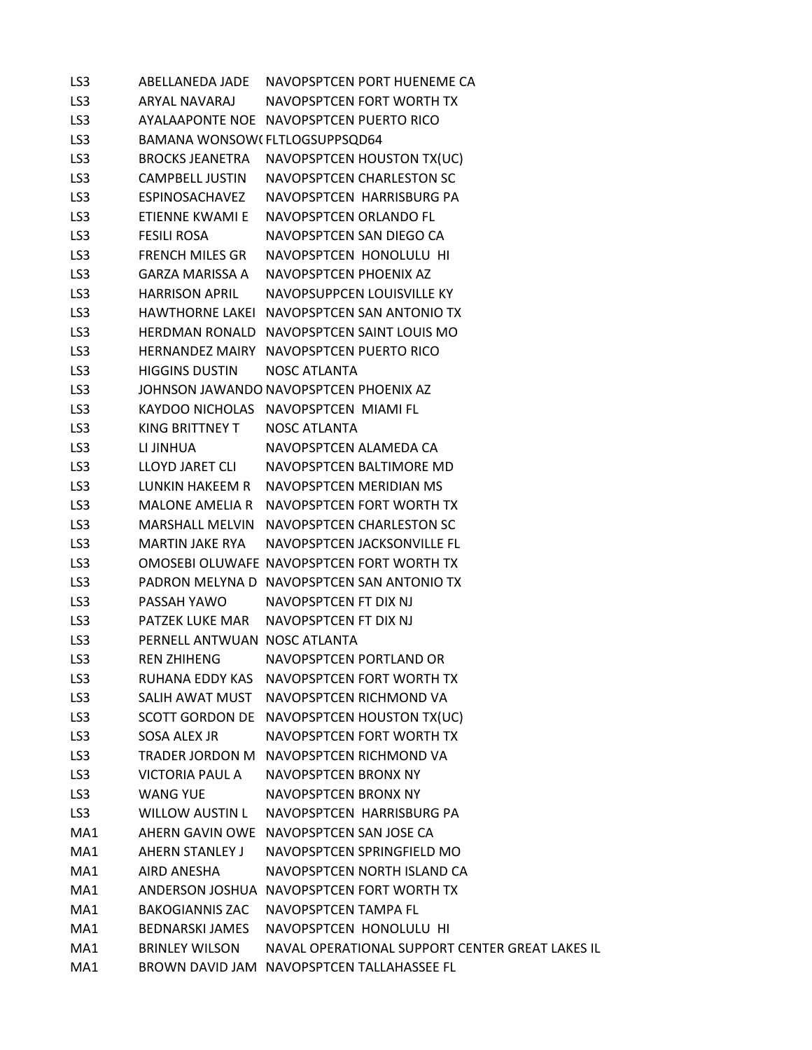| LS3 | ABELLANEDA JADE               | NAVOPSPTCEN PORT HUENEME CA                     |
|-----|-------------------------------|-------------------------------------------------|
| LS3 | ARYAL NAVARAJ                 | NAVOPSPTCEN FORT WORTH TX                       |
| LS3 |                               | AYALAAPONTE NOE NAVOPSPTCEN PUERTO RICO         |
| LS3 | BAMANA WONSOW(FLTLOGSUPPSQD64 |                                                 |
| LS3 | BROCKS JEANETRA               | NAVOPSPTCEN HOUSTON TX(UC)                      |
| LS3 | CAMPBELL JUSTIN               | NAVOPSPTCEN CHARLESTON SC                       |
| LS3 | ESPINOSACHAVEZ                | NAVOPSPTCEN HARRISBURG PA                       |
| LS3 | ETIENNE KWAMI E               | NAVOPSPTCEN ORLANDO FL                          |
| LS3 | <b>FESILI ROSA</b>            | NAVOPSPTCEN SAN DIEGO CA                        |
| LS3 | <b>FRENCH MILES GR</b>        | NAVOPSPTCEN HONOLULU HI                         |
| LS3 | GARZA MARISSA A               | NAVOPSPTCEN PHOENIX AZ                          |
| LS3 | <b>HARRISON APRIL</b>         | NAVOPSUPPCEN LOUISVILLE KY                      |
| LS3 |                               | HAWTHORNE LAKEI NAVOPSPTCEN SAN ANTONIO TX      |
| LS3 |                               | HERDMAN RONALD NAVOPSPTCEN SAINT LOUIS MO       |
| LS3 |                               | HERNANDEZ MAIRY NAVOPSPTCEN PUERTO RICO         |
| LS3 | <b>HIGGINS DUSTIN</b>         | NOSC ATLANTA                                    |
| LS3 |                               | JOHNSON JAWANDO NAVOPSPTCEN PHOENIX AZ          |
| LS3 |                               | KAYDOO NICHOLAS NAVOPSPTCEN MIAMI FL            |
| LS3 | KING BRITTNEY T               | <b>NOSC ATLANTA</b>                             |
| LS3 | LI JINHUA                     | NAVOPSPTCEN ALAMEDA CA                          |
| LS3 | LLOYD JARET CLI               | NAVOPSPTCEN BALTIMORE MD                        |
| LS3 |                               | LUNKIN HAKEEM R NAVOPSPTCEN MERIDIAN MS         |
| LS3 | <b>MALONE AMELIA R</b>        | NAVOPSPTCEN FORT WORTH TX                       |
| LS3 |                               | MARSHALL MELVIN NAVOPSPTCEN CHARLESTON SC       |
| LS3 | MARTIN JAKE RYA               | NAVOPSPTCEN JACKSONVILLE FL                     |
| LS3 |                               | OMOSEBI OLUWAFE NAVOPSPTCEN FORT WORTH TX       |
| LS3 |                               | PADRON MELYNA D NAVOPSPTCEN SAN ANTONIO TX      |
| LS3 | PASSAH YAWO                   | NAVOPSPTCEN FT DIX NJ                           |
| LS3 | PATZEK LUKE MAR               | NAVOPSPTCEN FT DIX NJ                           |
| LS3 | PERNELL ANTWUAN NOSC ATLANTA  |                                                 |
| LS3 | <b>REN ZHIHENG</b>            | NAVOPSPTCEN PORTLAND OR                         |
| LS3 | RUHANA EDDY KAS               | NAVOPSPTCEN FORT WORTH TX                       |
| LS3 | SALIH AWAT MUST               | NAVOPSPTCEN RICHMOND VA                         |
| LS3 |                               | SCOTT GORDON DE NAVOPSPTCEN HOUSTON TX(UC)      |
| LS3 | SOSA ALEX JR                  | NAVOPSPTCEN FORT WORTH TX                       |
| LS3 | TRADER JORDON M               | NAVOPSPTCEN RICHMOND VA                         |
| LS3 | VICTORIA PAUL A               | NAVOPSPTCEN BRONX NY                            |
| LS3 | <b>WANG YUE</b>               | NAVOPSPTCEN BRONX NY                            |
| LS3 | WILLOW AUSTIN L               | NAVOPSPTCEN HARRISBURG PA                       |
| MA1 | AHERN GAVIN OWE               | NAVOPSPTCEN SAN JOSE CA                         |
| MA1 | <b>AHERN STANLEY J</b>        | NAVOPSPTCEN SPRINGFIELD MO                      |
| MA1 | AIRD ANESHA                   | NAVOPSPTCEN NORTH ISLAND CA                     |
| MA1 |                               | ANDERSON JOSHUA NAVOPSPTCEN FORT WORTH TX       |
| MA1 | <b>BAKOGIANNIS ZAC</b>        | NAVOPSPTCEN TAMPA FL                            |
| MA1 | BEDNARSKI JAMES               | NAVOPSPTCEN HONOLULU HI                         |
| MA1 | <b>BRINLEY WILSON</b>         | NAVAL OPERATIONAL SUPPORT CENTER GREAT LAKES IL |
| MA1 |                               | BROWN DAVID JAM NAVOPSPTCEN TALLAHASSEE FL      |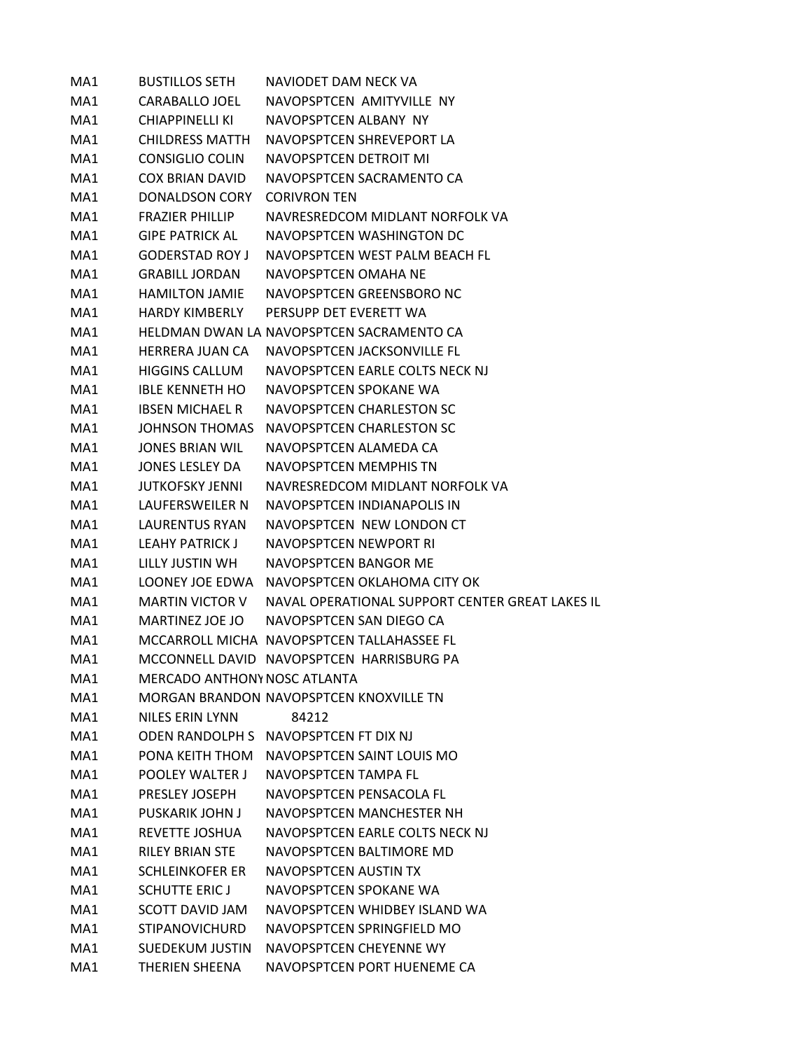| MA1 | <b>BUSTILLOS SETH</b>               | NAVIODET DAM NECK VA                            |
|-----|-------------------------------------|-------------------------------------------------|
| MA1 | CARABALLO JOEL                      | NAVOPSPTCEN AMITYVILLE NY                       |
| MA1 | CHIAPPINELLI KI                     | NAVOPSPTCEN ALBANY NY                           |
| MA1 | <b>CHILDRESS MATTH</b>              | NAVOPSPTCEN SHREVEPORT LA                       |
| MA1 | CONSIGLIO COLIN                     | NAVOPSPTCEN DETROIT MI                          |
| MA1 | <b>COX BRIAN DAVID</b>              | NAVOPSPTCEN SACRAMENTO CA                       |
| MA1 | <b>DONALDSON CORY</b>               | <b>CORIVRON TEN</b>                             |
| MA1 | <b>FRAZIFR PHILLIP</b>              | NAVRESREDCOM MIDLANT NORFOLK VA                 |
| MA1 | <b>GIPE PATRICK AL</b>              | NAVOPSPTCEN WASHINGTON DC                       |
| MA1 | <b>GODERSTAD ROY J</b>              | NAVOPSPTCEN WEST PALM BEACH FL                  |
| MA1 | <b>GRABILL JORDAN</b>               | NAVOPSPTCEN OMAHA NE                            |
| MA1 | <b>HAMILTON JAMIE</b>               | NAVOPSPTCEN GREENSBORO NC                       |
| MA1 | <b>HARDY KIMBERLY</b>               | PERSUPP DET EVERETT WA                          |
| MA1 |                                     | HELDMAN DWAN LA NAVOPSPTCEN SACRAMENTO CA       |
| MA1 | <b>HERRERA JUAN CA</b>              | NAVOPSPTCEN JACKSONVILLE FL                     |
| MA1 | <b>HIGGINS CALLUM</b>               | NAVOPSPTCEN EARLE COLTS NECK NJ                 |
| MA1 | <b>IBLE KENNETH HO</b>              | NAVOPSPTCEN SPOKANE WA                          |
| MA1 | <b>IBSEN MICHAEL R</b>              | NAVOPSPTCEN CHARLESTON SC                       |
| MA1 | <b>JOHNSON THOMAS</b>               | NAVOPSPTCEN CHARLESTON SC                       |
| MA1 | JONES BRIAN WIL                     | NAVOPSPTCEN ALAMEDA CA                          |
| MA1 | JONES LESLEY DA                     | NAVOPSPTCEN MEMPHIS TN                          |
| MA1 | <b>JUTKOFSKY JENNI</b>              | NAVRESREDCOM MIDLANT NORFOLK VA                 |
| MA1 | LAUFERSWEILER N                     | NAVOPSPTCEN INDIANAPOLIS IN                     |
| MA1 | LAURENTUS RYAN                      | NAVOPSPTCEN NEW LONDON CT                       |
| MA1 | <b>LEAHY PATRICK J</b>              | NAVOPSPTCEN NEWPORT RI                          |
| MA1 | LILLY JUSTIN WH                     | NAVOPSPTCEN BANGOR ME                           |
| MA1 |                                     | LOONEY JOE EDWA NAVOPSPTCEN OKLAHOMA CITY OK    |
| MA1 | MARTIN VICTOR V                     | NAVAL OPERATIONAL SUPPORT CENTER GREAT LAKES IL |
| MA1 | MARTINEZ JOE JO                     | NAVOPSPTCEN SAN DIEGO CA                        |
| MA1 |                                     | MCCARROLL MICHA NAVOPSPTCEN TALLAHASSEE FL      |
| MA1 |                                     | MCCONNELL DAVID NAVOPSPTCEN HARRISBURG PA       |
| MA1 | <b>MERCADO ANTHONY NOSC ATLANTA</b> |                                                 |
| MA1 |                                     | MORGAN BRANDON NAVOPSPTCEN KNOXVILLE TN         |
| MA1 | NILES ERIN LYNN                     | 84212                                           |
| MA1 |                                     | ODEN RANDOLPH S NAVOPSPTCEN FT DIX NJ           |
| MA1 |                                     | PONA KEITH THOM NAVOPSPTCEN SAINT LOUIS MO      |
| MA1 | POOLEY WALTER J                     | NAVOPSPTCEN TAMPA FL                            |
| MA1 | <b>PRESLEY JOSEPH</b>               | NAVOPSPTCEN PENSACOLA FL                        |
| MA1 | PUSKARIK JOHN J                     | NAVOPSPTCEN MANCHESTER NH                       |
| MA1 | REVETTE JOSHUA                      | NAVOPSPTCEN EARLE COLTS NECK NJ                 |
| MA1 | <b>RILEY BRIAN STE</b>              | NAVOPSPTCEN BALTIMORE MD                        |
| MA1 | <b>SCHLEINKOFER ER</b>              | NAVOPSPTCEN AUSTIN TX                           |
| MA1 | <b>SCHUTTE ERIC J</b>               | NAVOPSPTCEN SPOKANE WA                          |
| MA1 | SCOTT DAVID JAM                     | NAVOPSPTCEN WHIDBEY ISLAND WA                   |
| MA1 | <b>STIPANOVICHURD</b>               | NAVOPSPTCEN SPRINGFIELD MO                      |
| MA1 | <b>SUEDEKUM JUSTIN</b>              | NAVOPSPTCEN CHEYENNE WY                         |
| MA1 | THERIEN SHEENA                      | NAVOPSPTCEN PORT HUENEME CA                     |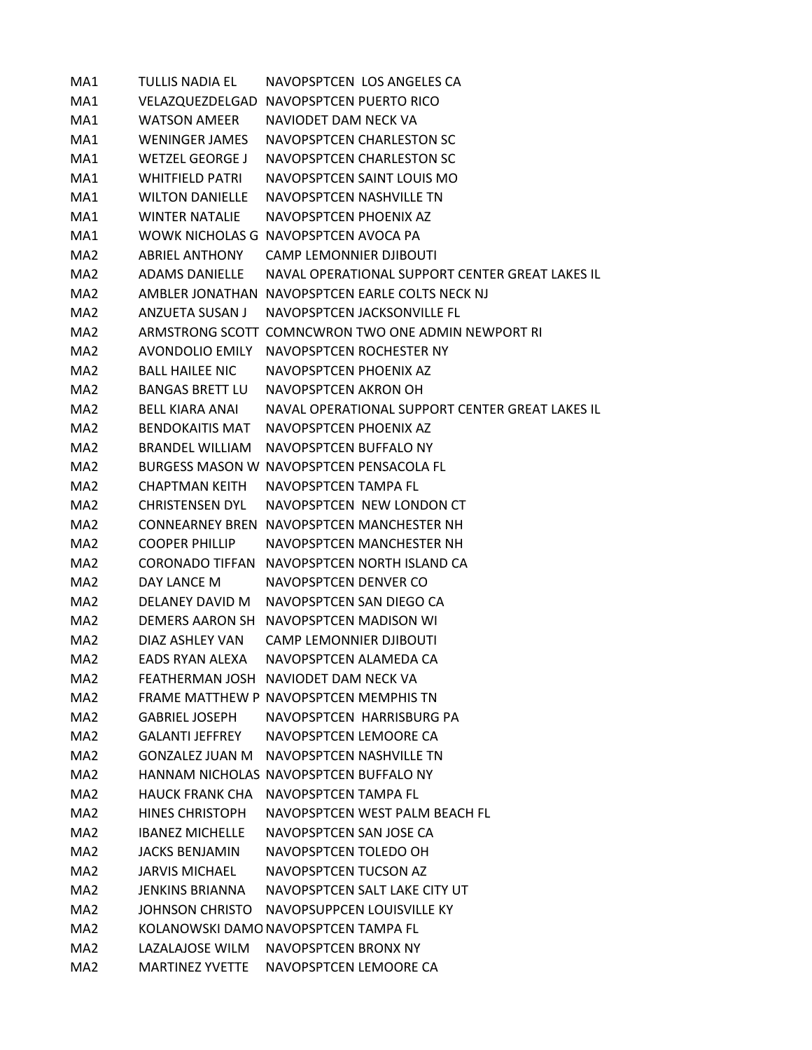| MA1             | <b>TULLIS NADIA EL</b> | NAVOPSPTCEN LOS ANGELES CA                         |
|-----------------|------------------------|----------------------------------------------------|
| MA1             |                        | VELAZQUEZDELGAD NAVOPSPTCEN PUERTO RICO            |
| MA1             | <b>WATSON AMEER</b>    | NAVIODET DAM NECK VA                               |
| MA1             | WENINGER JAMES         | NAVOPSPTCEN CHARLESTON SC                          |
| MA1             | <b>WETZEL GEORGE J</b> | NAVOPSPTCEN CHARLESTON SC                          |
| MA1             | WHITFIELD PATRI        | NAVOPSPTCEN SAINT LOUIS MO                         |
| MA1             | <b>WILTON DANIELLE</b> | NAVOPSPTCEN NASHVILLE TN                           |
| MA1             | <b>WINTER NATALIE</b>  | NAVOPSPTCEN PHOENIX AZ                             |
| MA1             |                        | WOWK NICHOLAS G NAVOPSPTCEN AVOCA PA               |
| MA <sub>2</sub> | ABRIFL ANTHONY         | <b>CAMP LEMONNIER DJIBOUTI</b>                     |
| MA <sub>2</sub> | ADAMS DANIELLE         | NAVAL OPERATIONAL SUPPORT CENTER GREAT LAKES IL    |
| MA <sub>2</sub> |                        | AMBLER JONATHAN NAVOPSPTCEN EARLE COLTS NECK NJ    |
| MA <sub>2</sub> | ANZUETA SUSAN J        | NAVOPSPTCEN JACKSONVILLE FL                        |
| MA <sub>2</sub> |                        | ARMSTRONG SCOTT COMNCWRON TWO ONE ADMIN NEWPORT RI |
| MA <sub>2</sub> | AVONDOLIO EMILY        | NAVOPSPTCEN ROCHESTER NY                           |
| MA <sub>2</sub> | <b>BALL HAILEE NIC</b> | NAVOPSPTCEN PHOENIX AZ                             |
| MA <sub>2</sub> | <b>BANGAS BRETT LU</b> | NAVOPSPTCEN AKRON OH                               |
| MA2             | <b>BELL KIARA ANAI</b> | NAVAL OPERATIONAL SUPPORT CENTER GREAT LAKES IL    |
| MA <sub>2</sub> | <b>BENDOKAITIS MAT</b> | NAVOPSPTCEN PHOENIX AZ                             |
| MA <sub>2</sub> | <b>BRANDEL WILLIAM</b> | NAVOPSPTCEN BUFFALO NY                             |
| MA <sub>2</sub> |                        | BURGESS MASON W NAVOPSPTCEN PENSACOLA FL           |
| MA <sub>2</sub> | <b>CHAPTMAN KEITH</b>  | NAVOPSPTCEN TAMPA FL                               |
| MA2             | CHRISTENSEN DYL        | NAVOPSPTCEN NEW LONDON CT                          |
| MA <sub>2</sub> |                        | CONNEARNEY BREN NAVOPSPTCEN MANCHESTER NH          |
| MA <sub>2</sub> | <b>COOPER PHILLIP</b>  | NAVOPSPTCEN MANCHESTER NH                          |
| MA <sub>2</sub> | CORONADO TIFFAN        | NAVOPSPTCEN NORTH ISLAND CA                        |
| MA <sub>2</sub> | DAY LANCE M            | NAVOPSPTCEN DENVER CO                              |
| MA <sub>2</sub> | DELANEY DAVID M        | NAVOPSPTCEN SAN DIEGO CA                           |
| MA <sub>2</sub> | DEMERS AARON SH        | NAVOPSPTCEN MADISON WI                             |
| MA <sub>2</sub> | DIAZ ASHLEY VAN        | <b>CAMP LEMONNIER DJIBOUTI</b>                     |
| MA <sub>2</sub> | EADS RYAN ALEXA        | NAVOPSPTCEN ALAMEDA CA                             |
| MA2             |                        | FEATHERMAN JOSH NAVIODET DAM NECK VA               |
| MA2             |                        | FRAME MATTHEW P NAVOPSPTCEN MEMPHIS TN             |
| MA <sub>2</sub> | GABRIEL JOSEPH         | NAVOPSPTCEN HARRISBURG PA                          |
| MA2             | GALANTI JEFFREY        | NAVOPSPTCEN LEMOORE CA                             |
| MA <sub>2</sub> | GONZALFZ JUAN M        | NAVOPSPTCEN NASHVILLE TN                           |
| MA <sub>2</sub> |                        | HANNAM NICHOLAS NAVOPSPTCEN BUFFALO NY             |
| MA2             | <b>HAUCK FRANK CHA</b> | NAVOPSPTCEN TAMPA FL                               |
| MA2             | <b>HINES CHRISTOPH</b> | NAVOPSPTCEN WEST PALM BEACH FL                     |
| MA2             | <b>IBANEZ MICHELLE</b> | NAVOPSPTCEN SAN JOSE CA                            |
| MA <sub>2</sub> | <b>JACKS BENJAMIN</b>  | NAVOPSPTCEN TOLEDO OH                              |
| MA2             | <b>JARVIS MICHAEL</b>  | NAVOPSPTCEN TUCSON AZ                              |
| MA <sub>2</sub> | JENKINS BRIANNA        | NAVOPSPTCEN SALT LAKE CITY UT                      |
| MA <sub>2</sub> | JOHNSON CHRISTO        | NAVOPSUPPCEN LOUISVILLE KY                         |
| MA <sub>2</sub> |                        | KOLANOWSKI DAMO NAVOPSPTCEN TAMPA FL               |
| MA <sub>2</sub> | LAZALAJOSE WILM        | NAVOPSPTCEN BRONX NY                               |
| MA <sub>2</sub> | <b>MARTINEZ YVETTE</b> | NAVOPSPTCEN LEMOORE CA                             |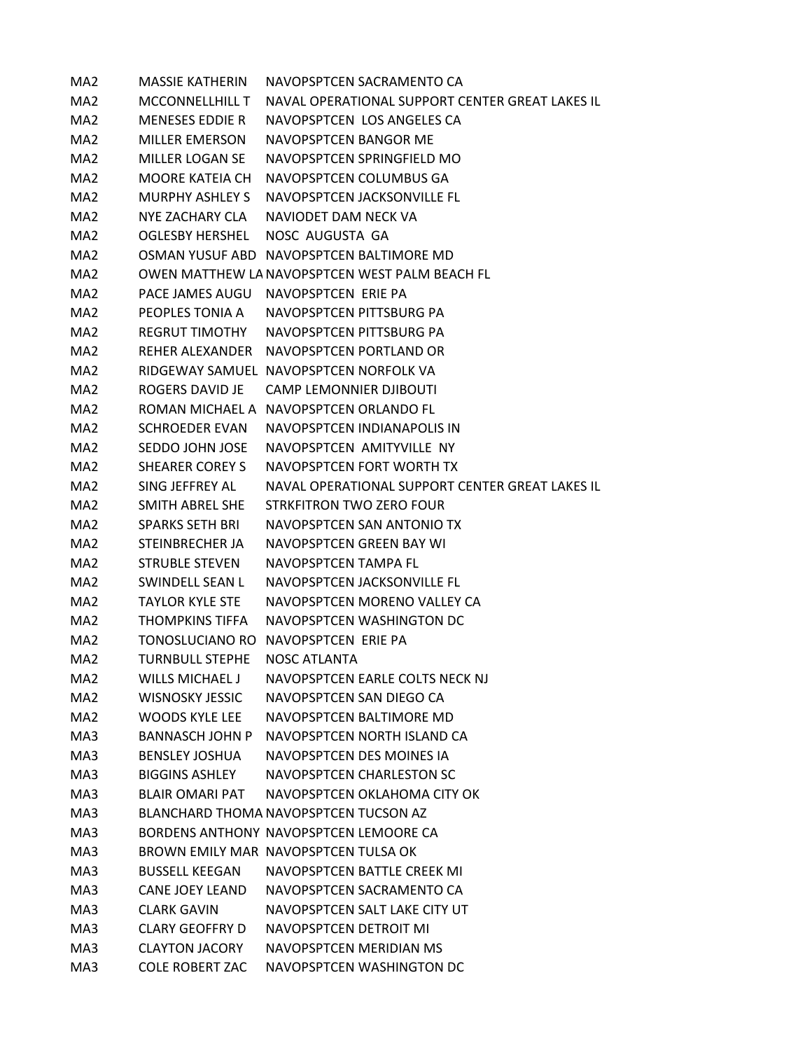| MA <sub>2</sub> | <b>MASSIE KATHERIN</b> | NAVOPSPTCEN SACRAMENTO CA                       |
|-----------------|------------------------|-------------------------------------------------|
| MA2             | <b>MCCONNELLHILL T</b> | NAVAL OPERATIONAL SUPPORT CENTER GREAT LAKES IL |
| MA <sub>2</sub> | <b>MENESES EDDIE R</b> | NAVOPSPTCEN LOS ANGELES CA                      |
| MA <sub>2</sub> | <b>MILLER EMERSON</b>  | NAVOPSPTCEN BANGOR ME                           |
| MA <sub>2</sub> | <b>MILLER LOGAN SE</b> | NAVOPSPTCEN SPRINGFIELD MO                      |
| MA <sub>2</sub> | MOORE KATEIA CH        | NAVOPSPTCEN COLUMBUS GA                         |
| MA <sub>2</sub> | MURPHY ASHLEY S        | NAVOPSPTCEN JACKSONVILLE FL                     |
| MA <sub>2</sub> | NYF ZACHARY CLA        | NAVIODET DAM NECK VA                            |
| MA <sub>2</sub> | OGLESBY HERSHEL        | NOSC AUGUSTA GA                                 |
| MA <sub>2</sub> |                        | OSMAN YUSUF ABD NAVOPSPTCEN BALTIMORE MD        |
| MA <sub>2</sub> |                        | OWEN MATTHEW LA NAVOPSPTCEN WEST PALM BEACH FL  |
| MA <sub>2</sub> |                        | PACE JAMES AUGU NAVOPSPTCEN ERIE PA             |
| MA2             |                        | PEOPLES TONIA A NAVOPSPTCEN PITTSBURG PA        |
| MA <sub>2</sub> | <b>REGRUT TIMOTHY</b>  | NAVOPSPTCEN PITTSBURG PA                        |
| MA <sub>2</sub> |                        | REHER ALEXANDER NAVOPSPTCEN PORTLAND OR         |
| MA <sub>2</sub> |                        | RIDGEWAY SAMUEL NAVOPSPTCEN NORFOLK VA          |
| MA2             | ROGERS DAVID JE        | <b>CAMP LEMONNIER DJIBOUTI</b>                  |
| MA <sub>2</sub> |                        | ROMAN MICHAEL A NAVOPSPTCEN ORLANDO FL          |
| MA <sub>2</sub> | <b>SCHROEDER EVAN</b>  | NAVOPSPTCEN INDIANAPOLIS IN                     |
| MA <sub>2</sub> | SEDDO JOHN JOSE        | NAVOPSPTCEN AMITYVILLE NY                       |
| MA <sub>2</sub> | <b>SHEARER COREY S</b> | NAVOPSPTCEN FORT WORTH TX                       |
| MA2             | SING JEFFREY AL        | NAVAL OPERATIONAL SUPPORT CENTER GREAT LAKES IL |
| MA <sub>2</sub> | SMITH ABREL SHE        | <b>STRKFITRON TWO ZERO FOUR</b>                 |
| MA <sub>2</sub> | <b>SPARKS SETH BRI</b> | NAVOPSPTCEN SAN ANTONIO TX                      |
| MA <sub>2</sub> | STEINBRECHER JA        | NAVOPSPTCEN GREEN BAY WI                        |
| MA2             | <b>STRUBLE STEVEN</b>  | NAVOPSPTCEN TAMPA FL                            |
| MA <sub>2</sub> | SWINDELL SEAN L        | NAVOPSPTCEN JACKSONVILLE FL                     |
| MA <sub>2</sub> | <b>TAYLOR KYLE STE</b> | NAVOPSPTCEN MORENO VALLEY CA                    |
| MA <sub>2</sub> | <b>THOMPKINS TIFFA</b> | NAVOPSPTCEN WASHINGTON DC                       |
| MA <sub>2</sub> |                        | TONOSLUCIANO RO NAVOPSPTCEN ERIE PA             |
| MA <sub>2</sub> | <b>TURNBULL STEPHE</b> | <b>NOSC ATLANTA</b>                             |
| MA2             | <b>WILLS MICHAEL J</b> | NAVOPSPTCEN EARLE COLTS NECK NJ                 |
| MA <sub>2</sub> | <b>WISNOSKY JESSIC</b> | NAVOPSPTCEN SAN DIEGO CA                        |
| MA <sub>2</sub> | WOODS KYLE LEE         | NAVOPSPTCEN BALTIMORE MD                        |
| MA3             | BANNASCH JOHN P        | NAVOPSPTCEN NORTH ISLAND CA                     |
| MA3             | <b>BENSLEY JOSHUA</b>  | NAVOPSPTCEN DES MOINES IA                       |
| MA3             | BIGGINS ASHLEY         | NAVOPSPTCEN CHARLESTON SC                       |
| MA3             | <b>BLAIR OMARI PAT</b> | NAVOPSPTCEN OKLAHOMA CITY OK                    |
| MA3             |                        | BLANCHARD THOMA NAVOPSPTCEN TUCSON AZ           |
| MA3             |                        | BORDENS ANTHONY NAVOPSPTCEN LEMOORE CA          |
| MA3             |                        | BROWN EMILY MAR NAVOPSPTCEN TULSA OK            |
| MA3             | <b>BUSSELL KEEGAN</b>  | NAVOPSPTCEN BATTLE CREEK MI                     |
| MA3             | <b>CANE JOEY LEAND</b> | NAVOPSPTCEN SACRAMENTO CA                       |
| MA3             | <b>CLARK GAVIN</b>     | NAVOPSPTCEN SALT LAKE CITY UT                   |
| MA3             | <b>CLARY GEOFFRY D</b> | NAVOPSPTCEN DETROIT MI                          |
| MA3             | <b>CLAYTON JACORY</b>  | NAVOPSPTCEN MERIDIAN MS                         |
| MA3             | <b>COLE ROBERT ZAC</b> | NAVOPSPTCEN WASHINGTON DC                       |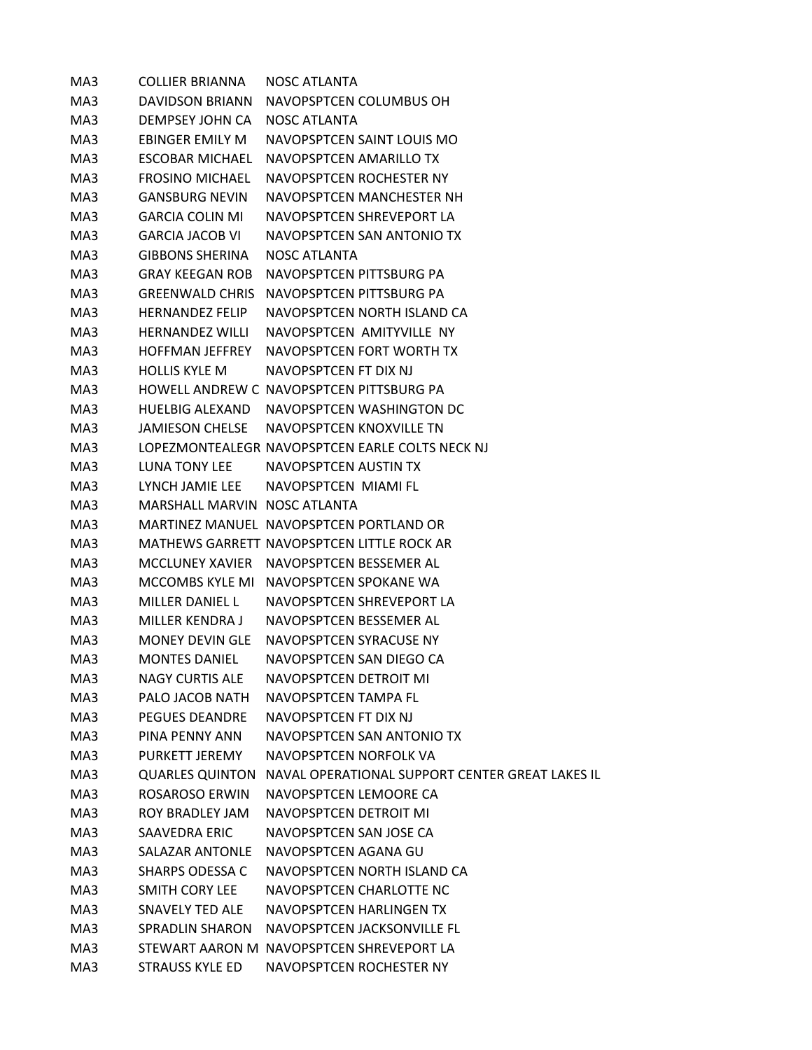| MA3 | <b>COLLIER BRIANNA</b>       | NOSC ATLANTA                                                    |
|-----|------------------------------|-----------------------------------------------------------------|
| MA3 | DAVIDSON BRIANN              | NAVOPSPTCEN COLUMBUS OH                                         |
| MA3 | DEMPSEY JOHN CA              | NOSC ATLANTA                                                    |
| MA3 | EBINGER EMILY M              | NAVOPSPTCEN SAINT LOUIS MO                                      |
| MA3 | <b>ESCOBAR MICHAEL</b>       | NAVOPSPTCEN AMARILLO TX                                         |
| MA3 | <b>FROSINO MICHAEL</b>       | NAVOPSPTCEN ROCHESTER NY                                        |
| MA3 | <b>GANSBURG NEVIN</b>        | NAVOPSPTCEN MANCHESTER NH                                       |
| MA3 | <b>GARCIA COLIN MI</b>       | NAVOPSPTCEN SHREVEPORT LA                                       |
| MA3 | <b>GARCIA JACOB VI</b>       | NAVOPSPTCEN SAN ANTONIO TX                                      |
| MA3 | <b>GIBBONS SHERINA</b>       | <b>NOSC ATLANTA</b>                                             |
| MA3 | <b>GRAY KEEGAN ROB</b>       | NAVOPSPTCEN PITTSBURG PA                                        |
| MA3 |                              | GREENWALD CHRIS NAVOPSPTCEN PITTSBURG PA                        |
| MA3 | <b>HERNANDEZ FELIP</b>       | NAVOPSPTCEN NORTH ISLAND CA                                     |
| MA3 | <b>HERNANDEZ WILLI</b>       | NAVOPSPTCEN AMITYVILLE NY                                       |
| MA3 | <b>HOFFMAN JEFFREY</b>       | NAVOPSPTCEN FORT WORTH TX                                       |
| MA3 | <b>HOLLIS KYLF M</b>         | NAVOPSPTCEN FT DIX NJ                                           |
| MA3 |                              | HOWELL ANDREW C NAVOPSPTCEN PITTSBURG PA                        |
| MA3 |                              | HUELBIG ALEXAND NAVOPSPTCEN WASHINGTON DC                       |
| MA3 | JAMIESON CHELSE              | NAVOPSPTCEN KNOXVILLE TN                                        |
| MA3 |                              | LOPEZMONTEALEGR NAVOPSPTCEN EARLE COLTS NECK NJ                 |
| MA3 |                              | LUNA TONY LEE NAVOPSPTCEN AUSTIN TX                             |
| MA3 |                              | LYNCH JAMIE LEE NAVOPSPTCEN MIAMI FL                            |
| MA3 | MARSHALL MARVIN NOSC ATLANTA |                                                                 |
| MA3 |                              | MARTINEZ MANUEL NAVOPSPTCEN PORTLAND OR                         |
| MA3 |                              | MATHEWS GARRETT NAVOPSPTCEN LITTLE ROCK AR                      |
| MA3 |                              | MCCLUNEY XAVIER NAVOPSPTCEN BESSEMER AL                         |
| MA3 |                              | MCCOMBS KYLE MI NAVOPSPTCEN SPOKANE WA                          |
| MA3 | MILLER DANIEL L              | NAVOPSPTCEN SHREVEPORT LA                                       |
| MA3 | <b>MILLER KENDRA J</b>       | NAVOPSPTCEN BESSEMER AL                                         |
| MA3 | MONEY DEVIN GLE              | NAVOPSPTCEN SYRACUSE NY                                         |
| MA3 | <b>MONTES DANIEL</b>         | NAVOPSPTCEN SAN DIEGO CA                                        |
| MA3 | <b>NAGY CURTIS ALE</b>       | NAVOPSPTCEN DETROIT MI                                          |
| MA3 | PALO JACOB NATH              | NAVOPSPTCEN TAMPA FL                                            |
| MA3 | <b>PEGUES DEANDRE</b>        | NAVOPSPTCEN FT DIX NJ                                           |
| MA3 | PINA PENNY ANN               | NAVOPSPTCEN SAN ANTONIO TX                                      |
| MA3 | PURKETT JEREMY               | NAVOPSPTCEN NORFOLK VA                                          |
| MA3 |                              | QUARLES QUINTON NAVAL OPERATIONAL SUPPORT CENTER GREAT LAKES IL |
| MA3 | ROSAROSO ERWIN               | NAVOPSPTCEN LEMOORE CA                                          |
| MA3 | ROY BRADLFY JAM              | NAVOPSPTCEN DETROIT MI                                          |
| MA3 | SAAVEDRA ERIC                | NAVOPSPTCEN SAN JOSE CA                                         |
| MA3 | <b>SALAZAR ANTONLE</b>       | NAVOPSPTCEN AGANA GU                                            |
| MA3 | <b>SHARPS ODESSA C</b>       | NAVOPSPTCEN NORTH ISLAND CA                                     |
| MA3 | <b>SMITH CORY LEE</b>        | NAVOPSPTCEN CHARLOTTE NC                                        |
| MA3 | SNAVELY TED ALE              | NAVOPSPTCEN HARLINGEN TX                                        |
| MA3 | <b>SPRADLIN SHARON</b>       | NAVOPSPTCEN JACKSONVILLE FL                                     |
| MA3 |                              | STEWART AARON M NAVOPSPTCEN SHREVEPORT LA                       |
| MA3 | <b>STRAUSS KYLE ED</b>       | NAVOPSPTCEN ROCHESTER NY                                        |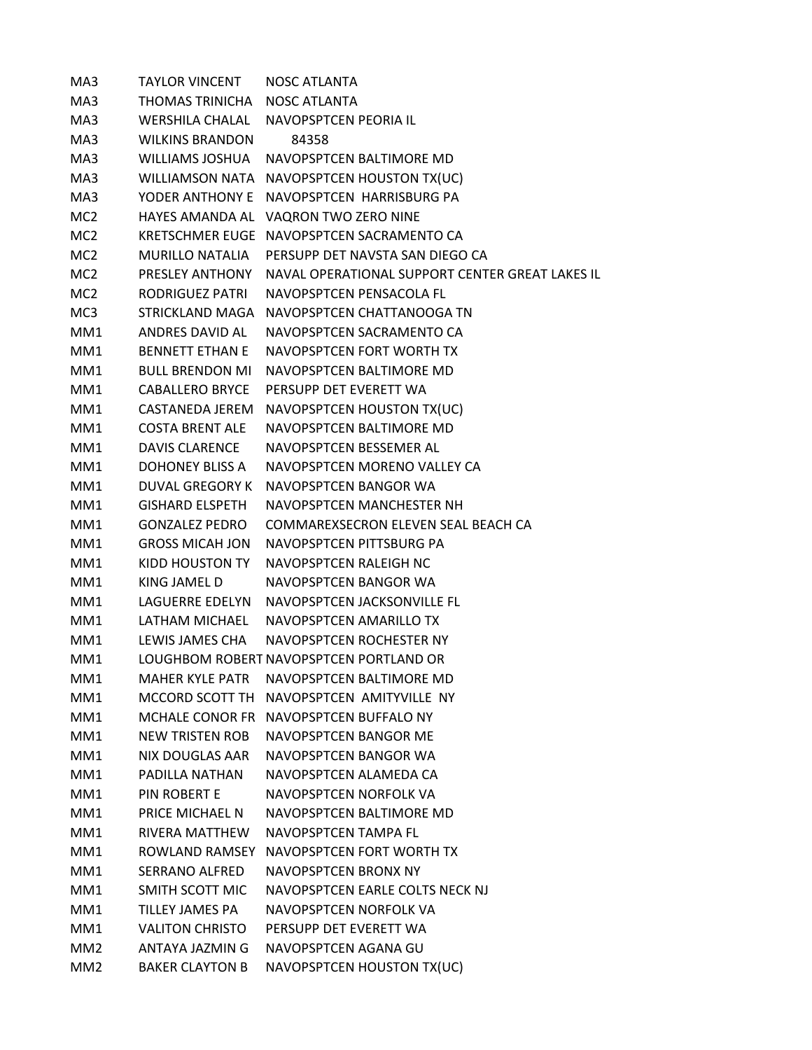| MA3             | <b>TAYLOR VINCENT</b>  | <b>NOSC ATLANTA</b>                             |
|-----------------|------------------------|-------------------------------------------------|
| MA3             | THOMAS TRINICHA        | NOSC ATLANTA                                    |
| MA3             | WERSHILA CHALAL        | NAVOPSPTCEN PEORIA IL                           |
| MA3             | <b>WILKINS BRANDON</b> | 84358                                           |
| MA3             | WILLIAMS JOSHUA        | NAVOPSPTCEN BALTIMORE MD                        |
| MA3             |                        | WILLIAMSON NATA NAVOPSPTCEN HOUSTON TX(UC)      |
| MA3             | YODER ANTHONY E        | NAVOPSPTCEN HARRISBURG PA                       |
| MC2             |                        | HAYES AMANDA AL VAQRON TWO ZERO NINE            |
| MC2             |                        | KRETSCHMER EUGE NAVOPSPTCEN SACRAMENTO CA       |
| MC <sub>2</sub> | <b>MURILLO NATALIA</b> | PERSUPP DET NAVSTA SAN DIEGO CA                 |
| MC2             | PRESLEY ANTHONY        | NAVAL OPERATIONAL SUPPORT CENTER GREAT LAKES IL |
| MC <sub>2</sub> | RODRIGUEZ PATRI        | NAVOPSPTCEN PENSACOLA FL                        |
| MC3             |                        | STRICKLAND MAGA NAVOPSPTCEN CHATTANOOGA TN      |
| MM1             | ANDRES DAVID AL        | NAVOPSPTCEN SACRAMENTO CA                       |
| MM1             | <b>BENNETT FTHAN F</b> | NAVOPSPTCEN FORT WORTH TX                       |
| MM1             | <b>BULL BRENDON MI</b> | NAVOPSPTCEN BALTIMORE MD                        |
| MM1             | <b>CABALLERO BRYCE</b> | PERSUPP DET EVERETT WA                          |
| MM1             | CASTANEDA JEREM        | NAVOPSPTCEN HOUSTON TX(UC)                      |
| MM1             | <b>COSTA BRENT ALE</b> | NAVOPSPTCEN BALTIMORE MD                        |
| MM1             | <b>DAVIS CLARENCE</b>  | NAVOPSPTCEN BESSEMER AL                         |
| MM1             | DOHONEY BLISS A        | NAVOPSPTCEN MORENO VALLEY CA                    |
| MM1             | DUVAL GREGORY K        | NAVOPSPTCEN BANGOR WA                           |
| MM1             | <b>GISHARD ELSPETH</b> | NAVOPSPTCEN MANCHESTER NH                       |
| MM1             | <b>GONZALEZ PEDRO</b>  | COMMAREXSECRON ELEVEN SEAL BEACH CA             |
| MM1             | <b>GROSS MICAH JON</b> | NAVOPSPTCEN PITTSBURG PA                        |
| MM1             | KIDD HOUSTON TY        | NAVOPSPTCEN RALEIGH NC                          |
| MM1             | KING JAMEL D           | NAVOPSPTCEN BANGOR WA                           |
| MM1             | LAGUERRE EDELYN        | NAVOPSPTCEN JACKSONVILLE FL                     |
| MM1             | LATHAM MICHAEL         | NAVOPSPTCEN AMARILLO TX                         |
| MM1             | LEWIS JAMES CHA        | NAVOPSPTCEN ROCHESTER NY                        |
| MM1             |                        | LOUGHBOM ROBERT NAVOPSPTCEN PORTLAND OR         |
| MM1             | <b>MAHER KYLE PATR</b> | NAVOPSPTCEN BALTIMORE MD                        |
| MM1             | MCCORD SCOTT TH        | NAVOPSPTCFN AMITYVILLF NY                       |
| MM1             |                        | MCHALE CONOR FR NAVOPSPTCEN BUFFALO NY          |
| MM1             | NEW TRISTEN ROB        | NAVOPSPTCEN BANGOR ME                           |
| MM <sub>1</sub> | <b>NIX DOUGLAS AAR</b> | NAVOPSPTCEN BANGOR WA                           |
| MM1             | PADILLA NATHAN         | NAVOPSPTCEN ALAMEDA CA                          |
| MM1             | PIN ROBERT E           | <b>NAVOPSPTCEN NORFOLK VA</b>                   |
| MM1             | PRICE MICHAEL N        | NAVOPSPTCEN BALTIMORE MD                        |
| MM1             | <b>RIVERA MATTHEW</b>  | NAVOPSPTCEN TAMPA FL                            |
| MM1             | ROWLAND RAMSEY         | NAVOPSPTCEN FORT WORTH TX                       |
| MM1             | <b>SERRANO ALFRED</b>  | <b>NAVOPSPTCEN BRONX NY</b>                     |
| MM1             | SMITH SCOTT MIC        | NAVOPSPTCEN EARLE COLTS NECK NJ                 |
| MM1             | TILLEY JAMES PA        | NAVOPSPTCEN NORFOLK VA                          |
| MM1             | <b>VALITON CHRISTO</b> | PERSUPP DET EVERETT WA                          |
| MM <sub>2</sub> | ANTAYA JAZMIN G        | NAVOPSPTCEN AGANA GU                            |
| MM <sub>2</sub> | <b>BAKER CLAYTON B</b> | NAVOPSPTCEN HOUSTON TX(UC)                      |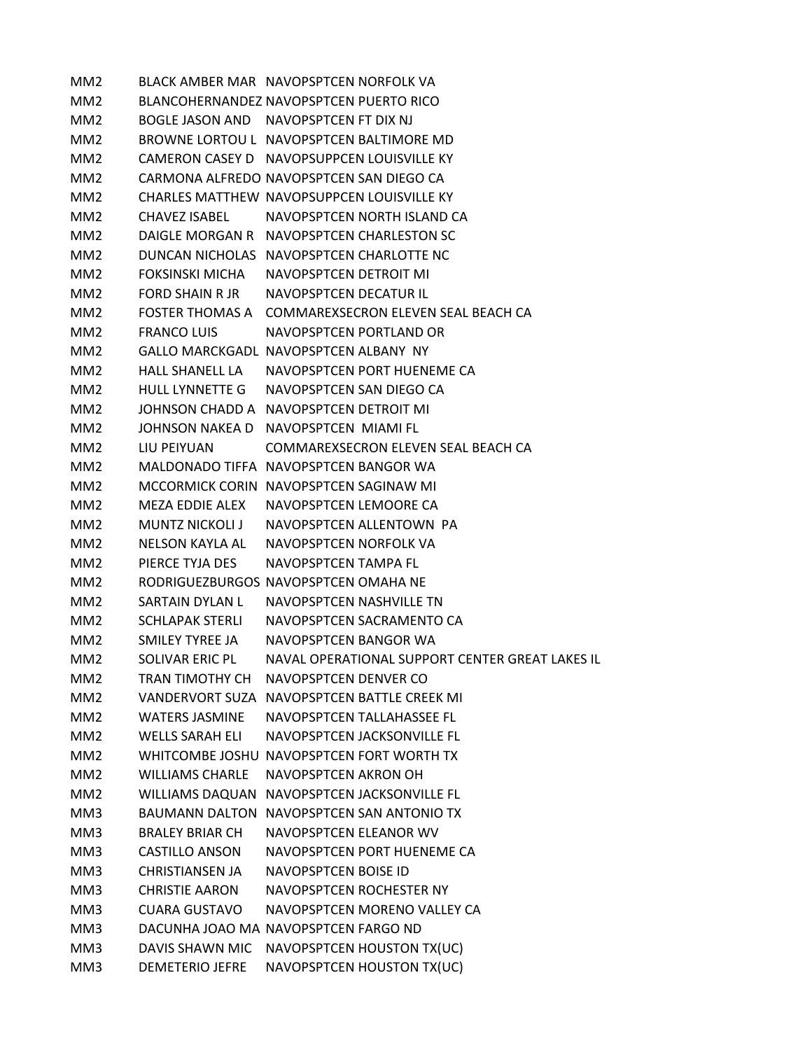MM2 BLACK AMBER MAR NAVOPSPTCEN NORFOLK VA MM2 BLANCOHERNANDEZ NAVOPSPTCEN PUERTO RICO MM2 BOGLE JASON AND NAVOPSPTCEN FT DIX NJ MM2 BROWNE LORTOU L NAVOPSPTCEN BALTIMORE MD MM2 CAMERON CASEY D NAVOPSUPPCEN LOUISVILLE KY MM2 CARMONA ALFREDO NAVOPSPTCEN SAN DIEGO CA MM2 CHARLES MATTHEW NAVOPSUPPCEN LOUISVILLE KY MM2 CHAVEZ ISABEL NAVOPSPTCEN NORTH ISLAND CA MM2 DAIGLE MORGAN R NAVOPSPTCEN CHARLESTON SC MM2 DUNCAN NICHOLAS NAVOPSPTCEN CHARLOTTE NC MM2 FOKSINSKI MICHA NAVOPSPTCEN DETROIT MI MM2 FORD SHAIN R JR NAVOPSPTCEN DECATUR IL MM2 FOSTER THOMAS A COMMAREXSECRON ELEVEN SEAL BEACH CA MM2 FRANCO LUIS NAVOPSPTCEN PORTLAND OR MM2 GALLO MARCKGADL NAVOPSPTCEN ALBANY NY MM2 HALL SHANELL LA NAVOPSPTCEN PORT HUENEME CA MM2 HULL LYNNETTE G NAVOPSPTCEN SAN DIEGO CA MM2 JOHNSON CHADD A NAVOPSPTCEN DETROIT MI MM2 JOHNSON NAKEA D NAVOPSPTCEN MIAMI FL MM2 LIU PEIYUAN COMMAREXSECRON ELEVEN SEAL BEACH CA MM2 MALDONADO TIFFA NAVOPSPTCEN BANGOR WA MM2 MCCORMICK CORIN NAVOPSPTCEN SAGINAW MI MM2 MEZA EDDIE ALEX NAVOPSPTCEN LEMOORE CA MM2 MUNTZ NICKOLI J NAVOPSPTCEN ALLENTOWN PA MM2 NELSON KAYLA AL NAVOPSPTCEN NORFOLK VA MM2 PIERCE TYJA DES NAVOPSPTCEN TAMPA FL MM2 RODRIGUEZBURGOS NAVOPSPTCEN OMAHA NE MM2 SARTAIN DYLAN L NAVOPSPTCEN NASHVILLE TN MM2 SCHLAPAK STERLI NAVOPSPTCEN SACRAMENTO CA MM2 SMILEY TYREE JA NAVOPSPTCEN BANGOR WA MM2 SOLIVAR ERIC PL NAVAL OPERATIONAL SUPPORT CENTER GREAT LAKES IL MM2 TRAN TIMOTHY CH NAVOPSPTCEN DENVER CO MM2 VANDERVORT SUZA NAVOPSPTCEN BATTLE CREEK MI MM2 WATERS JASMINE NAVOPSPTCEN TALLAHASSEE FL MM2 WELLS SARAH ELI NAVOPSPTCEN JACKSONVILLE FL MM2 WHITCOMBE JOSHU NAVOPSPTCEN FORT WORTH TX MM2 WILLIAMS CHARLE NAVOPSPTCEN AKRON OH MM2 WILLIAMS DAQUAN NAVOPSPTCEN JACKSONVILLE FL MM3 BAUMANN DALTON NAVOPSPTCEN SAN ANTONIO TX MM3 BRALEY BRIAR CH NAVOPSPTCEN ELEANOR WV MM3 CASTILLO ANSON NAVOPSPTCEN PORT HUENEME CA MM3 CHRISTIANSEN JA NAVOPSPTCEN BOISE ID MM3 CHRISTIE AARON NAVOPSPTCEN ROCHESTER NY MM3 CUARA GUSTAVO NAVOPSPTCEN MORENO VALLEY CA MM3 DACUNHA JOAO MA NAVOPSPTCEN FARGO ND MM3 DAVIS SHAWN MIC NAVOPSPTCEN HOUSTON TX(UC) MM3 DEMETERIO JEFRE NAVOPSPTCEN HOUSTON TX(UC)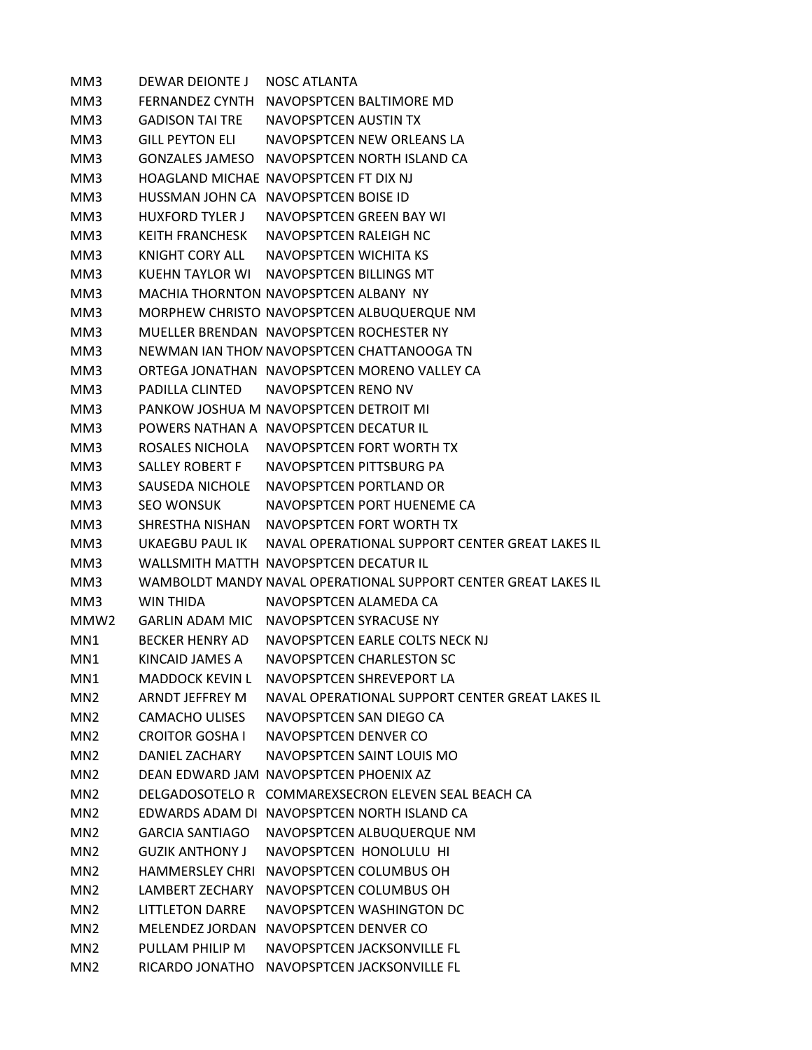MM3 DEWAR DEIONTE J NOSC ATLANTA MM3 FERNANDEZ CYNTH NAVOPSPTCEN BALTIMORE MD MM3 GADISON TAI TRE NAVOPSPTCEN AUSTIN TX MM3 GILL PEYTON ELI NAVOPSPTCEN NEW ORLEANS LA MM3 GONZALES JAMESO NAVOPSPTCEN NORTH ISLAND CA MM3 HOAGLAND MICHAE NAVOPSPTCEN FT DIX NJ MM3 HUSSMAN JOHN CA NAVOPSPTCEN BOISE ID MM3 HUXFORD TYLER J NAVOPSPTCEN GREEN BAY WI MM3 KEITH FRANCHESK NAVOPSPTCEN RALEIGH NC MM3 KNIGHT CORY ALL NAVOPSPTCEN WICHITA KS MM3 KUEHN TAYLOR WI NAVOPSPTCEN BILLINGS MT MM3 MACHIA THORNTON NAVOPSPTCEN ALBANY NY MM3 MORPHEW CHRISTO NAVOPSPTCEN ALBUQUERQUE NM MM3 MUELLER BRENDAN NAVOPSPTCEN ROCHESTER NY MM3 NEWMAN IAN THOMNAVOPSPTCEN CHATTANOOGA TN MM3 ORTEGA JONATHAN NAVOPSPTCEN MORENO VALLEY CA MM3 PADILLA CLINTED NAVOPSPTCEN RENO NV MM3 PANKOW JOSHUA M NAVOPSPTCEN DETROIT MI MM3 POWERS NATHAN A NAVOPSPTCEN DECATUR IL MM3 ROSALES NICHOLA NAVOPSPTCEN FORT WORTH TX MM3 SALLEY ROBERT F NAVOPSPTCEN PITTSBURG PA MM3 SAUSEDA NICHOLE NAVOPSPTCEN PORTLAND OR MM3 SEO WONSUK NAVOPSPTCEN PORT HUENEME CA MM3 SHRESTHA NISHAN NAVOPSPTCEN FORT WORTH TX MM3 UKAEGBU PAUL IK NAVAL OPERATIONAL SUPPORT CENTER GREAT LAKES IL MM3 WALLSMITH MATTH NAVOPSPTCEN DECATUR IL MM3 WAMBOLDT MANDY NAVAL OPERATIONAL SUPPORT CENTER GREAT LAKES IL MM3 WIN THIDA NAVOPSPTCEN ALAMEDA CA MMW2 GARLIN ADAM MIC NAVOPSPTCEN SYRACUSE NY MN1 BECKER HENRY AD NAVOPSPTCEN EARLE COLTS NECK NJ MN1 KINCAID JAMES A NAVOPSPTCEN CHARLESTON SC MN1 MADDOCK KEVIN L NAVOPSPTCEN SHREVEPORT LA MN2 ARNDT JEFFREY M NAVAL OPERATIONAL SUPPORT CENTER GREAT LAKES IL MN2 CAMACHO ULISES NAVOPSPTCEN SAN DIEGO CA MN2 CROITOR GOSHA I NAVOPSPTCEN DENVER CO MN2 DANIEL ZACHARY NAVOPSPTCEN SAINT LOUIS MO MN2 DEAN EDWARD JAM NAVOPSPTCEN PHOENIX AZ MN2 DELGADOSOTELO R COMMAREXSECRON ELEVEN SEAL BEACH CA MN2 EDWARDS ADAM DI NAVOPSPTCEN NORTH ISLAND CA MN2 GARCIA SANTIAGO NAVOPSPTCEN ALBUQUERQUE NM MN2 GUZIK ANTHONY J NAVOPSPTCEN HONOLULU HI MN2 HAMMERSLEY CHRI NAVOPSPTCEN COLUMBUS OH MN2 LAMBERT ZECHARY NAVOPSPTCEN COLUMBUS OH MN2 LITTLETON DARRE NAVOPSPTCEN WASHINGTON DC MN2 MELENDEZ JORDAN NAVOPSPTCEN DENVER CO MN2 PULLAM PHILIP M NAVOPSPTCEN JACKSONVILLE FL MN2 RICARDO JONATHO NAVOPSPTCEN JACKSONVILLE FL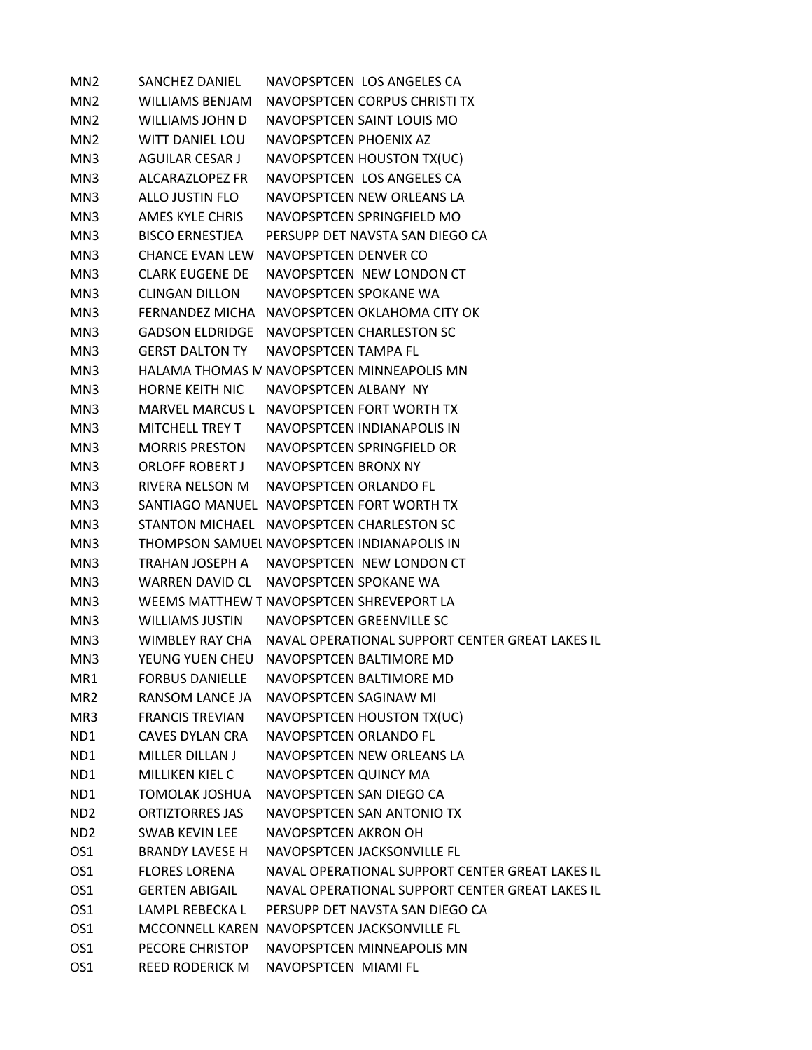| MN <sub>2</sub> | <b>SANCHEZ DANIEL</b>  | NAVOPSPTCEN LOS ANGELES CA                                      |
|-----------------|------------------------|-----------------------------------------------------------------|
| MN <sub>2</sub> | <b>WILLIAMS BENJAM</b> | NAVOPSPTCEN CORPUS CHRISTI TX                                   |
| MN <sub>2</sub> | WILLIAMS JOHN D        | NAVOPSPTCEN SAINT LOUIS MO                                      |
| MN <sub>2</sub> | <b>WITT DANIEL LOU</b> | NAVOPSPTCEN PHOENIX AZ                                          |
| MN3             | AGUILAR CESAR J        | NAVOPSPTCEN HOUSTON TX(UC)                                      |
| MN3             | ALCARAZLOPEZ FR        | NAVOPSPTCEN LOS ANGELES CA                                      |
| MN3             | ALLO JUSTIN FLO        | NAVOPSPTCEN NEW ORLEANS LA                                      |
| MN3             | AMES KYLE CHRIS        | NAVOPSPTCEN SPRINGFIELD MO                                      |
| MN3             | <b>BISCO ERNESTJEA</b> | PERSUPP DET NAVSTA SAN DIEGO CA                                 |
| MN3             |                        | CHANCE EVAN LEW NAVOPSPTCEN DENVER CO                           |
| MN3             | <b>CLARK EUGENE DE</b> | NAVOPSPTCEN NEW LONDON CT                                       |
| MN3             | <b>CLINGAN DILLON</b>  | NAVOPSPTCEN SPOKANE WA                                          |
| MN3             |                        | FERNANDEZ MICHA NAVOPSPTCEN OKLAHOMA CITY OK                    |
| MN3             |                        | GADSON ELDRIDGE NAVOPSPTCEN CHARLESTON SC                       |
| MN3             | <b>GERST DALTON TY</b> | NAVOPSPTCEN TAMPA FL                                            |
| MN3             |                        | HALAMA THOMAS M NAVOPSPTCEN MINNEAPOLIS MN                      |
| MN3             | <b>HORNE KEITH NIC</b> | NAVOPSPTCEN ALBANY NY                                           |
| MN3             |                        | MARVEL MARCUS L NAVOPSPTCEN FORT WORTH TX                       |
| MN3             | <b>MITCHELL TREY T</b> | NAVOPSPTCEN INDIANAPOLIS IN                                     |
| MN3             | <b>MORRIS PRESTON</b>  | NAVOPSPTCEN SPRINGFIELD OR                                      |
| MN3             | <b>ORLOFF ROBERT J</b> | NAVOPSPTCEN BRONX NY                                            |
| MN3             | RIVERA NELSON M        | NAVOPSPTCEN ORLANDO FL                                          |
| MN3             |                        | SANTIAGO MANUEL NAVOPSPTCEN FORT WORTH TX                       |
| MN3             |                        | STANTON MICHAEL NAVOPSPTCEN CHARLESTON SC                       |
| MN3             |                        | THOMPSON SAMUEL NAVOPSPTCEN INDIANAPOLIS IN                     |
| MN3             |                        | TRAHAN JOSEPH A NAVOPSPTCEN NEW LONDON CT                       |
| MN3             |                        | WARREN DAVID CL NAVOPSPTCEN SPOKANE WA                          |
| MN3             |                        | WEEMS MATTHEW T NAVOPSPTCEN SHREVEPORT LA                       |
| MN3             | <b>WILLIAMS JUSTIN</b> | NAVOPSPTCEN GREENVILLE SC                                       |
| MN3             |                        | WIMBLEY RAY CHA NAVAL OPERATIONAL SUPPORT CENTER GREAT LAKES IL |
| MN3             |                        | YEUNG YUEN CHEU NAVOPSPTCEN BALTIMORE MD                        |
| MR1             | <b>FORBUS DANIELLE</b> | NAVOPSPTCEN BALTIMORE MD                                        |
| MR <sub>2</sub> | RANSOM LANCE JA        | NAVOPSPTCEN SAGINAW MI                                          |
| MR3             | <b>FRANCIS TREVIAN</b> | NAVOPSPTCEN HOUSTON TX(UC)                                      |
| ND1             | <b>CAVES DYLAN CRA</b> | NAVOPSPTCEN ORLANDO FL                                          |
| ND1             | MILLER DILLAN J        | NAVOPSPTCEN NEW ORLEANS LA                                      |
| ND1             | <b>MILLIKEN KIEL C</b> | NAVOPSPTCEN QUINCY MA                                           |
| ND1             | <b>TOMOLAK JOSHUA</b>  | NAVOPSPTCEN SAN DIEGO CA                                        |
| ND <sub>2</sub> | <b>ORTIZTORRES JAS</b> | NAVOPSPTCEN SAN ANTONIO TX                                      |
| ND <sub>2</sub> | <b>SWAB KEVIN LEE</b>  | NAVOPSPTCEN AKRON OH                                            |
| OS1             | <b>BRANDY LAVESE H</b> | NAVOPSPTCEN JACKSONVILLE FL                                     |
| OS1             | <b>FLORES LORENA</b>   | NAVAL OPERATIONAL SUPPORT CENTER GREAT LAKES IL                 |
| OS1             | <b>GERTEN ABIGAIL</b>  | NAVAL OPERATIONAL SUPPORT CENTER GREAT LAKES IL                 |
| OS1             | LAMPL REBECKA L        | PERSUPP DET NAVSTA SAN DIEGO CA                                 |
| OS <sub>1</sub> |                        | MCCONNELL KAREN NAVOPSPTCEN JACKSONVILLE FL                     |
| OS <sub>1</sub> | PECORE CHRISTOP        | NAVOPSPTCEN MINNEAPOLIS MN                                      |
| OS <sub>1</sub> | <b>REED RODERICK M</b> | NAVOPSPTCEN MIAMI FL                                            |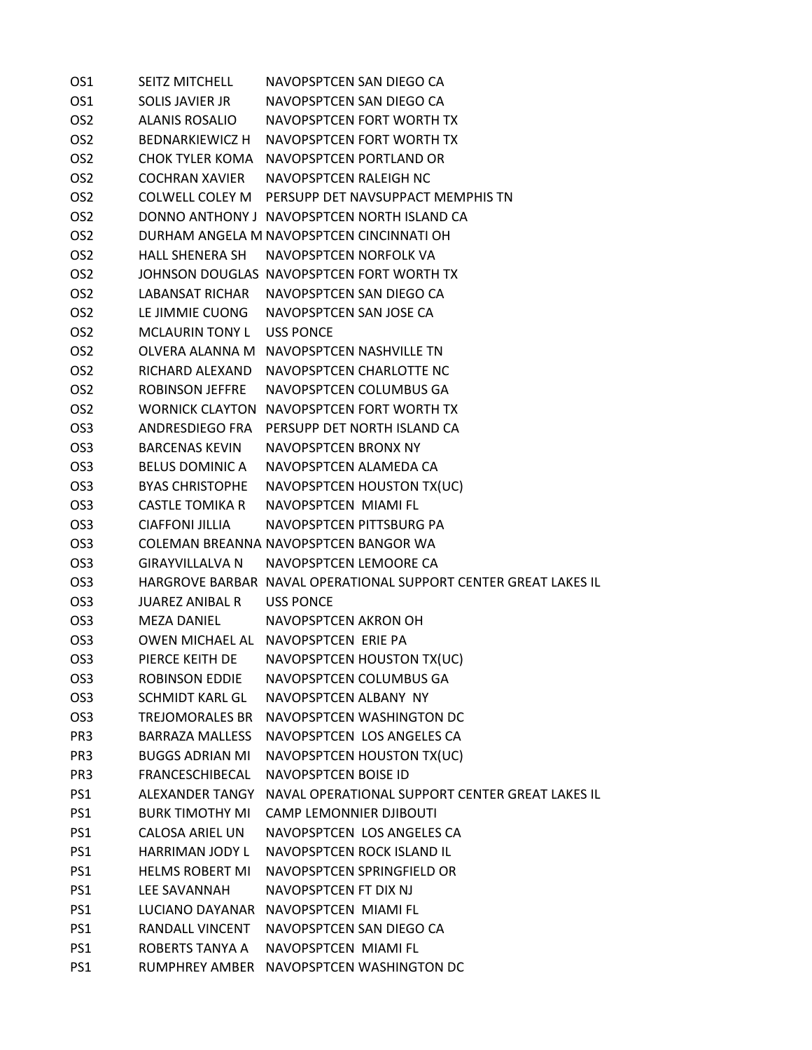| OS1             | <b>SEITZ MITCHELL</b>     | NAVOPSPTCEN SAN DIEGO CA                                        |
|-----------------|---------------------------|-----------------------------------------------------------------|
| OS <sub>1</sub> | SOLIS JAVIER JR           | NAVOPSPTCEN SAN DIEGO CA                                        |
| OS <sub>2</sub> |                           | ALANIS ROSALIO NAVOPSPTCEN FORT WORTH TX                        |
| OS <sub>2</sub> |                           | BEDNARKIEWICZ H NAVOPSPTCEN FORT WORTH TX                       |
| OS <sub>2</sub> |                           | CHOK TYLER KOMA NAVOPSPTCEN PORTLAND OR                         |
| OS <sub>2</sub> | <b>COCHRAN XAVIER</b>     | NAVOPSPTCEN RALEIGH NC                                          |
| OS <sub>2</sub> |                           | COLWELL COLEY M PERSUPP DET NAVSUPPACT MEMPHIS TN               |
| OS <sub>2</sub> |                           | DONNO ANTHONY J NAVOPSPTCEN NORTH ISLAND CA                     |
| OS <sub>2</sub> |                           | DURHAM ANGELA M NAVOPSPTCEN CINCINNATI OH                       |
| OS <sub>2</sub> | HALL SHENERA SH           | NAVOPSPTCEN NORFOLK VA                                          |
| OS <sub>2</sub> |                           | JOHNSON DOUGLAS NAVOPSPTCEN FORT WORTH TX                       |
| OS <sub>2</sub> |                           | LABANSAT RICHAR NAVOPSPTCEN SAN DIEGO CA                        |
| OS <sub>2</sub> |                           | LE JIMMIE CUONG NAVOPSPTCEN SAN JOSE CA                         |
| OS <sub>2</sub> | MCLAURIN TONY L USS PONCE |                                                                 |
| OS <sub>2</sub> |                           | OLVERA ALANNA M NAVOPSPTCEN NASHVILLE TN                        |
| OS <sub>2</sub> |                           | RICHARD ALFXAND NAVOPSPTCFN CHARLOTTF NC                        |
| OS <sub>2</sub> | ROBINSON JEFFRE           | NAVOPSPTCEN COLUMBUS GA                                         |
| OS <sub>2</sub> |                           | WORNICK CLAYTON NAVOPSPTCEN FORT WORTH TX                       |
| OS <sub>3</sub> | ANDRESDIEGO FRA           | PERSUPP DET NORTH ISLAND CA                                     |
| OS <sub>3</sub> | BARCENAS KEVIN            | NAVOPSPTCEN BRONX NY                                            |
| OS <sub>3</sub> |                           | BELUS DOMINIC A NAVOPSPTCEN ALAMEDA CA                          |
| OS <sub>3</sub> |                           | BYAS CHRISTOPHE NAVOPSPTCEN HOUSTON TX(UC)                      |
| OS <sub>3</sub> |                           | CASTLE TOMIKA R NAVOPSPTCEN MIAMI FL                            |
| OS <sub>3</sub> |                           | CIAFFONI JILLIA NAVOPSPTCEN PITTSBURG PA                        |
| OS <sub>3</sub> |                           | COLEMAN BREANNA NAVOPSPTCEN BANGOR WA                           |
| OS <sub>3</sub> |                           | GIRAYVILLALVA N NAVOPSPTCEN LEMOORE CA                          |
| OS <sub>3</sub> |                           | HARGROVE BARBAR NAVAL OPERATIONAL SUPPORT CENTER GREAT LAKES IL |
| OS <sub>3</sub> | JUAREZ ANIBAL R USS PONCE |                                                                 |
| OS <sub>3</sub> | MEZA DANIEL               | NAVOPSPTCEN AKRON OH                                            |
| OS <sub>3</sub> |                           | OWEN MICHAEL AL NAVOPSPTCEN ERIE PA                             |
| OS <sub>3</sub> |                           | PIERCE KEITH DE NAVOPSPTCEN HOUSTON TX(UC)                      |
| OS <sub>3</sub> | <b>ROBINSON EDDIE</b>     | NAVOPSPTCEN COLUMBUS GA                                         |
| OS <sub>3</sub> | <b>SCHMIDT KARL GL</b>    | NAVOPSPTCEN ALBANY NY                                           |
| OS <sub>3</sub> | TREJOMORALES BR           | NAVOPSPTCEN WASHINGTON DC                                       |
| PR <sub>3</sub> |                           | BARRAZA MALLESS NAVOPSPTCEN LOS ANGELES CA                      |
| PR <sub>3</sub> | <b>BUGGS ADRIAN MI</b>    | NAVOPSPTCEN HOUSTON TX(UC)                                      |
| PR <sub>3</sub> | FRANCESCHIBECAL           | NAVOPSPTCEN BOISE ID                                            |
| PS1             | ALEXANDER TANGY           | NAVAL OPERATIONAL SUPPORT CENTER GREAT LAKES IL                 |
| PS1             | <b>BURK TIMOTHY MI</b>    | <b>CAMP LEMONNIER DJIBOUTI</b>                                  |
| PS1             | CALOSA ARIEL UN           | NAVOPSPTCEN LOS ANGELES CA                                      |
| PS1             | <b>HARRIMAN JODY L</b>    | NAVOPSPTCEN ROCK ISLAND IL                                      |
| PS1             | <b>HELMS ROBERT MI</b>    | NAVOPSPTCEN SPRINGFIELD OR                                      |
| PS1             | LEE SAVANNAH              | NAVOPSPTCEN FT DIX NJ                                           |
| PS1             |                           | LUCIANO DAYANAR NAVOPSPTCEN MIAMI FL                            |
| PS1             | RANDALL VINCENT           | NAVOPSPTCEN SAN DIEGO CA                                        |
| PS1             | ROBERTS TANYA A           | NAVOPSPTCEN MIAMI FL                                            |
| PS1             |                           | RUMPHREY AMBER NAVOPSPTCEN WASHINGTON DC                        |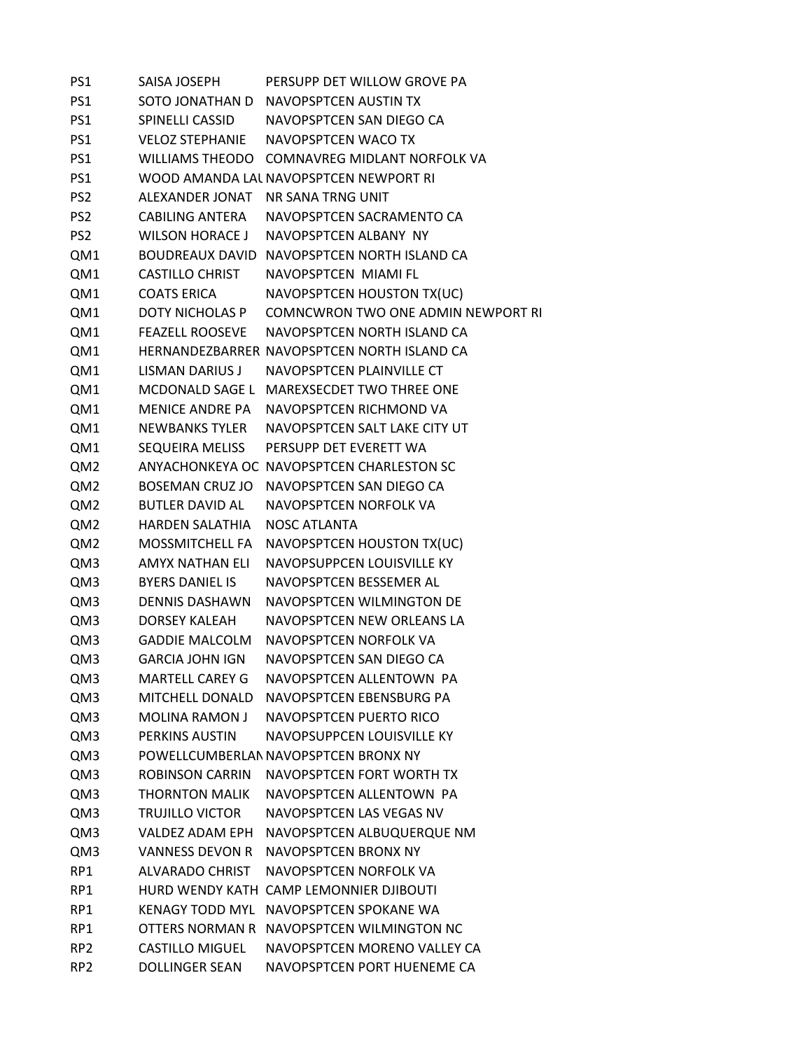PS1 SAISA JOSEPH PERSUPP DET WILLOW GROVE PA PS1 SOTO JONATHAN D NAVOPSPTCEN AUSTIN TX PS1 SPINELLI CASSID NAVOPSPTCEN SAN DIEGO CA PS1 VELOZ STEPHANIE NAVOPSPTCEN WACO TX PS1 WILLIAMS THEODO COMNAVREG MIDLANT NORFOLK VA PS1 WOOD AMANDA LAUNAVOPSPTCEN NEWPORT RI PS2 ALEXANDER JONAT NR SANA TRNG UNIT PS2 CABILING ANTERA NAVOPSPTCEN SACRAMENTO CA PS2 WILSON HORACE J NAVOPSPTCEN ALBANY NY QM1 BOUDREAUX DAVID NAVOPSPTCEN NORTH ISLAND CA QM1 CASTILLO CHRIST NAVOPSPTCEN MIAMI FL QM1 COATS ERICA NAVOPSPTCEN HOUSTON TX(UC) QM1 DOTY NICHOLAS P COMNCWRON TWO ONE ADMIN NEWPORT RI QM1 FEAZELL ROOSEVE NAVOPSPTCEN NORTH ISLAND CA QM1 HERNANDEZBARRER NAVOPSPTCEN NORTH ISLAND CA QM1 LISMAN DARIUS J NAVOPSPTCEN PLAINVILLE CT QM1 MCDONALD SAGE L MAREXSECDET TWO THREE ONE QM1 MENICE ANDRE PA NAVOPSPTCEN RICHMOND VA QM1 NEWBANKS TYLER NAVOPSPTCEN SALT LAKE CITY UT QM1 SEQUEIRA MELISS PERSUPP DET EVERETT WA QM2 ANYACHONKEYA OC NAVOPSPTCEN CHARLESTON SC QM2 BOSEMAN CRUZ JO NAVOPSPTCEN SAN DIEGO CA QM2 BUTLER DAVID AL NAVOPSPTCEN NORFOLK VA QM2 HARDEN SALATHIA NOSC ATLANTA QM2 MOSSMITCHELL FA NAVOPSPTCEN HOUSTON TX(UC) QM3 AMYX NATHAN ELI NAVOPSUPPCEN LOUISVILLE KY QM3 BYERS DANIEL IS NAVOPSPTCEN BESSEMER AL QM3 DENNIS DASHAWN NAVOPSPTCEN WILMINGTON DE QM3 DORSEY KALEAH NAVOPSPTCEN NEW ORLEANS LA QM3 GADDIE MALCOLM NAVOPSPTCEN NORFOLK VA QM3 GARCIA JOHN IGN NAVOPSPTCEN SAN DIEGO CA QM3 MARTELL CAREY G NAVOPSPTCEN ALLENTOWN PA QM3 MITCHELL DONALD NAVOPSPTCEN EBENSBURG PA QM3 MOLINA RAMON J NAVOPSPTCEN PUERTO RICO QM3 PERKINS AUSTIN NAVOPSUPPCEN LOUISVILLE KY QM3 POWELLCUMBERLANNAVOPSPTCEN BRONX NY QM3 ROBINSON CARRIN NAVOPSPTCEN FORT WORTH TX QM3 THORNTON MALIK NAVOPSPTCEN ALLENTOWN PA QM3 TRUJILLO VICTOR NAVOPSPTCEN LAS VEGAS NV QM3 VALDEZ ADAM EPH NAVOPSPTCEN ALBUQUERQUE NM QM3 VANNESS DEVON R NAVOPSPTCEN BRONX NY RP1 ALVARADO CHRIST NAVOPSPTCEN NORFOLK VA RP1 HURD WENDY KATH CAMP LEMONNIER DJIBOUTI RP1 KENAGY TODD MYL NAVOPSPTCEN SPOKANE WA RP1 OTTERS NORMAN R NAVOPSPTCEN WILMINGTON NC RP2 CASTILLO MIGUEL NAVOPSPTCEN MORENO VALLEY CA RP2 DOLLINGER SEAN NAVOPSPTCEN PORT HUENEME CA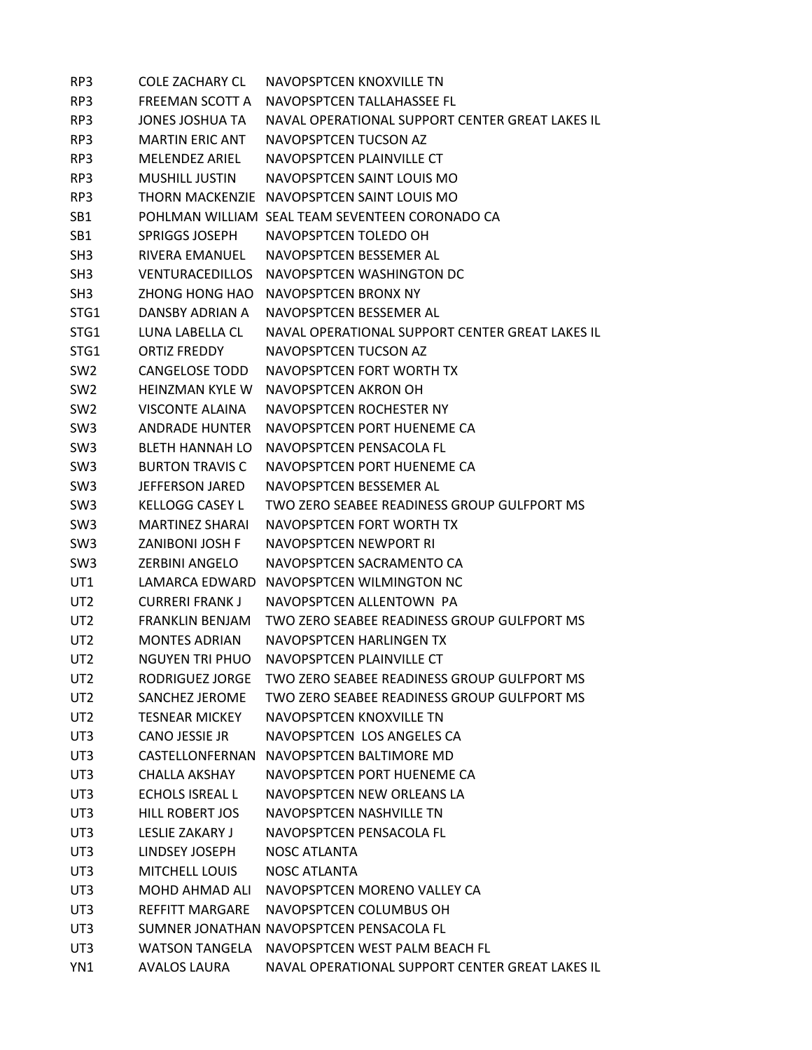| RP3             | <b>COLE ZACHARY CL</b> | NAVOPSPTCEN KNOXVILLE TN                        |
|-----------------|------------------------|-------------------------------------------------|
| RP3             | FREEMAN SCOTT A        | NAVOPSPTCFN TALLAHASSFF FL                      |
| RP3             | <b>JONES JOSHUA TA</b> | NAVAL OPERATIONAL SUPPORT CENTER GREAT LAKES IL |
| RP3             | <b>MARTIN ERIC ANT</b> | NAVOPSPTCEN TUCSON AZ                           |
| RP3             | <b>MELENDEZ ARIEL</b>  | NAVOPSPTCEN PLAINVILLE CT                       |
| RP3             | <b>MUSHILL JUSTIN</b>  | NAVOPSPTCEN SAINT LOUIS MO                      |
| RP3             |                        | THORN MACKENZIE NAVOPSPTCEN SAINT LOUIS MO      |
| SB <sub>1</sub> |                        | POHLMAN WILLIAM SEAL TEAM SEVENTEEN CORONADO CA |
| SB1             | <b>SPRIGGS JOSEPH</b>  | NAVOPSPTCEN TOLEDO OH                           |
| SH <sub>3</sub> | RIVERA EMANUEL         | NAVOPSPTCEN BESSEMER AL                         |
| SH <sub>3</sub> | <b>VENTURACEDILLOS</b> | NAVOPSPTCEN WASHINGTON DC                       |
| SH <sub>3</sub> | ZHONG HONG HAO         | NAVOPSPTCEN BRONX NY                            |
| STG1            | DANSBY ADRIAN A        | NAVOPSPTCEN BESSEMER AL                         |
| STG1            | LUNA LABELLA CL        | NAVAL OPERATIONAL SUPPORT CENTER GREAT LAKES IL |
| STG1            | <b>ORTIZ FREDDY</b>    | NAVOPSPTCEN TUCSON AZ                           |
| SW <sub>2</sub> | <b>CANGELOSE TODD</b>  | NAVOPSPTCEN FORT WORTH TX                       |
| SW <sub>2</sub> | <b>HEINZMAN KYLE W</b> | NAVOPSPTCEN AKRON OH                            |
| SW <sub>2</sub> | <b>VISCONTE ALAINA</b> | NAVOPSPTCEN ROCHESTER NY                        |
| SW <sub>3</sub> | <b>ANDRADE HUNTER</b>  | NAVOPSPTCEN PORT HUENEME CA                     |
| SW <sub>3</sub> | <b>BLETH HANNAH LO</b> | NAVOPSPTCEN PENSACOLA FL                        |
| SW <sub>3</sub> | <b>BURTON TRAVIS C</b> | NAVOPSPTCEN PORT HUENEME CA                     |
| SW <sub>3</sub> | <b>JEFFERSON JARED</b> | NAVOPSPTCEN BESSEMER AL                         |
| SW <sub>3</sub> | <b>KELLOGG CASEY L</b> | TWO ZERO SEABEE READINESS GROUP GULFPORT MS     |
| SW <sub>3</sub> | <b>MARTINEZ SHARAI</b> | NAVOPSPTCEN FORT WORTH TX                       |
| SW <sub>3</sub> | <b>ZANIBONI JOSH F</b> | NAVOPSPTCEN NEWPORT RI                          |
| SW <sub>3</sub> | <b>ZERBINI ANGELO</b>  | NAVOPSPTCEN SACRAMENTO CA                       |
| UT1             | LAMARCA EDWARD         | NAVOPSPTCEN WILMINGTON NC                       |
| UT <sub>2</sub> | <b>CURRERI FRANK J</b> | NAVOPSPTCEN ALLENTOWN PA                        |
| UT <sub>2</sub> | <b>FRANKLIN BENJAM</b> | TWO ZERO SEABEE READINESS GROUP GULFPORT MS     |
| UT <sub>2</sub> | <b>MONTES ADRIAN</b>   | NAVOPSPTCEN HARLINGEN TX                        |
| UT <sub>2</sub> | NGUYEN TRI PHUO        | NAVOPSPTCEN PLAINVILLE CT                       |
| UT <sub>2</sub> | RODRIGUEZ JORGE        | TWO ZERO SEABEE READINESS GROUP GULFPORT MS     |
| UT <sub>2</sub> | SANCHEZ JEROME         | TWO ZERO SEABEE READINESS GROUP GULFPORT MS     |
| UT <sub>2</sub> | <b>TESNEAR MICKEY</b>  | NAVOPSPTCEN KNOXVILLE TN                        |
| UT3             | CANO JESSIE JR         | NAVOPSPTCEN LOS ANGELES CA                      |
| UT3             |                        | CASTELLONFERNAN NAVOPSPTCEN BALTIMORE MD        |
| UT3             | <b>CHALLA AKSHAY</b>   | NAVOPSPTCEN PORT HUENEME CA                     |
| UT3             | <b>ECHOLS ISREAL L</b> | NAVOPSPTCEN NEW ORLEANS LA                      |
| UT3             | HILL ROBERT JOS        | NAVOPSPTCEN NASHVILLE TN                        |
| UT3             | LESLIE ZAKARY J        | NAVOPSPTCEN PENSACOLA FL                        |
| UT3             | LINDSEY JOSEPH         | <b>NOSC ATLANTA</b>                             |
| UT3             | <b>MITCHELL LOUIS</b>  | <b>NOSC ATLANTA</b>                             |
| UT3             |                        | MOHD AHMAD ALI NAVOPSPTCEN MORENO VALLEY CA     |
| UT3             | REFFITT MARGARE        | NAVOPSPTCEN COLUMBUS OH                         |
| UT3             |                        | SUMNER JONATHAN NAVOPSPTCEN PENSACOLA FL        |
| UT3             |                        | WATSON TANGELA NAVOPSPTCEN WEST PALM BEACH FL   |
| YN1             | AVALOS LAURA           | NAVAL OPERATIONAL SUPPORT CENTER GREAT LAKES IL |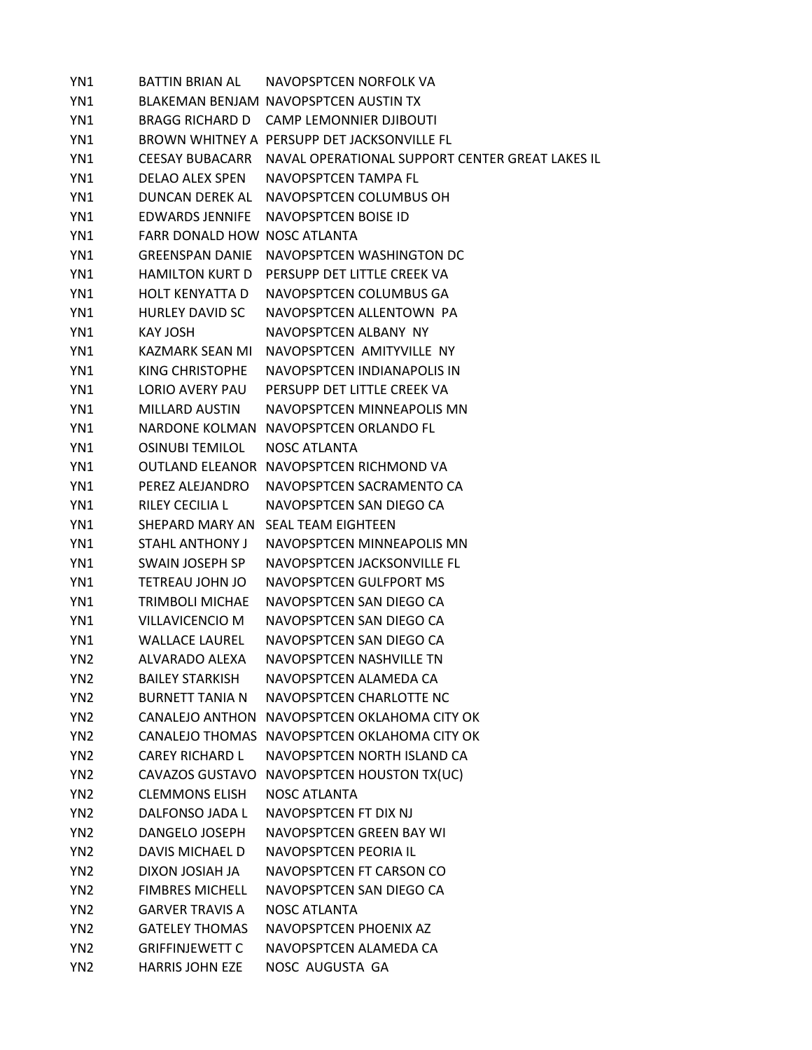YN1 BATTIN BRIAN AL NAVOPSPTCEN NORFOLK VA YN1 BLAKEMAN BENJAM NAVOPSPTCEN AUSTIN TX YN1 BRAGG RICHARD D CAMP LEMONNIER DJIBOUTI YN1 BROWN WHITNEY A PERSUPP DET JACKSONVILLE FL YN1 CEESAY BUBACARR NAVAL OPERATIONAL SUPPORT CENTER GREAT LAKES IL YN1 DELAO ALEX SPEN NAVOPSPTCEN TAMPA FL YN1 DUNCAN DEREK AL NAVOPSPTCEN COLUMBUS OH YN1 EDWARDS JENNIFE NAVOPSPTCEN BOISE ID YN1 FARR DONALD HOW NOSC ATLANTA YN1 GREENSPAN DANIE NAVOPSPTCEN WASHINGTON DC YN1 HAMILTON KURT D PERSUPP DET LITTLE CREEK VA YN1 HOLT KENYATTA D NAVOPSPTCEN COLUMBUS GA YN1 HURLEY DAVID SC NAVOPSPTCEN ALLENTOWN PA YN1 KAY JOSH NAVOPSPTCEN ALBANY NY YN1 KAZMARK SEAN MI NAVOPSPTCEN AMITYVILLE NY YN1 KING CHRISTOPHE NAVOPSPTCEN INDIANAPOLIS IN YN1 LORIO AVERY PAU PERSUPP DET LITTLE CREEK VA YN1 MILLARD AUSTIN NAVOPSPTCEN MINNEAPOLIS MN YN1 NARDONE KOLMAN NAVOPSPTCEN ORLANDO FL YN1 OSINUBI TEMILOL NOSC ATLANTA YN1 OUTLAND ELEANOR NAVOPSPTCEN RICHMOND VA YN1 PEREZ ALEJANDRO NAVOPSPTCEN SACRAMENTO CA YN1 RILEY CECILIA L NAVOPSPTCEN SAN DIEGO CA YN1 SHEPARD MARY AN SEAL TEAM EIGHTEEN YN1 STAHL ANTHONY J NAVOPSPTCEN MINNEAPOLIS MN YN1 SWAIN JOSEPH SP NAVOPSPTCEN JACKSONVILLE FL YN1 TETREAU JOHN JO NAVOPSPTCEN GULFPORT MS YN1 TRIMBOLI MICHAE NAVOPSPTCEN SAN DIEGO CA YN1 VILLAVICENCIO M NAVOPSPTCEN SAN DIEGO CA YN1 WALLACE LAUREL NAVOPSPTCEN SAN DIEGO CA YN2 ALVARADO ALEXA NAVOPSPTCEN NASHVILLE TN YN2 BAILEY STARKISH NAVOPSPTCEN ALAMEDA CA YN2 BURNETT TANIA N NAVOPSPTCEN CHARLOTTE NC YN2 CANALEJO ANTHON NAVOPSPTCEN OKLAHOMA CITY OK YN2 CANALEJO THOMAS NAVOPSPTCEN OKLAHOMA CITY OK YN2 CAREY RICHARD L NAVOPSPTCEN NORTH ISLAND CA YN2 CAVAZOS GUSTAVO NAVOPSPTCEN HOUSTON TX(UC) YN2 CLEMMONS ELISH NOSC ATLANTA YN2 DALFONSO JADA L NAVOPSPTCEN FT DIX NJ YN2 DANGELO JOSEPH NAVOPSPTCEN GREEN BAY WI YN2 DAVIS MICHAEL D NAVOPSPTCEN PEORIA IL YN2 DIXON JOSIAH JA NAVOPSPTCEN FT CARSON CO YN2 FIMBRES MICHELL NAVOPSPTCEN SAN DIEGO CA YN2 GARVER TRAVIS A NOSC ATLANTA YN2 GATELEY THOMAS NAVOPSPTCEN PHOENIX AZ YN2 GRIFFINJEWETT C NAVOPSPTCEN ALAMEDA CA YN2 HARRIS JOHN EZE NOSC AUGUSTA GA